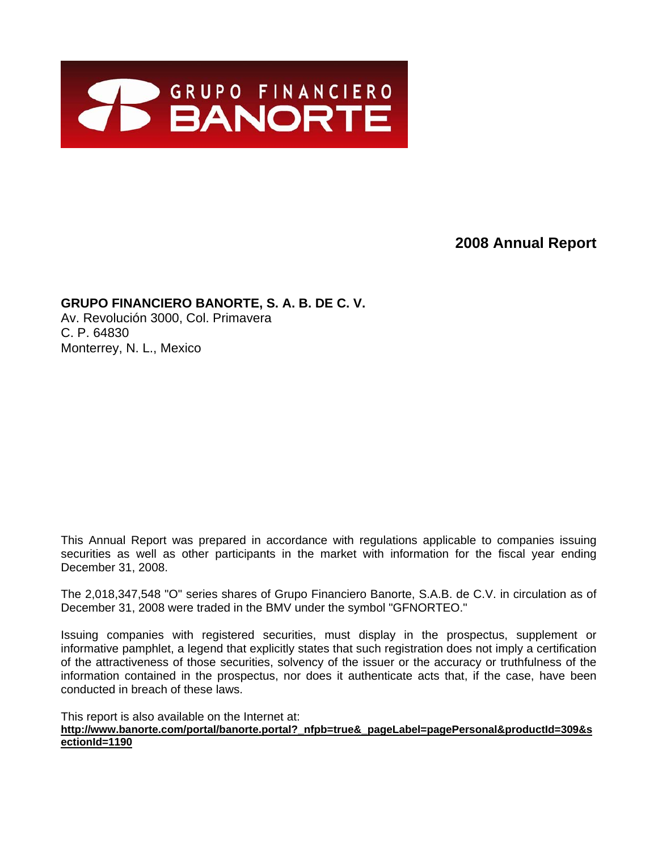

# **2008 Annual Report**

# **GRUPO FINANCIERO BANORTE, S. A. B. DE C. V.**

Av. Revolución 3000, Col. Primavera C. P. 64830 Monterrey, N. L., Mexico

This Annual Report was prepared in accordance with regulations applicable to companies issuing securities as well as other participants in the market with information for the fiscal year ending December 31, 2008.

The 2,018,347,548 "O" series shares of Grupo Financiero Banorte, S.A.B. de C.V. in circulation as of December 31, 2008 were traded in the BMV under the symbol "GFNORTEO."

Issuing companies with registered securities, must display in the prospectus, supplement or informative pamphlet, a legend that explicitly states that such registration does not imply a certification of the attractiveness of those securities, solvency of the issuer or the accuracy or truthfulness of the information contained in the prospectus, nor does it authenticate acts that, if the case, have been conducted in breach of these laws.

This report is also available on the Internet at:

**http://www.banorte.com/portal/banorte.portal?\_nfpb=true&\_pageLabel=pagePersonal&productId=309&s ectionId=1190**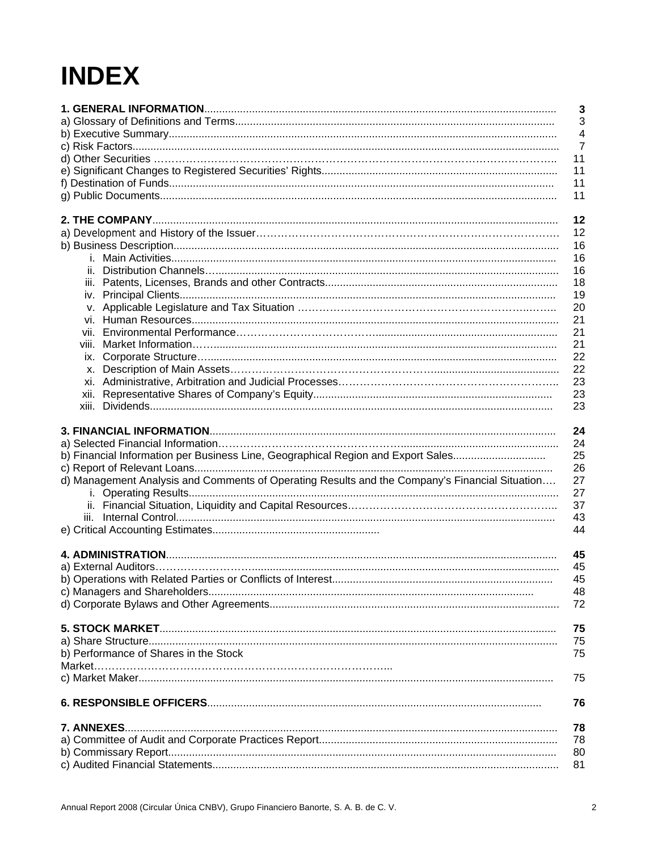# **INDEX**

|                                                                                                | $\overline{\mathbf{3}}$ |
|------------------------------------------------------------------------------------------------|-------------------------|
|                                                                                                | 3                       |
|                                                                                                | $\overline{4}$          |
|                                                                                                | $\overline{7}$          |
|                                                                                                | 11                      |
|                                                                                                | 11                      |
|                                                                                                | 11                      |
|                                                                                                | 11                      |
|                                                                                                | 12                      |
|                                                                                                | 12                      |
|                                                                                                | 16                      |
|                                                                                                | 16                      |
|                                                                                                | 16                      |
|                                                                                                | 18                      |
|                                                                                                | 19                      |
|                                                                                                | 20                      |
|                                                                                                | 21                      |
|                                                                                                | 21                      |
| viii.                                                                                          | 21                      |
|                                                                                                | 22                      |
|                                                                                                | 22                      |
|                                                                                                | 23                      |
|                                                                                                | 23                      |
|                                                                                                | 23                      |
|                                                                                                |                         |
|                                                                                                | 24                      |
|                                                                                                | 24                      |
| b) Financial Information per Business Line, Geographical Region and Export Sales               | 25                      |
|                                                                                                | 26                      |
| d) Management Analysis and Comments of Operating Results and the Company's Financial Situation | 27<br>27                |
|                                                                                                | 37                      |
|                                                                                                | 43                      |
|                                                                                                | 44                      |
|                                                                                                |                         |
|                                                                                                | 45                      |
|                                                                                                | 45                      |
|                                                                                                | 45                      |
|                                                                                                | 48                      |
|                                                                                                | 72                      |
|                                                                                                | 75                      |
|                                                                                                | 75                      |
| b) Performance of Shares in the Stock                                                          | 75                      |
|                                                                                                |                         |
|                                                                                                | 75                      |
|                                                                                                |                         |
|                                                                                                | 76                      |
| 7. ANNEXES                                                                                     | 78                      |
|                                                                                                | 78                      |
|                                                                                                | 80                      |
|                                                                                                | 81                      |
|                                                                                                |                         |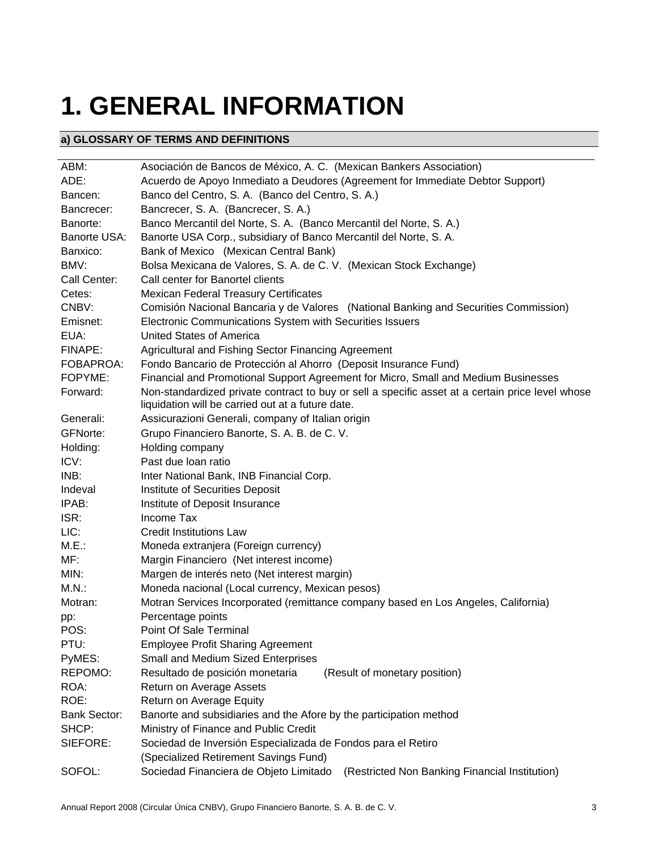# **1. GENERAL INFORMATION**

# **a) GLOSSARY OF TERMS AND DEFINITIONS**

| ABM:                | Asociación de Bancos de México, A. C. (Mexican Bankers Association)                                                                                   |  |  |  |
|---------------------|-------------------------------------------------------------------------------------------------------------------------------------------------------|--|--|--|
| ADE:                | Acuerdo de Apoyo Inmediato a Deudores (Agreement for Immediate Debtor Support)                                                                        |  |  |  |
| Bancen:             | Banco del Centro, S. A. (Banco del Centro, S. A.)                                                                                                     |  |  |  |
| Bancrecer:          | Bancrecer, S. A. (Bancrecer, S. A.)                                                                                                                   |  |  |  |
| Banorte:            | Banco Mercantil del Norte, S. A. (Banco Mercantil del Norte, S. A.)                                                                                   |  |  |  |
| Banorte USA:        | Banorte USA Corp., subsidiary of Banco Mercantil del Norte, S. A.                                                                                     |  |  |  |
| Banxico:            | Bank of Mexico (Mexican Central Bank)                                                                                                                 |  |  |  |
| BMV:                | Bolsa Mexicana de Valores, S. A. de C. V. (Mexican Stock Exchange)                                                                                    |  |  |  |
| Call Center:        | Call center for Banortel clients                                                                                                                      |  |  |  |
| Cetes:              | <b>Mexican Federal Treasury Certificates</b>                                                                                                          |  |  |  |
| CNBV:               | Comisión Nacional Bancaria y de Valores (National Banking and Securities Commission)                                                                  |  |  |  |
| Emisnet:            | Electronic Communications System with Securities Issuers                                                                                              |  |  |  |
| EUA:                | United States of America                                                                                                                              |  |  |  |
| FINAPE:             | Agricultural and Fishing Sector Financing Agreement                                                                                                   |  |  |  |
| FOBAPROA:           | Fondo Bancario de Protección al Ahorro (Deposit Insurance Fund)                                                                                       |  |  |  |
| FOPYME:             | Financial and Promotional Support Agreement for Micro, Small and Medium Businesses                                                                    |  |  |  |
| Forward:            | Non-standardized private contract to buy or sell a specific asset at a certain price level whose<br>liquidation will be carried out at a future date. |  |  |  |
| Generali:           | Assicurazioni Generali, company of Italian origin                                                                                                     |  |  |  |
| <b>GFNorte:</b>     | Grupo Financiero Banorte, S. A. B. de C. V.                                                                                                           |  |  |  |
| Holding:            | Holding company                                                                                                                                       |  |  |  |
| ICV:                | Past due loan ratio                                                                                                                                   |  |  |  |
| INB:                | Inter National Bank, INB Financial Corp.                                                                                                              |  |  |  |
| Indeval             | Institute of Securities Deposit                                                                                                                       |  |  |  |
| IPAB:               | Institute of Deposit Insurance                                                                                                                        |  |  |  |
| ISR:                | Income Tax                                                                                                                                            |  |  |  |
| LIC:                | <b>Credit Institutions Law</b>                                                                                                                        |  |  |  |
| M.E.:               | Moneda extranjera (Foreign currency)                                                                                                                  |  |  |  |
| MF:                 | Margin Financiero (Net interest income)                                                                                                               |  |  |  |
| MIN:                | Margen de interés neto (Net interest margin)                                                                                                          |  |  |  |
| M.N.                | Moneda nacional (Local currency, Mexican pesos)                                                                                                       |  |  |  |
| Motran:             | Motran Services Incorporated (remittance company based en Los Angeles, California)                                                                    |  |  |  |
| pp:                 | Percentage points                                                                                                                                     |  |  |  |
| POS:                | Point Of Sale Terminal                                                                                                                                |  |  |  |
| PTU:                | <b>Employee Profit Sharing Agreement</b>                                                                                                              |  |  |  |
| PyMES:              | Small and Medium Sized Enterprises                                                                                                                    |  |  |  |
| REPOMO:             | Resultado de posición monetaria<br>(Result of monetary position)                                                                                      |  |  |  |
| ROA:                | Return on Average Assets                                                                                                                              |  |  |  |
| ROE:                | Return on Average Equity                                                                                                                              |  |  |  |
| <b>Bank Sector:</b> | Banorte and subsidiaries and the Afore by the participation method                                                                                    |  |  |  |
| SHCP:               | Ministry of Finance and Public Credit                                                                                                                 |  |  |  |
| SIEFORE:            | Sociedad de Inversión Especializada de Fondos para el Retiro                                                                                          |  |  |  |
|                     | (Specialized Retirement Savings Fund)                                                                                                                 |  |  |  |
| SOFOL:              | Sociedad Financiera de Objeto Limitado<br>(Restricted Non Banking Financial Institution)                                                              |  |  |  |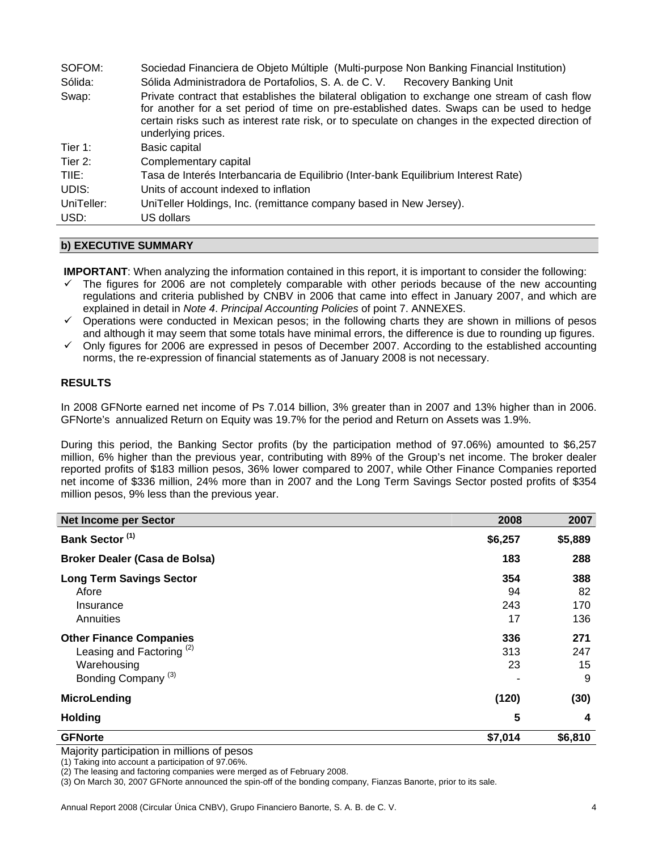| SOFOM:     | Sociedad Financiera de Objeto Múltiple (Multi-purpose Non Banking Financial Institution)                                                                                                                                                                                                                               |
|------------|------------------------------------------------------------------------------------------------------------------------------------------------------------------------------------------------------------------------------------------------------------------------------------------------------------------------|
| Sólida:    | Sólida Administradora de Portafolios, S. A. de C. V. Recovery Banking Unit                                                                                                                                                                                                                                             |
| Swap:      | Private contract that establishes the bilateral obligation to exchange one stream of cash flow<br>for another for a set period of time on pre-established dates. Swaps can be used to hedge<br>certain risks such as interest rate risk, or to speculate on changes in the expected direction of<br>underlying prices. |
| Tier 1:    | Basic capital                                                                                                                                                                                                                                                                                                          |
| Tier 2:    | Complementary capital                                                                                                                                                                                                                                                                                                  |
| TIIE:      | Tasa de Interés Interbancaria de Equilibrio (Inter-bank Equilibrium Interest Rate)                                                                                                                                                                                                                                     |
| UDIS:      | Units of account indexed to inflation                                                                                                                                                                                                                                                                                  |
| UniTeller: | UniTeller Holdings, Inc. (remittance company based in New Jersey).                                                                                                                                                                                                                                                     |
| USD:       | US dollars                                                                                                                                                                                                                                                                                                             |

# **b) EXECUTIVE SUMMARY**

**IMPORTANT**: When analyzing the information contained in this report, it is important to consider the following:

- $\checkmark$  The figures for 2006 are not completely comparable with other periods because of the new accounting regulations and criteria published by CNBV in 2006 that came into effect in January 2007, and which are explained in detail in *Note 4*. *Principal Accounting Policies* of point 7. ANNEXES.
- $\checkmark$  Operations were conducted in Mexican pesos; in the following charts they are shown in millions of pesos and although it may seem that some totals have minimal errors, the difference is due to rounding up figures.
- $\checkmark$  Only figures for 2006 are expressed in pesos of December 2007. According to the established accounting norms, the re-expression of financial statements as of January 2008 is not necessary.

# **RESULTS**

In 2008 GFNorte earned net income of Ps 7.014 billion, 3% greater than in 2007 and 13% higher than in 2006. GFNorte's annualized Return on Equity was 19.7% for the period and Return on Assets was 1.9%.

During this period, the Banking Sector profits (by the participation method of 97.06%) amounted to \$6,257 million, 6% higher than the previous year, contributing with 89% of the Group's net income. The broker dealer reported profits of \$183 million pesos, 36% lower compared to 2007, while Other Finance Companies reported net income of \$336 million, 24% more than in 2007 and the Long Term Savings Sector posted profits of \$354 million pesos, 9% less than the previous year.

| <b>Net Income per Sector</b>                                                                                            | 2008                   | 2007                    |
|-------------------------------------------------------------------------------------------------------------------------|------------------------|-------------------------|
| Bank Sector <sup>(1)</sup>                                                                                              | \$6,257                | \$5,889                 |
| Broker Dealer (Casa de Bolsa)                                                                                           | 183                    | 288                     |
| <b>Long Term Savings Sector</b><br>Afore<br>Insurance<br>Annuities                                                      | 354<br>94<br>243<br>17 | 388<br>82<br>170<br>136 |
| <b>Other Finance Companies</b><br>Leasing and Factoring <sup>(2)</sup><br>Warehousing<br>Bonding Company <sup>(3)</sup> | 336<br>313<br>23       | 271<br>247<br>15<br>9   |
| MicroLending                                                                                                            | (120)                  | (30)                    |
| <b>Holding</b>                                                                                                          | 5                      | 4                       |
| <b>GFNorte</b>                                                                                                          | \$7,014                | \$6,810                 |

Majority participation in millions of pesos

(1) Taking into account a participation of 97.06%.

(2) The leasing and factoring companies were merged as of February 2008.

(3) On March 30, 2007 GFNorte announced the spin-off of the bonding company, Fianzas Banorte, prior to its sale.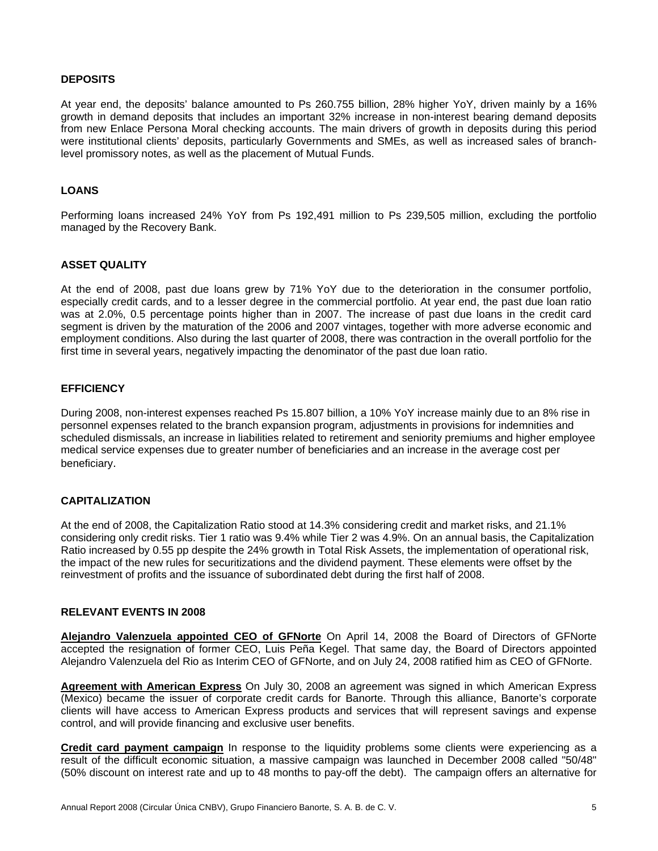#### **DEPOSITS**

At year end, the deposits' balance amounted to Ps 260.755 billion, 28% higher YoY, driven mainly by a 16% growth in demand deposits that includes an important 32% increase in non-interest bearing demand deposits from new Enlace Persona Moral checking accounts. The main drivers of growth in deposits during this period were institutional clients' deposits, particularly Governments and SMEs, as well as increased sales of branchlevel promissory notes, as well as the placement of Mutual Funds.

#### **LOANS**

Performing loans increased 24% YoY from Ps 192,491 million to Ps 239,505 million, excluding the portfolio managed by the Recovery Bank.

#### **ASSET QUALITY**

At the end of 2008, past due loans grew by 71% YoY due to the deterioration in the consumer portfolio, especially credit cards, and to a lesser degree in the commercial portfolio. At year end, the past due loan ratio was at 2.0%, 0.5 percentage points higher than in 2007. The increase of past due loans in the credit card segment is driven by the maturation of the 2006 and 2007 vintages, together with more adverse economic and employment conditions. Also during the last quarter of 2008, there was contraction in the overall portfolio for the first time in several years, negatively impacting the denominator of the past due loan ratio.

#### **EFFICIENCY**

During 2008, non-interest expenses reached Ps 15.807 billion, a 10% YoY increase mainly due to an 8% rise in personnel expenses related to the branch expansion program, adjustments in provisions for indemnities and scheduled dismissals, an increase in liabilities related to retirement and seniority premiums and higher employee medical service expenses due to greater number of beneficiaries and an increase in the average cost per beneficiary.

#### **CAPITALIZATION**

At the end of 2008, the Capitalization Ratio stood at 14.3% considering credit and market risks, and 21.1% considering only credit risks. Tier 1 ratio was 9.4% while Tier 2 was 4.9%. On an annual basis, the Capitalization Ratio increased by 0.55 pp despite the 24% growth in Total Risk Assets, the implementation of operational risk, the impact of the new rules for securitizations and the dividend payment. These elements were offset by the reinvestment of profits and the issuance of subordinated debt during the first half of 2008.

#### **RELEVANT EVENTS IN 2008**

**Alejandro Valenzuela appointed CEO of GFNorte** On April 14, 2008 the Board of Directors of GFNorte accepted the resignation of former CEO, Luis Peña Kegel. That same day, the Board of Directors appointed Alejandro Valenzuela del Rio as Interim CEO of GFNorte, and on July 24, 2008 ratified him as CEO of GFNorte.

**Agreement with American Express** On July 30, 2008 an agreement was signed in which American Express (Mexico) became the issuer of corporate credit cards for Banorte. Through this alliance, Banorte's corporate clients will have access to American Express products and services that will represent savings and expense control, and will provide financing and exclusive user benefits.

**Credit card payment campaign** In response to the liquidity problems some clients were experiencing as a result of the difficult economic situation, a massive campaign was launched in December 2008 called "50/48" (50% discount on interest rate and up to 48 months to pay-off the debt). The campaign offers an alternative for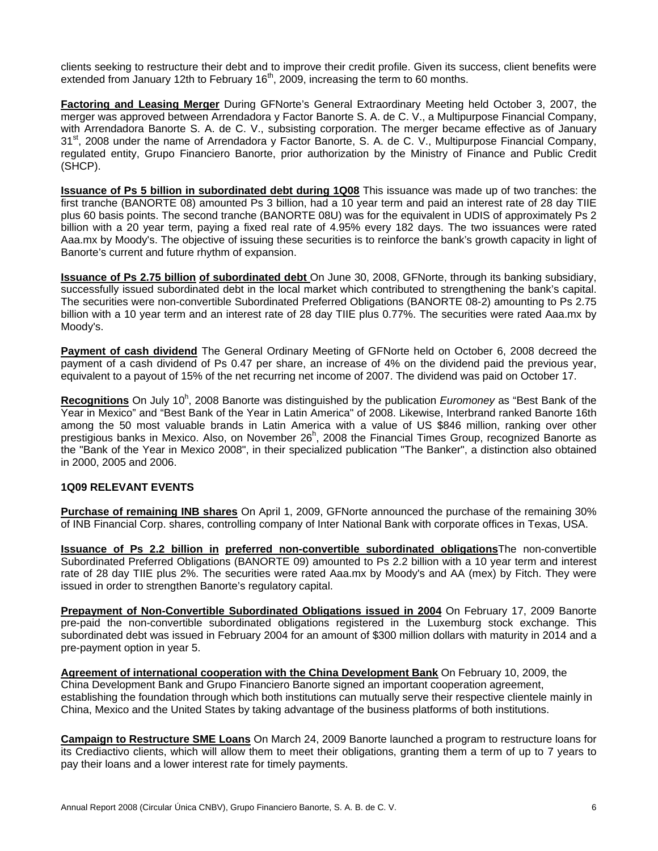clients seeking to restructure their debt and to improve their credit profile. Given its success, client benefits were extended from January 12th to February  $16<sup>th</sup>$ , 2009, increasing the term to 60 months.

**Factoring and Leasing Merger** During GFNorte's General Extraordinary Meeting held October 3, 2007, the merger was approved between Arrendadora y Factor Banorte S. A. de C. V., a Multipurpose Financial Company, with Arrendadora Banorte S. A. de C. V., subsisting corporation. The merger became effective as of January 31<sup>st</sup>, 2008 under the name of Arrendadora y Factor Banorte, S. A. de C. V., Multipurpose Financial Company, regulated entity, Grupo Financiero Banorte, prior authorization by the Ministry of Finance and Public Credit (SHCP).

**Issuance of Ps 5 billion in subordinated debt during 1Q08** This issuance was made up of two tranches: the first tranche (BANORTE 08) amounted Ps 3 billion, had a 10 year term and paid an interest rate of 28 day TIIE plus 60 basis points. The second tranche (BANORTE 08U) was for the equivalent in UDIS of approximately Ps 2 billion with a 20 year term, paying a fixed real rate of 4.95% every 182 days. The two issuances were rated Aaa.mx by Moody's. The objective of issuing these securities is to reinforce the bank's growth capacity in light of Banorte's current and future rhythm of expansion.

**Issuance of Ps 2.75 billion of subordinated debt** On June 30, 2008, GFNorte, through its banking subsidiary, successfully issued subordinated debt in the local market which contributed to strengthening the bank's capital. The securities were non-convertible Subordinated Preferred Obligations (BANORTE 08-2) amounting to Ps 2.75 billion with a 10 year term and an interest rate of 28 day TIIE plus 0.77%. The securities were rated Aaa.mx by Moody's.

**Payment of cash dividend** The General Ordinary Meeting of GFNorte held on October 6, 2008 decreed the payment of a cash dividend of Ps 0.47 per share, an increase of 4% on the dividend paid the previous year, equivalent to a payout of 15% of the net recurring net income of 2007. The dividend was paid on October 17.

Recognitions On July 10<sup>h</sup>, 2008 Banorte was distinguished by the publication *Euromoney* as "Best Bank of the Year in Mexico" and "Best Bank of the Year in Latin America" of 2008. Likewise, Interbrand ranked Banorte 16th among the 50 most valuable brands in Latin America with a value of US \$846 million, ranking over other prestigious banks in Mexico. Also, on November 26<sup>h</sup>, 2008 the Financial Times Group, recognized Banorte as the "Bank of the Year in Mexico 2008", in their specialized publication "The Banker", a distinction also obtained in 2000, 2005 and 2006.

#### **1Q09 RELEVANT EVENTS**

**Purchase of remaining INB shares** On April 1, 2009, GFNorte announced the purchase of the remaining 30% of INB Financial Corp. shares, controlling company of Inter National Bank with corporate offices in Texas, USA.

**Issuance of Ps 2.2 billion in preferred non-convertible subordinated obligations**The non-convertible Subordinated Preferred Obligations (BANORTE 09) amounted to Ps 2.2 billion with a 10 year term and interest rate of 28 day TIIE plus 2%. The securities were rated Aaa.mx by Moody's and AA (mex) by Fitch. They were issued in order to strengthen Banorte's regulatory capital.

**Prepayment of Non-Convertible Subordinated Obligations issued in 2004** On February 17, 2009 Banorte pre-paid the non-convertible subordinated obligations registered in the Luxemburg stock exchange. This subordinated debt was issued in February 2004 for an amount of \$300 million dollars with maturity in 2014 and a pre-payment option in year 5.

**Agreement of international cooperation with the China Development Bank** On February 10, 2009, the China Development Bank and Grupo Financiero Banorte signed an important cooperation agreement, establishing the foundation through which both institutions can mutually serve their respective clientele mainly in China, Mexico and the United States by taking advantage of the business platforms of both institutions.

**Campaign to Restructure SME Loans** On March 24, 2009 Banorte launched a program to restructure loans for its Crediactivo clients, which will allow them to meet their obligations, granting them a term of up to 7 years to pay their loans and a lower interest rate for timely payments.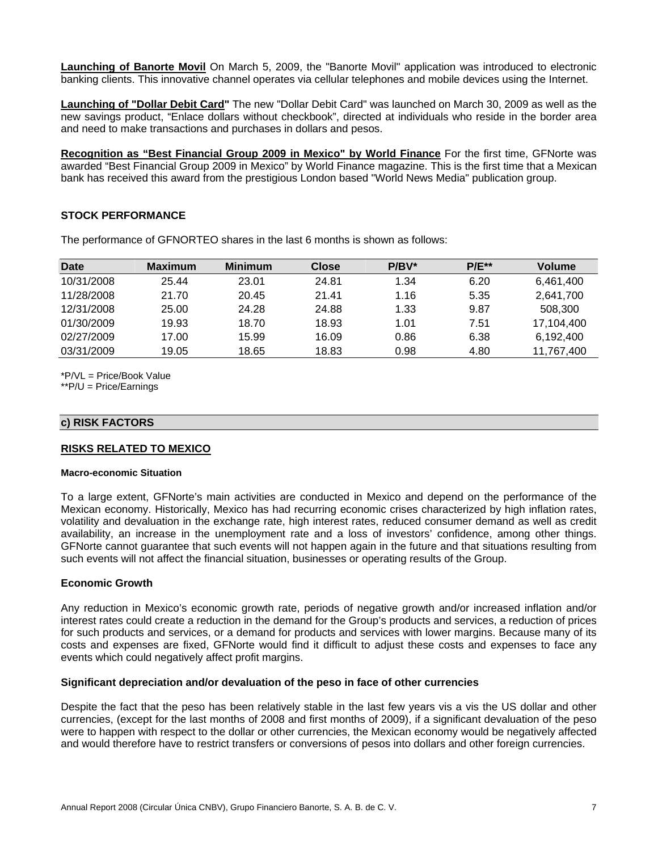**Launching of Banorte Movil** On March 5, 2009, the "Banorte Movil" application was introduced to electronic banking clients. This innovative channel operates via cellular telephones and mobile devices using the Internet.

**Launching of "Dollar Debit Card"** The new "Dollar Debit Card" was launched on March 30, 2009 as well as the new savings product, "Enlace dollars without checkbook", directed at individuals who reside in the border area and need to make transactions and purchases in dollars and pesos.

**Recognition as "Best Financial Group 2009 in Mexico" by World Finance** For the first time, GFNorte was awarded "Best Financial Group 2009 in Mexico" by World Finance magazine. This is the first time that a Mexican bank has received this award from the prestigious London based "World News Media" publication group.

# **STOCK PERFORMANCE**

| <b>Date</b> | <b>Maximum</b> | <b>Minimum</b> | <b>Close</b> | $P/BV^*$ | $P/E^{**}$ | Volume     |
|-------------|----------------|----------------|--------------|----------|------------|------------|
| 10/31/2008  | 25.44          | 23.01          | 24.81        | 1.34     | 6.20       | 6.461.400  |
| 11/28/2008  | 21.70          | 20.45          | 21.41        | 1.16     | 5.35       | 2.641.700  |
| 12/31/2008  | 25.00          | 24.28          | 24.88        | 1.33     | 9.87       | 508,300    |
| 01/30/2009  | 19.93          | 18.70          | 18.93        | 1.01     | 7.51       | 17,104,400 |
| 02/27/2009  | 17.00          | 15.99          | 16.09        | 0.86     | 6.38       | 6.192.400  |
| 03/31/2009  | 19.05          | 18.65          | 18.83        | 0.98     | 4.80       | 11,767,400 |

The performance of GFNORTEO shares in the last 6 months is shown as follows:

\*P/VL = Price/Book Value

\*\*P/U = Price/Earnings

#### **c) RISK FACTORS**

#### **RISKS RELATED TO MEXICO**

#### **Macro-economic Situation**

To a large extent, GFNorte's main activities are conducted in Mexico and depend on the performance of the Mexican economy. Historically, Mexico has had recurring economic crises characterized by high inflation rates, volatility and devaluation in the exchange rate, high interest rates, reduced consumer demand as well as credit availability, an increase in the unemployment rate and a loss of investors' confidence, among other things. GFNorte cannot guarantee that such events will not happen again in the future and that situations resulting from such events will not affect the financial situation, businesses or operating results of the Group.

#### **Economic Growth**

Any reduction in Mexico's economic growth rate, periods of negative growth and/or increased inflation and/or interest rates could create a reduction in the demand for the Group's products and services, a reduction of prices for such products and services, or a demand for products and services with lower margins. Because many of its costs and expenses are fixed, GFNorte would find it difficult to adjust these costs and expenses to face any events which could negatively affect profit margins.

#### **Significant depreciation and/or devaluation of the peso in face of other currencies**

Despite the fact that the peso has been relatively stable in the last few years vis a vis the US dollar and other currencies, (except for the last months of 2008 and first months of 2009), if a significant devaluation of the peso were to happen with respect to the dollar or other currencies, the Mexican economy would be negatively affected and would therefore have to restrict transfers or conversions of pesos into dollars and other foreign currencies.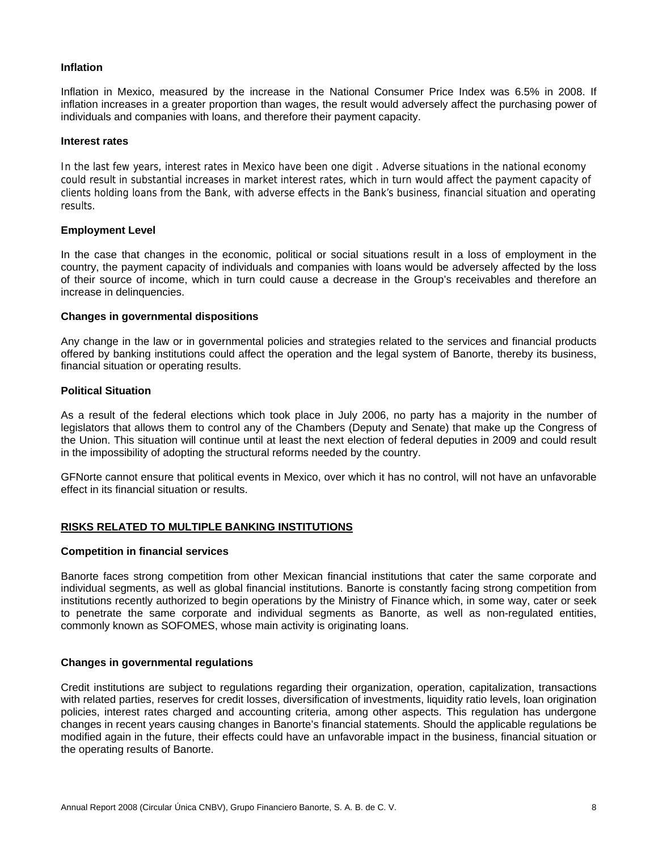#### **Inflation**

Inflation in Mexico, measured by the increase in the National Consumer Price Index was 6.5% in 2008. If inflation increases in a greater proportion than wages, the result would adversely affect the purchasing power of individuals and companies with loans, and therefore their payment capacity.

#### **Interest rates**

In the last few years, interest rates in Mexico have been one digit . Adverse situations in the national economy could result in substantial increases in market interest rates, which in turn would affect the payment capacity of clients holding loans from the Bank, with adverse effects in the Bank's business, financial situation and operating results.

#### **Employment Level**

In the case that changes in the economic, political or social situations result in a loss of employment in the country, the payment capacity of individuals and companies with loans would be adversely affected by the loss of their source of income, which in turn could cause a decrease in the Group's receivables and therefore an increase in delinquencies.

#### **Changes in governmental dispositions**

Any change in the law or in governmental policies and strategies related to the services and financial products offered by banking institutions could affect the operation and the legal system of Banorte, thereby its business, financial situation or operating results.

#### **Political Situation**

As a result of the federal elections which took place in July 2006, no party has a majority in the number of legislators that allows them to control any of the Chambers (Deputy and Senate) that make up the Congress of the Union. This situation will continue until at least the next election of federal deputies in 2009 and could result in the impossibility of adopting the structural reforms needed by the country.

GFNorte cannot ensure that political events in Mexico, over which it has no control, will not have an unfavorable effect in its financial situation or results.

#### **RISKS RELATED TO MULTIPLE BANKING INSTITUTIONS**

#### **Competition in financial services**

Banorte faces strong competition from other Mexican financial institutions that cater the same corporate and individual segments, as well as global financial institutions. Banorte is constantly facing strong competition from institutions recently authorized to begin operations by the Ministry of Finance which, in some way, cater or seek to penetrate the same corporate and individual segments as Banorte, as well as non-regulated entities, commonly known as SOFOMES, whose main activity is originating loans.

#### **Changes in governmental regulations**

Credit institutions are subject to regulations regarding their organization, operation, capitalization, transactions with related parties, reserves for credit losses, diversification of investments, liquidity ratio levels, loan origination policies, interest rates charged and accounting criteria, among other aspects. This regulation has undergone changes in recent years causing changes in Banorte's financial statements. Should the applicable regulations be modified again in the future, their effects could have an unfavorable impact in the business, financial situation or the operating results of Banorte.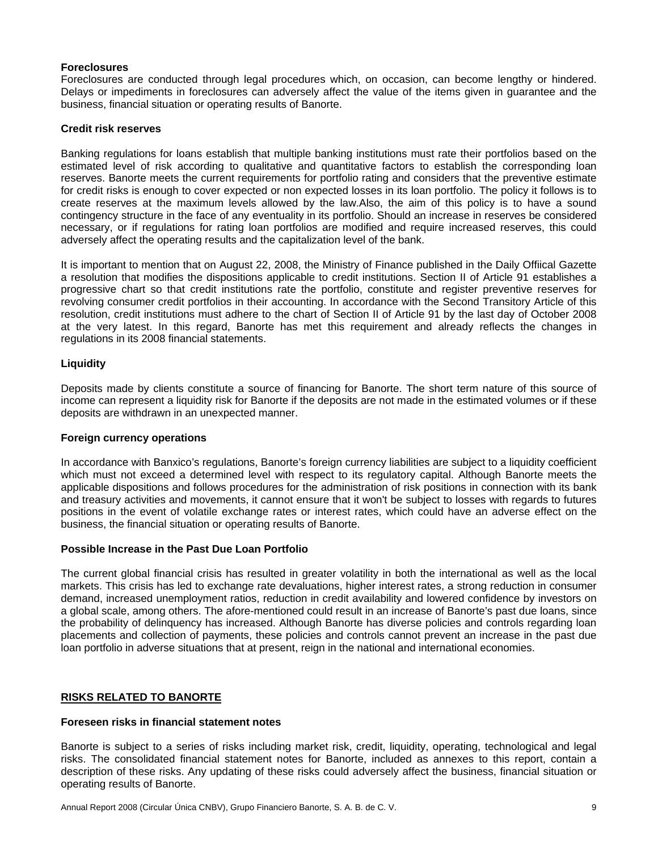# **Foreclosures**

Foreclosures are conducted through legal procedures which, on occasion, can become lengthy or hindered. Delays or impediments in foreclosures can adversely affect the value of the items given in guarantee and the business, financial situation or operating results of Banorte.

#### **Credit risk reserves**

Banking regulations for loans establish that multiple banking institutions must rate their portfolios based on the estimated level of risk according to qualitative and quantitative factors to establish the corresponding loan reserves. Banorte meets the current requirements for portfolio rating and considers that the preventive estimate for credit risks is enough to cover expected or non expected losses in its loan portfolio. The policy it follows is to create reserves at the maximum levels allowed by the law.Also, the aim of this policy is to have a sound contingency structure in the face of any eventuality in its portfolio. Should an increase in reserves be considered necessary, or if regulations for rating loan portfolios are modified and require increased reserves, this could adversely affect the operating results and the capitalization level of the bank.

It is important to mention that on August 22, 2008, the Ministry of Finance published in the Daily Offiical Gazette a resolution that modifies the dispositions applicable to credit institutions. Section II of Article 91 establishes a progressive chart so that credit institutions rate the portfolio, constitute and register preventive reserves for revolving consumer credit portfolios in their accounting. In accordance with the Second Transitory Article of this resolution, credit institutions must adhere to the chart of Section II of Article 91 by the last day of October 2008 at the very latest. In this regard, Banorte has met this requirement and already reflects the changes in regulations in its 2008 financial statements.

# **Liquidity**

Deposits made by clients constitute a source of financing for Banorte. The short term nature of this source of income can represent a liquidity risk for Banorte if the deposits are not made in the estimated volumes or if these deposits are withdrawn in an unexpected manner.

#### **Foreign currency operations**

In accordance with Banxico's regulations, Banorte's foreign currency liabilities are subject to a liquidity coefficient which must not exceed a determined level with respect to its regulatory capital. Although Banorte meets the applicable dispositions and follows procedures for the administration of risk positions in connection with its bank and treasury activities and movements, it cannot ensure that it won't be subject to losses with regards to futures positions in the event of volatile exchange rates or interest rates, which could have an adverse effect on the business, the financial situation or operating results of Banorte.

# **Possible Increase in the Past Due Loan Portfolio**

The current global financial crisis has resulted in greater volatility in both the international as well as the local markets. This crisis has led to exchange rate devaluations, higher interest rates, a strong reduction in consumer demand, increased unemployment ratios, reduction in credit availability and lowered confidence by investors on a global scale, among others. The afore-mentioned could result in an increase of Banorte's past due loans, since the probability of delinquency has increased. Although Banorte has diverse policies and controls regarding loan placements and collection of payments, these policies and controls cannot prevent an increase in the past due loan portfolio in adverse situations that at present, reign in the national and international economies.

# **RISKS RELATED TO BANORTE**

#### **Foreseen risks in financial statement notes**

Banorte is subject to a series of risks including market risk, credit, liquidity, operating, technological and legal risks. The consolidated financial statement notes for Banorte, included as annexes to this report, contain a description of these risks. Any updating of these risks could adversely affect the business, financial situation or operating results of Banorte.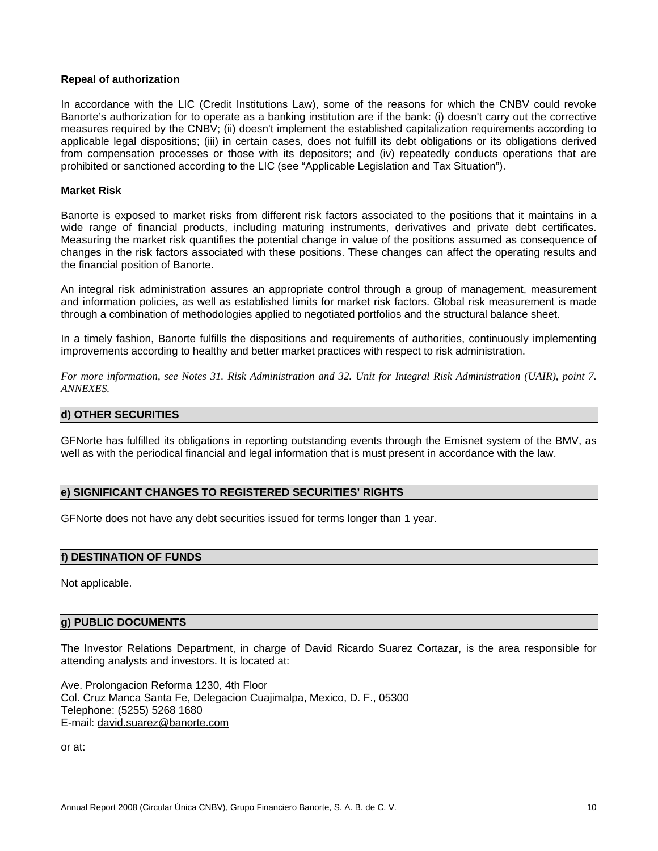#### **Repeal of authorization**

In accordance with the LIC (Credit Institutions Law), some of the reasons for which the CNBV could revoke Banorte's authorization for to operate as a banking institution are if the bank: (i) doesn't carry out the corrective measures required by the CNBV; (ii) doesn't implement the established capitalization requirements according to applicable legal dispositions; (iii) in certain cases, does not fulfill its debt obligations or its obligations derived from compensation processes or those with its depositors; and (iv) repeatedly conducts operations that are prohibited or sanctioned according to the LIC (see "Applicable Legislation and Tax Situation").

#### **Market Risk**

Banorte is exposed to market risks from different risk factors associated to the positions that it maintains in a wide range of financial products, including maturing instruments, derivatives and private debt certificates. Measuring the market risk quantifies the potential change in value of the positions assumed as consequence of changes in the risk factors associated with these positions. These changes can affect the operating results and the financial position of Banorte.

An integral risk administration assures an appropriate control through a group of management, measurement and information policies, as well as established limits for market risk factors. Global risk measurement is made through a combination of methodologies applied to negotiated portfolios and the structural balance sheet.

In a timely fashion, Banorte fulfills the dispositions and requirements of authorities, continuously implementing improvements according to healthy and better market practices with respect to risk administration.

*For more information, see Notes 31. Risk Administration and 32. Unit for Integral Risk Administration (UAIR), point 7. ANNEXES.* 

### **d) OTHER SECURITIES**

GFNorte has fulfilled its obligations in reporting outstanding events through the Emisnet system of the BMV, as well as with the periodical financial and legal information that is must present in accordance with the law.

### **e) SIGNIFICANT CHANGES TO REGISTERED SECURITIES' RIGHTS**

GFNorte does not have any debt securities issued for terms longer than 1 year.

#### **f) DESTINATION OF FUNDS**

Not applicable.

# **g) PUBLIC DOCUMENTS**

The Investor Relations Department, in charge of David Ricardo Suarez Cortazar, is the area responsible for attending analysts and investors. It is located at:

Ave. Prolongacion Reforma 1230, 4th Floor Col. Cruz Manca Santa Fe, Delegacion Cuajimalpa, Mexico, D. F., 05300 Telephone: (5255) 5268 1680 E-mail: david.suarez@banorte.com

or at: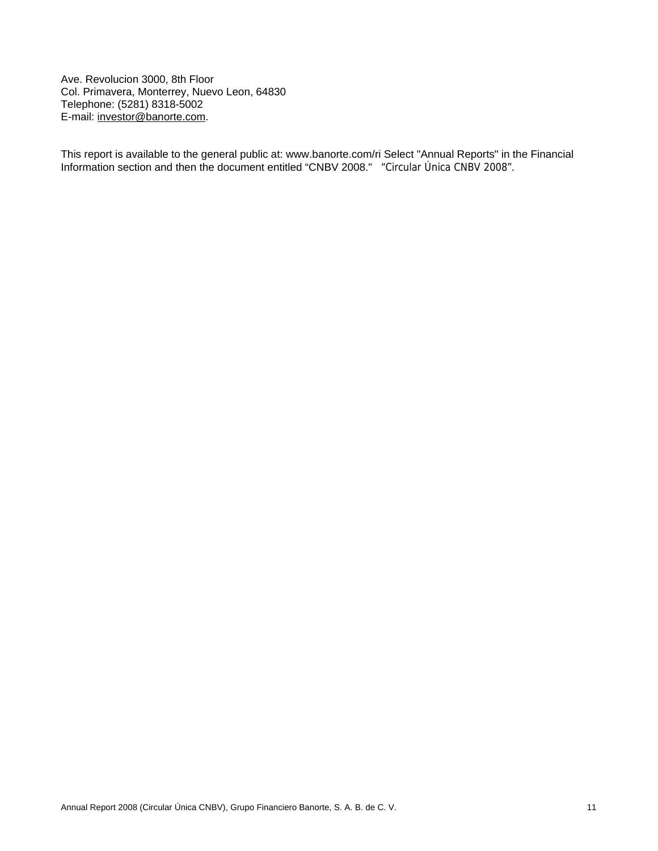Ave. Revolucion 3000, 8th Floor Col. Primavera, Monterrey, Nuevo Leon, 64830 Telephone: (5281) 8318-5002 E-mail: investor@banorte.com.

This report is available to the general public at: www.banorte.com/ri Select "Annual Reports" in the Financial Information section and then the document entitled "CNBV 2008." "Circular Única CNBV 2008".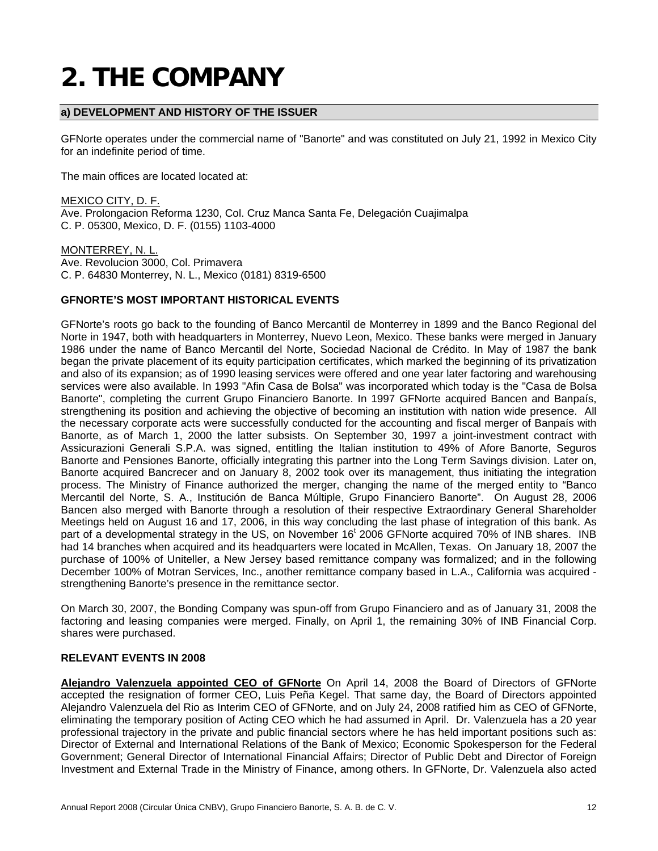# **2. THE COMPANY**

# **a) DEVELOPMENT AND HISTORY OF THE ISSUER**

GFNorte operates under the commercial name of "Banorte" and was constituted on July 21, 1992 in Mexico City for an indefinite period of time.

The main offices are located located at:

MEXICO CITY, D. F. Ave. Prolongacion Reforma 1230, Col. Cruz Manca Santa Fe, Delegación Cuajimalpa C. P. 05300, Mexico, D. F. (0155) 1103-4000

MONTERREY, N. L. Ave. Revolucion 3000, Col. Primavera C. P. 64830 Monterrey, N. L., Mexico (0181) 8319-6500

# **GFNORTE'S MOST IMPORTANT HISTORICAL EVENTS**

GFNorte's roots go back to the founding of Banco Mercantil de Monterrey in 1899 and the Banco Regional del Norte in 1947, both with headquarters in Monterrey, Nuevo Leon, Mexico. These banks were merged in January 1986 under the name of Banco Mercantil del Norte, Sociedad Nacional de Crédito. In May of 1987 the bank began the private placement of its equity participation certificates, which marked the beginning of its privatization and also of its expansion; as of 1990 leasing services were offered and one year later factoring and warehousing services were also available. In 1993 "Afin Casa de Bolsa" was incorporated which today is the "Casa de Bolsa Banorte", completing the current Grupo Financiero Banorte. In 1997 GFNorte acquired Bancen and Banpaís, strengthening its position and achieving the objective of becoming an institution with nation wide presence. All the necessary corporate acts were successfully conducted for the accounting and fiscal merger of Banpaís with Banorte, as of March 1, 2000 the latter subsists. On September 30, 1997 a joint-investment contract with Assicurazioni Generali S.P.A. was signed, entitling the Italian institution to 49% of Afore Banorte, Seguros Banorte and Pensiones Banorte, officially integrating this partner into the Long Term Savings division. Later on, Banorte acquired Bancrecer and on January 8, 2002 took over its management, thus initiating the integration process. The Ministry of Finance authorized the merger, changing the name of the merged entity to "Banco Mercantil del Norte, S. A., Institución de Banca Múltiple, Grupo Financiero Banorte". On August 28, 2006 Bancen also merged with Banorte through a resolution of their respective Extraordinary General Shareholder Meetings held on August 16 and 17, 2006, in this way concluding the last phase of integration of this bank. As part of a developmental strategy in the US, on November 16<sup>t</sup> 2006 GFNorte acquired 70% of INB shares. INB had 14 branches when acquired and its headquarters were located in McAllen, Texas. On January 18, 2007 the purchase of 100% of Uniteller, a New Jersey based remittance company was formalized; and in the following December 100% of Motran Services, Inc., another remittance company based in L.A., California was acquired strengthening Banorte's presence in the remittance sector.

On March 30, 2007, the Bonding Company was spun-off from Grupo Financiero and as of January 31, 2008 the factoring and leasing companies were merged. Finally, on April 1, the remaining 30% of INB Financial Corp. shares were purchased.

#### **RELEVANT EVENTS IN 2008**

**Alejandro Valenzuela appointed CEO of GFNorte** On April 14, 2008 the Board of Directors of GFNorte accepted the resignation of former CEO, Luis Peña Kegel. That same day, the Board of Directors appointed Alejandro Valenzuela del Rio as Interim CEO of GFNorte, and on July 24, 2008 ratified him as CEO of GFNorte, eliminating the temporary position of Acting CEO which he had assumed in April. Dr. Valenzuela has a 20 year professional trajectory in the private and public financial sectors where he has held important positions such as: Director of External and International Relations of the Bank of Mexico; Economic Spokesperson for the Federal Government; General Director of International Financial Affairs; Director of Public Debt and Director of Foreign Investment and External Trade in the Ministry of Finance, among others. In GFNorte, Dr. Valenzuela also acted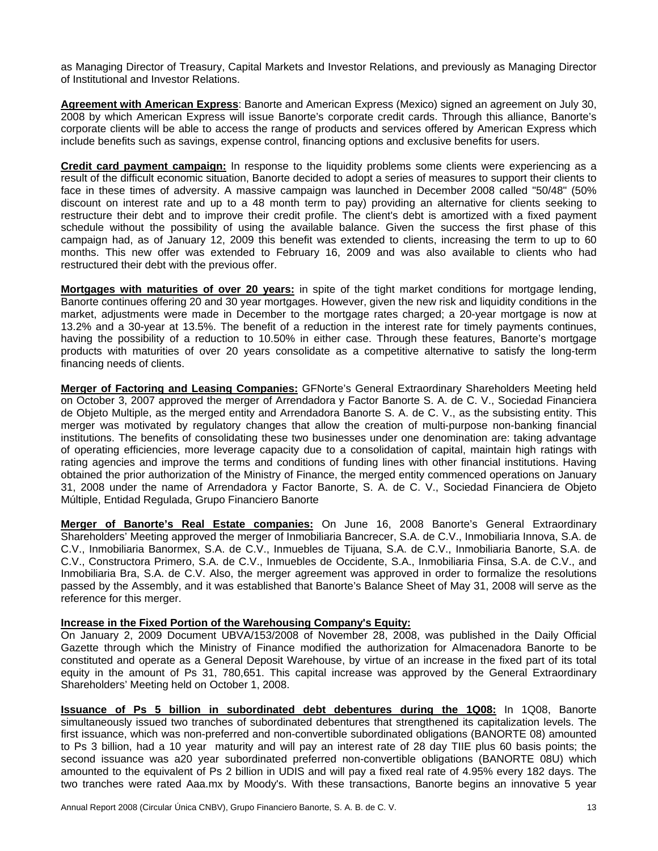as Managing Director of Treasury, Capital Markets and Investor Relations, and previously as Managing Director of Institutional and Investor Relations.

**Agreement with American Express**: Banorte and American Express (Mexico) signed an agreement on July 30, 2008 by which American Express will issue Banorte's corporate credit cards. Through this alliance, Banorte's corporate clients will be able to access the range of products and services offered by American Express which include benefits such as savings, expense control, financing options and exclusive benefits for users.

**Credit card payment campaign:** In response to the liquidity problems some clients were experiencing as a result of the difficult economic situation, Banorte decided to adopt a series of measures to support their clients to face in these times of adversity. A massive campaign was launched in December 2008 called "50/48" (50% discount on interest rate and up to a 48 month term to pay) providing an alternative for clients seeking to restructure their debt and to improve their credit profile. The client's debt is amortized with a fixed payment schedule without the possibility of using the available balance. Given the success the first phase of this campaign had, as of January 12, 2009 this benefit was extended to clients, increasing the term to up to 60 months. This new offer was extended to February 16, 2009 and was also available to clients who had restructured their debt with the previous offer.

**Mortgages with maturities of over 20 years:** in spite of the tight market conditions for mortgage lending, Banorte continues offering 20 and 30 year mortgages. However, given the new risk and liquidity conditions in the market, adjustments were made in December to the mortgage rates charged; a 20-year mortgage is now at 13.2% and a 30-year at 13.5%. The benefit of a reduction in the interest rate for timely payments continues, having the possibility of a reduction to 10.50% in either case. Through these features, Banorte's mortgage products with maturities of over 20 years consolidate as a competitive alternative to satisfy the long-term financing needs of clients.

**Merger of Factoring and Leasing Companies:** GFNorte's General Extraordinary Shareholders Meeting held on October 3, 2007 approved the merger of Arrendadora y Factor Banorte S. A. de C. V., Sociedad Financiera de Objeto Multiple, as the merged entity and Arrendadora Banorte S. A. de C. V., as the subsisting entity. This merger was motivated by regulatory changes that allow the creation of multi-purpose non-banking financial institutions. The benefits of consolidating these two businesses under one denomination are: taking advantage of operating efficiencies, more leverage capacity due to a consolidation of capital, maintain high ratings with rating agencies and improve the terms and conditions of funding lines with other financial institutions. Having obtained the prior authorization of the Ministry of Finance, the merged entity commenced operations on January 31, 2008 under the name of Arrendadora y Factor Banorte, S. A. de C. V., Sociedad Financiera de Objeto Múltiple, Entidad Regulada, Grupo Financiero Banorte

**Merger of Banorte's Real Estate companies:** On June 16, 2008 Banorte's General Extraordinary Shareholders' Meeting approved the merger of Inmobiliaria Bancrecer, S.A. de C.V., Inmobiliaria Innova, S.A. de C.V., Inmobiliaria Banormex, S.A. de C.V., Inmuebles de Tijuana, S.A. de C.V., Inmobiliaria Banorte, S.A. de C.V., Constructora Primero, S.A. de C.V., Inmuebles de Occidente, S.A., Inmobiliaria Finsa, S.A. de C.V., and Inmobiliaria Bra, S.A. de C.V. Also, the merger agreement was approved in order to formalize the resolutions passed by the Assembly, and it was established that Banorte's Balance Sheet of May 31, 2008 will serve as the reference for this merger.

#### **Increase in the Fixed Portion of the Warehousing Company's Equity:**

On January 2, 2009 Document UBVA/153/2008 of November 28, 2008, was published in the Daily Official Gazette through which the Ministry of Finance modified the authorization for Almacenadora Banorte to be constituted and operate as a General Deposit Warehouse, by virtue of an increase in the fixed part of its total equity in the amount of Ps 31, 780,651. This capital increase was approved by the General Extraordinary Shareholders' Meeting held on October 1, 2008.

**Issuance of Ps 5 billion in subordinated debt debentures during the 1Q08:** In 1Q08, Banorte simultaneously issued two tranches of subordinated debentures that strengthened its capitalization levels. The first issuance, which was non-preferred and non-convertible subordinated obligations (BANORTE 08) amounted to Ps 3 billion, had a 10 year maturity and will pay an interest rate of 28 day TIIE plus 60 basis points; the second issuance was a20 year subordinated preferred non-convertible obligations (BANORTE 08U) which amounted to the equivalent of Ps 2 billion in UDIS and will pay a fixed real rate of 4.95% every 182 days. The two tranches were rated Aaa.mx by Moody's. With these transactions, Banorte begins an innovative 5 year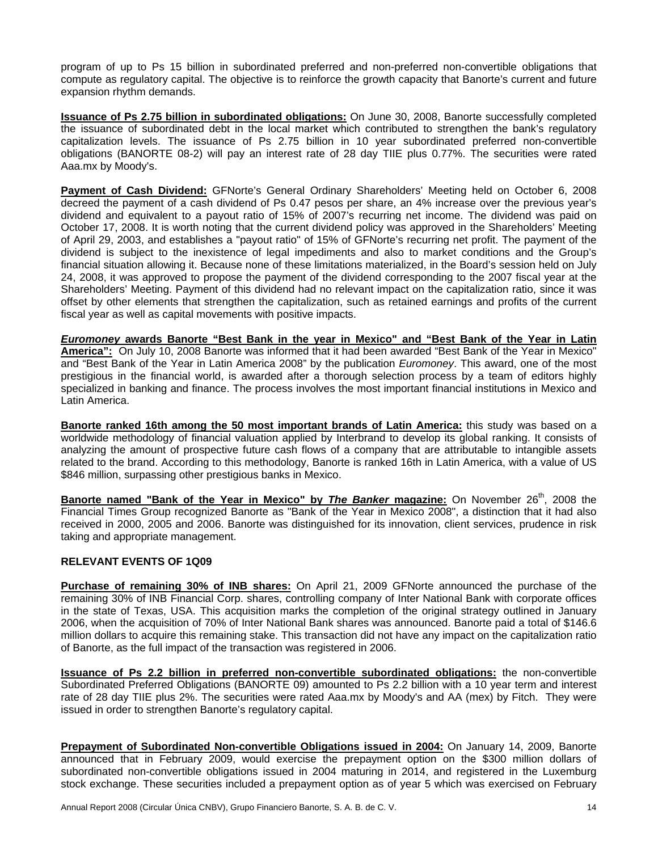program of up to Ps 15 billion in subordinated preferred and non-preferred non-convertible obligations that compute as regulatory capital. The objective is to reinforce the growth capacity that Banorte's current and future expansion rhythm demands.

**Issuance of Ps 2.75 billion in subordinated obligations:** On June 30, 2008, Banorte successfully completed the issuance of subordinated debt in the local market which contributed to strengthen the bank's regulatory capitalization levels. The issuance of Ps 2.75 billion in 10 year subordinated preferred non-convertible obligations (BANORTE 08-2) will pay an interest rate of 28 day TIIE plus 0.77%. The securities were rated Aaa.mx by Moody's.

**Payment of Cash Dividend:** GFNorte's General Ordinary Shareholders' Meeting held on October 6, 2008 decreed the payment of a cash dividend of Ps 0.47 pesos per share, an 4% increase over the previous year's dividend and equivalent to a payout ratio of 15% of 2007's recurring net income. The dividend was paid on October 17, 2008. It is worth noting that the current dividend policy was approved in the Shareholders' Meeting of April 29, 2003, and establishes a "payout ratio" of 15% of GFNorte's recurring net profit. The payment of the dividend is subject to the inexistence of legal impediments and also to market conditions and the Group's financial situation allowing it. Because none of these limitations materialized, in the Board's session held on July 24, 2008, it was approved to propose the payment of the dividend corresponding to the 2007 fiscal year at the Shareholders' Meeting. Payment of this dividend had no relevant impact on the capitalization ratio, since it was offset by other elements that strengthen the capitalization, such as retained earnings and profits of the current fiscal year as well as capital movements with positive impacts.

*Euromoney* **awards Banorte "Best Bank in the year in Mexico" and "Best Bank of the Year in Latin America":** On July 10, 2008 Banorte was informed that it had been awarded "Best Bank of the Year in Mexico" and "Best Bank of the Year in Latin America 2008" by the publication *Euromoney*. This award, one of the most prestigious in the financial world, is awarded after a thorough selection process by a team of editors highly specialized in banking and finance. The process involves the most important financial institutions in Mexico and Latin America.

**Banorte ranked 16th among the 50 most important brands of Latin America:** this study was based on a worldwide methodology of financial valuation applied by Interbrand to develop its global ranking. It consists of analyzing the amount of prospective future cash flows of a company that are attributable to intangible assets related to the brand. According to this methodology, Banorte is ranked 16th in Latin America, with a value of US \$846 million, surpassing other prestigious banks in Mexico.

**Banorte named "Bank of the Year in Mexico" by** *The Banker* **magazine:** On November 26<sup>th</sup>, 2008 the Financial Times Group recognized Banorte as "Bank of the Year in Mexico 2008", a distinction that it had also received in 2000, 2005 and 2006. Banorte was distinguished for its innovation, client services, prudence in risk taking and appropriate management.

# **RELEVANT EVENTS OF 1Q09**

**Purchase of remaining 30% of INB shares:** On April 21, 2009 GFNorte announced the purchase of the remaining 30% of INB Financial Corp. shares, controlling company of Inter National Bank with corporate offices in the state of Texas, USA. This acquisition marks the completion of the original strategy outlined in January 2006, when the acquisition of 70% of Inter National Bank shares was announced. Banorte paid a total of \$146.6 million dollars to acquire this remaining stake. This transaction did not have any impact on the capitalization ratio of Banorte, as the full impact of the transaction was registered in 2006.

**Issuance of Ps 2.2 billion in preferred non-convertible subordinated obligations:** the non-convertible Subordinated Preferred Obligations (BANORTE 09) amounted to Ps 2.2 billion with a 10 year term and interest rate of 28 day TIIE plus 2%. The securities were rated Aaa.mx by Moody's and AA (mex) by Fitch. They were issued in order to strengthen Banorte's regulatory capital.

**Prepayment of Subordinated Non-convertible Obligations issued in 2004:** On January 14, 2009, Banorte announced that in February 2009, would exercise the prepayment option on the \$300 million dollars of subordinated non-convertible obligations issued in 2004 maturing in 2014, and registered in the Luxemburg stock exchange. These securities included a prepayment option as of year 5 which was exercised on February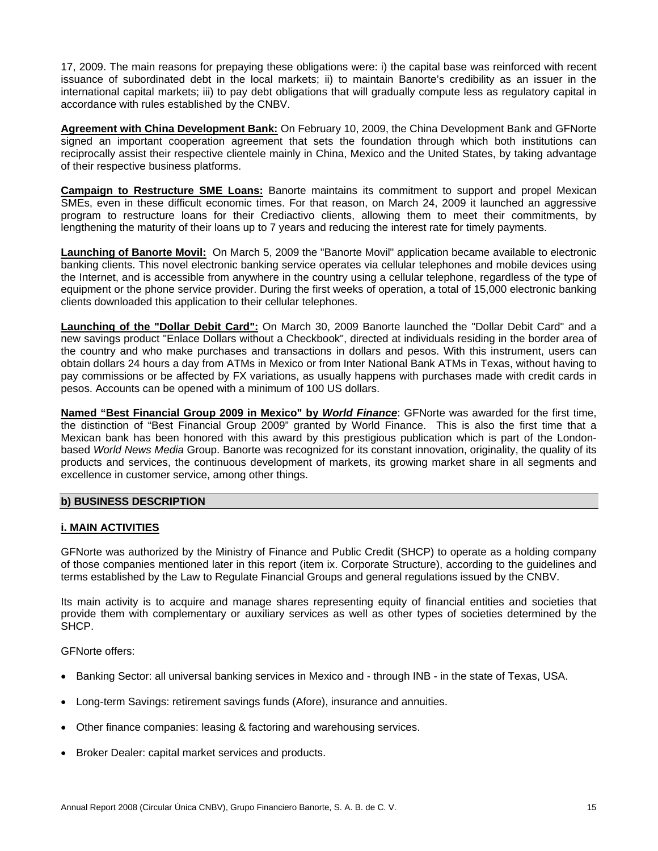17, 2009. The main reasons for prepaying these obligations were: i) the capital base was reinforced with recent issuance of subordinated debt in the local markets; ii) to maintain Banorte's credibility as an issuer in the international capital markets; iii) to pay debt obligations that will gradually compute less as regulatory capital in accordance with rules established by the CNBV.

**Agreement with China Development Bank:** On February 10, 2009, the China Development Bank and GFNorte signed an important cooperation agreement that sets the foundation through which both institutions can reciprocally assist their respective clientele mainly in China, Mexico and the United States, by taking advantage of their respective business platforms.

**Campaign to Restructure SME Loans:** Banorte maintains its commitment to support and propel Mexican SMEs, even in these difficult economic times. For that reason, on March 24, 2009 it launched an aggressive program to restructure loans for their Crediactivo clients, allowing them to meet their commitments, by lengthening the maturity of their loans up to 7 years and reducing the interest rate for timely payments.

**Launching of Banorte Movil:** On March 5, 2009 the "Banorte Movil" application became available to electronic banking clients. This novel electronic banking service operates via cellular telephones and mobile devices using the Internet, and is accessible from anywhere in the country using a cellular telephone, regardless of the type of equipment or the phone service provider. During the first weeks of operation, a total of 15,000 electronic banking clients downloaded this application to their cellular telephones.

**Launching of the "Dollar Debit Card":** On March 30, 2009 Banorte launched the "Dollar Debit Card" and a new savings product "Enlace Dollars without a Checkbook", directed at individuals residing in the border area of the country and who make purchases and transactions in dollars and pesos. With this instrument, users can obtain dollars 24 hours a day from ATMs in Mexico or from Inter National Bank ATMs in Texas, without having to pay commissions or be affected by FX variations, as usually happens with purchases made with credit cards in pesos. Accounts can be opened with a minimum of 100 US dollars.

**Named "Best Financial Group 2009 in Mexico" by** *World Finance*: GFNorte was awarded for the first time, the distinction of "Best Financial Group 2009" granted by World Finance. This is also the first time that a Mexican bank has been honored with this award by this prestigious publication which is part of the Londonbased *World News Media* Group. Banorte was recognized for its constant innovation, originality, the quality of its products and services, the continuous development of markets, its growing market share in all segments and excellence in customer service, among other things.

#### **b) BUSINESS DESCRIPTION**

#### **i. MAIN ACTIVITIES**

GFNorte was authorized by the Ministry of Finance and Public Credit (SHCP) to operate as a holding company of those companies mentioned later in this report (item ix. Corporate Structure), according to the guidelines and terms established by the Law to Regulate Financial Groups and general regulations issued by the CNBV.

Its main activity is to acquire and manage shares representing equity of financial entities and societies that provide them with complementary or auxiliary services as well as other types of societies determined by the SHCP.

GFNorte offers:

- Banking Sector: all universal banking services in Mexico and through INB in the state of Texas, USA.
- Long-term Savings: retirement savings funds (Afore), insurance and annuities.
- Other finance companies: leasing & factoring and warehousing services.
- Broker Dealer: capital market services and products.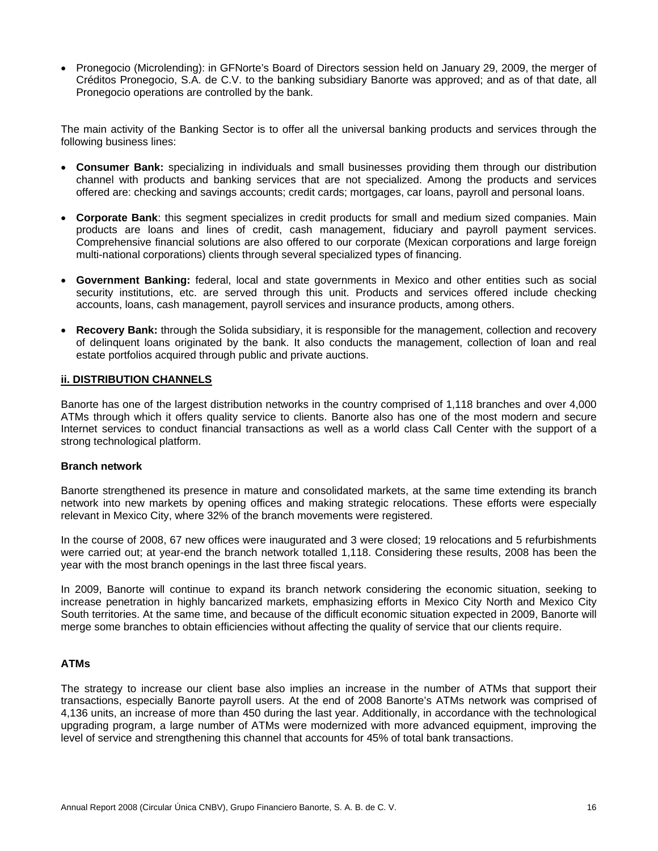• Pronegocio (Microlending): in GFNorte's Board of Directors session held on January 29, 2009, the merger of Créditos Pronegocio, S.A. de C.V. to the banking subsidiary Banorte was approved; and as of that date, all Pronegocio operations are controlled by the bank.

The main activity of the Banking Sector is to offer all the universal banking products and services through the following business lines:

- **Consumer Bank:** specializing in individuals and small businesses providing them through our distribution channel with products and banking services that are not specialized. Among the products and services offered are: checking and savings accounts; credit cards; mortgages, car loans, payroll and personal loans.
- **Corporate Bank**: this segment specializes in credit products for small and medium sized companies. Main products are loans and lines of credit, cash management, fiduciary and payroll payment services. Comprehensive financial solutions are also offered to our corporate (Mexican corporations and large foreign multi-national corporations) clients through several specialized types of financing.
- **Government Banking:** federal, local and state governments in Mexico and other entities such as social security institutions, etc. are served through this unit. Products and services offered include checking accounts, loans, cash management, payroll services and insurance products, among others.
- **Recovery Bank:** through the Solida subsidiary, it is responsible for the management, collection and recovery of delinquent loans originated by the bank. It also conducts the management, collection of loan and real estate portfolios acquired through public and private auctions.

#### **ii. DISTRIBUTION CHANNELS**

Banorte has one of the largest distribution networks in the country comprised of 1,118 branches and over 4,000 ATMs through which it offers quality service to clients. Banorte also has one of the most modern and secure Internet services to conduct financial transactions as well as a world class Call Center with the support of a strong technological platform.

#### **Branch network**

Banorte strengthened its presence in mature and consolidated markets, at the same time extending its branch network into new markets by opening offices and making strategic relocations. These efforts were especially relevant in Mexico City, where 32% of the branch movements were registered.

In the course of 2008, 67 new offices were inaugurated and 3 were closed; 19 relocations and 5 refurbishments were carried out; at year-end the branch network totalled 1,118. Considering these results, 2008 has been the year with the most branch openings in the last three fiscal years.

In 2009, Banorte will continue to expand its branch network considering the economic situation, seeking to increase penetration in highly bancarized markets, emphasizing efforts in Mexico City North and Mexico City South territories. At the same time, and because of the difficult economic situation expected in 2009, Banorte will merge some branches to obtain efficiencies without affecting the quality of service that our clients require.

### **ATMs**

The strategy to increase our client base also implies an increase in the number of ATMs that support their transactions, especially Banorte payroll users. At the end of 2008 Banorte's ATMs network was comprised of 4,136 units, an increase of more than 450 during the last year. Additionally, in accordance with the technological upgrading program, a large number of ATMs were modernized with more advanced equipment, improving the level of service and strengthening this channel that accounts for 45% of total bank transactions.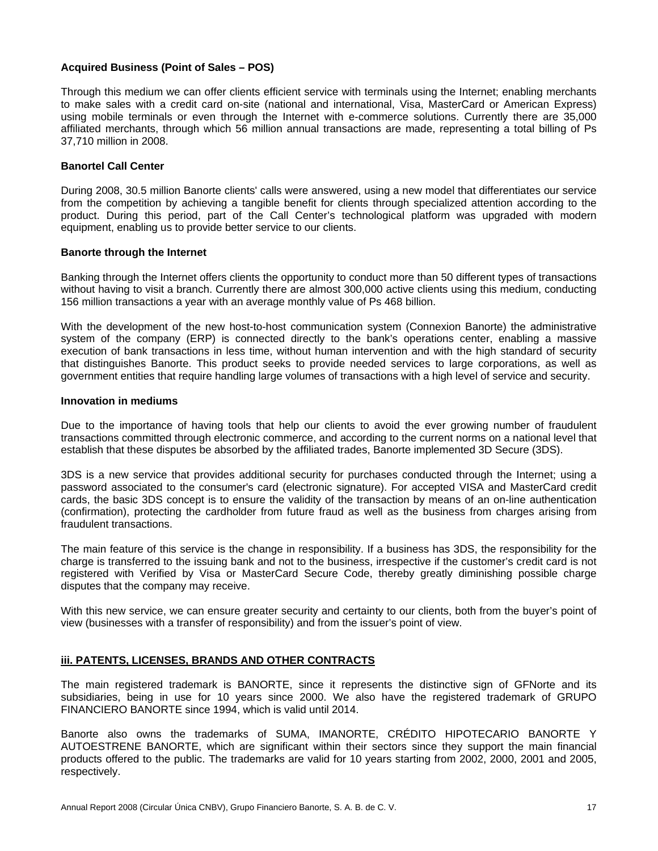#### **Acquired Business (Point of Sales – POS)**

Through this medium we can offer clients efficient service with terminals using the Internet; enabling merchants to make sales with a credit card on-site (national and international, Visa, MasterCard or American Express) using mobile terminals or even through the Internet with e-commerce solutions. Currently there are 35,000 affiliated merchants, through which 56 million annual transactions are made, representing a total billing of Ps 37,710 million in 2008.

# **Banortel Call Center**

During 2008, 30.5 million Banorte clients' calls were answered, using a new model that differentiates our service from the competition by achieving a tangible benefit for clients through specialized attention according to the product. During this period, part of the Call Center's technological platform was upgraded with modern equipment, enabling us to provide better service to our clients.

#### **Banorte through the Internet**

Banking through the Internet offers clients the opportunity to conduct more than 50 different types of transactions without having to visit a branch. Currently there are almost 300,000 active clients using this medium, conducting 156 million transactions a year with an average monthly value of Ps 468 billion.

With the development of the new host-to-host communication system (Connexion Banorte) the administrative system of the company (ERP) is connected directly to the bank's operations center, enabling a massive execution of bank transactions in less time, without human intervention and with the high standard of security that distinguishes Banorte. This product seeks to provide needed services to large corporations, as well as government entities that require handling large volumes of transactions with a high level of service and security.

#### **Innovation in mediums**

Due to the importance of having tools that help our clients to avoid the ever growing number of fraudulent transactions committed through electronic commerce, and according to the current norms on a national level that establish that these disputes be absorbed by the affiliated trades, Banorte implemented 3D Secure (3DS).

3DS is a new service that provides additional security for purchases conducted through the Internet; using a password associated to the consumer's card (electronic signature). For accepted VISA and MasterCard credit cards, the basic 3DS concept is to ensure the validity of the transaction by means of an on-line authentication (confirmation), protecting the cardholder from future fraud as well as the business from charges arising from fraudulent transactions.

The main feature of this service is the change in responsibility. If a business has 3DS, the responsibility for the charge is transferred to the issuing bank and not to the business, irrespective if the customer's credit card is not registered with Verified by Visa or MasterCard Secure Code, thereby greatly diminishing possible charge disputes that the company may receive.

With this new service, we can ensure greater security and certainty to our clients, both from the buyer's point of view (businesses with a transfer of responsibility) and from the issuer's point of view.

#### **iii. PATENTS, LICENSES, BRANDS AND OTHER CONTRACTS**

The main registered trademark is BANORTE, since it represents the distinctive sign of GFNorte and its subsidiaries, being in use for 10 years since 2000. We also have the registered trademark of GRUPO FINANCIERO BANORTE since 1994, which is valid until 2014.

Banorte also owns the trademarks of SUMA, IMANORTE, CRÉDITO HIPOTECARIO BANORTE Y AUTOESTRENE BANORTE, which are significant within their sectors since they support the main financial products offered to the public. The trademarks are valid for 10 years starting from 2002, 2000, 2001 and 2005, respectively.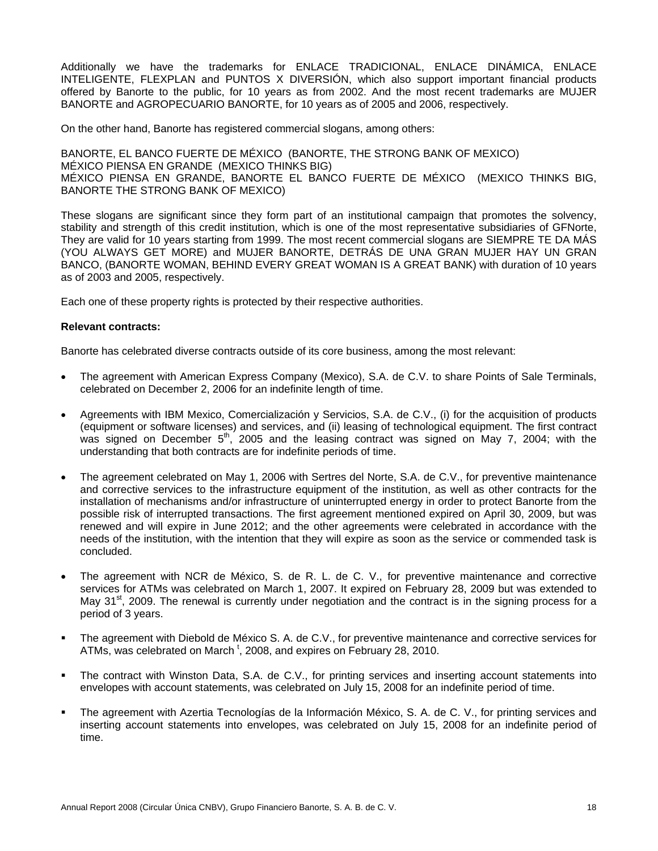Additionally we have the trademarks for ENLACE TRADICIONAL, ENLACE DINÁMICA, ENLACE INTELIGENTE, FLEXPLAN and PUNTOS X DIVERSIÓN, which also support important financial products offered by Banorte to the public, for 10 years as from 2002. And the most recent trademarks are MUJER BANORTE and AGROPECUARIO BANORTE, for 10 years as of 2005 and 2006, respectively.

On the other hand, Banorte has registered commercial slogans, among others:

BANORTE, EL BANCO FUERTE DE MÉXICO (BANORTE, THE STRONG BANK OF MEXICO) MÉXICO PIENSA EN GRANDE (MEXICO THINKS BIG) MÉXICO PIENSA EN GRANDE, BANORTE EL BANCO FUERTE DE MÉXICO (MEXICO THINKS BIG, BANORTE THE STRONG BANK OF MEXICO)

These slogans are significant since they form part of an institutional campaign that promotes the solvency, stability and strength of this credit institution, which is one of the most representative subsidiaries of GFNorte, They are valid for 10 years starting from 1999. The most recent commercial slogans are SIEMPRE TE DA MÁS (YOU ALWAYS GET MORE) and MUJER BANORTE, DETRÁS DE UNA GRAN MUJER HAY UN GRAN BANCO, (BANORTE WOMAN, BEHIND EVERY GREAT WOMAN IS A GREAT BANK) with duration of 10 years as of 2003 and 2005, respectively.

Each one of these property rights is protected by their respective authorities.

#### **Relevant contracts:**

Banorte has celebrated diverse contracts outside of its core business, among the most relevant:

- The agreement with American Express Company (Mexico), S.A. de C.V. to share Points of Sale Terminals, celebrated on December 2, 2006 for an indefinite length of time.
- Agreements with IBM Mexico, Comercialización y Servicios, S.A. de C.V., (i) for the acquisition of products (equipment or software licenses) and services, and (ii) leasing of technological equipment. The first contract was signed on December  $5<sup>th</sup>$ , 2005 and the leasing contract was signed on May 7, 2004; with the understanding that both contracts are for indefinite periods of time.
- The agreement celebrated on May 1, 2006 with Sertres del Norte, S.A. de C.V., for preventive maintenance and corrective services to the infrastructure equipment of the institution, as well as other contracts for the installation of mechanisms and/or infrastructure of uninterrupted energy in order to protect Banorte from the possible risk of interrupted transactions. The first agreement mentioned expired on April 30, 2009, but was renewed and will expire in June 2012; and the other agreements were celebrated in accordance with the needs of the institution, with the intention that they will expire as soon as the service or commended task is concluded.
- The agreement with NCR de México, S. de R. L. de C. V., for preventive maintenance and corrective services for ATMs was celebrated on March 1, 2007. It expired on February 28, 2009 but was extended to May 31<sup>st</sup>, 2009. The renewal is currently under negotiation and the contract is in the signing process for a period of 3 years.
- The agreement with Diebold de México S. A. de C.V., for preventive maintenance and corrective services for ATMs, was celebrated on March<sup>t</sup>, 2008, and expires on February 28, 2010.
- The contract with Winston Data, S.A. de C.V., for printing services and inserting account statements into envelopes with account statements, was celebrated on July 15, 2008 for an indefinite period of time.
- The agreement with Azertia Tecnologías de la Información México, S. A. de C. V., for printing services and inserting account statements into envelopes, was celebrated on July 15, 2008 for an indefinite period of time.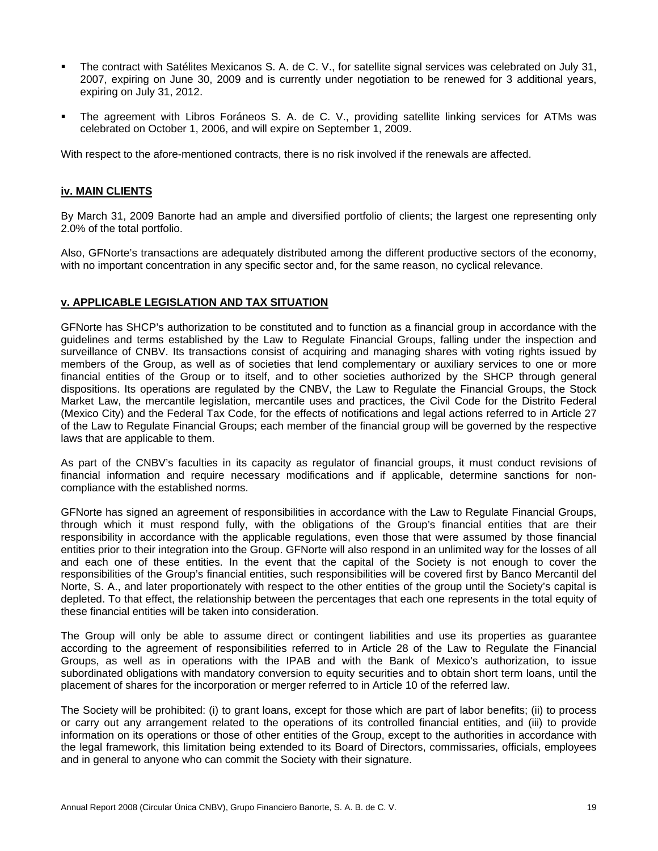- The contract with Satélites Mexicanos S. A. de C. V., for satellite signal services was celebrated on July 31, 2007, expiring on June 30, 2009 and is currently under negotiation to be renewed for 3 additional years, expiring on July 31, 2012.
- The agreement with Libros Foráneos S. A. de C. V., providing satellite linking services for ATMs was celebrated on October 1, 2006, and will expire on September 1, 2009.

With respect to the afore-mentioned contracts, there is no risk involved if the renewals are affected.

#### **iv. MAIN CLIENTS**

By March 31, 2009 Banorte had an ample and diversified portfolio of clients; the largest one representing only 2.0% of the total portfolio.

Also, GFNorte's transactions are adequately distributed among the different productive sectors of the economy, with no important concentration in any specific sector and, for the same reason, no cyclical relevance.

#### **v. APPLICABLE LEGISLATION AND TAX SITUATION**

GFNorte has SHCP's authorization to be constituted and to function as a financial group in accordance with the guidelines and terms established by the Law to Regulate Financial Groups, falling under the inspection and surveillance of CNBV. Its transactions consist of acquiring and managing shares with voting rights issued by members of the Group, as well as of societies that lend complementary or auxiliary services to one or more financial entities of the Group or to itself, and to other societies authorized by the SHCP through general dispositions. Its operations are regulated by the CNBV, the Law to Regulate the Financial Groups, the Stock Market Law, the mercantile legislation, mercantile uses and practices, the Civil Code for the Distrito Federal (Mexico City) and the Federal Tax Code, for the effects of notifications and legal actions referred to in Article 27 of the Law to Regulate Financial Groups; each member of the financial group will be governed by the respective laws that are applicable to them.

As part of the CNBV's faculties in its capacity as regulator of financial groups, it must conduct revisions of financial information and require necessary modifications and if applicable, determine sanctions for noncompliance with the established norms.

GFNorte has signed an agreement of responsibilities in accordance with the Law to Regulate Financial Groups, through which it must respond fully, with the obligations of the Group's financial entities that are their responsibility in accordance with the applicable regulations, even those that were assumed by those financial entities prior to their integration into the Group. GFNorte will also respond in an unlimited way for the losses of all and each one of these entities. In the event that the capital of the Society is not enough to cover the responsibilities of the Group's financial entities, such responsibilities will be covered first by Banco Mercantil del Norte, S. A., and later proportionately with respect to the other entities of the group until the Society's capital is depleted. To that effect, the relationship between the percentages that each one represents in the total equity of these financial entities will be taken into consideration.

The Group will only be able to assume direct or contingent liabilities and use its properties as guarantee according to the agreement of responsibilities referred to in Article 28 of the Law to Regulate the Financial Groups, as well as in operations with the IPAB and with the Bank of Mexico's authorization, to issue subordinated obligations with mandatory conversion to equity securities and to obtain short term loans, until the placement of shares for the incorporation or merger referred to in Article 10 of the referred law.

The Society will be prohibited: (i) to grant loans, except for those which are part of labor benefits; (ii) to process or carry out any arrangement related to the operations of its controlled financial entities, and (iii) to provide information on its operations or those of other entities of the Group, except to the authorities in accordance with the legal framework, this limitation being extended to its Board of Directors, commissaries, officials, employees and in general to anyone who can commit the Society with their signature.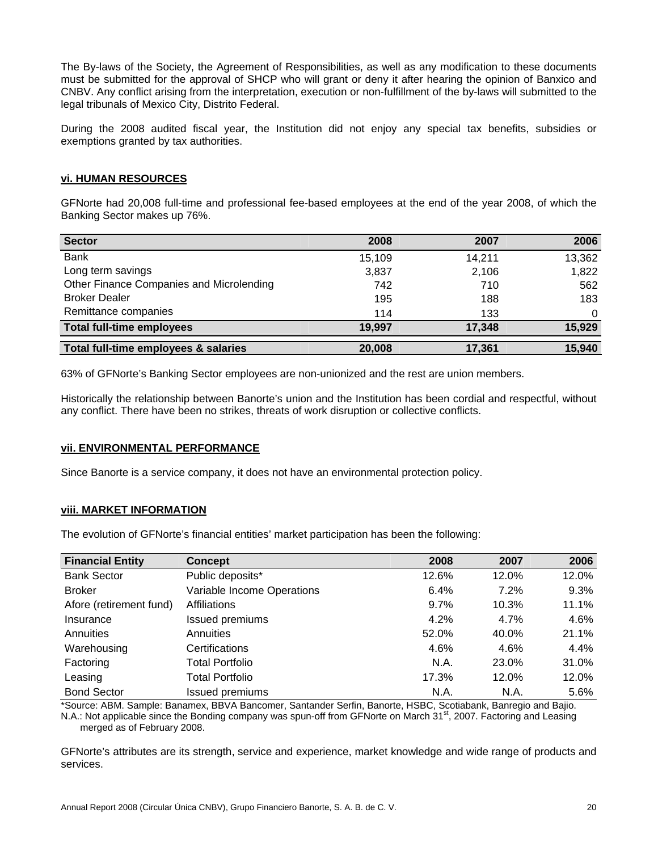The By-laws of the Society, the Agreement of Responsibilities, as well as any modification to these documents must be submitted for the approval of SHCP who will grant or deny it after hearing the opinion of Banxico and CNBV. Any conflict arising from the interpretation, execution or non-fulfillment of the by-laws will submitted to the legal tribunals of Mexico City, Distrito Federal.

During the 2008 audited fiscal year, the Institution did not enjoy any special tax benefits, subsidies or exemptions granted by tax authorities.

# **vi. HUMAN RESOURCES**

GFNorte had 20,008 full-time and professional fee-based employees at the end of the year 2008, of which the Banking Sector makes up 76%.

| <b>Sector</b>                            | 2008   | 2007   | 2006     |
|------------------------------------------|--------|--------|----------|
| <b>Bank</b>                              | 15.109 | 14,211 | 13,362   |
| Long term savings                        | 3,837  | 2,106  | 1,822    |
| Other Finance Companies and Microlending | 742    | 710    | 562      |
| <b>Broker Dealer</b>                     | 195    | 188    | 183      |
| Remittance companies                     | 114    | 133    | $\Omega$ |
| <b>Total full-time employees</b>         | 19,997 | 17,348 | 15,929   |
| Total full-time employees & salaries     | 20,008 | 17.361 | 15,940   |

63% of GFNorte's Banking Sector employees are non-unionized and the rest are union members.

Historically the relationship between Banorte's union and the Institution has been cordial and respectful, without any conflict. There have been no strikes, threats of work disruption or collective conflicts.

#### **vii. ENVIRONMENTAL PERFORMANCE**

Since Banorte is a service company, it does not have an environmental protection policy.

#### **viii. MARKET INFORMATION**

The evolution of GFNorte's financial entities' market participation has been the following:

| <b>Financial Entity</b> | <b>Concept</b>             | 2008    | 2007  | 2006  |
|-------------------------|----------------------------|---------|-------|-------|
| <b>Bank Sector</b>      | Public deposits*           | 12.6%   | 12.0% | 12.0% |
| <b>Broker</b>           | Variable Income Operations | 6.4%    | 7.2%  | 9.3%  |
| Afore (retirement fund) | Affiliations               | $9.7\%$ | 10.3% | 11.1% |
| Insurance               | Issued premiums            | 4.2%    | 4.7%  | 4.6%  |
| Annuities               | Annuities                  | 52.0%   | 40.0% | 21.1% |
| Warehousing             | Certifications             | 4.6%    | 4.6%  | 4.4%  |
| Factoring               | <b>Total Portfolio</b>     | N.A.    | 23.0% | 31.0% |
| Leasing                 | <b>Total Portfolio</b>     | 17.3%   | 12.0% | 12.0% |
| <b>Bond Sector</b>      | <b>Issued premiums</b>     | N.A.    | N.A.  | 5.6%  |

\*Source: ABM. Sample: Banamex, BBVA Bancomer, Santander Serfin, Banorte, HSBC, Scotiabank, Banregio and Bajio. N.A.: Not applicable since the Bonding company was spun-off from GFNorte on March 31<sup>st</sup>, 2007. Factoring and Leasing merged as of February 2008.

GFNorte's attributes are its strength, service and experience, market knowledge and wide range of products and services.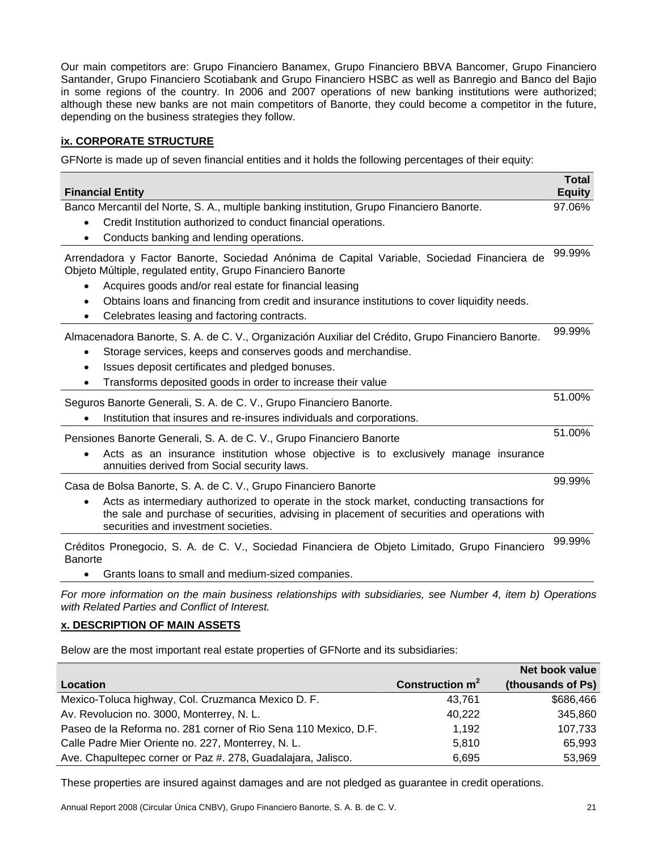Our main competitors are: Grupo Financiero Banamex, Grupo Financiero BBVA Bancomer, Grupo Financiero Santander, Grupo Financiero Scotiabank and Grupo Financiero HSBC as well as Banregio and Banco del Bajio in some regions of the country. In 2006 and 2007 operations of new banking institutions were authorized; although these new banks are not main competitors of Banorte, they could become a competitor in the future, depending on the business strategies they follow.

# **ix. CORPORATE STRUCTURE**

GFNorte is made up of seven financial entities and it holds the following percentages of their equity:

| <b>Financial Entity</b>                                                                                                                                                                                                                                                                                                                                                                            | <b>Total</b><br><b>Equity</b> |
|----------------------------------------------------------------------------------------------------------------------------------------------------------------------------------------------------------------------------------------------------------------------------------------------------------------------------------------------------------------------------------------------------|-------------------------------|
| Banco Mercantil del Norte, S. A., multiple banking institution, Grupo Financiero Banorte.<br>Credit Institution authorized to conduct financial operations.<br>$\bullet$<br>Conducts banking and lending operations.                                                                                                                                                                               | 97.06%                        |
| Arrendadora y Factor Banorte, Sociedad Anónima de Capital Variable, Sociedad Financiera de<br>Objeto Múltiple, regulated entity, Grupo Financiero Banorte<br>Acquires goods and/or real estate for financial leasing<br>$\bullet$<br>Obtains loans and financing from credit and insurance institutions to cover liquidity needs.<br>٠<br>Celebrates leasing and factoring contracts.<br>$\bullet$ | 99.99%                        |
| Almacenadora Banorte, S. A. de C. V., Organización Auxiliar del Crédito, Grupo Financiero Banorte.<br>Storage services, keeps and conserves goods and merchandise.<br>$\bullet$<br>Issues deposit certificates and pledged bonuses.<br>Transforms deposited goods in order to increase their value<br>$\bullet$                                                                                    | 99.99%                        |
| Seguros Banorte Generali, S. A. de C. V., Grupo Financiero Banorte.<br>Institution that insures and re-insures individuals and corporations.                                                                                                                                                                                                                                                       | 51.00%                        |
| Pensiones Banorte Generali, S. A. de C. V., Grupo Financiero Banorte<br>Acts as an insurance institution whose objective is to exclusively manage insurance<br>annuities derived from Social security laws.                                                                                                                                                                                        | 51.00%                        |
| Casa de Bolsa Banorte, S. A. de C. V., Grupo Financiero Banorte<br>Acts as intermediary authorized to operate in the stock market, conducting transactions for<br>the sale and purchase of securities, advising in placement of securities and operations with<br>securities and investment societies.                                                                                             | 99.99%                        |
| Créditos Pronegocio, S. A. de C. V., Sociedad Financiera de Objeto Limitado, Grupo Financiero<br><b>Banorte</b><br>Grants loans to small and medium-sized companies.                                                                                                                                                                                                                               | 99.99%                        |

*For more information on the main business relationships with subsidiaries, see Number 4, item b) Operations with Related Parties and Conflict of Interest.* 

### **x. DESCRIPTION OF MAIN ASSETS**

Below are the most important real estate properties of GFNorte and its subsidiaries:

|                                                                 |                   | Net book value    |
|-----------------------------------------------------------------|-------------------|-------------------|
| Location                                                        | Construction $m2$ | (thousands of Ps) |
| Mexico-Toluca highway, Col. Cruzmanca Mexico D. F.              | 43.761            | \$686,466         |
| Av. Revolucion no. 3000, Monterrey, N. L.                       | 40,222            | 345,860           |
| Paseo de la Reforma no. 281 corner of Rio Sena 110 Mexico, D.F. | 1,192             | 107,733           |
| Calle Padre Mier Oriente no. 227, Monterrey, N. L.              | 5,810             | 65,993            |
| Ave. Chapultepec corner or Paz #. 278, Guadalajara, Jalisco.    | 6,695             | 53,969            |

These properties are insured against damages and are not pledged as guarantee in credit operations.

Annual Report 2008 (Circular Única CNBV), Grupo Financiero Banorte, S. A. B. de C. V. 21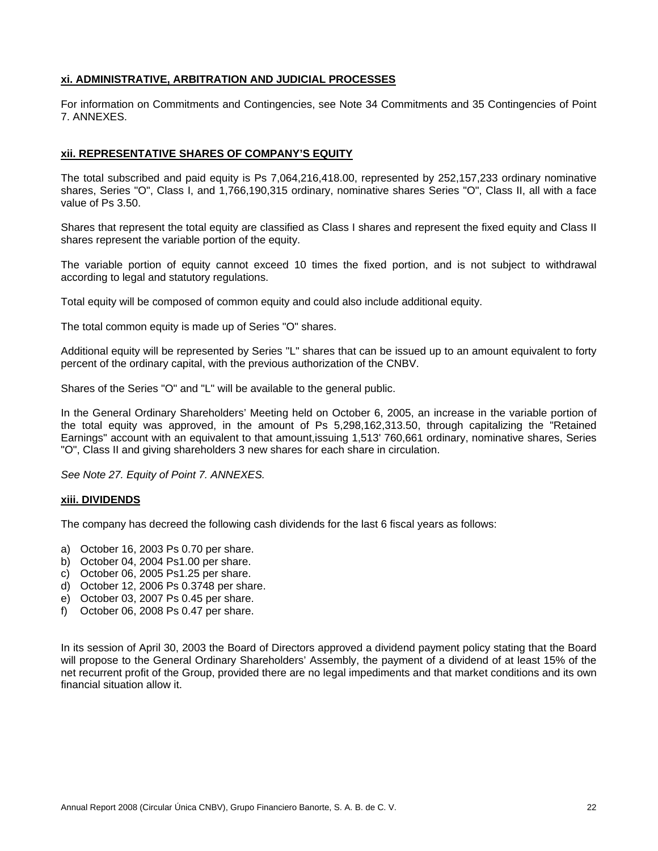# **xi. ADMINISTRATIVE, ARBITRATION AND JUDICIAL PROCESSES**

For information on Commitments and Contingencies, see Note 34 Commitments and 35 Contingencies of Point 7. ANNEXES.

### **xii. REPRESENTATIVE SHARES OF COMPANY'S EQUITY**

The total subscribed and paid equity is Ps 7,064,216,418.00, represented by 252,157,233 ordinary nominative shares, Series "O", Class I, and 1,766,190,315 ordinary, nominative shares Series "O", Class II, all with a face value of Ps 3.50.

Shares that represent the total equity are classified as Class I shares and represent the fixed equity and Class II shares represent the variable portion of the equity.

The variable portion of equity cannot exceed 10 times the fixed portion, and is not subject to withdrawal according to legal and statutory regulations.

Total equity will be composed of common equity and could also include additional equity.

The total common equity is made up of Series "O" shares.

Additional equity will be represented by Series "L" shares that can be issued up to an amount equivalent to forty percent of the ordinary capital, with the previous authorization of the CNBV.

Shares of the Series "O" and "L" will be available to the general public.

In the General Ordinary Shareholders' Meeting held on October 6, 2005, an increase in the variable portion of the total equity was approved, in the amount of Ps 5,298,162,313.50, through capitalizing the "Retained Earnings" account with an equivalent to that amount,issuing 1,513' 760,661 ordinary, nominative shares, Series "O", Class II and giving shareholders 3 new shares for each share in circulation.

*See Note 27. Equity of Point 7. ANNEXES.* 

#### **xiii. DIVIDENDS**

The company has decreed the following cash dividends for the last 6 fiscal years as follows:

- a) October 16, 2003 Ps 0.70 per share.
- b) October 04, 2004 Ps1.00 per share.
- c) October 06, 2005 Ps1.25 per share.
- d) October 12, 2006 Ps 0.3748 per share.
- e) October 03, 2007 Ps 0.45 per share.
- f) October 06, 2008 Ps 0.47 per share.

In its session of April 30, 2003 the Board of Directors approved a dividend payment policy stating that the Board will propose to the General Ordinary Shareholders' Assembly, the payment of a dividend of at least 15% of the net recurrent profit of the Group, provided there are no legal impediments and that market conditions and its own financial situation allow it.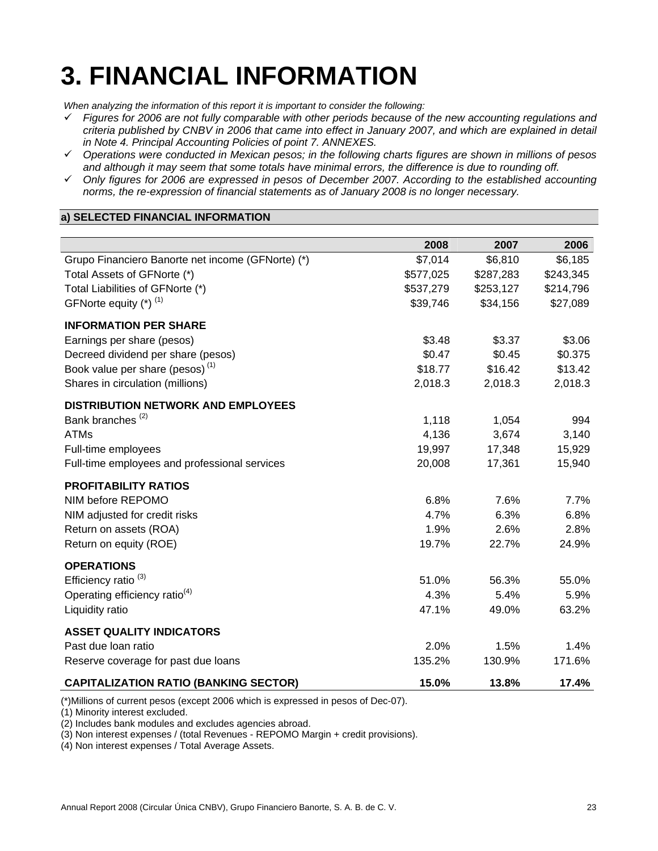# **3. FINANCIAL INFORMATION**

*When analyzing the information of this report it is important to consider the following:* 

- 9 *Figures for 2006 are not fully comparable with other periods because of the new accounting regulations and criteria published by CNBV in 2006 that came into effect in January 2007, and which are explained in detail in Note 4. Principal Accounting Policies of point 7. ANNEXES.*
- 9 *Operations were conducted in Mexican pesos; in the following charts figures are shown in millions of pesos and although it may seem that some totals have minimal errors, the difference is due to rounding off.*
- 9 *Only figures for 2006 are expressed in pesos of December 2007. According to the established accounting norms, the re-expression of financial statements as of January 2008 is no longer necessary.*

# **a) SELECTED FINANCIAL INFORMATION**

|                                                   | 2008      | 2007      | 2006      |
|---------------------------------------------------|-----------|-----------|-----------|
| Grupo Financiero Banorte net income (GFNorte) (*) | \$7,014   | \$6,810   | \$6,185   |
| Total Assets of GFNorte (*)                       | \$577,025 | \$287,283 | \$243,345 |
| Total Liabilities of GFNorte (*)                  | \$537,279 | \$253,127 | \$214,796 |
| GFNorte equity (*) (1)                            | \$39,746  | \$34,156  | \$27,089  |
| <b>INFORMATION PER SHARE</b>                      |           |           |           |
| Earnings per share (pesos)                        | \$3.48    | \$3.37    | \$3.06    |
| Decreed dividend per share (pesos)                | \$0.47    | \$0.45    | \$0.375   |
| Book value per share (pesos) <sup>(1)</sup>       | \$18.77   | \$16.42   | \$13.42   |
| Shares in circulation (millions)                  | 2,018.3   | 2,018.3   | 2,018.3   |
| <b>DISTRIBUTION NETWORK AND EMPLOYEES</b>         |           |           |           |
| Bank branches <sup>(2)</sup>                      | 1,118     | 1,054     | 994       |
| <b>ATMs</b>                                       | 4,136     | 3,674     | 3,140     |
| Full-time employees                               | 19,997    | 17,348    | 15,929    |
| Full-time employees and professional services     | 20,008    | 17,361    | 15,940    |
| <b>PROFITABILITY RATIOS</b>                       |           |           |           |
| NIM before REPOMO                                 | 6.8%      | 7.6%      | 7.7%      |
| NIM adjusted for credit risks                     | 4.7%      | 6.3%      | 6.8%      |
| Return on assets (ROA)                            | 1.9%      | 2.6%      | 2.8%      |
| Return on equity (ROE)                            | 19.7%     | 22.7%     | 24.9%     |
| <b>OPERATIONS</b>                                 |           |           |           |
| Efficiency ratio <sup>(3)</sup>                   | 51.0%     | 56.3%     | 55.0%     |
| Operating efficiency ratio <sup>(4)</sup>         | 4.3%      | 5.4%      | 5.9%      |
| Liquidity ratio                                   | 47.1%     | 49.0%     | 63.2%     |
| <b>ASSET QUALITY INDICATORS</b>                   |           |           |           |
| Past due loan ratio                               | 2.0%      | 1.5%      | 1.4%      |
| Reserve coverage for past due loans               | 135.2%    | 130.9%    | 171.6%    |
| <b>CAPITALIZATION RATIO (BANKING SECTOR)</b>      | 15.0%     | 13.8%     | 17.4%     |

(\*)Millions of current pesos (except 2006 which is expressed in pesos of Dec-07).

(1) Minority interest excluded.

(2) Includes bank modules and excludes agencies abroad.

(3) Non interest expenses / (total Revenues - REPOMO Margin + credit provisions).

(4) Non interest expenses / Total Average Assets.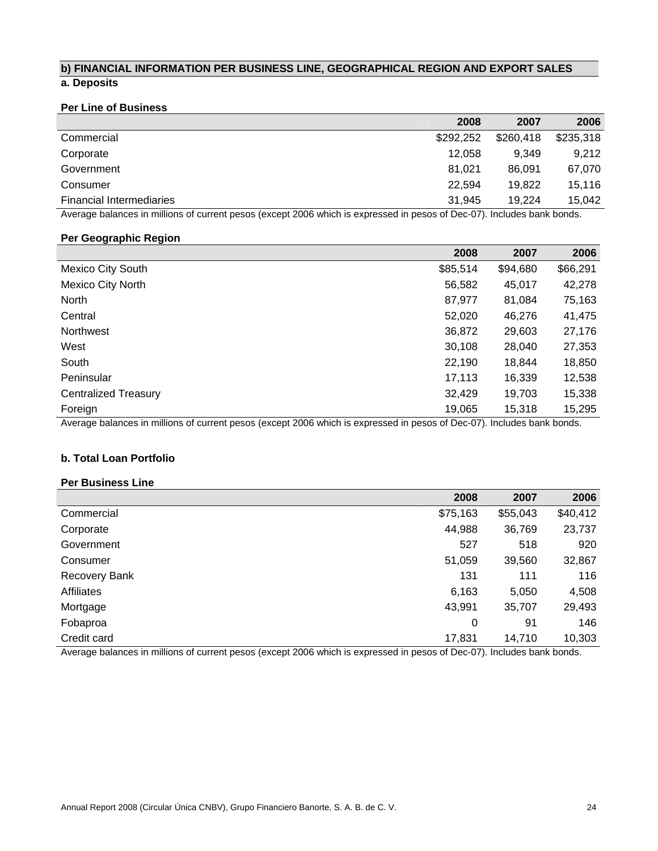# **b) FINANCIAL INFORMATION PER BUSINESS LINE, GEOGRAPHICAL REGION AND EXPORT SALES a. Deposits**

# **Per Line of Business**

|                                 | 2008      | 2007      | 2006      |
|---------------------------------|-----------|-----------|-----------|
| Commercial                      | \$292.252 | \$260,418 | \$235,318 |
| Corporate                       | 12.058    | 9.349     | 9.212     |
| Government                      | 81.021    | 86.091    | 67,070    |
| Consumer                        | 22.594    | 19.822    | 15,116    |
| <b>Financial Intermediaries</b> | 31.945    | 19.224    | 15,042    |

Average balances in millions of current pesos (except 2006 which is expressed in pesos of Dec-07). Includes bank bonds.

#### **Per Geographic Region**

|                                                                                                                         | 2008     | 2007     | 2006     |
|-------------------------------------------------------------------------------------------------------------------------|----------|----------|----------|
| <b>Mexico City South</b>                                                                                                | \$85,514 | \$94,680 | \$66,291 |
| <b>Mexico City North</b>                                                                                                | 56,582   | 45,017   | 42,278   |
| North                                                                                                                   | 87,977   | 81,084   | 75,163   |
| Central                                                                                                                 | 52.020   | 46,276   | 41,475   |
| Northwest                                                                                                               | 36,872   | 29,603   | 27,176   |
| West                                                                                                                    | 30,108   | 28,040   | 27,353   |
| South                                                                                                                   | 22,190   | 18.844   | 18,850   |
| Peninsular                                                                                                              | 17,113   | 16.339   | 12,538   |
| <b>Centralized Treasury</b>                                                                                             | 32,429   | 19.703   | 15,338   |
| Foreign                                                                                                                 | 19,065   | 15.318   | 15,295   |
| Average balances in millions of current pesos (except 2006 which is expressed in pesos of Dec-07). Includes bank bonds. |          |          |          |

#### **b. Total Loan Portfolio**

#### **Per Business Line**

|                   | 2008     | 2007     | 2006     |
|-------------------|----------|----------|----------|
| Commercial        | \$75,163 | \$55,043 | \$40,412 |
| Corporate         | 44,988   | 36,769   | 23,737   |
| Government        | 527      | 518      | 920      |
| Consumer          | 51,059   | 39,560   | 32,867   |
| Recovery Bank     | 131      | 111      | 116      |
| <b>Affiliates</b> | 6,163    | 5,050    | 4,508    |
| Mortgage          | 43,991   | 35,707   | 29,493   |
| Fobaproa          | 0        | 91       | 146      |
| Credit card       | 17,831   | 14,710   | 10,303   |

Average balances in millions of current pesos (except 2006 which is expressed in pesos of Dec-07). Includes bank bonds.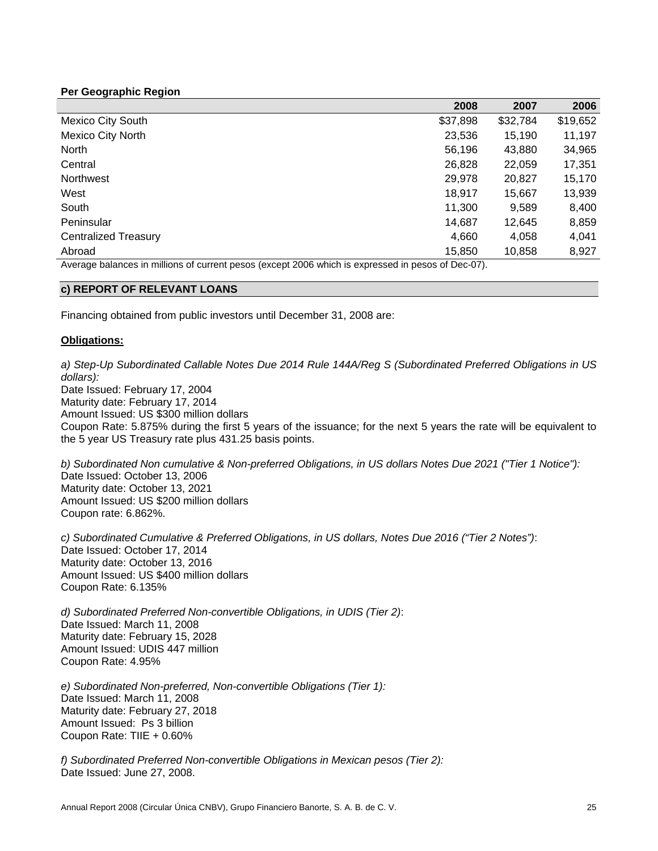# **Per Geographic Region**

|                                                                                                   | 2008     | 2007     | 2006     |
|---------------------------------------------------------------------------------------------------|----------|----------|----------|
| <b>Mexico City South</b>                                                                          | \$37,898 | \$32,784 | \$19,652 |
| <b>Mexico City North</b>                                                                          | 23,536   | 15,190   | 11,197   |
| <b>North</b>                                                                                      | 56,196   | 43,880   | 34,965   |
| Central                                                                                           | 26,828   | 22,059   | 17,351   |
| <b>Northwest</b>                                                                                  | 29,978   | 20,827   | 15,170   |
| West                                                                                              | 18,917   | 15,667   | 13,939   |
| South                                                                                             | 11,300   | 9,589    | 8,400    |
| Peninsular                                                                                        | 14,687   | 12.645   | 8,859    |
| <b>Centralized Treasury</b>                                                                       | 4,660    | 4,058    | 4,041    |
| Abroad                                                                                            | 15,850   | 10,858   | 8,927    |
| Average belances in millions of current pesos (except 2006 which is expressed in pesos of Dee 07) |          |          |          |

Average balances in millions of current pesos (except 2006 which is expressed in pesos of Dec-07).

#### **c) REPORT OF RELEVANT LOANS**

Financing obtained from public investors until December 31, 2008 are:

#### **Obligations:**

*a) Step-Up Subordinated Callable Notes Due 2014 Rule 144A/Reg S (Subordinated Preferred Obligations in US dollars):* Date Issued: February 17, 2004 Maturity date: February 17, 2014 Amount Issued: US \$300 million dollars Coupon Rate: 5.875% during the first 5 years of the issuance; for the next 5 years the rate will be equivalent to the 5 year US Treasury rate plus 431.25 basis points.

*b) Subordinated Non cumulative & Non-preferred Obligations, in US dollars Notes Due 2021 ("Tier 1 Notice"):* Date Issued: October 13, 2006 Maturity date: October 13, 2021 Amount Issued: US \$200 million dollars Coupon rate: 6.862%.

*c) Subordinated Cumulative & Preferred Obligations, in US dollars, Notes Due 2016 ("Tier 2 Notes")*: Date Issued: October 17, 2014 Maturity date: October 13, 2016 Amount Issued: US \$400 million dollars Coupon Rate: 6.135%

*d) Subordinated Preferred Non-convertible Obligations, in UDIS (Tier 2)*: Date Issued: March 11, 2008 Maturity date: February 15, 2028 Amount Issued: UDIS 447 million Coupon Rate: 4.95%

*e) Subordinated Non-preferred, Non-convertible Obligations (Tier 1):*  Date Issued: March 11, 2008 Maturity date: February 27, 2018 Amount Issued: Ps 3 billion Coupon Rate: TIIE + 0.60%

*f) Subordinated Preferred Non-convertible Obligations in Mexican pesos (Tier 2):* Date Issued: June 27, 2008.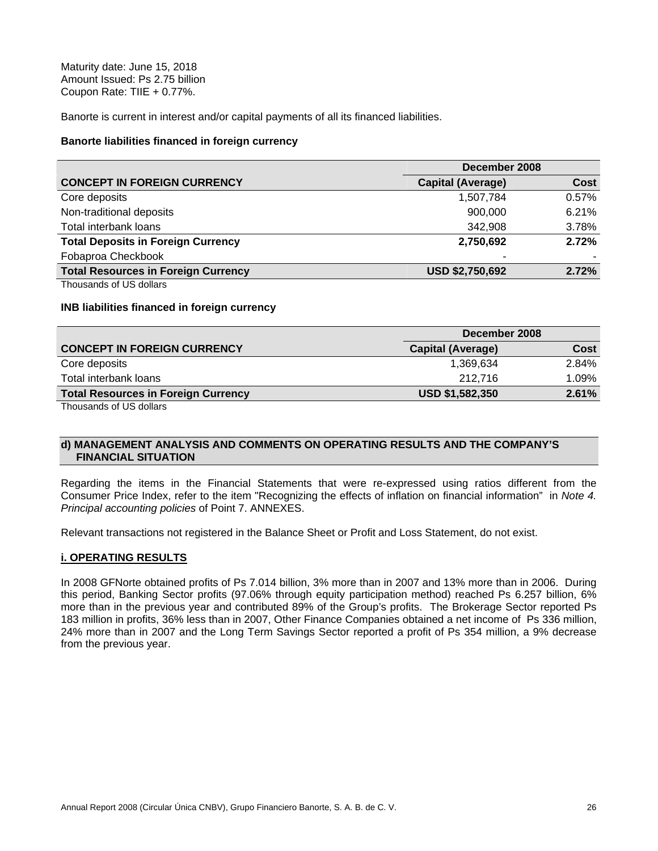Maturity date: June 15, 2018 Amount Issued: Ps 2.75 billion Coupon Rate: TIIE + 0.77%.

Banorte is current in interest and/or capital payments of all its financed liabilities.

#### **Banorte liabilities financed in foreign currency**

|                                            | December 2008            |       |
|--------------------------------------------|--------------------------|-------|
| <b>CONCEPT IN FOREIGN CURRENCY</b>         | <b>Capital (Average)</b> | Cost  |
| Core deposits                              | 1,507,784                | 0.57% |
| Non-traditional deposits                   | 900,000                  | 6.21% |
| Total interbank loans                      | 342,908                  | 3.78% |
| <b>Total Deposits in Foreign Currency</b>  | 2,750,692                | 2.72% |
| Fobaproa Checkbook                         | ۰                        |       |
| <b>Total Resources in Foreign Currency</b> | <b>USD \$2,750,692</b>   | 2.72% |

Thousands of US dollars

#### **INB liabilities financed in foreign currency**

|                                            | December 2008          |       |
|--------------------------------------------|------------------------|-------|
| <b>CONCEPT IN FOREIGN CURRENCY</b>         | Capital (Average)      | Cost  |
| Core deposits                              | 1,369,634              | 2.84% |
| Total interbank loans                      | 212.716                | 1.09% |
| <b>Total Resources in Foreign Currency</b> | <b>USD \$1,582,350</b> | 2.61% |
|                                            |                        |       |

Thousands of US dollars

#### **d) MANAGEMENT ANALYSIS AND COMMENTS ON OPERATING RESULTS AND THE COMPANY'S FINANCIAL SITUATION**

Regarding the items in the Financial Statements that were re-expressed using ratios different from the Consumer Price Index, refer to the item "Recognizing the effects of inflation on financial information" in *Note 4. Principal accounting policies* of Point 7. ANNEXES.

Relevant transactions not registered in the Balance Sheet or Profit and Loss Statement, do not exist.

#### **i. OPERATING RESULTS**

In 2008 GFNorte obtained profits of Ps 7.014 billion, 3% more than in 2007 and 13% more than in 2006. During this period, Banking Sector profits (97.06% through equity participation method) reached Ps 6.257 billion, 6% more than in the previous year and contributed 89% of the Group's profits. The Brokerage Sector reported Ps 183 million in profits, 36% less than in 2007, Other Finance Companies obtained a net income of Ps 336 million, 24% more than in 2007 and the Long Term Savings Sector reported a profit of Ps 354 million, a 9% decrease from the previous year.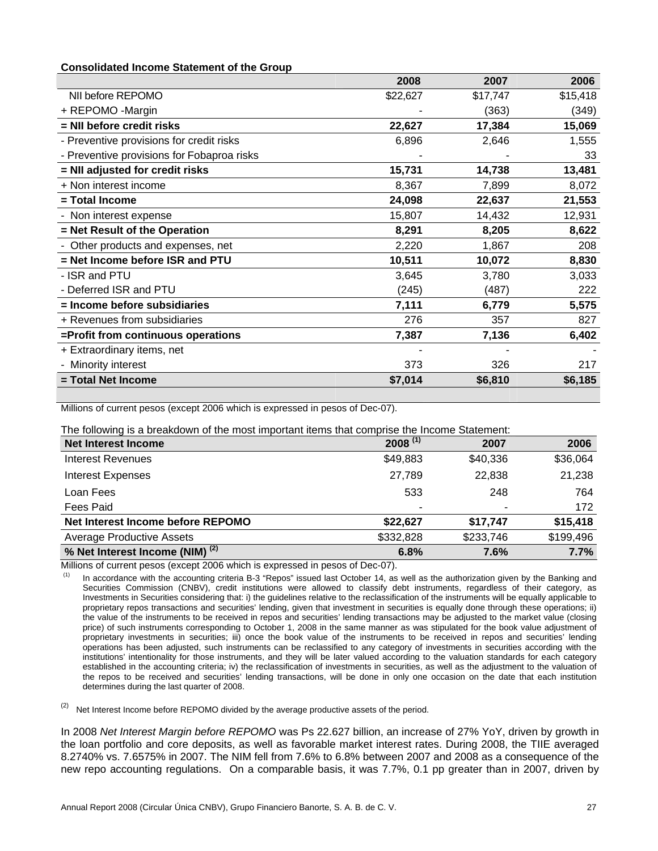#### **Consolidated Income Statement of the Group**

|                                            | 2008     | 2007     | 2006     |
|--------------------------------------------|----------|----------|----------|
| NII before REPOMO                          | \$22,627 | \$17,747 | \$15,418 |
| + REPOMO -Margin                           |          | (363)    | (349)    |
| = NII before credit risks                  | 22,627   | 17,384   | 15,069   |
| - Preventive provisions for credit risks   | 6,896    | 2,646    | 1,555    |
| - Preventive provisions for Fobaproa risks |          |          | 33       |
| = NII adjusted for credit risks            | 15,731   | 14,738   | 13,481   |
| + Non interest income                      | 8,367    | 7,899    | 8,072    |
| = Total Income                             | 24,098   | 22,637   | 21,553   |
| - Non interest expense                     | 15,807   | 14,432   | 12,931   |
| = Net Result of the Operation              | 8,291    | 8,205    | 8,622    |
| Other products and expenses, net           | 2,220    | 1,867    | 208      |
| = Net Income before ISR and PTU            | 10,511   | 10,072   | 8,830    |
| - ISR and PTU                              | 3,645    | 3,780    | 3,033    |
| - Deferred ISR and PTU                     | (245)    | (487)    | 222      |
| = Income before subsidiaries               | 7,111    | 6,779    | 5,575    |
| + Revenues from subsidiaries               | 276      | 357      | 827      |
| =Profit from continuous operations         | 7,387    | 7,136    | 6,402    |
| + Extraordinary items, net                 |          |          |          |
| - Minority interest                        | 373      | 326      | 217      |
| = Total Net Income                         | \$7,014  | \$6,810  | \$6,185  |

Millions of current pesos (except 2006 which is expressed in pesos of Dec-07).

The following is a breakdown of the most important items that comprise the Income Statement:

| <b>Net Interest Income</b>                 | $2008^{(1)}$ | 2007      | 2006      |
|--------------------------------------------|--------------|-----------|-----------|
| <b>Interest Revenues</b>                   | \$49,883     | \$40,336  | \$36,064  |
| <b>Interest Expenses</b>                   | 27,789       | 22,838    | 21,238    |
| Loan Fees                                  | 533          | 248       | 764       |
| Fees Paid                                  |              |           | 172       |
| Net Interest Income before REPOMO          | \$22,627     | \$17,747  | \$15,418  |
| <b>Average Productive Assets</b>           | \$332,828    | \$233,746 | \$199,496 |
| % Net Interest Income (NIM) <sup>(2)</sup> | 6.8%         | 7.6%      | 7.7%      |

Millions of current pesos (except 2006 which is expressed in pesos of Dec-07).

In accordance with the accounting criteria B-3 "Repos" issued last October 14, as well as the authorization given by the Banking and Securities Commission (CNBV), credit institutions were allowed to classify debt instruments, regardless of their category, as Investments in Securities considering that: i) the guidelines relative to the reclassification of the instruments will be equally applicable to proprietary repos transactions and securities' lending, given that investment in securities is equally done through these operations; ii) the value of the instruments to be received in repos and securities' lending transactions may be adjusted to the market value (closing price) of such instruments corresponding to October 1, 2008 in the same manner as was stipulated for the book value adjustment of proprietary investments in securities; iii) once the book value of the instruments to be received in repos and securities' lending operations has been adjusted, such instruments can be reclassified to any category of investments in securities according with the institutions' intentionality for those instruments, and they will be later valued according to the valuation standards for each category established in the accounting criteria; iv) the reclassification of investments in securities, as well as the adjustment to the valuation of the repos to be received and securities' lending transactions, will be done in only one occasion on the date that each institution determines during the last quarter of 2008.

 $(2)$  Net Interest Income before REPOMO divided by the average productive assets of the period.

In 2008 *Net Interest Margin before REPOMO* was Ps 22.627 billion, an increase of 27% YoY, driven by growth in the loan portfolio and core deposits, as well as favorable market interest rates. During 2008, the TIIE averaged 8.2740% vs. 7.6575% in 2007. The NIM fell from 7.6% to 6.8% between 2007 and 2008 as a consequence of the new repo accounting regulations. On a comparable basis, it was 7.7%, 0.1 pp greater than in 2007, driven by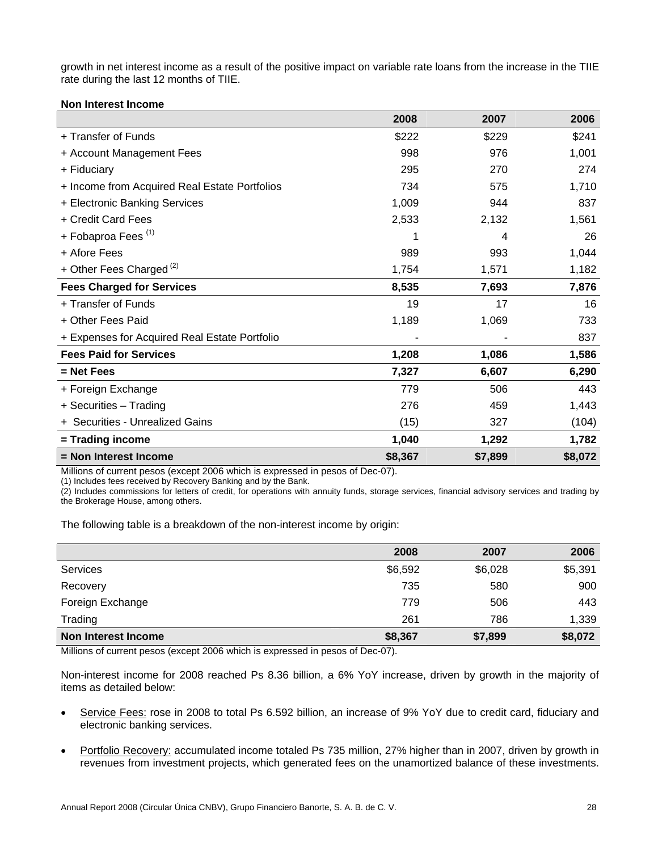growth in net interest income as a result of the positive impact on variable rate loans from the increase in the TIIE rate during the last 12 months of TIIE.

#### **Non Interest Income**

|                                               | 2008    | 2007    | 2006    |
|-----------------------------------------------|---------|---------|---------|
| + Transfer of Funds                           | \$222   | \$229   | \$241   |
| + Account Management Fees                     | 998     | 976     | 1,001   |
| + Fiduciary                                   | 295     | 270     | 274     |
| + Income from Acquired Real Estate Portfolios | 734     | 575     | 1,710   |
| + Electronic Banking Services                 | 1,009   | 944     | 837     |
| + Credit Card Fees                            | 2,533   | 2,132   | 1,561   |
| + Fobaproa Fees <sup>(1)</sup>                | 1       | 4       | 26      |
| + Afore Fees                                  | 989     | 993     | 1,044   |
| + Other Fees Charged <sup>(2)</sup>           | 1,754   | 1,571   | 1,182   |
| <b>Fees Charged for Services</b>              | 8,535   | 7,693   | 7,876   |
| + Transfer of Funds                           | 19      | 17      | 16      |
| + Other Fees Paid                             | 1,189   | 1,069   | 733     |
| + Expenses for Acquired Real Estate Portfolio |         |         | 837     |
| <b>Fees Paid for Services</b>                 | 1,208   | 1,086   | 1,586   |
| $=$ Net Fees                                  | 7,327   | 6,607   | 6,290   |
| + Foreign Exchange                            | 779     | 506     | 443     |
| + Securities - Trading                        | 276     | 459     | 1,443   |
| + Securities - Unrealized Gains               | (15)    | 327     | (104)   |
| = Trading income                              | 1,040   | 1,292   | 1,782   |
| = Non Interest Income                         | \$8,367 | \$7,899 | \$8,072 |

Millions of current pesos (except 2006 which is expressed in pesos of Dec-07).

(1) Includes fees received by Recovery Banking and by the Bank.

(2) Includes commissions for letters of credit, for operations with annuity funds, storage services, financial advisory services and trading by the Brokerage House, among others.

The following table is a breakdown of the non-interest income by origin:

|                     | 2008    | 2007    | 2006    |
|---------------------|---------|---------|---------|
| Services            | \$6,592 | \$6,028 | \$5,391 |
| Recovery            | 735     | 580     | 900     |
| Foreign Exchange    | 779     | 506     | 443     |
| Trading             | 261     | 786     | 1,339   |
| Non Interest Income | \$8,367 | \$7,899 | \$8,072 |
|                     |         |         |         |

Millions of current pesos (except 2006 which is expressed in pesos of Dec-07).

Non-interest income for 2008 reached Ps 8.36 billion, a 6% YoY increase, driven by growth in the majority of items as detailed below:

- Service Fees: rose in 2008 to total Ps 6.592 billion, an increase of 9% YoY due to credit card, fiduciary and electronic banking services.
- Portfolio Recovery: accumulated income totaled Ps 735 million, 27% higher than in 2007, driven by growth in revenues from investment projects, which generated fees on the unamortized balance of these investments.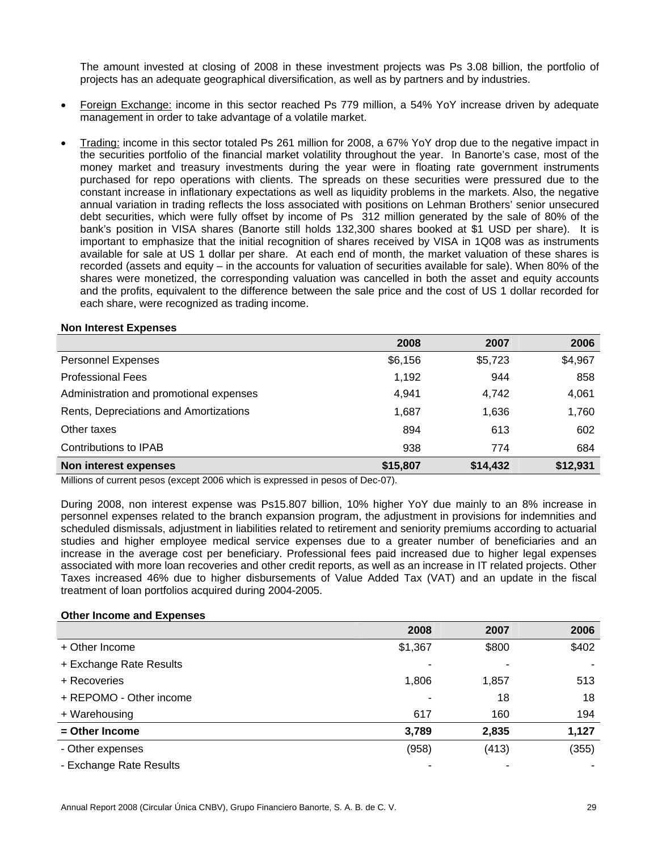The amount invested at closing of 2008 in these investment projects was Ps 3.08 billion, the portfolio of projects has an adequate geographical diversification, as well as by partners and by industries.

- Foreign Exchange: income in this sector reached Ps 779 million, a 54% YoY increase driven by adequate management in order to take advantage of a volatile market.
- Trading: income in this sector totaled Ps 261 million for 2008, a 67% YoY drop due to the negative impact in the securities portfolio of the financial market volatility throughout the year. In Banorte's case, most of the money market and treasury investments during the year were in floating rate government instruments purchased for repo operations with clients. The spreads on these securities were pressured due to the constant increase in inflationary expectations as well as liquidity problems in the markets. Also, the negative annual variation in trading reflects the loss associated with positions on Lehman Brothers' senior unsecured debt securities, which were fully offset by income of Ps 312 million generated by the sale of 80% of the bank's position in VISA shares (Banorte still holds 132,300 shares booked at \$1 USD per share). It is important to emphasize that the initial recognition of shares received by VISA in 1Q08 was as instruments available for sale at US 1 dollar per share. At each end of month, the market valuation of these shares is recorded (assets and equity – in the accounts for valuation of securities available for sale). When 80% of the shares were monetized, the corresponding valuation was cancelled in both the asset and equity accounts and the profits, equivalent to the difference between the sale price and the cost of US 1 dollar recorded for each share, were recognized as trading income.

#### **Non Interest Expenses**

|                                         | 2008     | 2007     | 2006     |
|-----------------------------------------|----------|----------|----------|
| <b>Personnel Expenses</b>               | \$6,156  | \$5,723  | \$4,967  |
| <b>Professional Fees</b>                | 1,192    | 944      | 858      |
| Administration and promotional expenses | 4.941    | 4,742    | 4,061    |
| Rents, Depreciations and Amortizations  | 1,687    | 1,636    | 1,760    |
| Other taxes                             | 894      | 613      | 602      |
| Contributions to IPAB                   | 938      | 774      | 684      |
| Non interest expenses                   | \$15,807 | \$14,432 | \$12,931 |

Millions of current pesos (except 2006 which is expressed in pesos of Dec-07).

During 2008, non interest expense was Ps15.807 billion, 10% higher YoY due mainly to an 8% increase in personnel expenses related to the branch expansion program, the adjustment in provisions for indemnities and scheduled dismissals, adjustment in liabilities related to retirement and seniority premiums according to actuarial studies and higher employee medical service expenses due to a greater number of beneficiaries and an increase in the average cost per beneficiary. Professional fees paid increased due to higher legal expenses associated with more loan recoveries and other credit reports, as well as an increase in IT related projects. Other Taxes increased 46% due to higher disbursements of Value Added Tax (VAT) and an update in the fiscal treatment of loan portfolios acquired during 2004-2005.

#### **Other Income and Expenses**

|                         | 2008    | 2007  | 2006  |
|-------------------------|---------|-------|-------|
| + Other Income          | \$1,367 | \$800 | \$402 |
| + Exchange Rate Results |         |       |       |
| + Recoveries            | 1,806   | 1,857 | 513   |
| + REPOMO - Other income |         | 18    | 18    |
| + Warehousing           | 617     | 160   | 194   |
| $=$ Other Income        | 3,789   | 2,835 | 1,127 |
| - Other expenses        | (958)   | (413) | (355) |
| - Exchange Rate Results |         |       |       |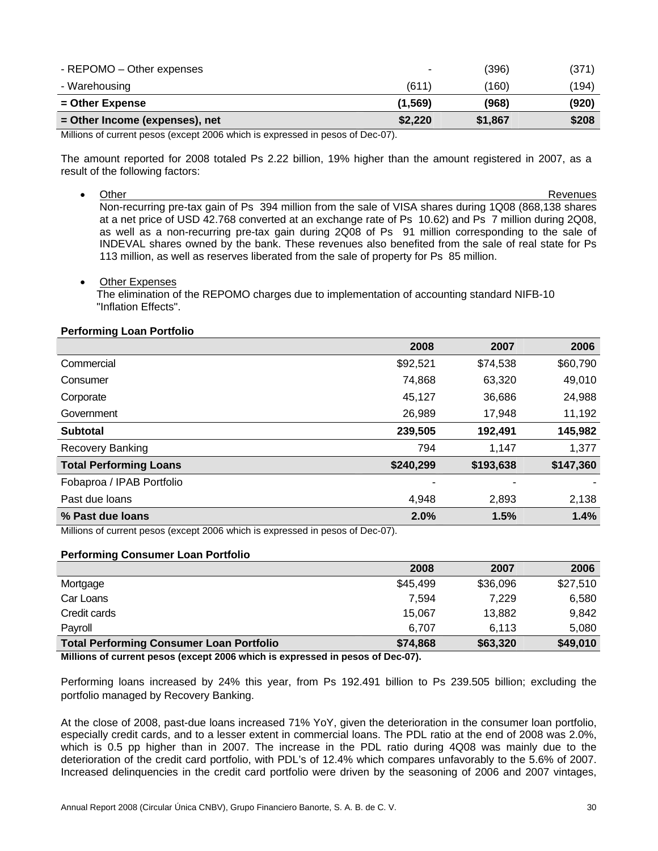| - REPOMO – Other expenses      | $\overline{\phantom{a}}$ | (396)   | (371) |
|--------------------------------|--------------------------|---------|-------|
| - Warehousing                  | (611)                    | (160)   | (194) |
| $=$ Other Expense              | (1, 569)                 | (968)   | (920) |
| = Other Income (expenses), net | \$2,220                  | \$1,867 | \$208 |

Millions of current pesos (except 2006 which is expressed in pesos of Dec-07).

The amount reported for 2008 totaled Ps 2.22 billion, 19% higher than the amount registered in 2007, as a result of the following factors:

- Other Revenues Non-recurring pre-tax gain of Ps 394 million from the sale of VISA shares during 1Q08 (868,138 shares at a net price of USD 42.768 converted at an exchange rate of Ps 10.62) and Ps 7 million during 2Q08, as well as a non-recurring pre-tax gain during 2Q08 of Ps 91 million corresponding to the sale of INDEVAL shares owned by the bank. These revenues also benefited from the sale of real state for Ps 113 million, as well as reserves liberated from the sale of property for Ps 85 million.
- Other Expenses

 The elimination of the REPOMO charges due to implementation of accounting standard NIFB-10 "Inflation Effects".

# **Performing Loan Portfolio**

|                               | 2008      | 2007      | 2006      |
|-------------------------------|-----------|-----------|-----------|
| Commercial                    | \$92,521  | \$74,538  | \$60,790  |
| Consumer                      | 74,868    | 63,320    | 49,010    |
| Corporate                     | 45,127    | 36,686    | 24,988    |
| Government                    | 26,989    | 17,948    | 11,192    |
| <b>Subtotal</b>               | 239,505   | 192,491   | 145,982   |
| <b>Recovery Banking</b>       | 794       | 1,147     | 1,377     |
| <b>Total Performing Loans</b> | \$240,299 | \$193,638 | \$147,360 |
| Fobaproa / IPAB Portfolio     |           |           |           |
| Past due loans                | 4,948     | 2,893     | 2,138     |
| % Past due loans              | 2.0%      | 1.5%      | 1.4%      |

Millions of current pesos (except 2006 which is expressed in pesos of Dec-07).

#### **Performing Consumer Loan Portfolio**

|                                                 | 2008     | 2007     | 2006     |
|-------------------------------------------------|----------|----------|----------|
| Mortgage                                        | \$45,499 | \$36,096 | \$27,510 |
| Car Loans                                       | 7,594    | 7,229    | 6,580    |
| Credit cards                                    | 15,067   | 13,882   | 9,842    |
| Payroll                                         | 6.707    | 6.113    | 5,080    |
| <b>Total Performing Consumer Loan Portfolio</b> | \$74,868 | \$63,320 | \$49,010 |

**Millions of current pesos (except 2006 which is expressed in pesos of Dec-07).** 

Performing loans increased by 24% this year, from Ps 192.491 billion to Ps 239.505 billion; excluding the portfolio managed by Recovery Banking.

At the close of 2008, past-due loans increased 71% YoY, given the deterioration in the consumer loan portfolio, especially credit cards, and to a lesser extent in commercial loans. The PDL ratio at the end of 2008 was 2.0%, which is 0.5 pp higher than in 2007. The increase in the PDL ratio during 4Q08 was mainly due to the deterioration of the credit card portfolio, with PDL's of 12.4% which compares unfavorably to the 5.6% of 2007. Increased delinquencies in the credit card portfolio were driven by the seasoning of 2006 and 2007 vintages,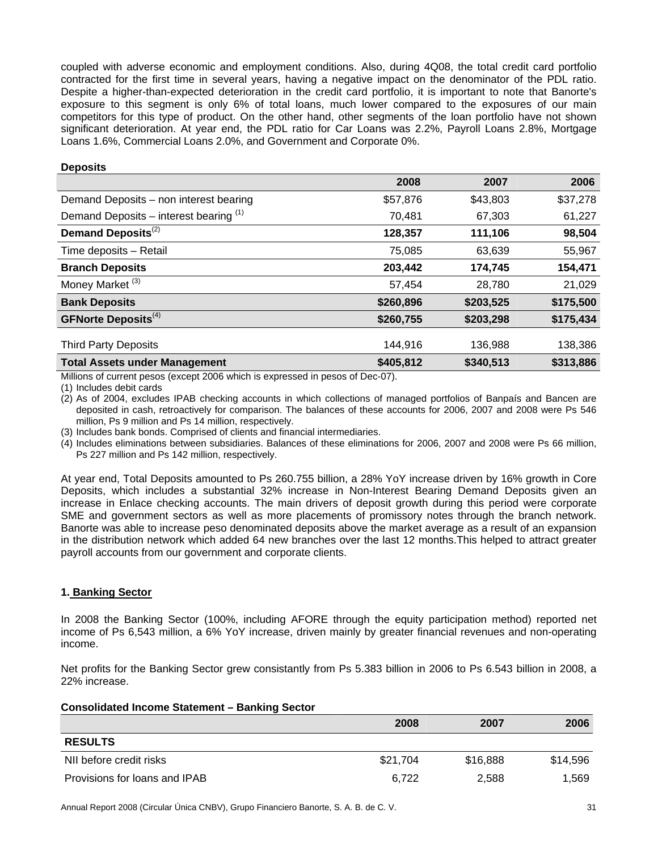coupled with adverse economic and employment conditions. Also, during 4Q08, the total credit card portfolio contracted for the first time in several years, having a negative impact on the denominator of the PDL ratio. Despite a higher-than-expected deterioration in the credit card portfolio, it is important to note that Banorte's exposure to this segment is only 6% of total loans, much lower compared to the exposures of our main competitors for this type of product. On the other hand, other segments of the loan portfolio have not shown significant deterioration. At year end, the PDL ratio for Car Loans was 2.2%, Payroll Loans 2.8%, Mortgage Loans 1.6%, Commercial Loans 2.0%, and Government and Corporate 0%.

#### **Deposits**

|                                          | 2008      | 2007      | 2006      |
|------------------------------------------|-----------|-----------|-----------|
| Demand Deposits - non interest bearing   | \$57,876  | \$43,803  | \$37,278  |
| Demand Deposits – interest bearing $(1)$ | 70,481    | 67,303    | 61,227    |
| Demand Deposits <sup>(2)</sup>           | 128,357   | 111,106   | 98,504    |
| Time deposits - Retail                   | 75,085    | 63,639    | 55,967    |
| <b>Branch Deposits</b>                   | 203,442   | 174,745   | 154,471   |
| Money Market <sup>(3)</sup>              | 57,454    | 28,780    | 21,029    |
| <b>Bank Deposits</b>                     | \$260,896 | \$203,525 | \$175,500 |
| <b>GFNorte Deposits</b> <sup>(4)</sup>   | \$260,755 | \$203,298 | \$175,434 |
|                                          |           |           |           |
| <b>Third Party Deposits</b>              | 144,916   | 136,988   | 138,386   |
| <b>Total Assets under Management</b>     | \$405,812 | \$340,513 | \$313,886 |

Millions of current pesos (except 2006 which is expressed in pesos of Dec-07).

(1) Includes debit cards

(2) As of 2004, excludes IPAB checking accounts in which collections of managed portfolios of Banpaís and Bancen are deposited in cash, retroactively for comparison. The balances of these accounts for 2006, 2007 and 2008 were Ps 546 million, Ps 9 million and Ps 14 million, respectively.

(3) Includes bank bonds. Comprised of clients and financial intermediaries.

(4) Includes eliminations between subsidiaries. Balances of these eliminations for 2006, 2007 and 2008 were Ps 66 million, Ps 227 million and Ps 142 million, respectively.

At year end, Total Deposits amounted to Ps 260.755 billion, a 28% YoY increase driven by 16% growth in Core Deposits, which includes a substantial 32% increase in Non-Interest Bearing Demand Deposits given an increase in Enlace checking accounts. The main drivers of deposit growth during this period were corporate SME and government sectors as well as more placements of promissory notes through the branch network. Banorte was able to increase peso denominated deposits above the market average as a result of an expansion in the distribution network which added 64 new branches over the last 12 months.This helped to attract greater payroll accounts from our government and corporate clients.

# **1. Banking Sector**

In 2008 the Banking Sector (100%, including AFORE through the equity participation method) reported net income of Ps 6,543 million, a 6% YoY increase, driven mainly by greater financial revenues and non-operating income.

Net profits for the Banking Sector grew consistantly from Ps 5.383 billion in 2006 to Ps 6.543 billion in 2008, a 22% increase.

#### **Consolidated Income Statement – Banking Sector**

|                               | 2008     | 2007     | 2006     |
|-------------------------------|----------|----------|----------|
| <b>RESULTS</b>                |          |          |          |
| NII before credit risks       | \$21,704 | \$16,888 | \$14,596 |
| Provisions for loans and IPAB | 6.722    | 2,588    | 1,569    |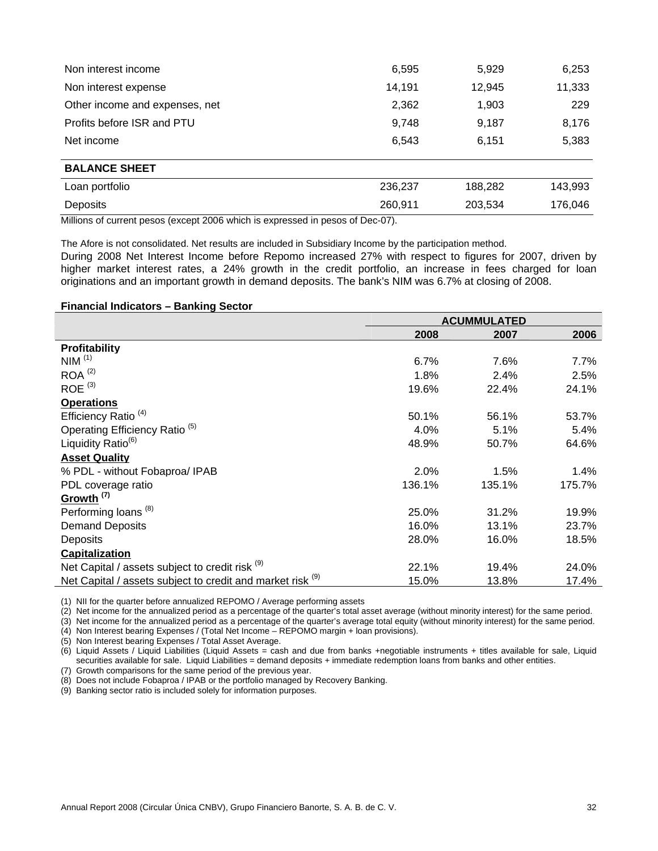| Non interest income            | 6,595   | 5,929   | 6,253   |
|--------------------------------|---------|---------|---------|
| Non interest expense           | 14,191  | 12,945  | 11,333  |
| Other income and expenses, net | 2,362   | 1,903   | 229     |
| Profits before ISR and PTU     | 9,748   | 9,187   | 8,176   |
| Net income                     | 6,543   | 6,151   | 5,383   |
| <b>BALANCE SHEET</b>           |         |         |         |
| Loan portfolio                 | 236,237 | 188,282 | 143,993 |
| Deposits                       | 260,911 | 203,534 | 176,046 |

Millions of current pesos (except 2006 which is expressed in pesos of Dec-07).

The Afore is not consolidated. Net results are included in Subsidiary Income by the participation method.

During 2008 Net Interest Income before Repomo increased 27% with respect to figures for 2007, driven by higher market interest rates, a 24% growth in the credit portfolio, an increase in fees charged for loan originations and an important growth in demand deposits. The bank's NIM was 6.7% at closing of 2008.

#### **Financial Indicators – Banking Sector**

|                                                                       | <b>ACUMMULATED</b> |        |        |
|-----------------------------------------------------------------------|--------------------|--------|--------|
|                                                                       | 2008               | 2007   | 2006   |
| <b>Profitability</b>                                                  |                    |        |        |
| NIM <sup>(1)</sup>                                                    | 6.7%               | 7.6%   | 7.7%   |
| $ROA^{(2)}$                                                           | 1.8%               | 2.4%   | 2.5%   |
| $ROE$ <sup>(3)</sup>                                                  | 19.6%              | 22.4%  | 24.1%  |
| <b>Operations</b>                                                     |                    |        |        |
| Efficiency Ratio <sup>(4)</sup>                                       | 50.1%              | 56.1%  | 53.7%  |
| Operating Efficiency Ratio <sup>(5)</sup>                             | 4.0%               | 5.1%   | 5.4%   |
| Liquidity Ratio <sup>(6)</sup>                                        | 48.9%              | 50.7%  | 64.6%  |
| <b>Asset Quality</b>                                                  |                    |        |        |
| % PDL - without Fobaproa/ IPAB                                        | 2.0%               | 1.5%   | 1.4%   |
| PDL coverage ratio                                                    | 136.1%             | 135.1% | 175.7% |
| Growth <sup>(7)</sup>                                                 |                    |        |        |
| Performing loans <sup>(8)</sup>                                       | 25.0%              | 31.2%  | 19.9%  |
| <b>Demand Deposits</b>                                                | 16.0%              | 13.1%  | 23.7%  |
| Deposits                                                              | 28.0%              | 16.0%  | 18.5%  |
| Capitalization                                                        |                    |        |        |
| Net Capital / assets subject to credit risk (9)                       | 22.1%              | 19.4%  | 24.0%  |
| Net Capital / assets subject to credit and market risk <sup>(9)</sup> | 15.0%              | 13.8%  | 17.4%  |

(1) NII for the quarter before annualized REPOMO / Average performing assets

 $(2)$  Net income for the annualized period as a percentage of the quarter's total asset average (without minority interest) for the same period.

(3) Net income for the annualized period as a percentage of the quarter's average total equity (without minority interest) for the same period.

(4) Non Interest bearing Expenses / (Total Net Income – REPOMO margin + loan provisions).

(5) Non Interest bearing Expenses / Total Asset Average.

(6) Liquid Assets / Liquid Liabilities (Liquid Assets = cash and due from banks +negotiable instruments + titles available for sale, Liquid securities available for sale. Liquid Liabilities = demand deposits + immediate redemption loans from banks and other entities.

(7) Growth comparisons for the same period of the previous year.

(8) Does not include Fobaproa / IPAB or the portfolio managed by Recovery Banking.

(9) Banking sector ratio is included solely for information purposes.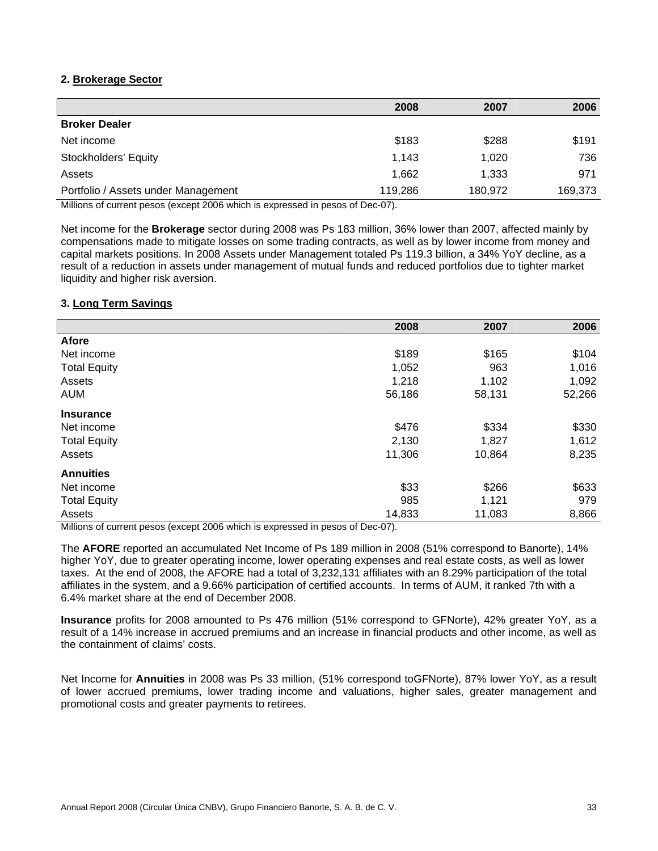# **2. Brokerage Sector**

|                                     | 2008    | 2007    | 2006    |
|-------------------------------------|---------|---------|---------|
| <b>Broker Dealer</b>                |         |         |         |
| Net income                          | \$183   | \$288   | \$191   |
| Stockholders' Equity                | 1,143   | 1,020   | 736     |
| Assets                              | 1,662   | 1,333   | 971     |
| Portfolio / Assets under Management | 119,286 | 180,972 | 169,373 |

Millions of current pesos (except 2006 which is expressed in pesos of Dec-07).

Net income for the **Brokerage** sector during 2008 was Ps 183 million, 36% lower than 2007, affected mainly by compensations made to mitigate losses on some trading contracts, as well as by lower income from money and capital markets positions. In 2008 Assets under Management totaled Ps 119.3 billion, a 34% YoY decline, as a result of a reduction in assets under management of mutual funds and reduced portfolios due to tighter market liquidity and higher risk aversion.

#### **3. Long Term Savings**

|                     | 2008   | 2007   | 2006   |
|---------------------|--------|--------|--------|
| <b>Afore</b>        |        |        |        |
| Net income          | \$189  | \$165  | \$104  |
| <b>Total Equity</b> | 1,052  | 963    | 1,016  |
| Assets              | 1,218  | 1,102  | 1,092  |
| <b>AUM</b>          | 56,186 | 58,131 | 52,266 |
| <b>Insurance</b>    |        |        |        |
| Net income          | \$476  | \$334  | \$330  |
| <b>Total Equity</b> | 2,130  | 1,827  | 1,612  |
| Assets              | 11,306 | 10,864 | 8,235  |
| <b>Annuities</b>    |        |        |        |
| Net income          | \$33   | \$266  | \$633  |
| <b>Total Equity</b> | 985    | 1,121  | 979    |
| Assets              | 14,833 | 11,083 | 8,866  |

Millions of current pesos (except 2006 which is expressed in pesos of Dec-07).

The **AFORE** reported an accumulated Net Income of Ps 189 million in 2008 (51% correspond to Banorte), 14% higher YoY, due to greater operating income, lower operating expenses and real estate costs, as well as lower taxes. At the end of 2008, the AFORE had a total of 3,232,131 affiliates with an 8.29% participation of the total affiliates in the system, and a 9.66% participation of certified accounts. In terms of AUM, it ranked 7th with a 6.4% market share at the end of December 2008.

**Insurance** profits for 2008 amounted to Ps 476 million (51% correspond to GFNorte), 42% greater YoY, as a result of a 14% increase in accrued premiums and an increase in financial products and other income, as well as the containment of claims' costs.

Net Income for **Annuities** in 2008 was Ps 33 million, (51% correspond toGFNorte), 87% lower YoY, as a result of lower accrued premiums, lower trading income and valuations, higher sales, greater management and promotional costs and greater payments to retirees.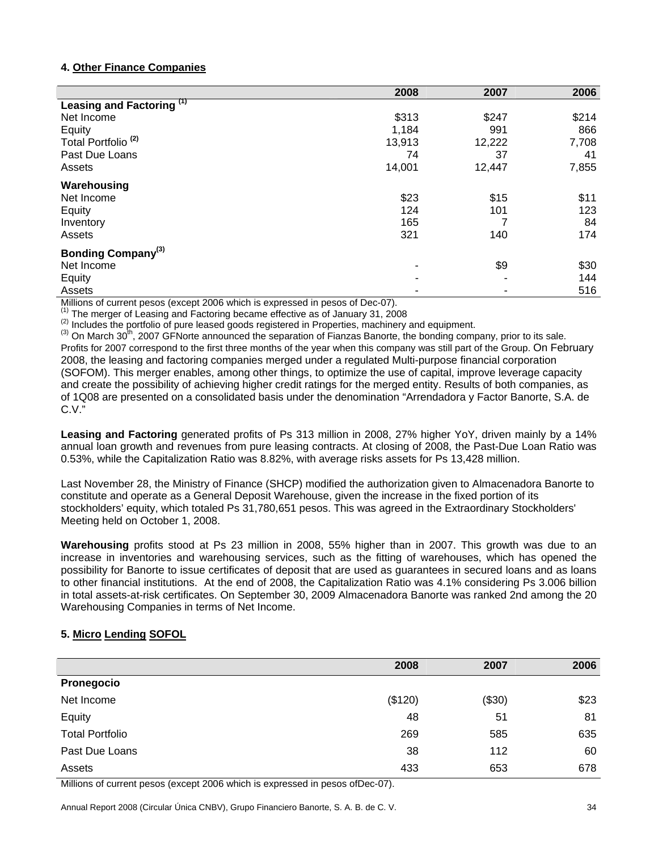# **4. Other Finance Companies**

|                                      | 2008   | 2007   | 2006  |
|--------------------------------------|--------|--------|-------|
| Leasing and Factoring <sup>(1)</sup> |        |        |       |
| Net Income                           | \$313  | \$247  | \$214 |
| Equity                               | 1,184  | 991    | 866   |
| Total Portfolio <sup>(2)</sup>       | 13,913 | 12,222 | 7,708 |
| Past Due Loans                       | 74     | 37     | 41    |
| Assets                               | 14,001 | 12,447 | 7,855 |
| Warehousing                          |        |        |       |
| Net Income                           | \$23   | \$15   | \$11  |
| Equity                               | 124    | 101    | 123   |
| Inventory                            | 165    | 7      | 84    |
| Assets                               | 321    | 140    | 174   |
| Bonding Company <sup>(3)</sup>       |        |        |       |
| Net Income                           | ۰      | \$9    | \$30  |
| Equity                               | ۰      |        | 144   |
| Assets                               |        |        | 516   |

Millions of current pesos (except 2006 which is expressed in pesos of Dec-07).<br>
<sup>(1)</sup> The merger of Leasing and Factoring became effective as of January 31, 2008<br>
<sup>(2)</sup> Includes the portfolio of pure leased goods register

 $^{(3)}$  On March 30<sup>th</sup>, 2007 GFNorte announced the separation of Fianzas Banorte, the bonding company, prior to its sale. Profits for 2007 correspond to the first three months of the year when this company was still part of the Group. On February 2008, the leasing and factoring companies merged under a regulated Multi-purpose financial corporation (SOFOM). This merger enables, among other things, to optimize the use of capital, improve leverage capacity and create the possibility of achieving higher credit ratings for the merged entity. Results of both companies, as of 1Q08 are presented on a consolidated basis under the denomination "Arrendadora y Factor Banorte, S.A. de C.V."

**Leasing and Factoring** generated profits of Ps 313 million in 2008, 27% higher YoY, driven mainly by a 14% annual loan growth and revenues from pure leasing contracts. At closing of 2008, the Past-Due Loan Ratio was 0.53%, while the Capitalization Ratio was 8.82%, with average risks assets for Ps 13,428 million.

Last November 28, the Ministry of Finance (SHCP) modified the authorization given to Almacenadora Banorte to constitute and operate as a General Deposit Warehouse, given the increase in the fixed portion of its stockholders' equity, which totaled Ps 31,780,651 pesos. This was agreed in the Extraordinary Stockholders' Meeting held on October 1, 2008.

**Warehousing** profits stood at Ps 23 million in 2008, 55% higher than in 2007. This growth was due to an increase in inventories and warehousing services, such as the fitting of warehouses, which has opened the possibility for Banorte to issue certificates of deposit that are used as guarantees in secured loans and as loans to other financial institutions. At the end of 2008, the Capitalization Ratio was 4.1% considering Ps 3.006 billion in total assets-at-risk certificates. On September 30, 2009 Almacenadora Banorte was ranked 2nd among the 20 Warehousing Companies in terms of Net Income.

# **5. Micro Lending SOFOL**

|                        | 2008    | 2007   | 2006 |
|------------------------|---------|--------|------|
| Pronegocio             |         |        |      |
| Net Income             | (\$120) | (\$30) | \$23 |
| Equity                 | 48      | 51     | 81   |
| <b>Total Portfolio</b> | 269     | 585    | 635  |
| Past Due Loans         | 38      | 112    | 60   |
| Assets                 | 433     | 653    | 678  |

Millions of current pesos (except 2006 which is expressed in pesos ofDec-07).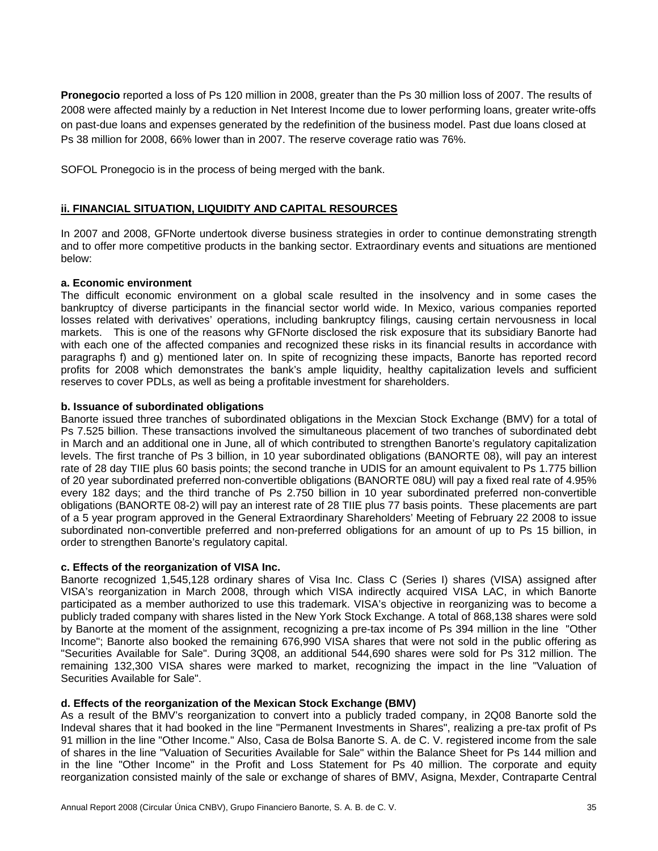**Pronegocio** reported a loss of Ps 120 million in 2008, greater than the Ps 30 million loss of 2007. The results of 2008 were affected mainly by a reduction in Net Interest Income due to lower performing loans, greater write-offs on past-due loans and expenses generated by the redefinition of the business model. Past due loans closed at Ps 38 million for 2008, 66% lower than in 2007. The reserve coverage ratio was 76%.

SOFOL Pronegocio is in the process of being merged with the bank.

# **ii. FINANCIAL SITUATION, LIQUIDITY AND CAPITAL RESOURCES**

In 2007 and 2008, GFNorte undertook diverse business strategies in order to continue demonstrating strength and to offer more competitive products in the banking sector. Extraordinary events and situations are mentioned below:

#### **a. Economic environment**

The difficult economic environment on a global scale resulted in the insolvency and in some cases the bankruptcy of diverse participants in the financial sector world wide. In Mexico, various companies reported losses related with derivatives' operations, including bankruptcy filings, causing certain nervousness in local markets. This is one of the reasons why GFNorte disclosed the risk exposure that its subsidiary Banorte had with each one of the affected companies and recognized these risks in its financial results in accordance with paragraphs f) and g) mentioned later on. In spite of recognizing these impacts, Banorte has reported record profits for 2008 which demonstrates the bank's ample liquidity, healthy capitalization levels and sufficient reserves to cover PDLs, as well as being a profitable investment for shareholders.

# **b. Issuance of subordinated obligations**

Banorte issued three tranches of subordinated obligations in the Mexcian Stock Exchange (BMV) for a total of Ps 7.525 billion. These transactions involved the simultaneous placement of two tranches of subordinated debt in March and an additional one in June, all of which contributed to strengthen Banorte's regulatory capitalization levels. The first tranche of Ps 3 billion, in 10 year subordinated obligations (BANORTE 08), will pay an interest rate of 28 day TIIE plus 60 basis points; the second tranche in UDIS for an amount equivalent to Ps 1.775 billion of 20 year subordinated preferred non-convertible obligations (BANORTE 08U) will pay a fixed real rate of 4.95% every 182 days; and the third tranche of Ps 2.750 billion in 10 year subordinated preferred non-convertible obligations (BANORTE 08-2) will pay an interest rate of 28 TIIE plus 77 basis points. These placements are part of a 5 year program approved in the General Extraordinary Shareholders' Meeting of February 22 2008 to issue subordinated non-convertible preferred and non-preferred obligations for an amount of up to Ps 15 billion, in order to strengthen Banorte's regulatory capital.

#### **c. Effects of the reorganization of VISA Inc.**

Banorte recognized 1,545,128 ordinary shares of Visa Inc. Class C (Series I) shares (VISA) assigned after VISA's reorganization in March 2008, through which VISA indirectly acquired VISA LAC, in which Banorte participated as a member authorized to use this trademark. VISA's objective in reorganizing was to become a publicly traded company with shares listed in the New York Stock Exchange. A total of 868,138 shares were sold by Banorte at the moment of the assignment, recognizing a pre-tax income of Ps 394 million in the line "Other Income"; Banorte also booked the remaining 676,990 VISA shares that were not sold in the public offering as "Securities Available for Sale". During 3Q08, an additional 544,690 shares were sold for Ps 312 million. The remaining 132,300 VISA shares were marked to market, recognizing the impact in the line "Valuation of Securities Available for Sale".

# **d. Effects of the reorganization of the Mexican Stock Exchange (BMV)**

As a result of the BMV's reorganization to convert into a publicly traded company, in 2Q08 Banorte sold the Indeval shares that it had booked in the line "Permanent Investments in Shares", realizing a pre-tax profit of Ps 91 million in the line "Other Income." Also, Casa de Bolsa Banorte S. A. de C. V. registered income from the sale of shares in the line "Valuation of Securities Available for Sale" within the Balance Sheet for Ps 144 million and in the line "Other Income" in the Profit and Loss Statement for Ps 40 million. The corporate and equity reorganization consisted mainly of the sale or exchange of shares of BMV, Asigna, Mexder, Contraparte Central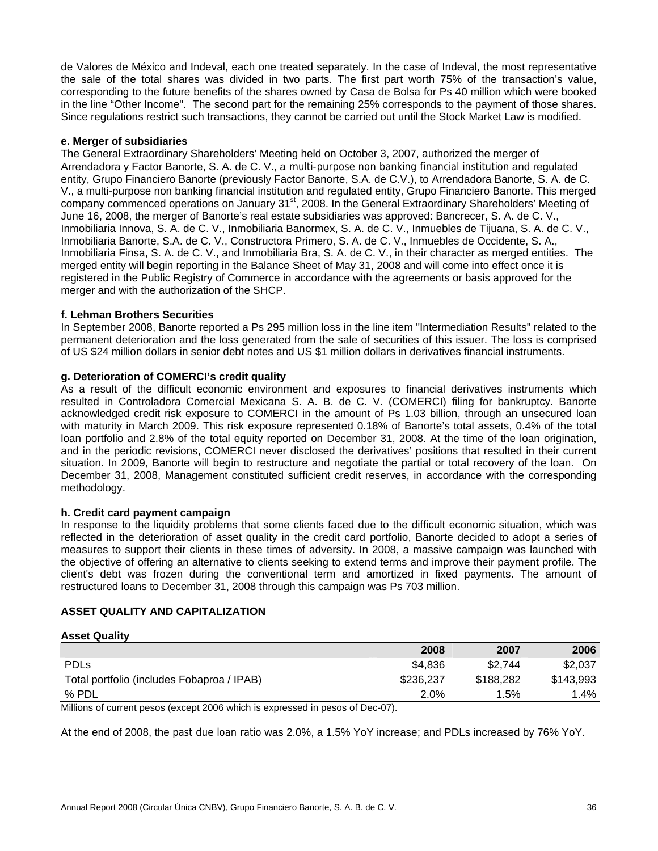de Valores de México and Indeval, each one treated separately. In the case of Indeval, the most representative the sale of the total shares was divided in two parts. The first part worth 75% of the transaction's value, corresponding to the future benefits of the shares owned by Casa de Bolsa for Ps 40 million which were booked in the line "Other Income". The second part for the remaining 25% corresponds to the payment of those shares. Since regulations restrict such transactions, they cannot be carried out until the Stock Market Law is modified.

#### **e. Merger of subsidiaries**

The General Extraordinary Shareholders' Meeting held on October 3, 2007, authorized the merger of Arrendadora y Factor Banorte, S. A. de C. V., a multi-purpose non banking financial institution and regulated entity, Grupo Financiero Banorte (previously Factor Banorte, S.A. de C.V.), to Arrendadora Banorte, S. A. de C. V., a multi-purpose non banking financial institution and regulated entity, Grupo Financiero Banorte. This merged company commenced operations on January 31<sup>st</sup>, 2008. In the General Extraordinary Shareholders' Meeting of June 16, 2008, the merger of Banorte's real estate subsidiaries was approved: Bancrecer, S. A. de C. V., Inmobiliaria Innova, S. A. de C. V., Inmobiliaria Banormex, S. A. de C. V., Inmuebles de Tijuana, S. A. de C. V., Inmobiliaria Banorte, S.A. de C. V., Constructora Primero, S. A. de C. V., Inmuebles de Occidente, S. A., Inmobiliaria Finsa, S. A. de C. V., and Inmobiliaria Bra, S. A. de C. V., in their character as merged entities. The merged entity will begin reporting in the Balance Sheet of May 31, 2008 and will come into effect once it is registered in the Public Registry of Commerce in accordance with the agreements or basis approved for the merger and with the authorization of the SHCP.

#### **f. Lehman Brothers Securities**

In September 2008, Banorte reported a Ps 295 million loss in the line item "Intermediation Results" related to the permanent deterioration and the loss generated from the sale of securities of this issuer. The loss is comprised of US \$24 million dollars in senior debt notes and US \$1 million dollars in derivatives financial instruments.

#### **g. Deterioration of COMERCI's credit quality**

As a result of the difficult economic environment and exposures to financial derivatives instruments which resulted in Controladora Comercial Mexicana S. A. B. de C. V. (COMERCI) filing for bankruptcy. Banorte acknowledged credit risk exposure to COMERCI in the amount of Ps 1.03 billion, through an unsecured loan with maturity in March 2009. This risk exposure represented 0.18% of Banorte's total assets, 0.4% of the total loan portfolio and 2.8% of the total equity reported on December 31, 2008. At the time of the loan origination, and in the periodic revisions, COMERCI never disclosed the derivatives' positions that resulted in their current situation. In 2009, Banorte will begin to restructure and negotiate the partial or total recovery of the loan. On December 31, 2008, Management constituted sufficient credit reserves, in accordance with the corresponding methodology.

#### **h. Credit card payment campaign**

In response to the liquidity problems that some clients faced due to the difficult economic situation, which was reflected in the deterioration of asset quality in the credit card portfolio, Banorte decided to adopt a series of measures to support their clients in these times of adversity. In 2008, a massive campaign was launched with the objective of offering an alternative to clients seeking to extend terms and improve their payment profile. The client's debt was frozen during the conventional term and amortized in fixed payments. The amount of restructured loans to December 31, 2008 through this campaign was Ps 703 million.

#### **ASSET QUALITY AND CAPITALIZATION**

#### **Asset Quality**

|                                            | 2008                 | 2007      | 2006      |
|--------------------------------------------|----------------------|-----------|-----------|
| <b>PDLs</b>                                | \$4.836              | \$2,744   | \$2,037   |
| Total portfolio (includes Fobaproa / IPAB) | \$236,237            | \$188,282 | \$143.993 |
| % PDL                                      | 2.0%                 | $1.5\%$   | 1.4%      |
| $- - - - - -$<br>-----                     | $\sim$ $\sim$<br>$-$ |           |           |

Millions of current pesos (except 2006 which is expressed in pesos of Dec-07).

At the end of 2008, the past due loan ratio was 2.0%, a 1.5% YoY increase; and PDLs increased by 76% YoY.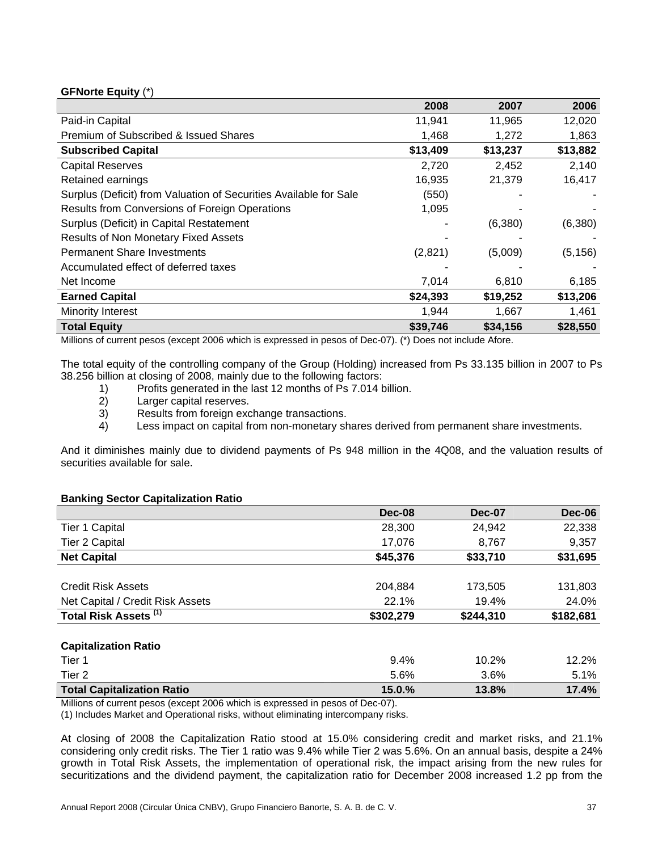# **GFNorte Equity** (\*)

|                                                                   | 2008     | 2007     | 2006     |
|-------------------------------------------------------------------|----------|----------|----------|
| Paid-in Capital                                                   | 11,941   | 11,965   | 12,020   |
| Premium of Subscribed & Issued Shares                             | 1,468    | 1,272    | 1,863    |
| <b>Subscribed Capital</b>                                         | \$13,409 | \$13,237 | \$13,882 |
| <b>Capital Reserves</b>                                           | 2,720    | 2,452    | 2,140    |
| Retained earnings                                                 | 16,935   | 21,379   | 16,417   |
| Surplus (Deficit) from Valuation of Securities Available for Sale | (550)    |          |          |
| Results from Conversions of Foreign Operations                    | 1,095    |          |          |
| Surplus (Deficit) in Capital Restatement                          |          | (6,380)  | (6,380)  |
| <b>Results of Non Monetary Fixed Assets</b>                       |          |          |          |
| <b>Permanent Share Investments</b>                                | (2,821)  | (5,009)  | (5, 156) |
| Accumulated effect of deferred taxes                              |          |          |          |
| Net Income                                                        | 7,014    | 6,810    | 6,185    |
| <b>Earned Capital</b>                                             | \$24,393 | \$19,252 | \$13,206 |
| Minority Interest                                                 | 1,944    | 1,667    | 1,461    |
| <b>Total Equity</b>                                               | \$39,746 | \$34,156 | \$28,550 |

Millions of current pesos (except 2006 which is expressed in pesos of Dec-07). (\*) Does not include Afore.

The total equity of the controlling company of the Group (Holding) increased from Ps 33.135 billion in 2007 to Ps 38.256 billion at closing of 2008, mainly due to the following factors:

- 1) Profits generated in the last 12 months of Ps 7.014 billion.
- 2) Larger capital reserves.
- 3) Results from foreign exchange transactions.
- 4) Less impact on capital from non-monetary shares derived from permanent share investments.

And it diminishes mainly due to dividend payments of Ps 948 million in the 4Q08, and the valuation results of securities available for sale.

# **Banking Sector Capitalization Ratio**

|                                   | Dec-08    | <b>Dec-07</b> | <b>Dec-06</b> |
|-----------------------------------|-----------|---------------|---------------|
| Tier 1 Capital                    | 28,300    | 24,942        | 22,338        |
| <b>Tier 2 Capital</b>             | 17,076    | 8,767         | 9,357         |
| <b>Net Capital</b>                | \$45,376  | \$33,710      | \$31,695      |
|                                   |           |               |               |
| <b>Credit Risk Assets</b>         | 204,884   | 173.505       | 131,803       |
| Net Capital / Credit Risk Assets  | 22.1%     | 19.4%         | 24.0%         |
| Total Risk Assets <sup>(1)</sup>  | \$302,279 | \$244,310     | \$182,681     |
| <b>Capitalization Ratio</b>       |           |               |               |
| Tier 1                            | 9.4%      | 10.2%         | 12.2%         |
| Tier 2                            | 5.6%      | 3.6%          | 5.1%          |
| <b>Total Capitalization Ratio</b> | 15.0.%    | 13.8%         | 17.4%         |

Millions of current pesos (except 2006 which is expressed in pesos of Dec-07).

(1) Includes Market and Operational risks, without eliminating intercompany risks.

At closing of 2008 the Capitalization Ratio stood at 15.0% considering credit and market risks, and 21.1% considering only credit risks. The Tier 1 ratio was 9.4% while Tier 2 was 5.6%. On an annual basis, despite a 24% growth in Total Risk Assets, the implementation of operational risk, the impact arising from the new rules for securitizations and the dividend payment, the capitalization ratio for December 2008 increased 1.2 pp from the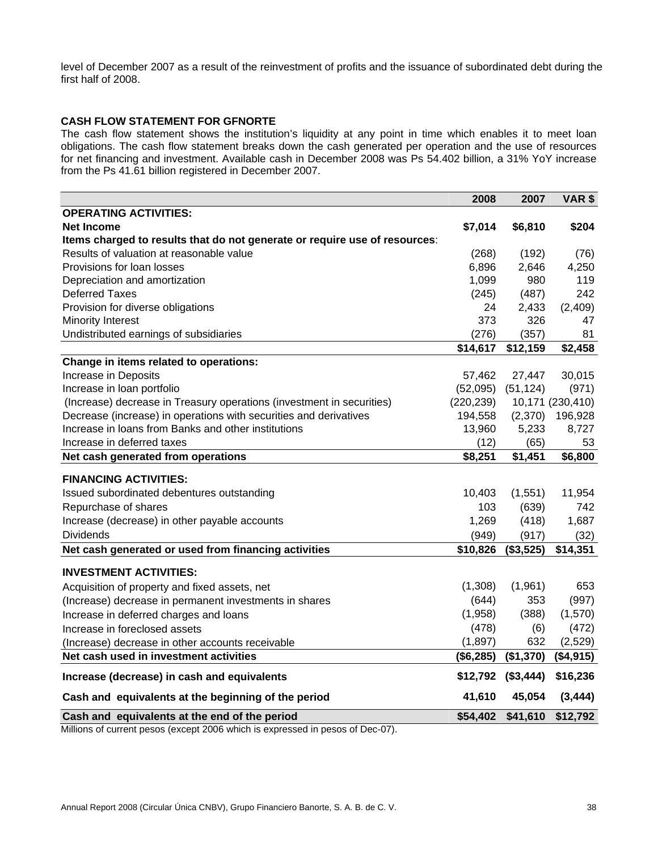level of December 2007 as a result of the reinvestment of profits and the issuance of subordinated debt during the first half of 2008.

# **CASH FLOW STATEMENT FOR GFNORTE**

The cash flow statement shows the institution's liquidity at any point in time which enables it to meet loan obligations. The cash flow statement breaks down the cash generated per operation and the use of resources for net financing and investment. Available cash in December 2008 was Ps 54.402 billion, a 31% YoY increase from the Ps 41.61 billion registered in December 2007.

|                                                                            | 2008       | 2007      | VAR \$           |
|----------------------------------------------------------------------------|------------|-----------|------------------|
| <b>OPERATING ACTIVITIES:</b>                                               |            |           |                  |
| <b>Net Income</b>                                                          | \$7,014    | \$6,810   | \$204            |
| Items charged to results that do not generate or require use of resources: |            |           |                  |
| Results of valuation at reasonable value                                   | (268)      | (192)     | (76)             |
| Provisions for loan losses                                                 | 6,896      | 2,646     | 4,250            |
| Depreciation and amortization                                              | 1,099      | 980       | 119              |
| <b>Deferred Taxes</b>                                                      | (245)      | (487)     | 242              |
| Provision for diverse obligations                                          | 24         | 2,433     | (2,409)          |
| <b>Minority Interest</b>                                                   | 373        | 326       | 47               |
| Undistributed earnings of subsidiaries                                     | (276)      | (357)     | 81               |
|                                                                            | \$14,617   | \$12,159  | \$2,458          |
| Change in items related to operations:                                     |            |           |                  |
| Increase in Deposits                                                       | 57,462     | 27,447    | 30,015           |
| Increase in loan portfolio                                                 | (52,095)   | (51, 124) | (971)            |
| (Increase) decrease in Treasury operations (investment in securities)      | (220, 239) |           | 10,171 (230,410) |
| Decrease (increase) in operations with securities and derivatives          | 194,558    | (2,370)   | 196,928          |
| Increase in Ioans from Banks and other institutions                        | 13,960     | 5,233     | 8,727            |
| Increase in deferred taxes                                                 | (12)       | (65)      | 53               |
| Net cash generated from operations                                         | \$8,251    | \$1,451   | \$6,800          |
| <b>FINANCING ACTIVITIES:</b>                                               |            |           |                  |
| Issued subordinated debentures outstanding                                 | 10,403     | (1,551)   | 11,954           |
| Repurchase of shares                                                       | 103        | (639)     | 742              |
| Increase (decrease) in other payable accounts                              | 1,269      | (418)     | 1,687            |
| <b>Dividends</b>                                                           | (949)      | (917)     | (32)             |
| Net cash generated or used from financing activities                       | \$10,826   | (\$3,525) | \$14,351         |
| <b>INVESTMENT ACTIVITIES:</b>                                              |            |           |                  |
| Acquisition of property and fixed assets, net                              | (1,308)    | (1,961)   | 653              |
| (Increase) decrease in permanent investments in shares                     | (644)      | 353       | (997)            |
| Increase in deferred charges and loans                                     | (1,958)    | (388)     | (1,570)          |
| Increase in foreclosed assets                                              | (478)      | (6)       | (472)            |
| (Increase) decrease in other accounts receivable                           | (1,897)    | 632       | (2,529)          |
| Net cash used in investment activities                                     | (\$6,285)  | (\$1,370) | (\$4,915)        |
| Increase (decrease) in cash and equivalents                                | \$12,792   | (\$3,444) | \$16,236         |
| Cash and equivalents at the beginning of the period                        | 41,610     | 45,054    | (3, 444)         |
| Cash and equivalents at the end of the period                              | \$54,402   | \$41,610  | \$12,792         |

Millions of current pesos (except 2006 which is expressed in pesos of Dec-07).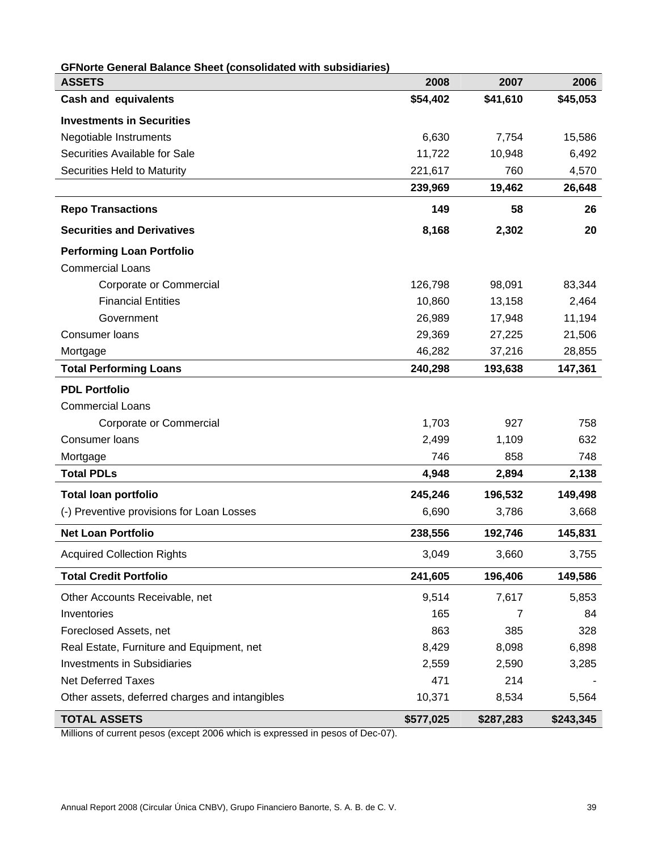| <b>GFNorte General Balance Sheet (consolidated with subsidiaries)</b><br><b>ASSETS</b> | 2008      | 2007      | 2006      |
|----------------------------------------------------------------------------------------|-----------|-----------|-----------|
| <b>Cash and equivalents</b>                                                            | \$54,402  | \$41,610  | \$45,053  |
|                                                                                        |           |           |           |
| <b>Investments in Securities</b>                                                       |           |           |           |
| Negotiable Instruments                                                                 | 6,630     | 7,754     | 15,586    |
| Securities Available for Sale                                                          | 11,722    | 10,948    | 6,492     |
| Securities Held to Maturity                                                            | 221,617   | 760       | 4,570     |
|                                                                                        | 239,969   | 19,462    | 26,648    |
| <b>Repo Transactions</b>                                                               | 149       | 58        | 26        |
| <b>Securities and Derivatives</b>                                                      | 8,168     | 2,302     | 20        |
| <b>Performing Loan Portfolio</b>                                                       |           |           |           |
| <b>Commercial Loans</b>                                                                |           |           |           |
| Corporate or Commercial                                                                | 126,798   | 98,091    | 83,344    |
| <b>Financial Entities</b>                                                              | 10,860    | 13,158    | 2,464     |
| Government                                                                             | 26,989    | 17,948    | 11,194    |
| <b>Consumer loans</b>                                                                  | 29,369    | 27,225    | 21,506    |
| Mortgage                                                                               | 46,282    | 37,216    | 28,855    |
| <b>Total Performing Loans</b>                                                          | 240,298   | 193,638   | 147,361   |
| <b>PDL Portfolio</b>                                                                   |           |           |           |
| <b>Commercial Loans</b>                                                                |           |           |           |
| Corporate or Commercial                                                                | 1,703     | 927       | 758       |
| Consumer loans                                                                         | 2,499     | 1,109     | 632       |
| Mortgage                                                                               | 746       | 858       | 748       |
| <b>Total PDLs</b>                                                                      | 4,948     | 2,894     | 2,138     |
| <b>Total loan portfolio</b>                                                            | 245,246   | 196,532   | 149,498   |
| (-) Preventive provisions for Loan Losses                                              | 6,690     | 3,786     | 3,668     |
| <b>Net Loan Portfolio</b>                                                              | 238,556   | 192,746   | 145,831   |
| <b>Acquired Collection Rights</b>                                                      | 3,049     | 3,660     | 3,755     |
| <b>Total Credit Portfolio</b>                                                          | 241,605   | 196,406   | 149,586   |
| Other Accounts Receivable, net                                                         | 9,514     | 7,617     | 5,853     |
| Inventories                                                                            | 165       | 7         | 84        |
| Foreclosed Assets, net                                                                 | 863       | 385       | 328       |
| Real Estate, Furniture and Equipment, net                                              | 8,429     | 8,098     | 6,898     |
| <b>Investments in Subsidiaries</b>                                                     | 2,559     | 2,590     | 3,285     |
| <b>Net Deferred Taxes</b>                                                              | 471       | 214       |           |
| Other assets, deferred charges and intangibles                                         | 10,371    | 8,534     | 5,564     |
| <b>TOTAL ASSETS</b>                                                                    | \$577,025 | \$287,283 | \$243,345 |

Millions of current pesos (except 2006 which is expressed in pesos of Dec-07).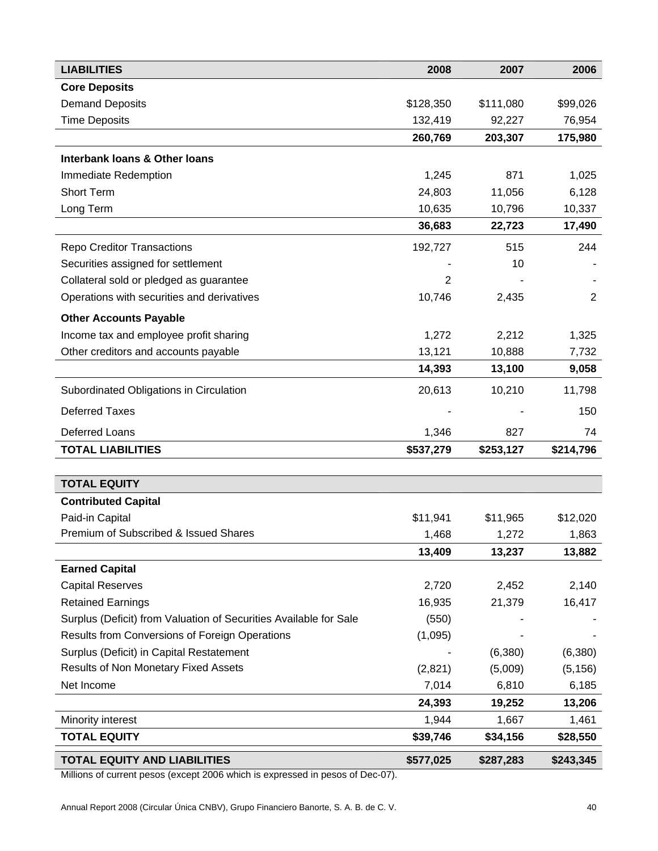| <b>LIABILITIES</b>                                                | 2008      | 2007      | 2006           |
|-------------------------------------------------------------------|-----------|-----------|----------------|
| <b>Core Deposits</b>                                              |           |           |                |
| <b>Demand Deposits</b>                                            | \$128,350 | \$111,080 | \$99,026       |
| <b>Time Deposits</b>                                              | 132,419   | 92,227    | 76,954         |
|                                                                   | 260,769   | 203,307   | 175,980        |
| <b>Interbank loans &amp; Other loans</b>                          |           |           |                |
| Immediate Redemption                                              | 1,245     | 871       | 1,025          |
| Short Term                                                        | 24,803    | 11,056    | 6,128          |
| Long Term                                                         | 10,635    | 10,796    | 10,337         |
|                                                                   | 36,683    | 22,723    | 17,490         |
| <b>Repo Creditor Transactions</b>                                 | 192,727   | 515       | 244            |
| Securities assigned for settlement                                |           | 10        |                |
| Collateral sold or pledged as guarantee                           | 2         |           |                |
| Operations with securities and derivatives                        | 10,746    | 2,435     | $\overline{2}$ |
| <b>Other Accounts Payable</b>                                     |           |           |                |
| Income tax and employee profit sharing                            | 1,272     | 2,212     | 1,325          |
| Other creditors and accounts payable                              | 13,121    | 10,888    | 7,732          |
|                                                                   | 14,393    | 13,100    | 9,058          |
| Subordinated Obligations in Circulation                           | 20,613    | 10,210    | 11,798         |
| <b>Deferred Taxes</b>                                             |           |           | 150            |
| <b>Deferred Loans</b>                                             | 1,346     | 827       | 74             |
| <b>TOTAL LIABILITIES</b>                                          | \$537,279 | \$253,127 | \$214,796      |
|                                                                   |           |           |                |
| <b>TOTAL EQUITY</b>                                               |           |           |                |
| <b>Contributed Capital</b>                                        |           |           |                |
| Paid-in Capital                                                   | \$11,941  | \$11,965  | \$12,020       |
| Premium of Subscribed & Issued Shares                             | 1,468     | 1,272     | 1,863          |
|                                                                   | 13,409    | 13,237    | 13,882         |
| <b>Earned Capital</b>                                             |           |           |                |
| <b>Capital Reserves</b>                                           | 2,720     | 2,452     | 2,140          |
| <b>Retained Earnings</b>                                          | 16,935    | 21,379    | 16,417         |
| Surplus (Deficit) from Valuation of Securities Available for Sale | (550)     |           |                |
| Results from Conversions of Foreign Operations                    | (1,095)   |           |                |
| Surplus (Deficit) in Capital Restatement                          |           | (6, 380)  | (6,380)        |
| Results of Non Monetary Fixed Assets                              | (2,821)   | (5,009)   | (5, 156)       |
| Net Income                                                        | 7,014     | 6,810     | 6,185          |
|                                                                   | 24,393    | 19,252    | 13,206         |
| Minority interest                                                 | 1,944     | 1,667     | 1,461          |
| <b>TOTAL EQUITY</b>                                               | \$39,746  | \$34,156  | \$28,550       |
| <b>TOTAL EQUITY AND LIABILITIES</b>                               | \$577,025 | \$287,283 | \$243,345      |

Millions of current pesos (except 2006 which is expressed in pesos of Dec-07).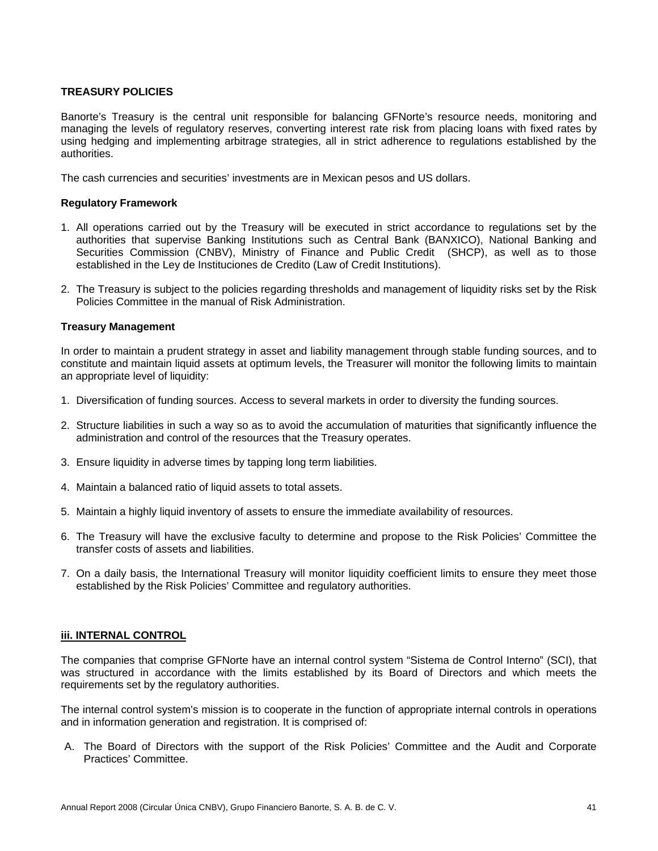# **TREASURY POLICIES**

Banorte's Treasury is the central unit responsible for balancing GFNorte's resource needs, monitoring and managing the levels of regulatory reserves, converting interest rate risk from placing loans with fixed rates by using hedging and implementing arbitrage strategies, all in strict adherence to regulations established by the authorities.

The cash currencies and securities' investments are in Mexican pesos and US dollars.

# **Regulatory Framework**

- 1. All operations carried out by the Treasury will be executed in strict accordance to regulations set by the authorities that supervise Banking Institutions such as Central Bank (BANXICO), National Banking and Securities Commission (CNBV), Ministry of Finance and Public Credit (SHCP), as well as to those established in the Ley de Instituciones de Credito (Law of Credit Institutions).
- 2. The Treasury is subject to the policies regarding thresholds and management of liquidity risks set by the Risk Policies Committee in the manual of Risk Administration.

### **Treasury Management**

In order to maintain a prudent strategy in asset and liability management through stable funding sources, and to constitute and maintain liquid assets at optimum levels, the Treasurer will monitor the following limits to maintain an appropriate level of liquidity:

- 1. Diversification of funding sources. Access to several markets in order to diversity the funding sources.
- 2. Structure liabilities in such a way so as to avoid the accumulation of maturities that significantly influence the administration and control of the resources that the Treasury operates.
- 3. Ensure liquidity in adverse times by tapping long term liabilities.
- 4. Maintain a balanced ratio of liquid assets to total assets.
- 5. Maintain a highly liquid inventory of assets to ensure the immediate availability of resources.
- 6. The Treasury will have the exclusive faculty to determine and propose to the Risk Policies' Committee the transfer costs of assets and liabilities.
- 7. On a daily basis, the International Treasury will monitor liquidity coefficient limits to ensure they meet those established by the Risk Policies' Committee and regulatory authorities.

# **iii. INTERNAL CONTROL**

The companies that comprise GFNorte have an internal control system "Sistema de Control Interno" (SCI), that was structured in accordance with the limits established by its Board of Directors and which meets the requirements set by the regulatory authorities.

The internal control system's mission is to cooperate in the function of appropriate internal controls in operations and in information generation and registration. It is comprised of:

A. The Board of Directors with the support of the Risk Policies' Committee and the Audit and Corporate Practices' Committee.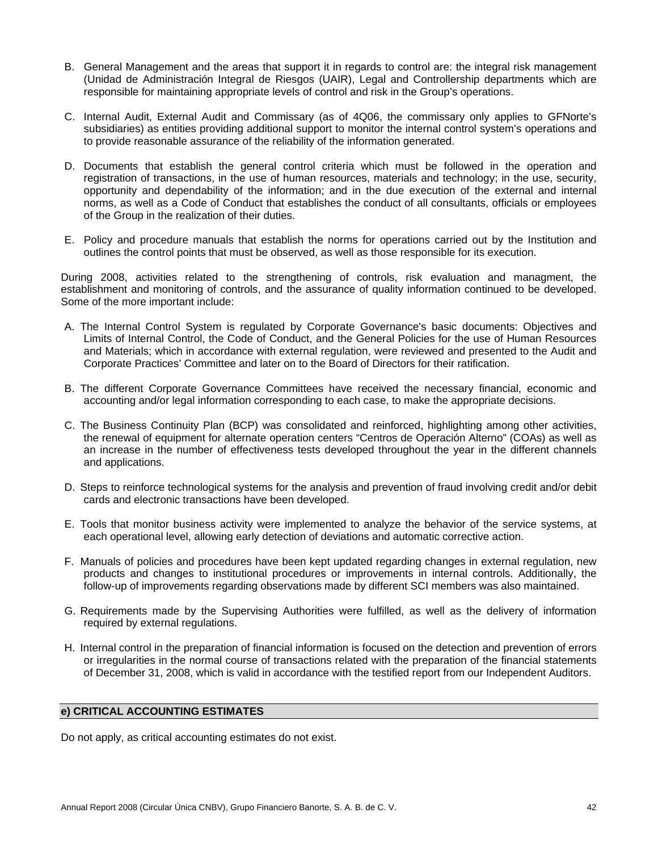- B. General Management and the areas that support it in regards to control are: the integral risk management (Unidad de Administración Integral de Riesgos (UAIR), Legal and Controllership departments which are responsible for maintaining appropriate levels of control and risk in the Group's operations.
- C. Internal Audit, External Audit and Commissary (as of 4Q06, the commissary only applies to GFNorte's subsidiaries) as entities providing additional support to monitor the internal control system's operations and to provide reasonable assurance of the reliability of the information generated.
- D. Documents that establish the general control criteria which must be followed in the operation and registration of transactions, in the use of human resources, materials and technology; in the use, security, opportunity and dependability of the information; and in the due execution of the external and internal norms, as well as a Code of Conduct that establishes the conduct of all consultants, officials or employees of the Group in the realization of their duties.
- E. Policy and procedure manuals that establish the norms for operations carried out by the Institution and outlines the control points that must be observed, as well as those responsible for its execution.

During 2008, activities related to the strengthening of controls, risk evaluation and managment, the establishment and monitoring of controls, and the assurance of quality information continued to be developed. Some of the more important include:

- A. The Internal Control System is regulated by Corporate Governance's basic documents: Objectives and Limits of Internal Control, the Code of Conduct, and the General Policies for the use of Human Resources and Materials; which in accordance with external regulation, were reviewed and presented to the Audit and Corporate Practices' Committee and later on to the Board of Directors for their ratification.
- B. The different Corporate Governance Committees have received the necessary financial, economic and accounting and/or legal information corresponding to each case, to make the appropriate decisions.
- C. The Business Continuity Plan (BCP) was consolidated and reinforced, highlighting among other activities, the renewal of equipment for alternate operation centers "Centros de Operación Alterno" (COAs) as well as an increase in the number of effectiveness tests developed throughout the year in the different channels and applications.
- D. Steps to reinforce technological systems for the analysis and prevention of fraud involving credit and/or debit cards and electronic transactions have been developed.
- E. Tools that monitor business activity were implemented to analyze the behavior of the service systems, at each operational level, allowing early detection of deviations and automatic corrective action.
- F. Manuals of policies and procedures have been kept updated regarding changes in external regulation, new products and changes to institutional procedures or improvements in internal controls. Additionally, the follow-up of improvements regarding observations made by different SCI members was also maintained.
- G. Requirements made by the Supervising Authorities were fulfilled, as well as the delivery of information required by external regulations.
- H. Internal control in the preparation of financial information is focused on the detection and prevention of errors or irregularities in the normal course of transactions related with the preparation of the financial statements of December 31, 2008, which is valid in accordance with the testified report from our Independent Auditors.

# **e) CRITICAL ACCOUNTING ESTIMATES**

Do not apply, as critical accounting estimates do not exist.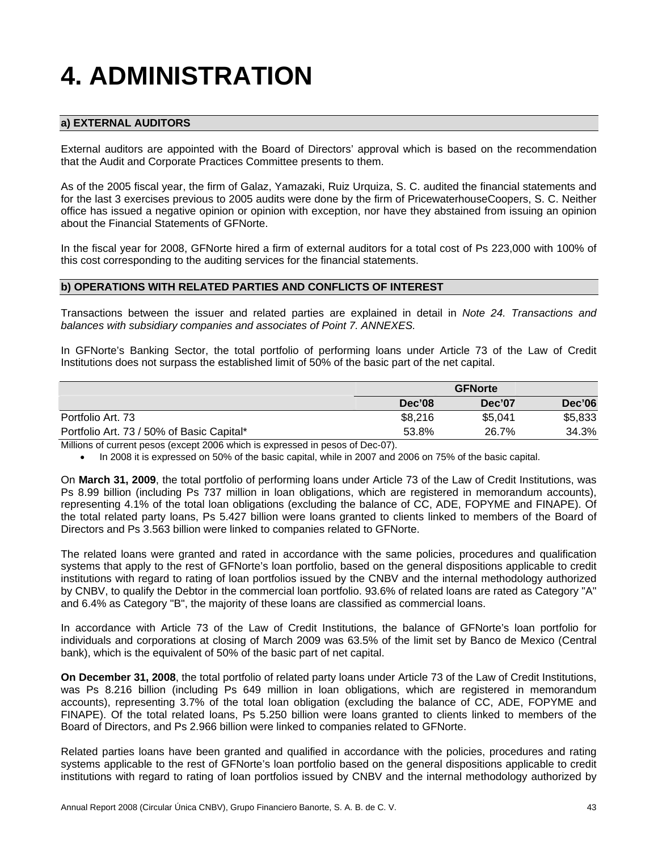# **4. ADMINISTRATION**

# **a) EXTERNAL AUDITORS**

External auditors are appointed with the Board of Directors' approval which is based on the recommendation that the Audit and Corporate Practices Committee presents to them.

As of the 2005 fiscal year, the firm of Galaz, Yamazaki, Ruiz Urquiza, S. C. audited the financial statements and for the last 3 exercises previous to 2005 audits were done by the firm of PricewaterhouseCoopers, S. C. Neither office has issued a negative opinion or opinion with exception, nor have they abstained from issuing an opinion about the Financial Statements of GFNorte.

In the fiscal year for 2008, GFNorte hired a firm of external auditors for a total cost of Ps 223,000 with 100% of this cost corresponding to the auditing services for the financial statements.

## **b) OPERATIONS WITH RELATED PARTIES AND CONFLICTS OF INTEREST**

Transactions between the issuer and related parties are explained in detail in *Note 24. Transactions and balances with subsidiary companies and associates of Point 7. ANNEXES.* 

In GFNorte's Banking Sector, the total portfolio of performing loans under Article 73 of the Law of Credit Institutions does not surpass the established limit of 50% of the basic part of the net capital.

|                                           | <b>GFNorte</b> |         |               |  |
|-------------------------------------------|----------------|---------|---------------|--|
|                                           | Dec'08         | Dec'07  | <b>Dec'06</b> |  |
| Portfolio Art. 73                         | \$8,216        | \$5,041 | \$5,833       |  |
| Portfolio Art. 73 / 50% of Basic Capital* | 53.8%          | 26.7%   | 34.3%         |  |

Millions of current pesos (except 2006 which is expressed in pesos of Dec-07).

• In 2008 it is expressed on 50% of the basic capital, while in 2007 and 2006 on 75% of the basic capital.

On **March 31, 2009**, the total portfolio of performing loans under Article 73 of the Law of Credit Institutions, was Ps 8.99 billion (including Ps 737 million in loan obligations, which are registered in memorandum accounts), representing 4.1% of the total loan obligations (excluding the balance of CC, ADE, FOPYME and FINAPE). Of the total related party loans, Ps 5.427 billion were loans granted to clients linked to members of the Board of Directors and Ps 3.563 billion were linked to companies related to GFNorte.

The related loans were granted and rated in accordance with the same policies, procedures and qualification systems that apply to the rest of GFNorte's loan portfolio, based on the general dispositions applicable to credit institutions with regard to rating of loan portfolios issued by the CNBV and the internal methodology authorized by CNBV, to qualify the Debtor in the commercial loan portfolio. 93.6% of related loans are rated as Category "A" and 6.4% as Category "B", the majority of these loans are classified as commercial loans.

In accordance with Article 73 of the Law of Credit Institutions, the balance of GFNorte's loan portfolio for individuals and corporations at closing of March 2009 was 63.5% of the limit set by Banco de Mexico (Central bank), which is the equivalent of 50% of the basic part of net capital.

**On December 31, 2008**, the total portfolio of related party loans under Article 73 of the Law of Credit Institutions, was Ps 8.216 billion (including Ps 649 million in loan obligations, which are registered in memorandum accounts), representing 3.7% of the total loan obligation (excluding the balance of CC, ADE, FOPYME and FINAPE). Of the total related loans, Ps 5.250 billion were loans granted to clients linked to members of the Board of Directors, and Ps 2.966 billion were linked to companies related to GFNorte.

Related parties loans have been granted and qualified in accordance with the policies, procedures and rating systems applicable to the rest of GFNorte's loan portfolio based on the general dispositions applicable to credit institutions with regard to rating of loan portfolios issued by CNBV and the internal methodology authorized by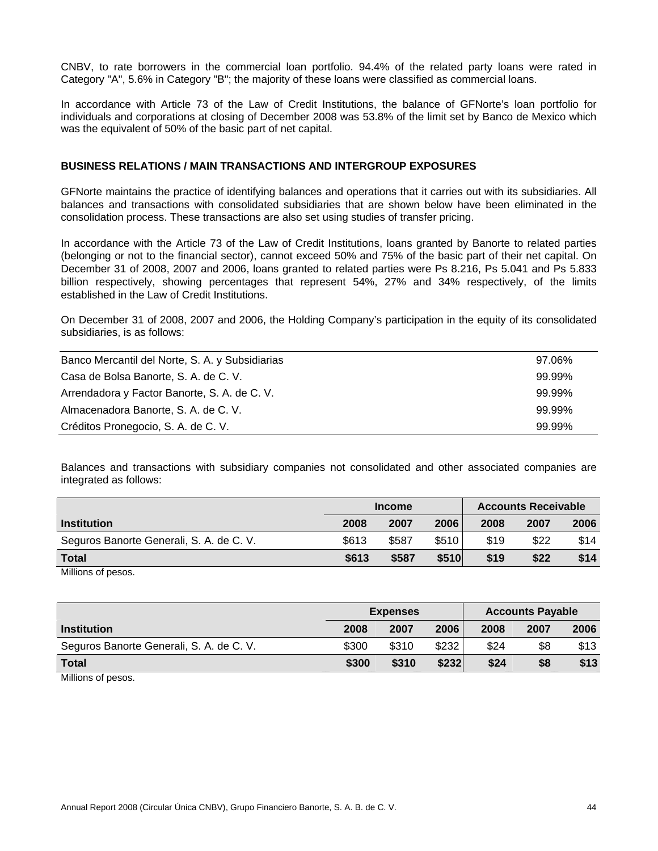CNBV, to rate borrowers in the commercial loan portfolio. 94.4% of the related party loans were rated in Category "A", 5.6% in Category "B"; the majority of these loans were classified as commercial loans.

In accordance with Article 73 of the Law of Credit Institutions, the balance of GFNorte's loan portfolio for individuals and corporations at closing of December 2008 was 53.8% of the limit set by Banco de Mexico which was the equivalent of 50% of the basic part of net capital.

## **BUSINESS RELATIONS / MAIN TRANSACTIONS AND INTERGROUP EXPOSURES**

GFNorte maintains the practice of identifying balances and operations that it carries out with its subsidiaries. All balances and transactions with consolidated subsidiaries that are shown below have been eliminated in the consolidation process. These transactions are also set using studies of transfer pricing.

In accordance with the Article 73 of the Law of Credit Institutions, loans granted by Banorte to related parties (belonging or not to the financial sector), cannot exceed 50% and 75% of the basic part of their net capital. On December 31 of 2008, 2007 and 2006, loans granted to related parties were Ps 8.216, Ps 5.041 and Ps 5.833 billion respectively, showing percentages that represent 54%, 27% and 34% respectively, of the limits established in the Law of Credit Institutions.

On December 31 of 2008, 2007 and 2006, the Holding Company's participation in the equity of its consolidated subsidiaries, is as follows:

| Banco Mercantil del Norte, S. A. y Subsidiarias | 97.06% |
|-------------------------------------------------|--------|
| Casa de Bolsa Banorte, S. A. de C. V.           | 99.99% |
| Arrendadora y Factor Banorte, S. A. de C. V.    | 99.99% |
| Almacenadora Banorte, S. A. de C. V.            | 99.99% |
| Créditos Pronegocio, S. A. de C. V.             | 99.99% |

Balances and transactions with subsidiary companies not consolidated and other associated companies are integrated as follows:

|                                          |       | <b>Income</b> |              |      | <b>Accounts Receivable</b> |      |  |
|------------------------------------------|-------|---------------|--------------|------|----------------------------|------|--|
| <b>Institution</b>                       | 2008  | 2007          | 2006         | 2008 | 2007                       | 2006 |  |
| Seguros Banorte Generali, S. A. de C. V. | \$613 | \$587         | \$510        | \$19 | \$22                       | \$14 |  |
| <b>Total</b>                             | \$613 | \$587         | <b>\$510</b> | \$19 | \$22                       | \$14 |  |
| .                                        |       |               |              |      |                            |      |  |

Millions of pesos.

|                                          | <b>Expenses</b> |       |       | <b>Accounts Payable</b> |      |      |
|------------------------------------------|-----------------|-------|-------|-------------------------|------|------|
| <b>Institution</b>                       | 2008            | 2007  | 2006  | 2008                    | 2007 | 2006 |
| Seguros Banorte Generali, S. A. de C. V. | \$300           | \$310 | \$232 | \$24                    | \$8  | \$13 |
| <b>Total</b>                             | \$300           | \$310 | \$232 | \$24                    | \$8  | \$13 |
| Milliana of poops                        |                 |       |       |                         |      |      |

Millions of pesos.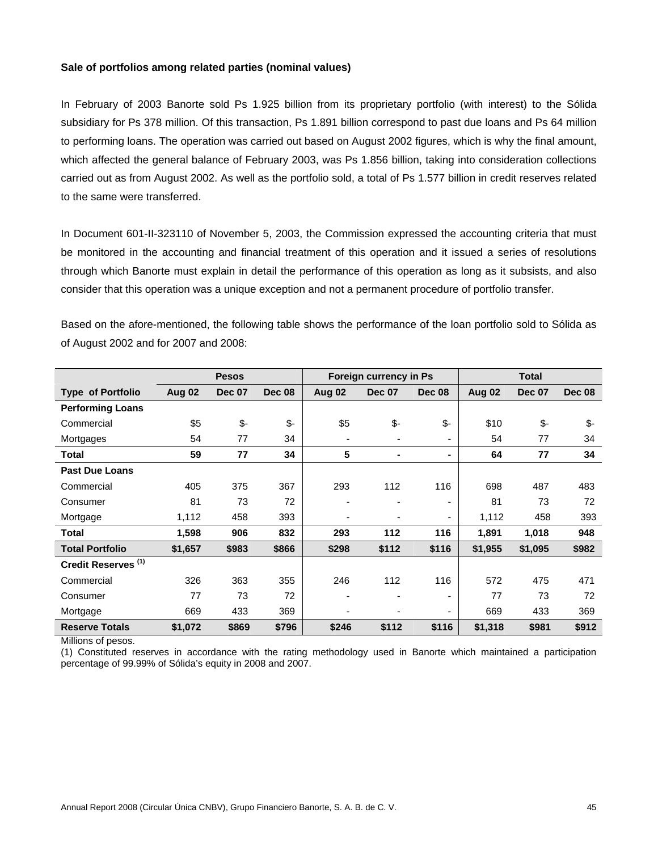## **Sale of portfolios among related parties (nominal values)**

In February of 2003 Banorte sold Ps 1.925 billion from its proprietary portfolio (with interest) to the Sólida subsidiary for Ps 378 million. Of this transaction, Ps 1.891 billion correspond to past due loans and Ps 64 million to performing loans. The operation was carried out based on August 2002 figures, which is why the final amount, which affected the general balance of February 2003, was Ps 1.856 billion, taking into consideration collections carried out as from August 2002. As well as the portfolio sold, a total of Ps 1.577 billion in credit reserves related to the same were transferred.

In Document 601-II-323110 of November 5, 2003, the Commission expressed the accounting criteria that must be monitored in the accounting and financial treatment of this operation and it issued a series of resolutions through which Banorte must explain in detail the performance of this operation as long as it subsists, and also consider that this operation was a unique exception and not a permanent procedure of portfolio transfer.

Based on the afore-mentioned, the following table shows the performance of the loan portfolio sold to Sólida as of August 2002 and for 2007 and 2008:

|                                |               | <b>Pesos</b>  |               |        | Foreign currency in Ps   |               |         | <b>Total</b>  |               |
|--------------------------------|---------------|---------------|---------------|--------|--------------------------|---------------|---------|---------------|---------------|
| <b>Type of Portfolio</b>       | <b>Aug 02</b> | <b>Dec 07</b> | <b>Dec 08</b> | Aug 02 | <b>Dec 07</b>            | <b>Dec 08</b> | Aug 02  | <b>Dec 07</b> | <b>Dec 08</b> |
| <b>Performing Loans</b>        |               |               |               |        |                          |               |         |               |               |
| Commercial                     | \$5           | $$-$          | $$-$          | \$5    | \$-                      | $$-$          | \$10    | \$-           | \$-           |
| Mortgages                      | 54            | 77            | 34            | ٠      | $\overline{\phantom{0}}$ |               | 54      | 77            | 34            |
| <b>Total</b>                   | 59            | 77            | 34            | 5      |                          |               | 64      | 77            | 34            |
| <b>Past Due Loans</b>          |               |               |               |        |                          |               |         |               |               |
| Commercial                     | 405           | 375           | 367           | 293    | 112                      | 116           | 698     | 487           | 483           |
| Consumer                       | 81            | 73            | 72            |        |                          |               | 81      | 73            | 72            |
| Mortgage                       | 1,112         | 458           | 393           |        |                          | ٠             | 1,112   | 458           | 393           |
| <b>Total</b>                   | 1,598         | 906           | 832           | 293    | 112                      | 116           | 1,891   | 1,018         | 948           |
| <b>Total Portfolio</b>         | \$1,657       | \$983         | \$866         | \$298  | \$112                    | \$116         | \$1,955 | \$1,095       | \$982         |
| Credit Reserves <sup>(1)</sup> |               |               |               |        |                          |               |         |               |               |
| Commercial                     | 326           | 363           | 355           | 246    | 112                      | 116           | 572     | 475           | 471           |
| Consumer                       | 77            | 73            | 72            |        |                          |               | 77      | 73            | 72            |
| Mortgage                       | 669           | 433           | 369           |        |                          |               | 669     | 433           | 369           |
| <b>Reserve Totals</b>          | \$1,072       | \$869         | \$796         | \$246  | \$112                    | \$116         | \$1,318 | \$981         | \$912         |

Millions of pesos.

(1) Constituted reserves in accordance with the rating methodology used in Banorte which maintained a participation percentage of 99.99% of Sólida's equity in 2008 and 2007.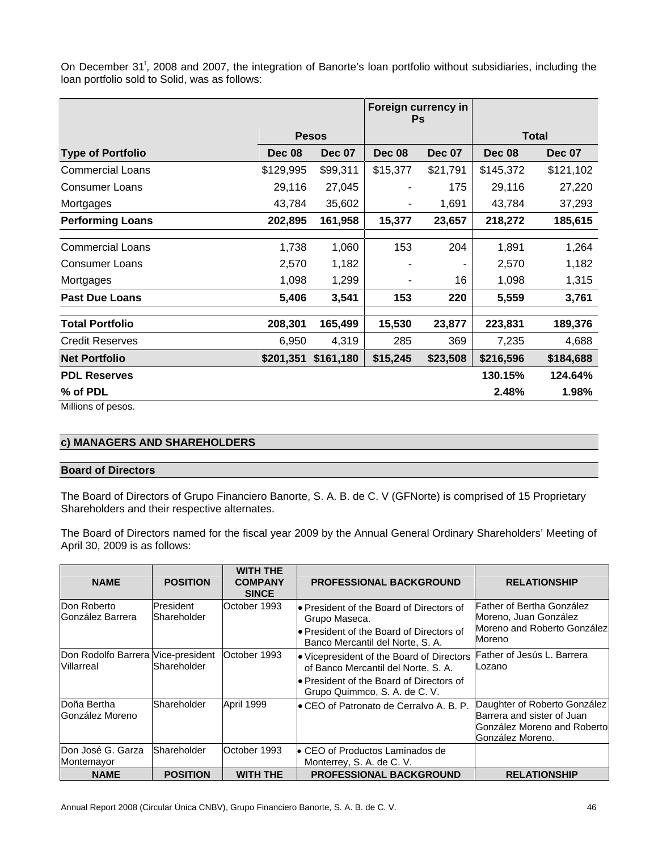On December 31<sup>t</sup>, 2008 and 2007, the integration of Banorte's loan portfolio without subsidiaries, including the loan portfolio sold to Solid, was as follows:

|                          |               |               | Foreign currency in<br><b>Ps</b> |               |               |               |
|--------------------------|---------------|---------------|----------------------------------|---------------|---------------|---------------|
|                          |               | <b>Pesos</b>  |                                  |               |               | <b>Total</b>  |
| <b>Type of Portfolio</b> | <b>Dec 08</b> | <b>Dec 07</b> | <b>Dec 08</b>                    | <b>Dec 07</b> | <b>Dec 08</b> | <b>Dec 07</b> |
| <b>Commercial Loans</b>  | \$129,995     | \$99,311      | \$15,377                         | \$21,791      | \$145,372     | \$121,102     |
| <b>Consumer Loans</b>    | 29,116        | 27,045        |                                  | 175           | 29,116        | 27,220        |
| Mortgages                | 43,784        | 35,602        | ٠                                | 1,691         | 43,784        | 37,293        |
| <b>Performing Loans</b>  | 202,895       | 161,958       | 15,377                           | 23,657        | 218,272       | 185,615       |
|                          |               |               |                                  |               |               |               |
| <b>Commercial Loans</b>  | 1,738         | 1,060         | 153                              | 204           | 1,891         | 1,264         |
| <b>Consumer Loans</b>    | 2,570         | 1,182         |                                  | ۰             | 2,570         | 1,182         |
| Mortgages                | 1,098         | 1,299         | ٠                                | 16            | 1,098         | 1,315         |
| <b>Past Due Loans</b>    | 5,406         | 3,541         | 153                              | 220           | 5,559         | 3,761         |
| <b>Total Portfolio</b>   | 208,301       | 165,499       | 15,530                           | 23,877        | 223,831       | 189,376       |
| <b>Credit Reserves</b>   | 6,950         | 4,319         | 285                              | 369           | 7,235         | 4,688         |
| <b>Net Portfolio</b>     | \$201,351     | \$161,180     | \$15,245                         | \$23,508      | \$216,596     | \$184,688     |
| <b>PDL Reserves</b>      |               |               |                                  |               | 130.15%       | 124.64%       |
| % of PDL                 |               |               |                                  |               | 2.48%         | 1.98%         |

Millions of pesos.

# **c) MANAGERS AND SHAREHOLDERS**

#### **Board of Directors**

The Board of Directors of Grupo Financiero Banorte, S. A. B. de C. V (GFNorte) is comprised of 15 Proprietary Shareholders and their respective alternates.

The Board of Directors named for the fiscal year 2009 by the Annual General Ordinary Shareholders' Meeting of April 30, 2009 is as follows:

| <b>NAME</b>                                             | <b>POSITION</b>           | <b>WITH THE</b><br><b>COMPANY</b><br><b>SINCE</b> | <b>PROFESSIONAL BACKGROUND</b>                                                                                                                                 | <b>RELATIONSHIP</b>                                                                                            |
|---------------------------------------------------------|---------------------------|---------------------------------------------------|----------------------------------------------------------------------------------------------------------------------------------------------------------------|----------------------------------------------------------------------------------------------------------------|
| Don Roberto<br><b>González Barrera</b>                  | President<br>lShareholder | October 1993                                      | l• President of the Board of Directors of<br>Grupo Maseca.<br>lo President of the Board of Directors of<br>Banco Mercantil del Norte, S. A.                    | Father of Bertha González<br>Moreno, Juan González<br>Moreno and Roberto González<br>Moreno                    |
| Don Rodolfo Barrera Vice-president<br><b>Villarreal</b> | Shareholder               | lOctober 1993                                     | • Vicepresident of the Board of Directors<br>of Banco Mercantil del Norte, S. A.<br>lo President of the Board of Directors of<br>Grupo Quimmco, S. A. de C. V. | Father of Jesús L. Barrera<br>Lozano                                                                           |
| Doña Bertha<br>González Moreno                          | Shareholder               | April 1999                                        | <b>E</b> CEO of Patronato de Cerralvo A. B. P.                                                                                                                 | Daughter of Roberto González<br>Barrera and sister of Juan<br>González Moreno and Robertol<br>González Moreno. |
| lDon José G. Garza<br>Montemayor                        | Shareholder               | October 1993                                      | • CEO of Productos Laminados de<br>Monterrey, S. A. de C. V.                                                                                                   |                                                                                                                |
| <b>NAME</b>                                             | <b>POSITION</b>           | <b>WITH THE</b>                                   | PROFESSIONAL BACKGROUND                                                                                                                                        | <b>RELATIONSHIP</b>                                                                                            |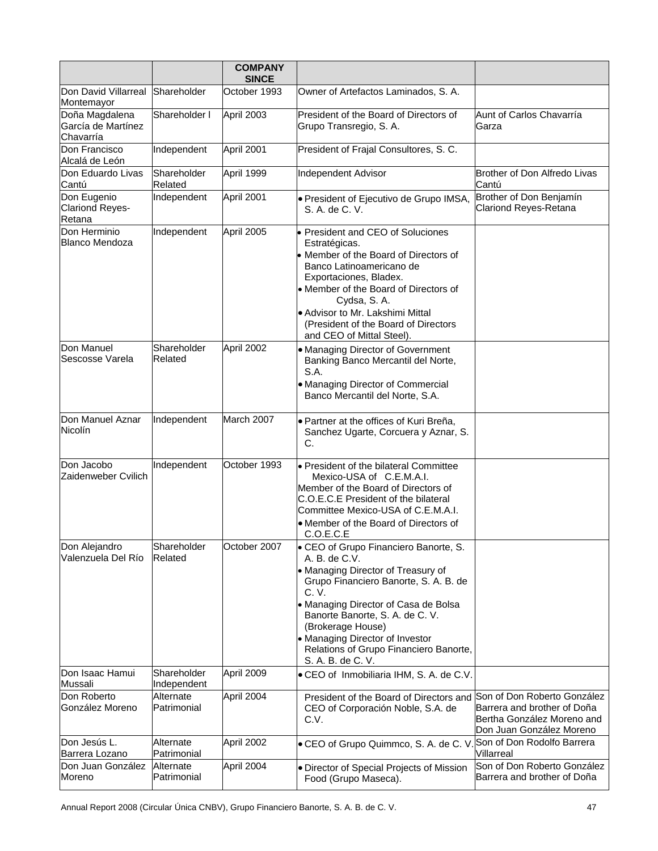|                                                   |                            | <b>COMPANY</b><br><b>SINCE</b> |                                                                                                                                                                                                                                                                                                                                                  |                                                                                       |
|---------------------------------------------------|----------------------------|--------------------------------|--------------------------------------------------------------------------------------------------------------------------------------------------------------------------------------------------------------------------------------------------------------------------------------------------------------------------------------------------|---------------------------------------------------------------------------------------|
| Don David Villarreal<br>Montemayor                | Shareholder                | October 1993                   | Owner of Artefactos Laminados, S. A.                                                                                                                                                                                                                                                                                                             |                                                                                       |
| Doña Magdalena<br>García de Martínez<br>Chavarría | Shareholder I              | April 2003                     | President of the Board of Directors of<br>Grupo Transregio, S. A.                                                                                                                                                                                                                                                                                | Aunt of Carlos Chavarría<br>Garza                                                     |
| Don Francisco<br>Alcalá de León                   | Independent                | April 2001                     | President of Frajal Consultores, S. C.                                                                                                                                                                                                                                                                                                           |                                                                                       |
| Don Eduardo Livas<br>Cantú                        | Shareholder<br>Related     | April 1999                     | Independent Advisor                                                                                                                                                                                                                                                                                                                              | Brother of Don Alfredo Livas<br>Cantú                                                 |
| Don Eugenio<br><b>Clariond Reyes-</b><br>Retana   | Independent                | April 2001                     | · President of Ejecutivo de Grupo IMSA,<br>S. A. de C. V.                                                                                                                                                                                                                                                                                        | Brother of Don Benjamín<br><b>Clariond Reyes-Retana</b>                               |
| Don Herminio<br>Blanco Mendoza                    | Independent                | April 2005                     | • President and CEO of Soluciones<br>Estratégicas.<br>• Member of the Board of Directors of<br>Banco Latinoamericano de<br>Exportaciones, Bladex.<br>• Member of the Board of Directors of<br>Cydsa, S.A.<br>. Advisor to Mr. Lakshimi Mittal<br>(President of the Board of Directors<br>and CEO of Mittal Steel).                               |                                                                                       |
| Don Manuel<br>Sescosse Varela                     | Shareholder<br>Related     | April 2002                     | • Managing Director of Government<br>Banking Banco Mercantil del Norte,<br>S.A.<br>• Managing Director of Commercial<br>Banco Mercantil del Norte, S.A.                                                                                                                                                                                          |                                                                                       |
| Don Manuel Aznar<br>Nicolín                       | Independent                | March 2007                     | • Partner at the offices of Kuri Breña,<br>Sanchez Ugarte, Corcuera y Aznar, S.<br>C.                                                                                                                                                                                                                                                            |                                                                                       |
| Don Jacobo<br>Zaidenweber Cvilich                 | Independent                | October 1993                   | • President of the bilateral Committee<br>Mexico-USA of C.E.M.A.I.<br>Member of the Board of Directors of<br>C.O.E.C.E President of the bilateral<br>Committee Mexico-USA of C.E.M.A.I.<br>• Member of the Board of Directors of<br>C.O.E.C.E                                                                                                    |                                                                                       |
| Don Alejandro<br>Valenzuela Del Río               | Shareholder<br>Related     | October 2007                   | • CEO of Grupo Financiero Banorte, S.<br>A. B. de C.V.<br>• Managing Director of Treasury of<br>Grupo Financiero Banorte, S. A. B. de<br>C. V.<br>• Managing Director of Casa de Bolsa<br>Banorte Banorte, S. A. de C. V.<br>(Brokerage House)<br>• Managing Director of Investor<br>Relations of Grupo Financiero Banorte,<br>S. A. B. de C. V. |                                                                                       |
| <b>Don Isaac Hamui</b><br>Mussali                 | Shareholder<br>Independent | April 2009                     | • CEO of Inmobiliaria IHM, S. A. de C.V.                                                                                                                                                                                                                                                                                                         |                                                                                       |
| Don Roberto<br>González Moreno                    | Alternate<br>Patrimonial   | April 2004                     | President of the Board of Directors and Son of Don Roberto González<br>CEO of Corporación Noble, S.A. de<br>C.V.                                                                                                                                                                                                                                 | Barrera and brother of Doña<br>Bertha González Moreno and<br>Don Juan González Moreno |
| Don Jesús L.<br>Barrera Lozano                    | Alternate<br>Patrimonial   | April 2002                     | CEO of Grupo Quimmco, S. A. de C. V. Son of Don Rodolfo Barrera                                                                                                                                                                                                                                                                                  | Villarreal                                                                            |
| Don Juan González<br>Moreno                       | Alternate<br>Patrimonial   | April 2004                     | • Director of Special Projects of Mission<br>Food (Grupo Maseca).                                                                                                                                                                                                                                                                                | Son of Don Roberto González<br>Barrera and brother of Doña                            |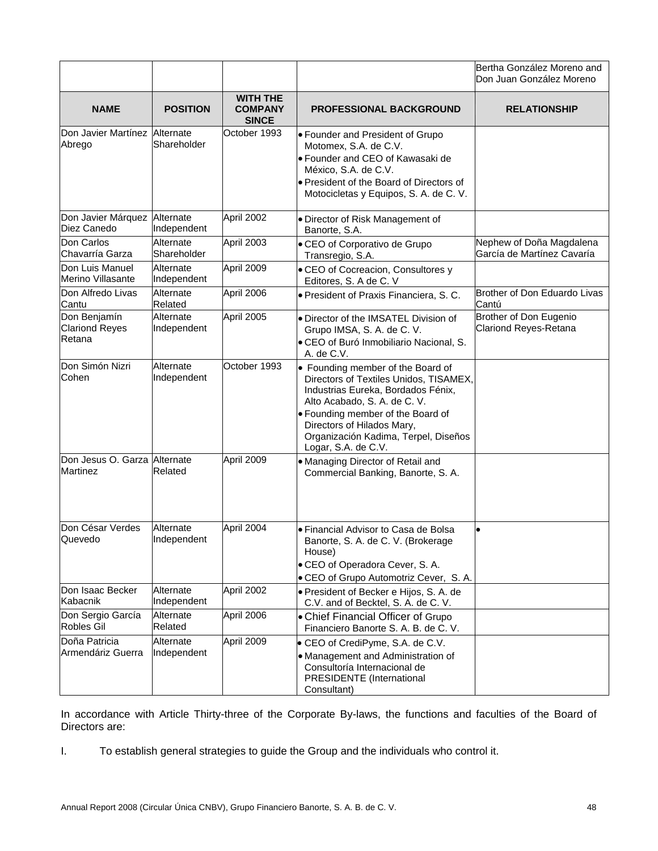|                                                 |                          |                                                   |                                                                                                                                                                                                                                                                                     | Bertha González Moreno and<br>Don Juan González Moreno |
|-------------------------------------------------|--------------------------|---------------------------------------------------|-------------------------------------------------------------------------------------------------------------------------------------------------------------------------------------------------------------------------------------------------------------------------------------|--------------------------------------------------------|
| <b>NAME</b>                                     | <b>POSITION</b>          | <b>WITH THE</b><br><b>COMPANY</b><br><b>SINCE</b> | <b>PROFESSIONAL BACKGROUND</b>                                                                                                                                                                                                                                                      | <b>RELATIONSHIP</b>                                    |
| Don Javier Martínez Alternate<br>Abrego         | Shareholder              | October 1993                                      | • Founder and President of Grupo<br>Motomex, S.A. de C.V.<br>· Founder and CEO of Kawasaki de<br>México, S.A. de C.V.<br>• President of the Board of Directors of<br>Motocicletas y Equipos, S. A. de C. V.                                                                         |                                                        |
| Don Javier Márquez<br>Diez Canedo               | Alternate<br>Independent | April 2002                                        | · Director of Risk Management of<br>Banorte, S.A.                                                                                                                                                                                                                                   |                                                        |
| Don Carlos<br>Chavarría Garza                   | Alternate<br>Shareholder | April 2003                                        | • CEO of Corporativo de Grupo<br>Transregio, S.A.                                                                                                                                                                                                                                   | Nephew of Doña Magdalena<br>García de Martínez Cavaría |
| Don Luis Manuel<br>Merino Villasante            | Alternate<br>Independent | April 2009                                        | • CEO of Cocreacion, Consultores y<br>Editores, S. A de C. V                                                                                                                                                                                                                        |                                                        |
| Don Alfredo Livas<br>Cantu                      | Alternate<br>Related     | April 2006                                        | · President of Praxis Financiera, S. C.                                                                                                                                                                                                                                             | Brother of Don Eduardo Livas<br>Cantú                  |
| Don Benjamín<br><b>Clariond Reyes</b><br>Retana | Alternate<br>Independent | April 2005                                        | · Director of the IMSATEL Division of<br>Grupo IMSA, S. A. de C. V.<br>· CEO of Buró Inmobiliario Nacional, S.<br>A. de C.V.                                                                                                                                                        | Brother of Don Eugenio<br><b>Clariond Reyes-Retana</b> |
| Don Simón Nizri<br>Cohen                        | Alternate<br>Independent | October 1993                                      | • Founding member of the Board of<br>Directors of Textiles Unidos, TISAMEX,<br>Industrias Eureka, Bordados Fénix,<br>Alto Acabado, S. A. de C. V.<br>• Founding member of the Board of<br>Directors of Hilados Mary,<br>Organización Kadima, Terpel, Diseños<br>Logar, S.A. de C.V. |                                                        |
| Don Jesus O. Garza Alternate<br><b>Martinez</b> | Related                  | April 2009                                        | • Managing Director of Retail and<br>Commercial Banking, Banorte, S. A.                                                                                                                                                                                                             |                                                        |
| Don César Verdes<br>Quevedo                     | Alternate<br>Independent | April 2004                                        | • Financial Advisor to Casa de Bolsa<br>Banorte, S. A. de C. V. (Brokerage<br>House)<br>• CEO of Operadora Cever, S. A.<br>• CEO of Grupo Automotriz Cever, S.A.                                                                                                                    |                                                        |
| Don Isaac Becker<br>Kabacnik                    | Alternate<br>Independent | April 2002                                        | · President of Becker e Hijos, S. A. de<br>C.V. and of Becktel, S. A. de C. V.                                                                                                                                                                                                      |                                                        |
| Don Sergio García<br>Robles Gil                 | Alternate<br>Related     | April 2006                                        | • Chief Financial Officer of Grupo<br>Financiero Banorte S. A. B. de C. V.                                                                                                                                                                                                          |                                                        |
| Doña Patricia<br>Armendáriz Guerra              | Alternate<br>Independent | April 2009                                        | • CEO of CrediPyme, S.A. de C.V.<br>• Management and Administration of<br>Consultoría Internacional de<br>PRESIDENTE (International<br>Consultant)                                                                                                                                  |                                                        |

In accordance with Article Thirty-three of the Corporate By-laws, the functions and faculties of the Board of Directors are:

I. To establish general strategies to guide the Group and the individuals who control it.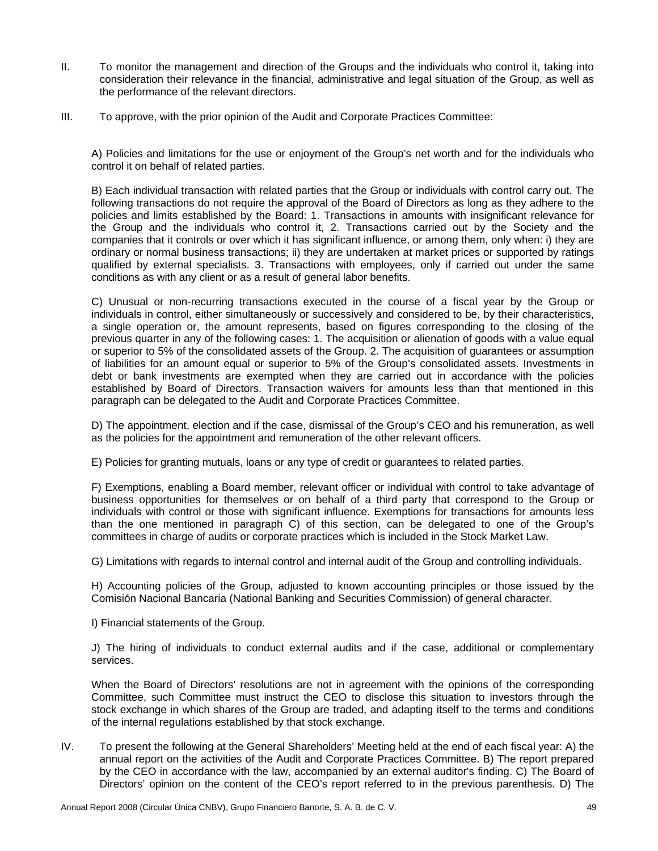- II. To monitor the management and direction of the Groups and the individuals who control it, taking into consideration their relevance in the financial, administrative and legal situation of the Group, as well as the performance of the relevant directors.
- III. To approve, with the prior opinion of the Audit and Corporate Practices Committee:

A) Policies and limitations for the use or enjoyment of the Group's net worth and for the individuals who control it on behalf of related parties.

B) Each individual transaction with related parties that the Group or individuals with control carry out. The following transactions do not require the approval of the Board of Directors as long as they adhere to the policies and limits established by the Board: 1. Transactions in amounts with insignificant relevance for the Group and the individuals who control it, 2. Transactions carried out by the Society and the companies that it controls or over which it has significant influence, or among them, only when: i) they are ordinary or normal business transactions; ii) they are undertaken at market prices or supported by ratings qualified by external specialists. 3. Transactions with employees, only if carried out under the same conditions as with any client or as a result of general labor benefits.

C) Unusual or non-recurring transactions executed in the course of a fiscal year by the Group or individuals in control, either simultaneously or successively and considered to be, by their characteristics, a single operation or, the amount represents, based on figures corresponding to the closing of the previous quarter in any of the following cases: 1. The acquisition or alienation of goods with a value equal or superior to 5% of the consolidated assets of the Group. 2. The acquisition of guarantees or assumption of liabilities for an amount equal or superior to 5% of the Group's consolidated assets. Investments in debt or bank investments are exempted when they are carried out in accordance with the policies established by Board of Directors. Transaction waivers for amounts less than that mentioned in this paragraph can be delegated to the Audit and Corporate Practices Committee.

D) The appointment, election and if the case, dismissal of the Group's CEO and his remuneration, as well as the policies for the appointment and remuneration of the other relevant officers.

E) Policies for granting mutuals, loans or any type of credit or guarantees to related parties.

F) Exemptions, enabling a Board member, relevant officer or individual with control to take advantage of business opportunities for themselves or on behalf of a third party that correspond to the Group or individuals with control or those with significant influence. Exemptions for transactions for amounts less than the one mentioned in paragraph C) of this section, can be delegated to one of the Group's committees in charge of audits or corporate practices which is included in the Stock Market Law.

G) Limitations with regards to internal control and internal audit of the Group and controlling individuals.

H) Accounting policies of the Group, adjusted to known accounting principles or those issued by the Comisión Nacional Bancaria (National Banking and Securities Commission) of general character.

I) Financial statements of the Group.

J) The hiring of individuals to conduct external audits and if the case, additional or complementary services.

 When the Board of Directors' resolutions are not in agreement with the opinions of the corresponding Committee, such Committee must instruct the CEO to disclose this situation to investors through the stock exchange in which shares of the Group are traded, and adapting itself to the terms and conditions of the internal regulations established by that stock exchange.

IV. To present the following at the General Shareholders' Meeting held at the end of each fiscal year: A) the annual report on the activities of the Audit and Corporate Practices Committee. B) The report prepared by the CEO in accordance with the law, accompanied by an external auditor's finding. C) The Board of Directors' opinion on the content of the CEO's report referred to in the previous parenthesis. D) The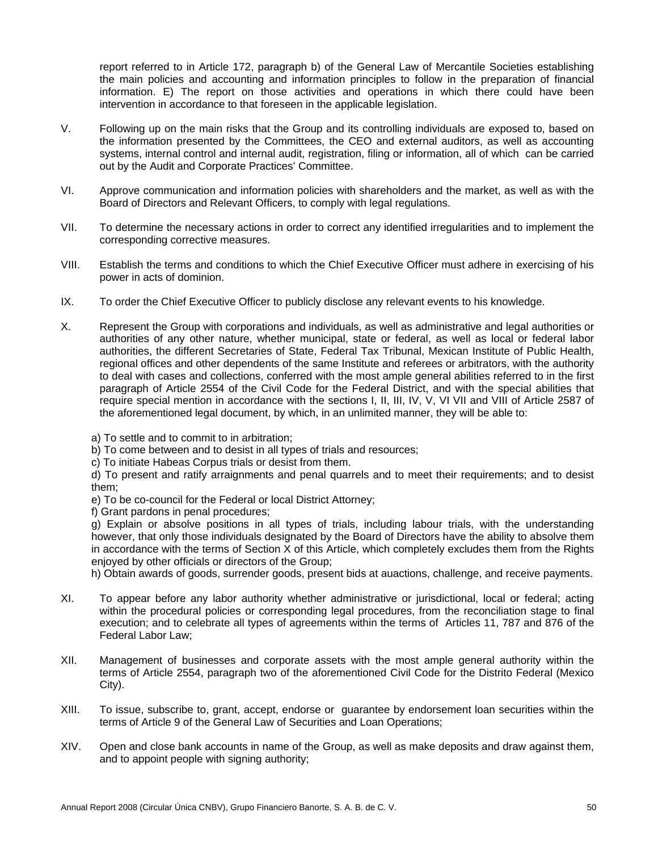report referred to in Article 172, paragraph b) of the General Law of Mercantile Societies establishing the main policies and accounting and information principles to follow in the preparation of financial information. E) The report on those activities and operations in which there could have been intervention in accordance to that foreseen in the applicable legislation.

- V. Following up on the main risks that the Group and its controlling individuals are exposed to, based on the information presented by the Committees, the CEO and external auditors, as well as accounting systems, internal control and internal audit, registration, filing or information, all of which can be carried out by the Audit and Corporate Practices' Committee.
- VI. Approve communication and information policies with shareholders and the market, as well as with the Board of Directors and Relevant Officers, to comply with legal regulations.
- VII. To determine the necessary actions in order to correct any identified irregularities and to implement the corresponding corrective measures.
- VIII. Establish the terms and conditions to which the Chief Executive Officer must adhere in exercising of his power in acts of dominion.
- IX. To order the Chief Executive Officer to publicly disclose any relevant events to his knowledge.
- X. Represent the Group with corporations and individuals, as well as administrative and legal authorities or authorities of any other nature, whether municipal, state or federal, as well as local or federal labor authorities, the different Secretaries of State, Federal Tax Tribunal, Mexican Institute of Public Health, regional offices and other dependents of the same Institute and referees or arbitrators, with the authority to deal with cases and collections, conferred with the most ample general abilities referred to in the first paragraph of Article 2554 of the Civil Code for the Federal District, and with the special abilities that require special mention in accordance with the sections I, II, III, IV, V, VI VII and VIII of Article 2587 of the aforementioned legal document, by which, in an unlimited manner, they will be able to:
	- a) To settle and to commit to in arbitration;

b) To come between and to desist in all types of trials and resources;

c) To initiate Habeas Corpus trials or desist from them.

d) To present and ratify arraignments and penal quarrels and to meet their requirements; and to desist them;

e) To be co-council for the Federal or local District Attorney;

f) Grant pardons in penal procedures;

g) Explain or absolve positions in all types of trials, including labour trials, with the understanding however, that only those individuals designated by the Board of Directors have the ability to absolve them in accordance with the terms of Section  $\bar{X}$  of this Article, which completely excludes them from the Rights enjoyed by other officials or directors of the Group;

h) Obtain awards of goods, surrender goods, present bids at auactions, challenge, and receive payments.

- XI. To appear before any labor authority whether administrative or jurisdictional, local or federal; acting within the procedural policies or corresponding legal procedures, from the reconciliation stage to final execution; and to celebrate all types of agreements within the terms of Articles 11, 787 and 876 of the Federal Labor Law;
- XII. Management of businesses and corporate assets with the most ample general authority within the terms of Article 2554, paragraph two of the aforementioned Civil Code for the Distrito Federal (Mexico City).
- XIII. To issue, subscribe to, grant, accept, endorse or guarantee by endorsement loan securities within the terms of Article 9 of the General Law of Securities and Loan Operations;
- XIV. Open and close bank accounts in name of the Group, as well as make deposits and draw against them, and to appoint people with signing authority;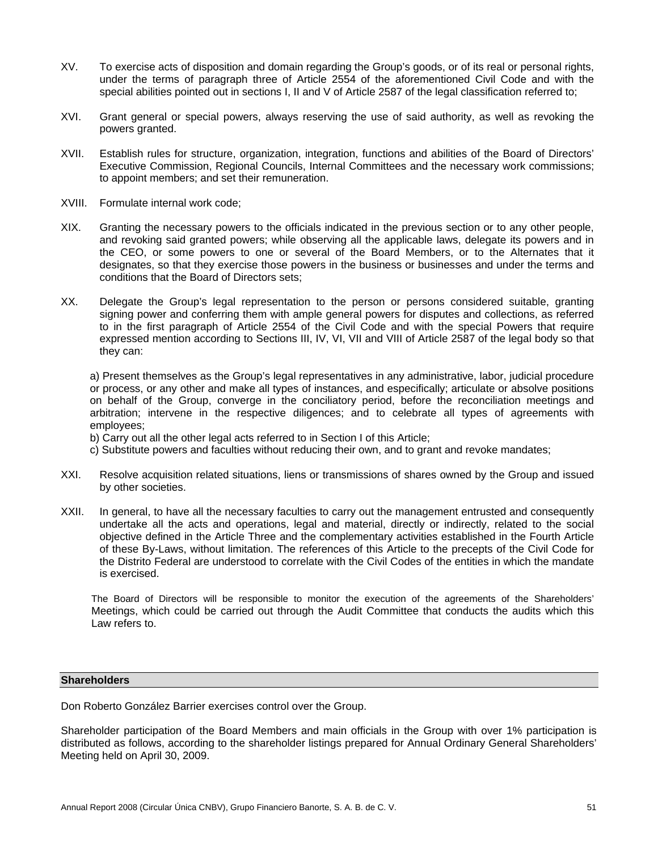- XV. To exercise acts of disposition and domain regarding the Group's goods, or of its real or personal rights, under the terms of paragraph three of Article 2554 of the aforementioned Civil Code and with the special abilities pointed out in sections I, II and V of Article 2587 of the legal classification referred to;
- XVI. Grant general or special powers, always reserving the use of said authority, as well as revoking the powers granted.
- XVII. Establish rules for structure, organization, integration, functions and abilities of the Board of Directors' Executive Commission, Regional Councils, Internal Committees and the necessary work commissions; to appoint members; and set their remuneration.
- XVIII. Formulate internal work code;
- XIX. Granting the necessary powers to the officials indicated in the previous section or to any other people, and revoking said granted powers; while observing all the applicable laws, delegate its powers and in the CEO, or some powers to one or several of the Board Members, or to the Alternates that it designates, so that they exercise those powers in the business or businesses and under the terms and conditions that the Board of Directors sets;
- XX. Delegate the Group's legal representation to the person or persons considered suitable, granting signing power and conferring them with ample general powers for disputes and collections, as referred to in the first paragraph of Article 2554 of the Civil Code and with the special Powers that require expressed mention according to Sections III, IV, VI, VII and VIII of Article 2587 of the legal body so that they can:

a) Present themselves as the Group's legal representatives in any administrative, labor, judicial procedure or process, or any other and make all types of instances, and especifically; articulate or absolve positions on behalf of the Group, converge in the conciliatory period, before the reconciliation meetings and arbitration; intervene in the respective diligences; and to celebrate all types of agreements with employees;

- b) Carry out all the other legal acts referred to in Section I of this Article;
- c) Substitute powers and faculties without reducing their own, and to grant and revoke mandates;
- XXI. Resolve acquisition related situations, liens or transmissions of shares owned by the Group and issued by other societies.
- XXII. In general, to have all the necessary faculties to carry out the management entrusted and consequently undertake all the acts and operations, legal and material, directly or indirectly, related to the social objective defined in the Article Three and the complementary activities established in the Fourth Article of these By-Laws, without limitation. The references of this Article to the precepts of the Civil Code for the Distrito Federal are understood to correlate with the Civil Codes of the entities in which the mandate is exercised.

The Board of Directors will be responsible to monitor the execution of the agreements of the Shareholders' Meetings, which could be carried out through the Audit Committee that conducts the audits which this Law refers to.

# **Shareholders**

Don Roberto González Barrier exercises control over the Group.

Shareholder participation of the Board Members and main officials in the Group with over 1% participation is distributed as follows, according to the shareholder listings prepared for Annual Ordinary General Shareholders' Meeting held on April 30, 2009.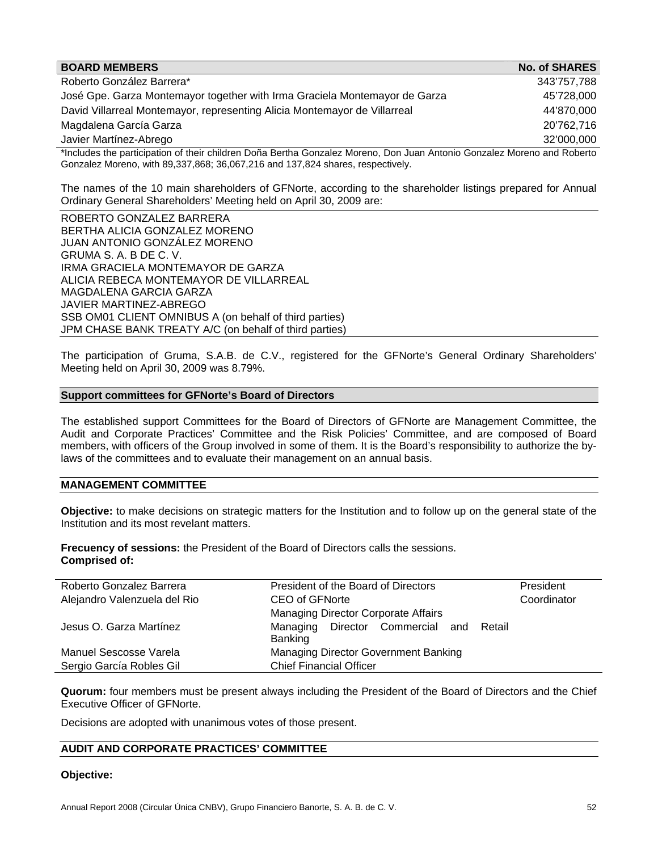| <b>BOARD MEMBERS</b>                                                                                                     | <b>No. of SHARES</b> |
|--------------------------------------------------------------------------------------------------------------------------|----------------------|
| Roberto González Barrera*                                                                                                | 343'757,788          |
| José Gpe. Garza Montemayor together with Irma Graciela Montemayor de Garza                                               | 45'728,000           |
| David Villarreal Montemayor, representing Alicia Montemayor de Villarreal                                                | 44'870,000           |
| Magdalena García Garza                                                                                                   | 20'762,716           |
| Javier Martínez-Abrego                                                                                                   | 32'000,000           |
| tholudes the pertigipation of their obildrep Dense Pertha Cenzalez Merone, Den, Juan Antonio Cenzalez Merone and Peberta |                      |

\*Includes the participation of their children Doña Bertha Gonzalez Moreno, Don Juan Antonio Gonzalez Moreno and Roberto Gonzalez Moreno, with 89,337,868; 36,067,216 and 137,824 shares, respectively.

The names of the 10 main shareholders of GFNorte, according to the shareholder listings prepared for Annual Ordinary General Shareholders' Meeting held on April 30, 2009 are:

ROBERTO GONZALEZ BARRERA BERTHA ALICIA GONZALEZ MORENO JUAN ANTONIO GONZÁLEZ MORENO GRUMA S. A. B DE C. V. IRMA GRACIELA MONTEMAYOR DE GARZA ALICIA REBECA MONTEMAYOR DE VILLARREAL MAGDALENA GARCIA GARZA JAVIER MARTINEZ-ABREGO SSB OM01 CLIENT OMNIBUS A (on behalf of third parties) JPM CHASE BANK TREATY A/C (on behalf of third parties)

The participation of Gruma, S.A.B. de C.V., registered for the GFNorte's General Ordinary Shareholders' Meeting held on April 30, 2009 was 8.79%.

#### **Support committees for GFNorte's Board of Directors**

The established support Committees for the Board of Directors of GFNorte are Management Committee, the Audit and Corporate Practices' Committee and the Risk Policies' Committee, and are composed of Board members, with officers of the Group involved in some of them. It is the Board's responsibility to authorize the bylaws of the committees and to evaluate their management on an annual basis.

# **MANAGEMENT COMMITTEE**

**Objective:** to make decisions on strategic matters for the Institution and to follow up on the general state of the Institution and its most revelant matters.

**Frecuency of sessions:** the President of the Board of Directors calls the sessions. **Comprised of:**

| Roberto Gonzalez Barrera     | President of the Board of Directors        | President   |
|------------------------------|--------------------------------------------|-------------|
| Alejandro Valenzuela del Rio | CEO of GFNorte                             | Coordinator |
|                              | Managing Director Corporate Affairs        |             |
| Jesus O. Garza Martínez      | Managing Director Commercial and<br>Retail |             |
|                              | Banking                                    |             |
| Manuel Sescosse Varela       | Managing Director Government Banking       |             |
| Sergio García Robles Gil     | <b>Chief Financial Officer</b>             |             |

**Quorum:** four members must be present always including the President of the Board of Directors and the Chief Executive Officer of GFNorte.

Decisions are adopted with unanimous votes of those present.

#### **AUDIT AND CORPORATE PRACTICES' COMMITTEE**

#### **Objective:**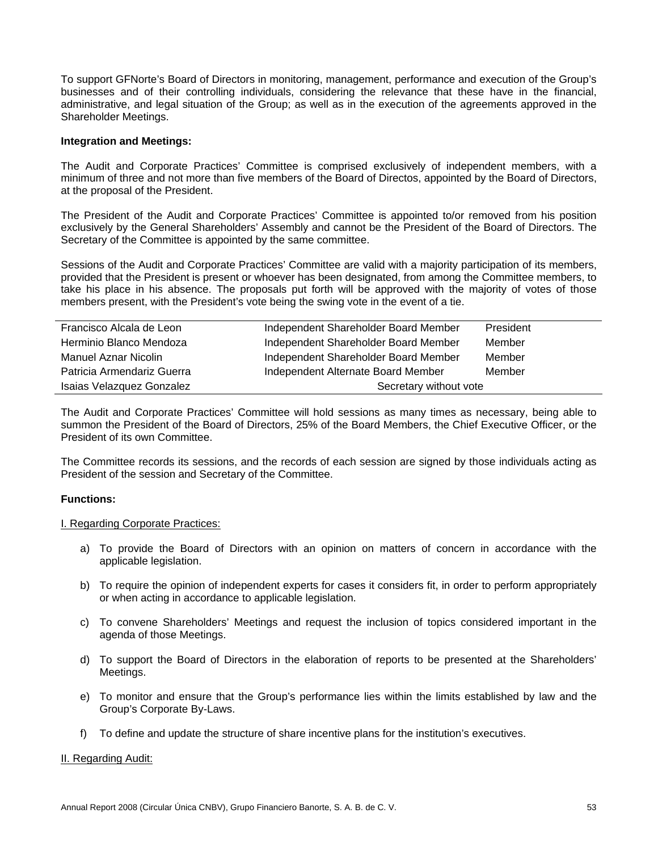To support GFNorte's Board of Directors in monitoring, management, performance and execution of the Group's businesses and of their controlling individuals, considering the relevance that these have in the financial, administrative, and legal situation of the Group; as well as in the execution of the agreements approved in the Shareholder Meetings.

### **Integration and Meetings:**

The Audit and Corporate Practices' Committee is comprised exclusively of independent members, with a minimum of three and not more than five members of the Board of Directos, appointed by the Board of Directors, at the proposal of the President.

The President of the Audit and Corporate Practices' Committee is appointed to/or removed from his position exclusively by the General Shareholders' Assembly and cannot be the President of the Board of Directors. The Secretary of the Committee is appointed by the same committee.

Sessions of the Audit and Corporate Practices' Committee are valid with a majority participation of its members, provided that the President is present or whoever has been designated, from among the Committee members, to take his place in his absence. The proposals put forth will be approved with the majority of votes of those members present, with the President's vote being the swing vote in the event of a tie.

| Francisco Alcala de Leon   | Independent Shareholder Board Member | President |
|----------------------------|--------------------------------------|-----------|
| Herminio Blanco Mendoza    | Independent Shareholder Board Member | Member    |
| Manuel Aznar Nicolin       | Independent Shareholder Board Member | Member    |
| Patricia Armendariz Guerra | Independent Alternate Board Member   | Member    |
| Isaias Velazquez Gonzalez  | Secretary without vote               |           |

The Audit and Corporate Practices' Committee will hold sessions as many times as necessary, being able to summon the President of the Board of Directors, 25% of the Board Members, the Chief Executive Officer, or the President of its own Committee.

The Committee records its sessions, and the records of each session are signed by those individuals acting as President of the session and Secretary of the Committee.

#### **Functions:**

#### I. Regarding Corporate Practices:

- a) To provide the Board of Directors with an opinion on matters of concern in accordance with the applicable legislation.
- b) To require the opinion of independent experts for cases it considers fit, in order to perform appropriately or when acting in accordance to applicable legislation.
- c) To convene Shareholders' Meetings and request the inclusion of topics considered important in the agenda of those Meetings.
- d) To support the Board of Directors in the elaboration of reports to be presented at the Shareholders' Meetings.
- e) To monitor and ensure that the Group's performance lies within the limits established by law and the Group's Corporate By-Laws.
- f) To define and update the structure of share incentive plans for the institution's executives.

#### II. Regarding Audit: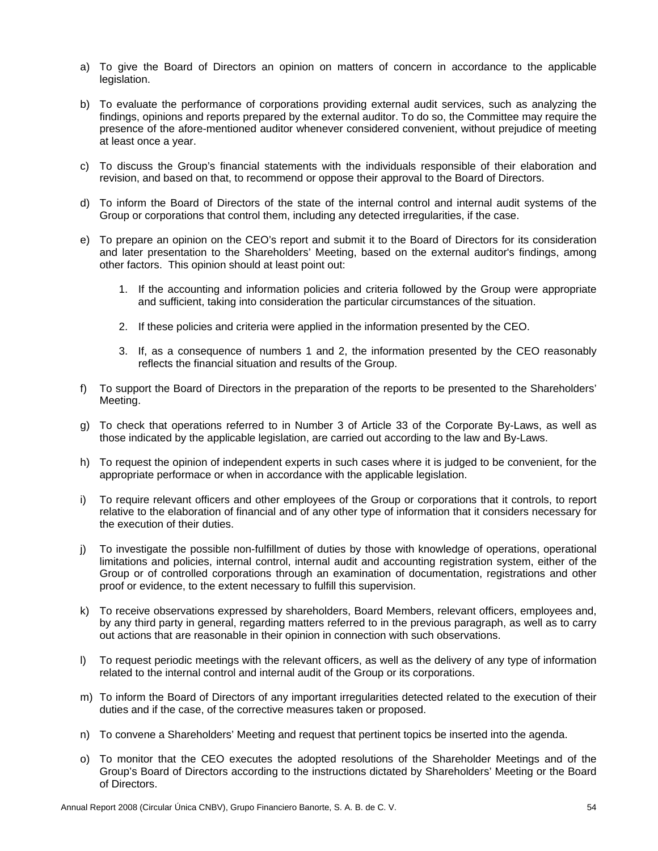- a) To give the Board of Directors an opinion on matters of concern in accordance to the applicable legislation.
- b) To evaluate the performance of corporations providing external audit services, such as analyzing the findings, opinions and reports prepared by the external auditor. To do so, the Committee may require the presence of the afore-mentioned auditor whenever considered convenient, without prejudice of meeting at least once a year.
- c) To discuss the Group's financial statements with the individuals responsible of their elaboration and revision, and based on that, to recommend or oppose their approval to the Board of Directors.
- d) To inform the Board of Directors of the state of the internal control and internal audit systems of the Group or corporations that control them, including any detected irregularities, if the case.
- e) To prepare an opinion on the CEO's report and submit it to the Board of Directors for its consideration and later presentation to the Shareholders' Meeting, based on the external auditor's findings, among other factors. This opinion should at least point out:
	- 1. If the accounting and information policies and criteria followed by the Group were appropriate and sufficient, taking into consideration the particular circumstances of the situation.
	- 2. If these policies and criteria were applied in the information presented by the CEO.
	- 3. If, as a consequence of numbers 1 and 2, the information presented by the CEO reasonably reflects the financial situation and results of the Group.
- f) To support the Board of Directors in the preparation of the reports to be presented to the Shareholders' Meeting.
- g) To check that operations referred to in Number 3 of Article 33 of the Corporate By-Laws, as well as those indicated by the applicable legislation, are carried out according to the law and By-Laws.
- h) To request the opinion of independent experts in such cases where it is judged to be convenient, for the appropriate performace or when in accordance with the applicable legislation.
- i) To require relevant officers and other employees of the Group or corporations that it controls, to report relative to the elaboration of financial and of any other type of information that it considers necessary for the execution of their duties.
- j) To investigate the possible non-fulfillment of duties by those with knowledge of operations, operational limitations and policies, internal control, internal audit and accounting registration system, either of the Group or of controlled corporations through an examination of documentation, registrations and other proof or evidence, to the extent necessary to fulfill this supervision.
- k) To receive observations expressed by shareholders, Board Members, relevant officers, employees and, by any third party in general, regarding matters referred to in the previous paragraph, as well as to carry out actions that are reasonable in their opinion in connection with such observations.
- l) To request periodic meetings with the relevant officers, as well as the delivery of any type of information related to the internal control and internal audit of the Group or its corporations.
- m) To inform the Board of Directors of any important irregularities detected related to the execution of their duties and if the case, of the corrective measures taken or proposed.
- n) To convene a Shareholders' Meeting and request that pertinent topics be inserted into the agenda.
- o) To monitor that the CEO executes the adopted resolutions of the Shareholder Meetings and of the Group's Board of Directors according to the instructions dictated by Shareholders' Meeting or the Board of Directors.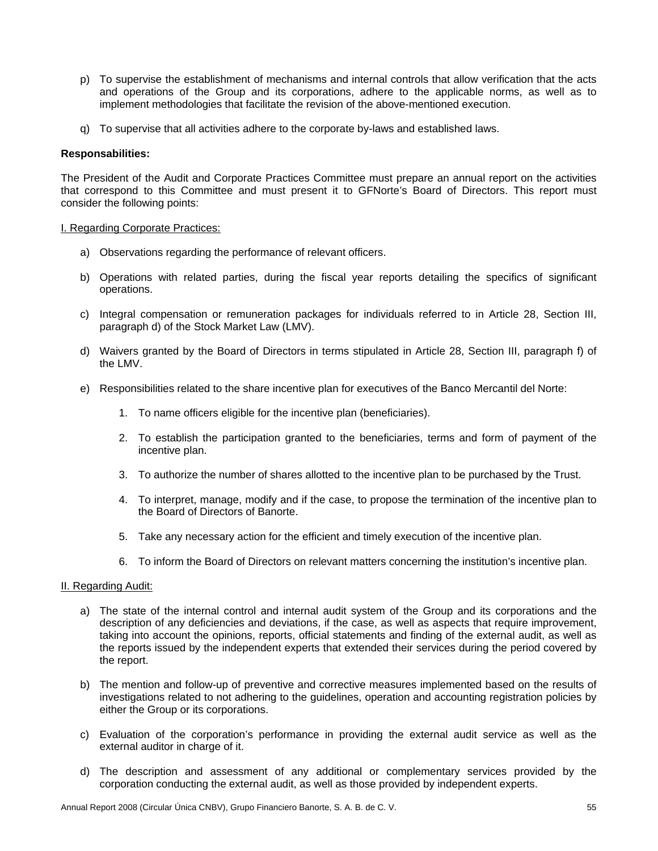- p) To supervise the establishment of mechanisms and internal controls that allow verification that the acts and operations of the Group and its corporations, adhere to the applicable norms, as well as to implement methodologies that facilitate the revision of the above-mentioned execution.
- q) To supervise that all activities adhere to the corporate by-laws and established laws.

### **Responsabilities:**

The President of the Audit and Corporate Practices Committee must prepare an annual report on the activities that correspond to this Committee and must present it to GFNorte's Board of Directors. This report must consider the following points:

#### I. Regarding Corporate Practices:

- a) Observations regarding the performance of relevant officers.
- b) Operations with related parties, during the fiscal year reports detailing the specifics of significant operations.
- c) Integral compensation or remuneration packages for individuals referred to in Article 28, Section III, paragraph d) of the Stock Market Law (LMV).
- d) Waivers granted by the Board of Directors in terms stipulated in Article 28, Section III, paragraph f) of the LMV.
- e) Responsibilities related to the share incentive plan for executives of the Banco Mercantil del Norte:
	- 1. To name officers eligible for the incentive plan (beneficiaries).
	- 2. To establish the participation granted to the beneficiaries, terms and form of payment of the incentive plan.
	- 3. To authorize the number of shares allotted to the incentive plan to be purchased by the Trust.
	- 4. To interpret, manage, modify and if the case, to propose the termination of the incentive plan to the Board of Directors of Banorte.
	- 5. Take any necessary action for the efficient and timely execution of the incentive plan.
	- 6. To inform the Board of Directors on relevant matters concerning the institution's incentive plan.

#### II. Regarding Audit:

- a) The state of the internal control and internal audit system of the Group and its corporations and the description of any deficiencies and deviations, if the case, as well as aspects that require improvement, taking into account the opinions, reports, official statements and finding of the external audit, as well as the reports issued by the independent experts that extended their services during the period covered by the report.
- b) The mention and follow-up of preventive and corrective measures implemented based on the results of investigations related to not adhering to the guidelines, operation and accounting registration policies by either the Group or its corporations.
- c) Evaluation of the corporation's performance in providing the external audit service as well as the external auditor in charge of it.
- d) The description and assessment of any additional or complementary services provided by the corporation conducting the external audit, as well as those provided by independent experts.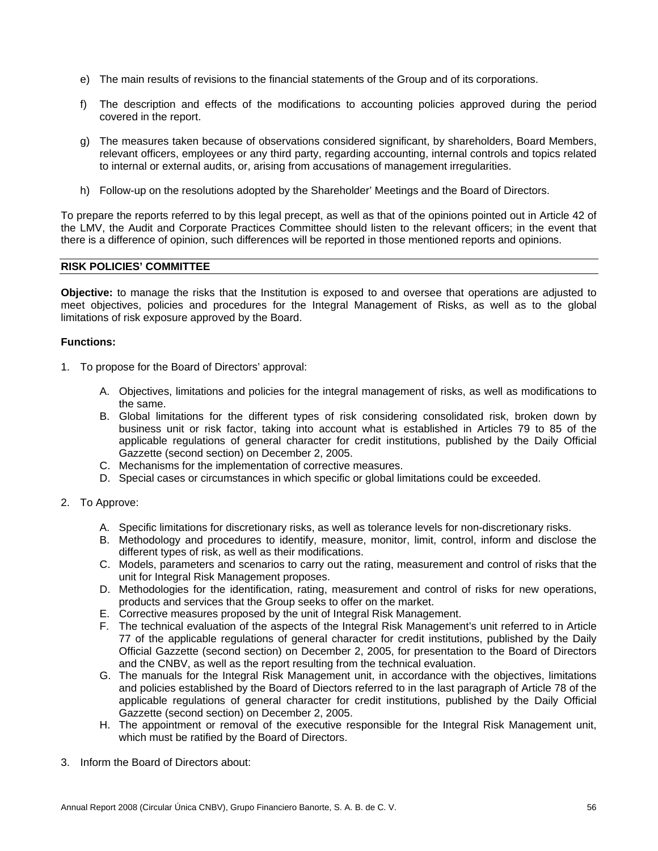- e) The main results of revisions to the financial statements of the Group and of its corporations.
- f) The description and effects of the modifications to accounting policies approved during the period covered in the report.
- g) The measures taken because of observations considered significant, by shareholders, Board Members, relevant officers, employees or any third party, regarding accounting, internal controls and topics related to internal or external audits, or, arising from accusations of management irregularities.
- h) Follow-up on the resolutions adopted by the Shareholder' Meetings and the Board of Directors.

To prepare the reports referred to by this legal precept, as well as that of the opinions pointed out in Article 42 of the LMV, the Audit and Corporate Practices Committee should listen to the relevant officers; in the event that there is a difference of opinion, such differences will be reported in those mentioned reports and opinions.

# **RISK POLICIES' COMMITTEE**

**Objective:** to manage the risks that the Institution is exposed to and oversee that operations are adjusted to meet objectives, policies and procedures for the Integral Management of Risks, as well as to the global limitations of risk exposure approved by the Board.

# **Functions:**

- 1. To propose for the Board of Directors' approval:
	- A. Objectives, limitations and policies for the integral management of risks, as well as modifications to the same.
	- B. Global limitations for the different types of risk considering consolidated risk, broken down by business unit or risk factor, taking into account what is established in Articles 79 to 85 of the applicable regulations of general character for credit institutions, published by the Daily Official Gazzette (second section) on December 2, 2005.
	- C. Mechanisms for the implementation of corrective measures.
	- D. Special cases or circumstances in which specific or global limitations could be exceeded.
- 2. To Approve:
	- A. Specific limitations for discretionary risks, as well as tolerance levels for non-discretionary risks.
	- B. Methodology and procedures to identify, measure, monitor, limit, control, inform and disclose the different types of risk, as well as their modifications.
	- C. Models, parameters and scenarios to carry out the rating, measurement and control of risks that the unit for Integral Risk Management proposes.
	- D. Methodologies for the identification, rating, measurement and control of risks for new operations, products and services that the Group seeks to offer on the market.
	- E. Corrective measures proposed by the unit of Integral Risk Management.
	- F. The technical evaluation of the aspects of the Integral Risk Management's unit referred to in Article 77 of the applicable regulations of general character for credit institutions, published by the Daily Official Gazzette (second section) on December 2, 2005, for presentation to the Board of Directors and the CNBV, as well as the report resulting from the technical evaluation.
	- G. The manuals for the Integral Risk Management unit, in accordance with the objectives, limitations and policies established by the Board of Diectors referred to in the last paragraph of Article 78 of the applicable regulations of general character for credit institutions, published by the Daily Official Gazzette (second section) on December 2, 2005.
	- H. The appointment or removal of the executive responsible for the Integral Risk Management unit, which must be ratified by the Board of Directors.
- 3. Inform the Board of Directors about: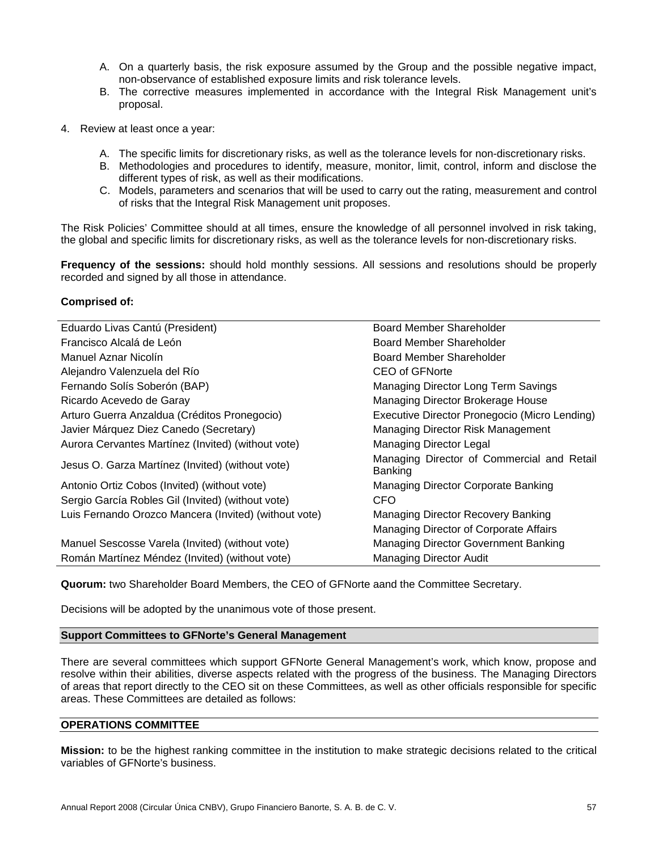- A. On a quarterly basis, the risk exposure assumed by the Group and the possible negative impact, non-observance of established exposure limits and risk tolerance levels.
- B. The corrective measures implemented in accordance with the Integral Risk Management unit's proposal.
- 4. Review at least once a year:
	- A. The specific limits for discretionary risks, as well as the tolerance levels for non-discretionary risks.
	- B. Methodologies and procedures to identify, measure, monitor, limit, control, inform and disclose the different types of risk, as well as their modifications.
	- C. Models, parameters and scenarios that will be used to carry out the rating, measurement and control of risks that the Integral Risk Management unit proposes.

The Risk Policies' Committee should at all times, ensure the knowledge of all personnel involved in risk taking, the global and specific limits for discretionary risks, as well as the tolerance levels for non-discretionary risks.

**Frequency of the sessions:** should hold monthly sessions. All sessions and resolutions should be properly recorded and signed by all those in attendance.

# **Comprised of:**

| Eduardo Livas Cantú (President)                       | Board Member Shareholder                              |
|-------------------------------------------------------|-------------------------------------------------------|
| Francisco Alcalá de León                              | Board Member Shareholder                              |
| Manuel Aznar Nicolín                                  | Board Member Shareholder                              |
| Alejandro Valenzuela del Río                          | CEO of GFNorte                                        |
| Fernando Solís Soberón (BAP)                          | Managing Director Long Term Savings                   |
| Ricardo Acevedo de Garay                              | Managing Director Brokerage House                     |
| Arturo Guerra Anzaldua (Créditos Pronegocio)          | Executive Director Pronegocio (Micro Lending)         |
| Javier Márquez Diez Canedo (Secretary)                | Managing Director Risk Management                     |
| Aurora Cervantes Martínez (Invited) (without vote)    | Managing Director Legal                               |
| Jesus O. Garza Martínez (Invited) (without vote)      | Managing Director of Commercial and Retail<br>Banking |
| Antonio Ortiz Cobos (Invited) (without vote)          | Managing Director Corporate Banking                   |
| Sergio García Robles Gil (Invited) (without vote)     | CFO                                                   |
| Luis Fernando Orozco Mancera (Invited) (without vote) | Managing Director Recovery Banking                    |
|                                                       | Managing Director of Corporate Affairs                |
| Manuel Sescosse Varela (Invited) (without vote)       | Managing Director Government Banking                  |
| Román Martínez Méndez (Invited) (without vote)        | <b>Managing Director Audit</b>                        |

**Quorum:** two Shareholder Board Members, the CEO of GFNorte aand the Committee Secretary.

Decisions will be adopted by the unanimous vote of those present.

## **Support Committees to GFNorte's General Management**

There are several committees which support GFNorte General Management's work, which know, propose and resolve within their abilities, diverse aspects related with the progress of the business. The Managing Directors of areas that report directly to the CEO sit on these Committees, as well as other officials responsible for specific areas. These Committees are detailed as follows:

# **OPERATIONS COMMITTEE**

**Mission:** to be the highest ranking committee in the institution to make strategic decisions related to the critical variables of GFNorte's business.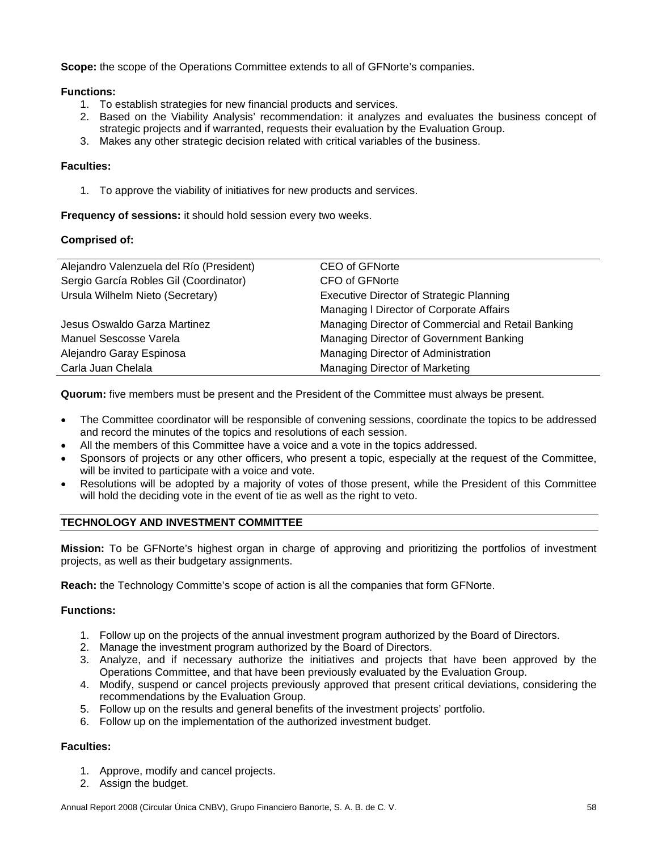**Scope:** the scope of the Operations Committee extends to all of GFNorte's companies.

# **Functions:**

- 1. To establish strategies for new financial products and services.
- 2. Based on the Viability Analysis' recommendation: it analyzes and evaluates the business concept of strategic projects and if warranted, requests their evaluation by the Evaluation Group.
- 3. Makes any other strategic decision related with critical variables of the business.

# **Faculties:**

1. To approve the viability of initiatives for new products and services.

**Frequency of sessions:** it should hold session every two weeks.

# **Comprised of:**

| Alejandro Valenzuela del Río (President) | CEO of GFNorte                                     |
|------------------------------------------|----------------------------------------------------|
| Sergio García Robles Gil (Coordinator)   | CFO of GFNorte                                     |
| Ursula Wilhelm Nieto (Secretary)         | <b>Executive Director of Strategic Planning</b>    |
|                                          | Managing I Director of Corporate Affairs           |
| Jesus Oswaldo Garza Martinez             | Managing Director of Commercial and Retail Banking |
| Manuel Sescosse Varela                   | Managing Director of Government Banking            |
| Alejandro Garay Espinosa                 | Managing Director of Administration                |
| Carla Juan Chelala                       | Managing Director of Marketing                     |

**Quorum:** five members must be present and the President of the Committee must always be present.

- The Committee coordinator will be responsible of convening sessions, coordinate the topics to be addressed and record the minutes of the topics and resolutions of each session.
- All the members of this Committee have a voice and a vote in the topics addressed.
- Sponsors of projects or any other officers, who present a topic, especially at the request of the Committee, will be invited to participate with a voice and vote.
- Resolutions will be adopted by a majority of votes of those present, while the President of this Committee will hold the deciding vote in the event of tie as well as the right to veto.

# **TECHNOLOGY AND INVESTMENT COMMITTEE**

**Mission:** To be GFNorte's highest organ in charge of approving and prioritizing the portfolios of investment projects, as well as their budgetary assignments.

**Reach:** the Technology Committe's scope of action is all the companies that form GFNorte.

# **Functions:**

- 1. Follow up on the projects of the annual investment program authorized by the Board of Directors.
- 2. Manage the investment program authorized by the Board of Directors.
- 3. Analyze, and if necessary authorize the initiatives and projects that have been approved by the Operations Committee, and that have been previously evaluated by the Evaluation Group.
- 4. Modify, suspend or cancel projects previously approved that present critical deviations, considering the recommendations by the Evaluation Group.
- 5. Follow up on the results and general benefits of the investment projects' portfolio.
- 6. Follow up on the implementation of the authorized investment budget.

# **Faculties:**

- 1. Approve, modify and cancel projects.
- 2. Assign the budget.

Annual Report 2008 (Circular Única CNBV), Grupo Financiero Banorte, S. A. B. de C. V. 58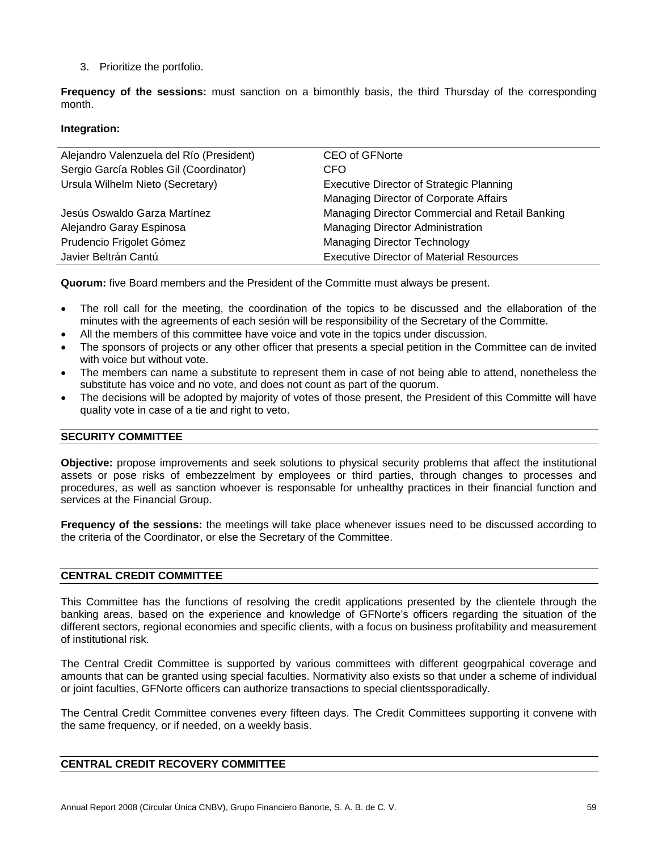3. Prioritize the portfolio.

**Frequency of the sessions:** must sanction on a bimonthly basis, the third Thursday of the corresponding month.

# **Integration:**

| Alejandro Valenzuela del Río (President) | <b>CEO of GFNorte</b>                           |  |
|------------------------------------------|-------------------------------------------------|--|
| Sergio García Robles Gil (Coordinator)   | CFO                                             |  |
| Ursula Wilhelm Nieto (Secretary)         | <b>Executive Director of Strategic Planning</b> |  |
|                                          | Managing Director of Corporate Affairs          |  |
| Jesús Oswaldo Garza Martínez             | Managing Director Commercial and Retail Banking |  |
| Alejandro Garay Espinosa                 | Managing Director Administration                |  |
| Prudencio Frigolet Gómez                 | <b>Managing Director Technology</b>             |  |
| Javier Beltrán Cantú                     | <b>Executive Director of Material Resources</b> |  |

**Quorum:** five Board members and the President of the Committe must always be present.

- The roll call for the meeting, the coordination of the topics to be discussed and the ellaboration of the minutes with the agreements of each sesión will be responsibility of the Secretary of the Committe.
- All the members of this committee have voice and vote in the topics under discussion.
- The sponsors of projects or any other officer that presents a special petition in the Committee can de invited with voice but without vote.
- The members can name a substitute to represent them in case of not being able to attend, nonetheless the substitute has voice and no vote, and does not count as part of the quorum.
- The decisions will be adopted by majority of votes of those present, the President of this Committe will have quality vote in case of a tie and right to veto.

# **SECURITY COMMITTEE**

**Objective:** propose improvements and seek solutions to physical security problems that affect the institutional assets or pose risks of embezzelment by employees or third parties, through changes to processes and procedures, as well as sanction whoever is responsable for unhealthy practices in their financial function and services at the Financial Group.

**Frequency of the sessions:** the meetings will take place whenever issues need to be discussed according to the criteria of the Coordinator, or else the Secretary of the Committee.

# **CENTRAL CREDIT COMMITTEE**

This Committee has the functions of resolving the credit applications presented by the clientele through the banking areas, based on the experience and knowledge of GFNorte's officers regarding the situation of the different sectors, regional economies and specific clients, with a focus on business profitability and measurement of institutional risk.

The Central Credit Committee is supported by various committees with different geogrpahical coverage and amounts that can be granted using special faculties. Normativity also exists so that under a scheme of individual or joint faculties, GFNorte officers can authorize transactions to special clientssporadically.

The Central Credit Committee convenes every fifteen days. The Credit Committees supporting it convene with the same frequency, or if needed, on a weekly basis.

# **CENTRAL CREDIT RECOVERY COMMITTEE**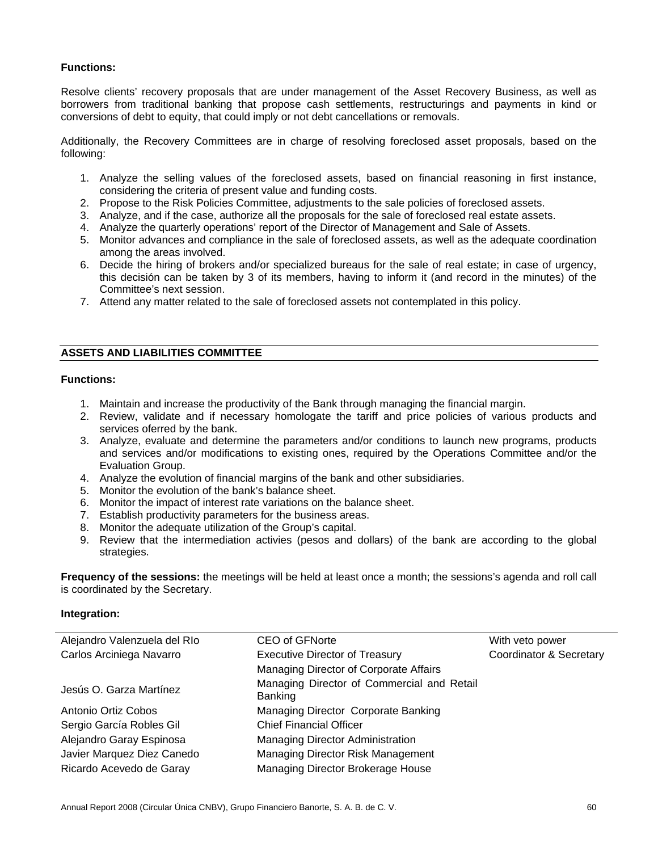# **Functions:**

Resolve clients' recovery proposals that are under management of the Asset Recovery Business, as well as borrowers from traditional banking that propose cash settlements, restructurings and payments in kind or conversions of debt to equity, that could imply or not debt cancellations or removals.

Additionally, the Recovery Committees are in charge of resolving foreclosed asset proposals, based on the following:

- 1. Analyze the selling values of the foreclosed assets, based on financial reasoning in first instance, considering the criteria of present value and funding costs.
- 2. Propose to the Risk Policies Committee, adjustments to the sale policies of foreclosed assets.
- 3. Analyze, and if the case, authorize all the proposals for the sale of foreclosed real estate assets.
- 4. Analyze the quarterly operations' report of the Director of Management and Sale of Assets.
- 5. Monitor advances and compliance in the sale of foreclosed assets, as well as the adequate coordination among the areas involved.
- 6. Decide the hiring of brokers and/or specialized bureaus for the sale of real estate; in case of urgency, this decisión can be taken by 3 of its members, having to inform it (and record in the minutes) of the Committee's next session.
- 7. Attend any matter related to the sale of foreclosed assets not contemplated in this policy.

# **ASSETS AND LIABILITIES COMMITTEE**

# **Functions:**

- 1. Maintain and increase the productivity of the Bank through managing the financial margin.
- 2. Review, validate and if necessary homologate the tariff and price policies of various products and services oferred by the bank.
- 3. Analyze, evaluate and determine the parameters and/or conditions to launch new programs, products and services and/or modifications to existing ones, required by the Operations Committee and/or the Evaluation Group.
- 4. Analyze the evolution of financial margins of the bank and other subsidiaries.
- 5. Monitor the evolution of the bank's balance sheet.
- 6. Monitor the impact of interest rate variations on the balance sheet.
- 7. Establish productivity parameters for the business areas.
- 8. Monitor the adequate utilization of the Group's capital.
- 9. Review that the intermediation activies (pesos and dollars) of the bank are according to the global strategies.

**Frequency of the sessions:** the meetings will be held at least once a month; the sessions's agenda and roll call is coordinated by the Secretary.

| Alejandro Valenzuela del RIo | <b>CEO of GFNorte</b>                                        | With veto power         |
|------------------------------|--------------------------------------------------------------|-------------------------|
| Carlos Arciniega Navarro     | <b>Executive Director of Treasury</b>                        | Coordinator & Secretary |
|                              | Managing Director of Corporate Affairs                       |                         |
| Jesús O. Garza Martínez      | Managing Director of Commercial and Retail<br><b>Banking</b> |                         |
| Antonio Ortiz Cobos          | Managing Director Corporate Banking                          |                         |
| Sergio García Robles Gil     | <b>Chief Financial Officer</b>                               |                         |
| Alejandro Garay Espinosa     | <b>Managing Director Administration</b>                      |                         |
| Javier Marquez Diez Canedo   | Managing Director Risk Management                            |                         |
| Ricardo Acevedo de Garay     | Managing Director Brokerage House                            |                         |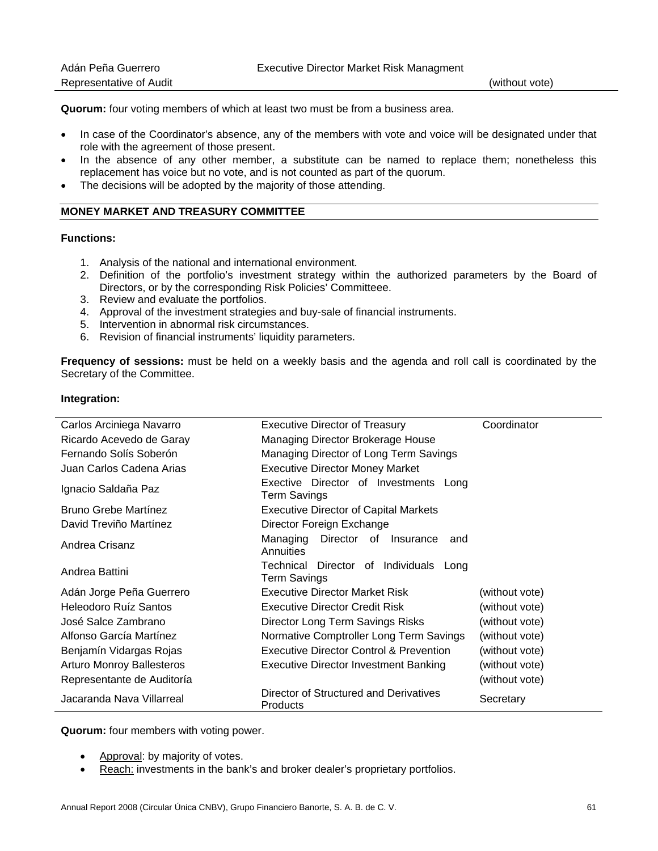| Adán Peña Guerrero      | <b>Executive Director Market Risk Managment</b> |                |
|-------------------------|-------------------------------------------------|----------------|
| Representative of Audit |                                                 | (without vote) |

**Quorum:** four voting members of which at least two must be from a business area.

- In case of the Coordinator's absence, any of the members with vote and voice will be designated under that role with the agreement of those present.
- In the absence of any other member, a substitute can be named to replace them; nonetheless this replacement has voice but no vote, and is not counted as part of the quorum.
- The decisions will be adopted by the majority of those attending.

# **MONEY MARKET AND TREASURY COMMITTEE**

# **Functions:**

- 1. Analysis of the national and international environment.
- 2. Definition of the portfolio's investment strategy within the authorized parameters by the Board of Directors, or by the corresponding Risk Policies' Committeee.
- 3. Review and evaluate the portfolios.
- 4. Approval of the investment strategies and buy-sale of financial instruments.
- 5. Intervention in abnormal risk circumstances.
- 6. Revision of financial instruments' liquidity parameters.

**Frequency of sessions:** must be held on a weekly basis and the agenda and roll call is coordinated by the Secretary of the Committee.

### **Integration:**

| Carlos Arciniega Navarro         | <b>Executive Director of Treasury</b>                         | Coordinator    |
|----------------------------------|---------------------------------------------------------------|----------------|
| Ricardo Acevedo de Garay         | Managing Director Brokerage House                             |                |
| Fernando Solís Soberón           | Managing Director of Long Term Savings                        |                |
| Juan Carlos Cadena Arias         | <b>Executive Director Money Market</b>                        |                |
| Ignacio Saldaña Paz              | Exective Director of Investments Long<br><b>Term Savings</b>  |                |
| Bruno Grebe Martínez             | <b>Executive Director of Capital Markets</b>                  |                |
| David Treviño Martínez           | Director Foreign Exchange                                     |                |
| Andrea Crisanz                   | Managing Director<br>of Insurance<br>and<br>Annuities         |                |
| Andrea Battini                   | Technical Director of Individuals Long<br><b>Term Savings</b> |                |
| Adán Jorge Peña Guerrero         | <b>Executive Director Market Risk</b>                         | (without vote) |
| Heleodoro Ruíz Santos            | <b>Executive Director Credit Risk</b>                         | (without vote) |
| José Salce Zambrano              | Director Long Term Savings Risks                              | (without vote) |
| Alfonso García Martínez          | Normative Comptroller Long Term Savings                       | (without vote) |
| Benjamín Vidargas Rojas          | Executive Director Control & Prevention                       | (without vote) |
| <b>Arturo Monroy Ballesteros</b> | <b>Executive Director Investment Banking</b>                  | (without vote) |
| Representante de Auditoría       |                                                               | (without vote) |
| Jacaranda Nava Villarreal        | Director of Structured and Derivatives<br>Products            | Secretary      |

**Quorum:** four members with voting power.

- Approval: by majority of votes.
- Reach: investments in the bank's and broker dealer's proprietary portfolios.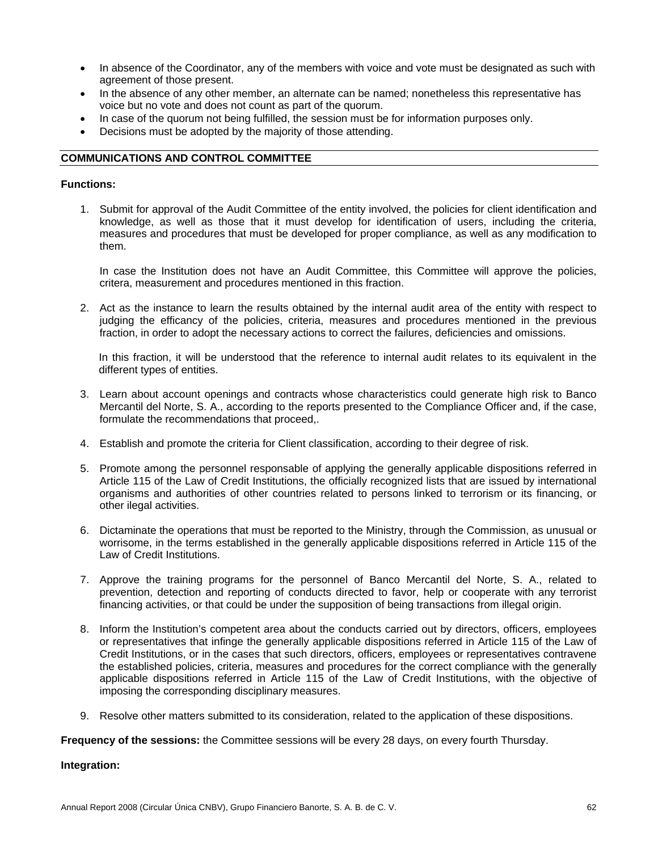- In absence of the Coordinator, any of the members with voice and vote must be designated as such with agreement of those present.
- In the absence of any other member, an alternate can be named; nonetheless this representative has voice but no vote and does not count as part of the quorum.
- In case of the quorum not being fulfilled, the session must be for information purposes only.
- Decisions must be adopted by the majority of those attending.

# **COMMUNICATIONS AND CONTROL COMMITTEE**

# **Functions:**

1. Submit for approval of the Audit Committee of the entity involved, the policies for client identification and knowledge, as well as those that it must develop for identification of users, including the criteria, measures and procedures that must be developed for proper compliance, as well as any modification to them.

In case the Institution does not have an Audit Committee, this Committee will approve the policies, critera, measurement and procedures mentioned in this fraction.

2. Act as the instance to learn the results obtained by the internal audit area of the entity with respect to judging the efficancy of the policies, criteria, measures and procedures mentioned in the previous fraction, in order to adopt the necessary actions to correct the failures, deficiencies and omissions.

In this fraction, it will be understood that the reference to internal audit relates to its equivalent in the different types of entities.

- 3. Learn about account openings and contracts whose characteristics could generate high risk to Banco Mercantil del Norte, S. A., according to the reports presented to the Compliance Officer and, if the case, formulate the recommendations that proceed,.
- 4. Establish and promote the criteria for Client classification, according to their degree of risk.
- 5. Promote among the personnel responsable of applying the generally applicable dispositions referred in Article 115 of the Law of Credit Institutions, the officially recognized lists that are issued by international organisms and authorities of other countries related to persons linked to terrorism or its financing, or other ilegal activities.
- 6. Dictaminate the operations that must be reported to the Ministry, through the Commission, as unusual or worrisome, in the terms established in the generally applicable dispositions referred in Article 115 of the Law of Credit Institutions.
- 7. Approve the training programs for the personnel of Banco Mercantil del Norte, S. A., related to prevention, detection and reporting of conducts directed to favor, help or cooperate with any terrorist financing activities, or that could be under the supposition of being transactions from illegal origin.
- 8. Inform the Institution's competent area about the conducts carried out by directors, officers, employees or representatives that infinge the generally applicable dispositions referred in Article 115 of the Law of Credit Institutions, or in the cases that such directors, officers, employees or representatives contravene the established policies, criteria, measures and procedures for the correct compliance with the generally applicable dispositions referred in Article 115 of the Law of Credit Institutions, with the objective of imposing the corresponding disciplinary measures.
- 9. Resolve other matters submitted to its consideration, related to the application of these dispositions.

**Frequency of the sessions:** the Committee sessions will be every 28 days, on every fourth Thursday.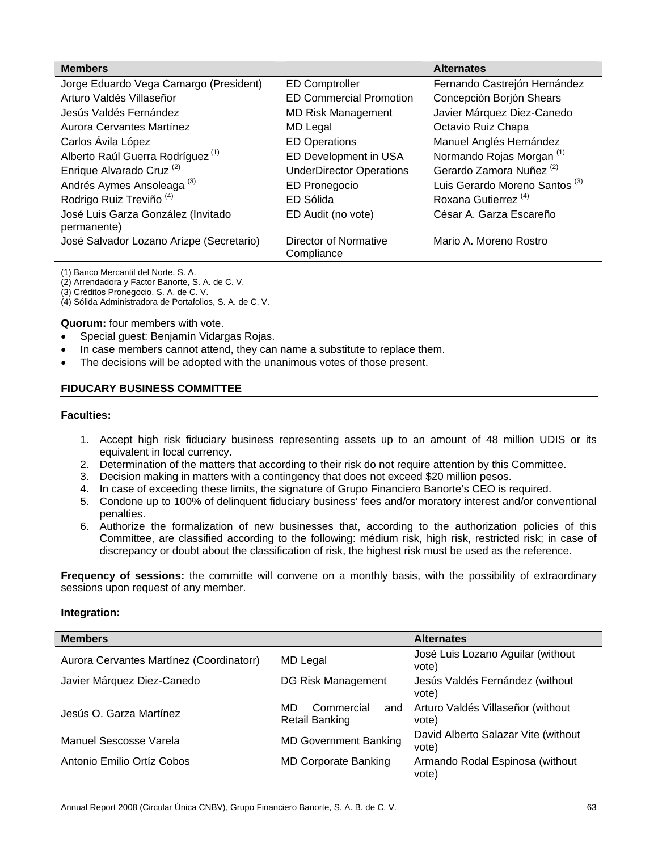| <b>Members</b>                                    |                                     | <b>Alternates</b>                         |
|---------------------------------------------------|-------------------------------------|-------------------------------------------|
| Jorge Eduardo Vega Camargo (President)            | <b>ED Comptroller</b>               | Fernando Castrejón Hernández              |
| Arturo Valdés Villaseñor                          | <b>ED Commercial Promotion</b>      | Concepción Borjón Shears                  |
| Jesús Valdés Fernández                            | <b>MD Risk Management</b>           | Javier Márquez Diez-Canedo                |
| Aurora Cervantes Martínez                         | MD Legal                            | Octavio Ruiz Chapa                        |
| Carlos Ávila López                                | <b>ED Operations</b>                | Manuel Anglés Hernández                   |
| Alberto Raúl Guerra Rodríguez <sup>(1)</sup>      | ED Development in USA               | Normando Rojas Morgan <sup>(1)</sup>      |
| Enrique Alvarado Cruz <sup>(2)</sup>              | <b>UnderDirector Operations</b>     | Gerardo Zamora Nuñez <sup>(2)</sup>       |
| Andrés Aymes Ansoleaga <sup>(3)</sup>             | ED Pronegocio                       | Luis Gerardo Moreno Santos <sup>(3)</sup> |
| Rodrigo Ruiz Treviño <sup>(4)</sup>               | ED Sólida                           | Roxana Gutierrez <sup>(4)</sup>           |
| José Luis Garza González (Invitado<br>permanente) | ED Audit (no vote)                  | César A. Garza Escareño                   |
| José Salvador Lozano Arizpe (Secretario)          | Director of Normative<br>Compliance | Mario A. Moreno Rostro                    |

(1) Banco Mercantil del Norte, S. A.

(2) Arrendadora y Factor Banorte, S. A. de C. V.

(3) Créditos Pronegocio, S. A. de C. V.

(4) Sólida Administradora de Portafolios, S. A. de C. V.

**Quorum:** four members with vote.

- Special guest: Benjamín Vidargas Rojas.
- In case members cannot attend, they can name a substitute to replace them.
- The decisions will be adopted with the unanimous votes of those present.

#### **FIDUCARY BUSINESS COMMITTEE**

# **Faculties:**

- 1. Accept high risk fiduciary business representing assets up to an amount of 48 million UDIS or its equivalent in local currency.
- 2. Determination of the matters that according to their risk do not require attention by this Committee.
- 3. Decision making in matters with a contingency that does not exceed \$20 million pesos.
- 4. In case of exceeding these limits, the signature of Grupo Financiero Banorte's CEO is required.
- 5. Condone up to 100% of delinquent fiduciary business' fees and/or moratory interest and/or conventional penalties.
- 6. Authorize the formalization of new businesses that, according to the authorization policies of this Committee, are classified according to the following: médium risk, high risk, restricted risk; in case of discrepancy or doubt about the classification of risk, the highest risk must be used as the reference.

**Frequency of sessions:** the committe will convene on a monthly basis, with the possibility of extraordinary sessions upon request of any member.

| <b>Members</b>                           |                                                  | <b>Alternates</b>                            |
|------------------------------------------|--------------------------------------------------|----------------------------------------------|
| Aurora Cervantes Martínez (Coordinatorr) | MD Legal                                         | José Luis Lozano Aguilar (without<br>vote)   |
| Javier Márquez Diez-Canedo               | DG Risk Management                               | Jesús Valdés Fernández (without<br>vote)     |
| Jesús O. Garza Martínez                  | MD<br>Commercial<br>and<br><b>Retail Banking</b> | Arturo Valdés Villaseñor (without<br>vote)   |
| Manuel Sescosse Varela                   | <b>MD Government Banking</b>                     | David Alberto Salazar Vite (without<br>vote) |
| Antonio Emilio Ortíz Cobos               | <b>MD Corporate Banking</b>                      | Armando Rodal Espinosa (without)<br>vote)    |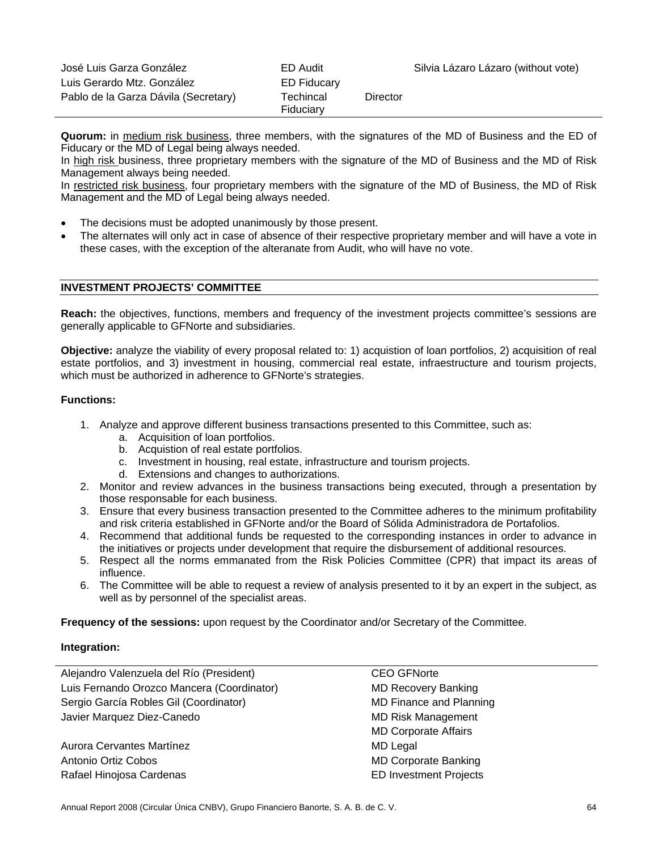| José Luis Garza González             | ED Audit               |          | Silvia Lázaro Lázaro (without vote) |
|--------------------------------------|------------------------|----------|-------------------------------------|
| Luis Gerardo Mtz. González           | ED Fiducary            |          |                                     |
| Pablo de la Garza Dávila (Secretary) | Techincal<br>Fiduciary | Director |                                     |

**Quorum:** in medium risk business, three members, with the signatures of the MD of Business and the ED of Fiducary or the MD of Legal being always needed.

In high risk business, three proprietary members with the signature of the MD of Business and the MD of Risk Management always being needed.

In restricted risk business, four proprietary members with the signature of the MD of Business, the MD of Risk Management and the MD of Legal being always needed.

- The decisions must be adopted unanimously by those present.
- The alternates will only act in case of absence of their respective proprietary member and will have a vote in these cases, with the exception of the alteranate from Audit, who will have no vote.

# **INVESTMENT PROJECTS' COMMITTEE**

**Reach:** the objectives, functions, members and frequency of the investment projects committee's sessions are generally applicable to GFNorte and subsidiaries.

**Objective:** analyze the viability of every proposal related to: 1) acquistion of loan portfolios, 2) acquisition of real estate portfolios, and 3) investment in housing, commercial real estate, infraestructure and tourism projects, which must be authorized in adherence to GFNorte's strategies.

### **Functions:**

- 1. Analyze and approve different business transactions presented to this Committee, such as:
	- a. Acquisition of loan portfolios.
	- b. Acquistion of real estate portfolios.
	- c. Investment in housing, real estate, infrastructure and tourism projects.
	- d. Extensions and changes to authorizations.
- 2. Monitor and review advances in the business transactions being executed, through a presentation by those responsable for each business.
- 3. Ensure that every business transaction presented to the Committee adheres to the minimum profitability and risk criteria established in GFNorte and/or the Board of Sólida Administradora de Portafolios.
- 4. Recommend that additional funds be requested to the corresponding instances in order to advance in the initiatives or projects under development that require the disbursement of additional resources.
- 5. Respect all the norms emmanated from the Risk Policies Committee (CPR) that impact its areas of influence.
- 6. The Committee will be able to request a review of analysis presented to it by an expert in the subject, as well as by personnel of the specialist areas.

**Frequency of the sessions:** upon request by the Coordinator and/or Secretary of the Committee.

| Alejandro Valenzuela del Río (President)   | <b>CEO GFNorte</b>             |  |
|--------------------------------------------|--------------------------------|--|
| Luis Fernando Orozco Mancera (Coordinator) | <b>MD Recovery Banking</b>     |  |
| Sergio García Robles Gil (Coordinator)     | <b>MD Finance and Planning</b> |  |
| Javier Marquez Diez-Canedo                 | <b>MD Risk Management</b>      |  |
|                                            | <b>MD Corporate Affairs</b>    |  |
| Aurora Cervantes Martínez                  | <b>MD Legal</b>                |  |
| Antonio Ortiz Cobos                        | <b>MD Corporate Banking</b>    |  |
| Rafael Hinojosa Cardenas                   | <b>ED Investment Projects</b>  |  |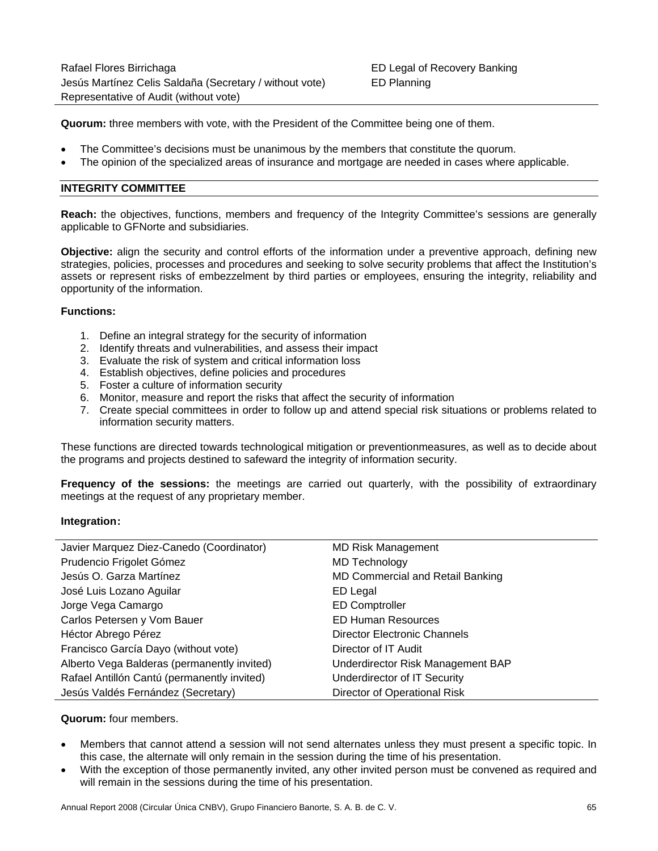**Quorum:** three members with vote, with the President of the Committee being one of them.

- The Committee's decisions must be unanimous by the members that constitute the quorum.
- The opinion of the specialized areas of insurance and mortgage are needed in cases where applicable.

# **INTEGRITY COMMITTEE**

**Reach:** the objectives, functions, members and frequency of the Integrity Committee's sessions are generally applicable to GFNorte and subsidiaries.

**Objective:** align the security and control efforts of the information under a preventive approach, defining new strategies, policies, processes and procedures and seeking to solve security problems that affect the Institution's assets or represent risks of embezzelment by third parties or employees, ensuring the integrity, reliability and opportunity of the information.

### **Functions:**

- 1. Define an integral strategy for the security of information
- 2. Identify threats and vulnerabilities, and assess their impact
- 3. Evaluate the risk of system and critical information loss
- 4. Establish objectives, define policies and procedures
- 5. Foster a culture of information security
- 6. Monitor, measure and report the risks that affect the security of information
- 7. Create special committees in order to follow up and attend special risk situations or problems related to information security matters.

These functions are directed towards technological mitigation or preventionmeasures, as well as to decide about the programs and projects destined to safeward the integrity of information security.

**Frequency of the sessions:** the meetings are carried out quarterly, with the possibility of extraordinary meetings at the request of any proprietary member.

# **Integration:**

| Javier Marquez Diez-Canedo (Coordinator)    | <b>MD Risk Management</b>               |
|---------------------------------------------|-----------------------------------------|
| Prudencio Frigolet Gómez                    | MD Technology                           |
| Jesús O. Garza Martínez                     | <b>MD Commercial and Retail Banking</b> |
| José Luis Lozano Aguilar                    | ED Legal                                |
| Jorge Vega Camargo                          | <b>ED Comptroller</b>                   |
| Carlos Petersen y Vom Bauer                 | <b>ED Human Resources</b>               |
| Héctor Abrego Pérez                         | Director Electronic Channels            |
| Francisco García Dayo (without vote)        | Director of IT Audit                    |
| Alberto Vega Balderas (permanently invited) | Underdirector Risk Management BAP       |
| Rafael Antillón Cantú (permanently invited) | Underdirector of IT Security            |
| Jesús Valdés Fernández (Secretary)          | Director of Operational Risk            |

#### **Quorum:** four members.

- Members that cannot attend a session will not send alternates unless they must present a specific topic. In this case, the alternate will only remain in the session during the time of his presentation.
- With the exception of those permanently invited, any other invited person must be convened as required and will remain in the sessions during the time of his presentation.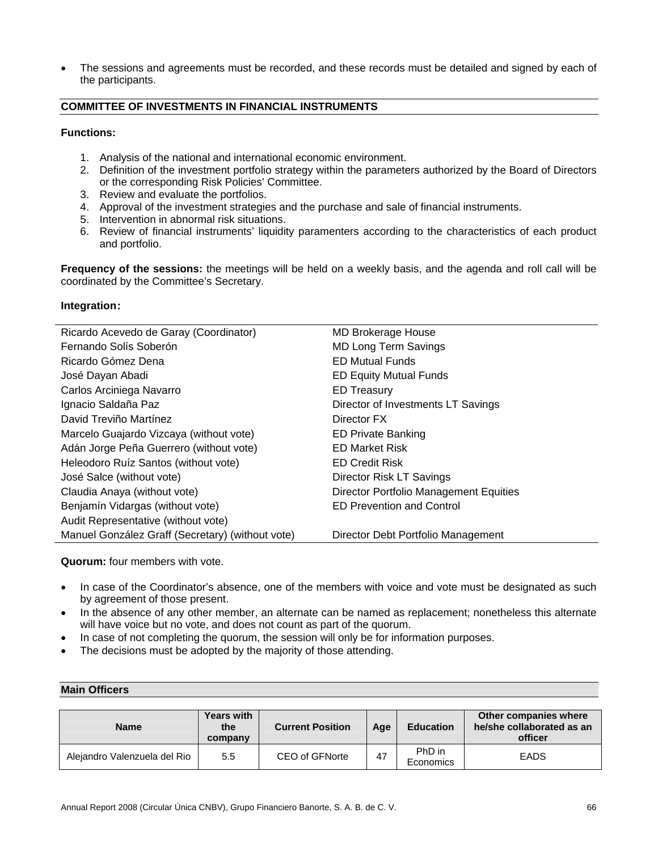The sessions and agreements must be recorded, and these records must be detailed and signed by each of the participants.

# **COMMITTEE OF INVESTMENTS IN FINANCIAL INSTRUMENTS**

# **Functions:**

- 1. Analysis of the national and international economic environment.
- 2. Definition of the investment portfolio strategy within the parameters authorized by the Board of Directors or the corresponding Risk Policies' Committee.
- 3. Review and evaluate the portfolios.
- 4. Approval of the investment strategies and the purchase and sale of financial instruments.
- 5. Intervention in abnormal risk situations.
- 6. Review of financial instruments' liquidity paramenters according to the characteristics of each product and portfolio.

**Frequency of the sessions:** the meetings will be held on a weekly basis, and the agenda and roll call will be coordinated by the Committee's Secretary.

# **Integration:**

| <b>MD Brokerage House</b>                     |
|-----------------------------------------------|
| <b>MD Long Term Savings</b>                   |
| <b>ED Mutual Funds</b>                        |
| <b>ED Equity Mutual Funds</b>                 |
| <b>ED Treasury</b>                            |
| Director of Investments LT Savings            |
| Director FX                                   |
| <b>ED Private Banking</b>                     |
| <b>ED Market Risk</b>                         |
| <b>ED Credit Risk</b>                         |
| Director Risk LT Savings                      |
| <b>Director Portfolio Management Equities</b> |
| <b>ED Prevention and Control</b>              |
|                                               |
| Director Debt Portfolio Management            |
|                                               |

**Quorum:** four members with vote.

- In case of the Coordinator's absence, one of the members with voice and vote must be designated as such by agreement of those present.
- In the absence of any other member, an alternate can be named as replacement; nonetheless this alternate will have voice but no vote, and does not count as part of the quorum.
- In case of not completing the quorum, the session will only be for information purposes.
- The decisions must be adopted by the majority of those attending.

# **Main Officers**

| <b>Name</b>                  | <b>Years with</b><br>the<br>company | <b>Current Position</b> | Age | <b>Education</b>    | Other companies where<br>he/she collaborated as an<br>officer |
|------------------------------|-------------------------------------|-------------------------|-----|---------------------|---------------------------------------------------------------|
| Alejandro Valenzuela del Rio | 5.5                                 | CEO of GFNorte          | 47  | PhD in<br>Economics | <b>EADS</b>                                                   |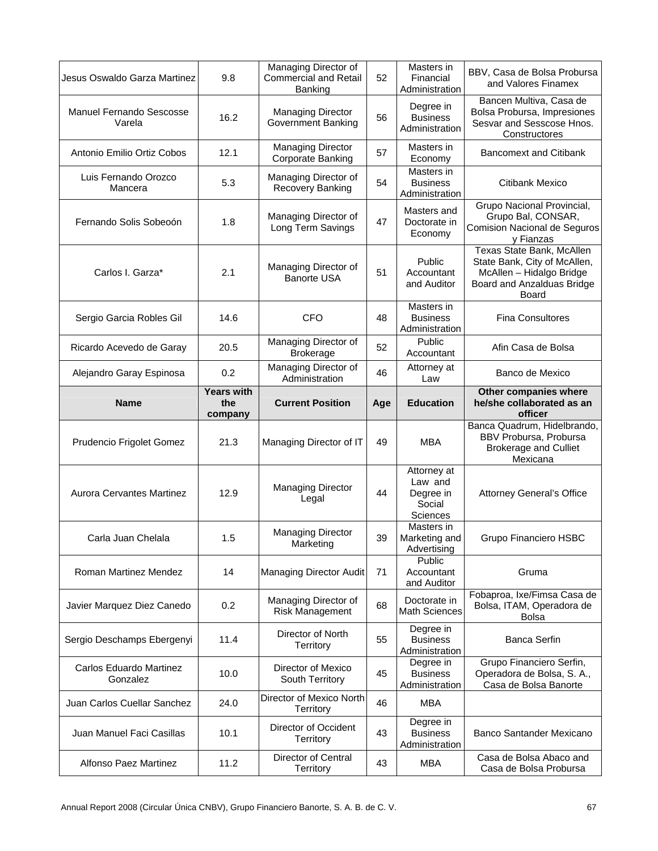| Jesus Oswaldo Garza Martinez              | 9.8                                 | Managing Director of<br><b>Commercial and Retail</b><br>Banking | 52  | Masters in<br>Financial<br>Administration                        | BBV, Casa de Bolsa Probursa<br>and Valores Finamex                                                                           |
|-------------------------------------------|-------------------------------------|-----------------------------------------------------------------|-----|------------------------------------------------------------------|------------------------------------------------------------------------------------------------------------------------------|
| <b>Manuel Fernando Sescosse</b><br>Varela | 16.2                                | <b>Managing Director</b><br><b>Government Banking</b>           | 56  | Degree in<br><b>Business</b><br>Administration                   | Bancen Multiva, Casa de<br>Bolsa Probursa, Impresiones<br>Sesvar and Sesscose Hnos.<br>Constructores                         |
| Antonio Emilio Ortiz Cobos                | 12.1                                | <b>Managing Director</b><br>Corporate Banking                   | 57  | Masters in<br>Economy                                            | <b>Bancomext and Citibank</b>                                                                                                |
| Luis Fernando Orozco<br>Mancera           | 5.3                                 | Managing Director of<br>Recovery Banking                        | 54  | Masters in<br><b>Business</b><br>Administration                  | Citibank Mexico                                                                                                              |
| Fernando Solis Sobeoón                    | 1.8                                 | Managing Director of<br>Long Term Savings                       | 47  | Masters and<br>Doctorate in<br>Economy                           | Grupo Nacional Provincial,<br>Grupo Bal, CONSAR,<br><b>Comision Nacional de Seguros</b><br>y Fianzas                         |
| Carlos I. Garza*                          | 2.1                                 | Managing Director of<br><b>Banorte USA</b>                      | 51  | Public<br>Accountant<br>and Auditor                              | Texas State Bank, McAllen<br>State Bank, City of McAllen,<br>McAllen - Hidalgo Bridge<br>Board and Anzalduas Bridge<br>Board |
| Sergio Garcia Robles Gil                  | 14.6                                | <b>CFO</b>                                                      | 48  | Masters in<br><b>Business</b><br>Administration                  | <b>Fina Consultores</b>                                                                                                      |
| Ricardo Acevedo de Garay                  | 20.5                                | Managing Director of<br><b>Brokerage</b>                        | 52  | Public<br>Accountant                                             | Afin Casa de Bolsa                                                                                                           |
| Alejandro Garay Espinosa                  | 0.2                                 | Managing Director of<br>Administration                          | 46  | Attorney at<br>Law                                               | Banco de Mexico                                                                                                              |
| Name                                      | <b>Years with</b><br>the<br>company | <b>Current Position</b>                                         | Age | <b>Education</b>                                                 | Other companies where<br>he/she collaborated as an<br>officer                                                                |
|                                           |                                     |                                                                 |     |                                                                  |                                                                                                                              |
| Prudencio Frigolet Gomez                  | 21.3                                | Managing Director of IT                                         | 49  | <b>MBA</b>                                                       | Banca Quadrum, Hidelbrando,<br>BBV Probursa, Probursa<br><b>Brokerage and Culliet</b><br>Mexicana                            |
| <b>Aurora Cervantes Martinez</b>          | 12.9                                | <b>Managing Director</b><br>Legal                               | 44  | Attorney at<br>Law and<br>Degree in<br>Social<br><b>Sciences</b> | Attorney General's Office                                                                                                    |
| Carla Juan Chelala                        | 1.5                                 | <b>Managing Director</b><br>Marketing                           | 39  | Masters in<br>Marketing and<br>Advertising                       | Grupo Financiero HSBC                                                                                                        |
| Roman Martinez Mendez                     | 14                                  | Managing Director Audit                                         | 71  | Public<br>Accountant<br>and Auditor                              | Gruma                                                                                                                        |
| Javier Marquez Diez Canedo                | 0.2                                 | Managing Director of<br>Risk Management                         | 68  | Doctorate in<br><b>Math Sciences</b>                             | Fobaproa, Ixe/Fimsa Casa de<br>Bolsa, ITAM, Operadora de<br><b>Bolsa</b>                                                     |
| Sergio Deschamps Ebergenyi                | 11.4                                | Director of North<br>Territory                                  | 55  | Degree in<br><b>Business</b><br>Administration                   | <b>Banca Serfin</b>                                                                                                          |
| Carlos Eduardo Martinez<br>Gonzalez       | 10.0                                | Director of Mexico<br>South Territory                           | 45  | Degree in<br><b>Business</b><br>Administration                   | Grupo Financiero Serfin,<br>Operadora de Bolsa, S. A.,<br>Casa de Bolsa Banorte                                              |
| Juan Carlos Cuellar Sanchez               | 24.0                                | Director of Mexico North<br>Territory                           | 46  | <b>MBA</b>                                                       |                                                                                                                              |
| Juan Manuel Faci Casillas                 | 10.1                                | Director of Occident<br>Territory                               | 43  | Degree in<br><b>Business</b><br>Administration                   | Banco Santander Mexicano                                                                                                     |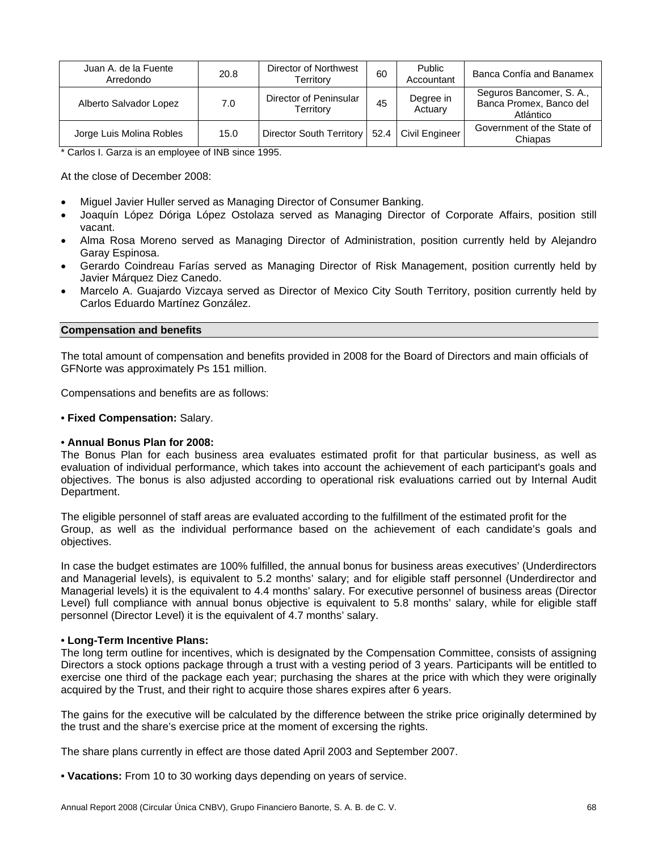| Juan A. de la Fuente<br>Arredondo | 20.8 | Director of Northwest<br>Territory  | 60   | Public<br>Accountant | Banca Confía and Banamex                                         |
|-----------------------------------|------|-------------------------------------|------|----------------------|------------------------------------------------------------------|
| Alberto Salvador Lopez            | 7.0  | Director of Peninsular<br>Territory | 45   | Degree in<br>Actuary | Seguros Bancomer, S. A.,<br>Banca Promex, Banco del<br>Atlántico |
| Jorge Luis Molina Robles          | 15.0 | Director South Territory            | 52.4 | Civil Engineer       | Government of the State of<br>Chiapas                            |

\* Carlos I. Garza is an employee of INB since 1995.

At the close of December 2008:

- Miguel Javier Huller served as Managing Director of Consumer Banking.
- Joaquín López Dóriga López Ostolaza served as Managing Director of Corporate Affairs, position still vacant.
- Alma Rosa Moreno served as Managing Director of Administration, position currently held by Alejandro Garay Espinosa.
- Gerardo Coindreau Farías served as Managing Director of Risk Management, position currently held by Javier Márquez Diez Canedo.
- Marcelo A. Guajardo Vizcaya served as Director of Mexico City South Territory, position currently held by Carlos Eduardo Martínez González.

# **Compensation and benefits**

The total amount of compensation and benefits provided in 2008 for the Board of Directors and main officials of GFNorte was approximately Ps 151 million.

Compensations and benefits are as follows:

### • **Fixed Compensation:** Salary.

# • **Annual Bonus Plan for 2008:**

The Bonus Plan for each business area evaluates estimated profit for that particular business, as well as evaluation of individual performance, which takes into account the achievement of each participant's goals and objectives. The bonus is also adjusted according to operational risk evaluations carried out by Internal Audit Department.

The eligible personnel of staff areas are evaluated according to the fulfillment of the estimated profit for the Group, as well as the individual performance based on the achievement of each candidate's goals and objectives.

In case the budget estimates are 100% fulfilled, the annual bonus for business areas executives' (Underdirectors and Managerial levels), is equivalent to 5.2 months' salary; and for eligible staff personnel (Underdirector and Managerial levels) it is the equivalent to 4.4 months' salary. For executive personnel of business areas (Director Level) full compliance with annual bonus objective is equivalent to 5.8 months' salary, while for eligible staff personnel (Director Level) it is the equivalent of 4.7 months' salary.

# • **Long-Term Incentive Plans:**

The long term outline for incentives, which is designated by the Compensation Committee, consists of assigning Directors a stock options package through a trust with a vesting period of 3 years. Participants will be entitled to exercise one third of the package each year; purchasing the shares at the price with which they were originally acquired by the Trust, and their right to acquire those shares expires after 6 years.

The gains for the executive will be calculated by the difference between the strike price originally determined by the trust and the share's exercise price at the moment of excersing the rights.

The share plans currently in effect are those dated April 2003 and September 2007.

• **Vacations:** From 10 to 30 working days depending on years of service.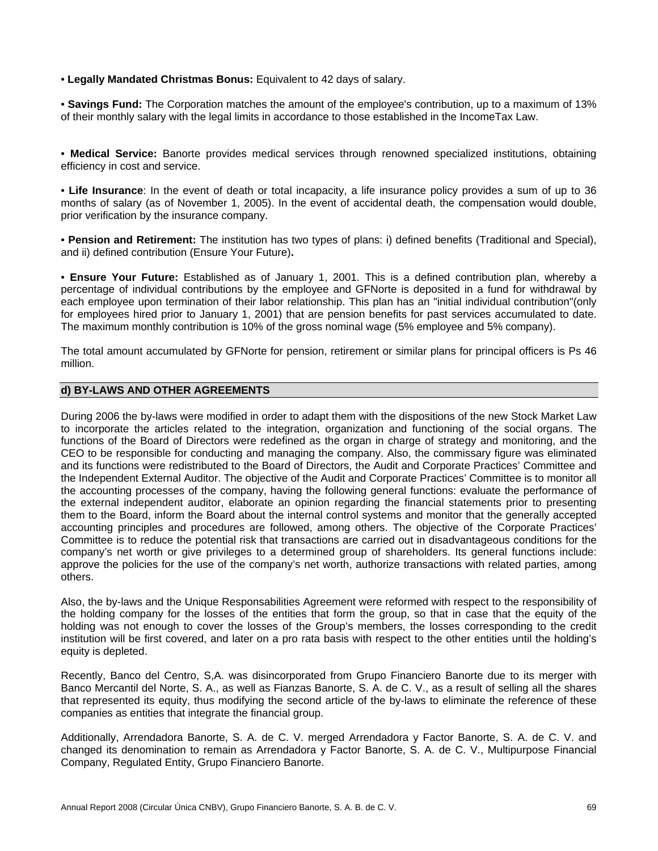• **Legally Mandated Christmas Bonus:** Equivalent to 42 days of salary.

• **Savings Fund:** The Corporation matches the amount of the employee's contribution, up to a maximum of 13% of their monthly salary with the legal limits in accordance to those established in the IncomeTax Law.

• **Medical Service:** Banorte provides medical services through renowned specialized institutions, obtaining efficiency in cost and service.

• **Life Insurance**: In the event of death or total incapacity, a life insurance policy provides a sum of up to 36 months of salary (as of November 1, 2005). In the event of accidental death, the compensation would double, prior verification by the insurance company.

• **Pension and Retirement:** The institution has two types of plans: i) defined benefits (Traditional and Special), and ii) defined contribution (Ensure Your Future)**.**

• **Ensure Your Future:** Established as of January 1, 2001. This is a defined contribution plan, whereby a percentage of individual contributions by the employee and GFNorte is deposited in a fund for withdrawal by each employee upon termination of their labor relationship. This plan has an "initial individual contribution"(only for employees hired prior to January 1, 2001) that are pension benefits for past services accumulated to date. The maximum monthly contribution is 10% of the gross nominal wage (5% employee and 5% company).

The total amount accumulated by GFNorte for pension, retirement or similar plans for principal officers is Ps 46 million.

# **d) BY-LAWS AND OTHER AGREEMENTS**

During 2006 the by-laws were modified in order to adapt them with the dispositions of the new Stock Market Law to incorporate the articles related to the integration, organization and functioning of the social organs. The functions of the Board of Directors were redefined as the organ in charge of strategy and monitoring, and the CEO to be responsible for conducting and managing the company. Also, the commissary figure was eliminated and its functions were redistributed to the Board of Directors, the Audit and Corporate Practices' Committee and the Independent External Auditor. The objective of the Audit and Corporate Practices' Committee is to monitor all the accounting processes of the company, having the following general functions: evaluate the performance of the external independent auditor, elaborate an opinion regarding the financial statements prior to presenting them to the Board, inform the Board about the internal control systems and monitor that the generally accepted accounting principles and procedures are followed, among others. The objective of the Corporate Practices' Committee is to reduce the potential risk that transactions are carried out in disadvantageous conditions for the company's net worth or give privileges to a determined group of shareholders. Its general functions include: approve the policies for the use of the company's net worth, authorize transactions with related parties, among others.

Also, the by-laws and the Unique Responsabilities Agreement were reformed with respect to the responsibility of the holding company for the losses of the entities that form the group, so that in case that the equity of the holding was not enough to cover the losses of the Group's members, the losses corresponding to the credit institution will be first covered, and later on a pro rata basis with respect to the other entities until the holding's equity is depleted.

Recently, Banco del Centro, S,A. was disincorporated from Grupo Financiero Banorte due to its merger with Banco Mercantil del Norte, S. A., as well as Fianzas Banorte, S. A. de C. V., as a result of selling all the shares that represented its equity, thus modifying the second article of the by-laws to eliminate the reference of these companies as entities that integrate the financial group.

Additionally, Arrendadora Banorte, S. A. de C. V. merged Arrendadora y Factor Banorte, S. A. de C. V. and changed its denomination to remain as Arrendadora y Factor Banorte, S. A. de C. V., Multipurpose Financial Company, Regulated Entity, Grupo Financiero Banorte.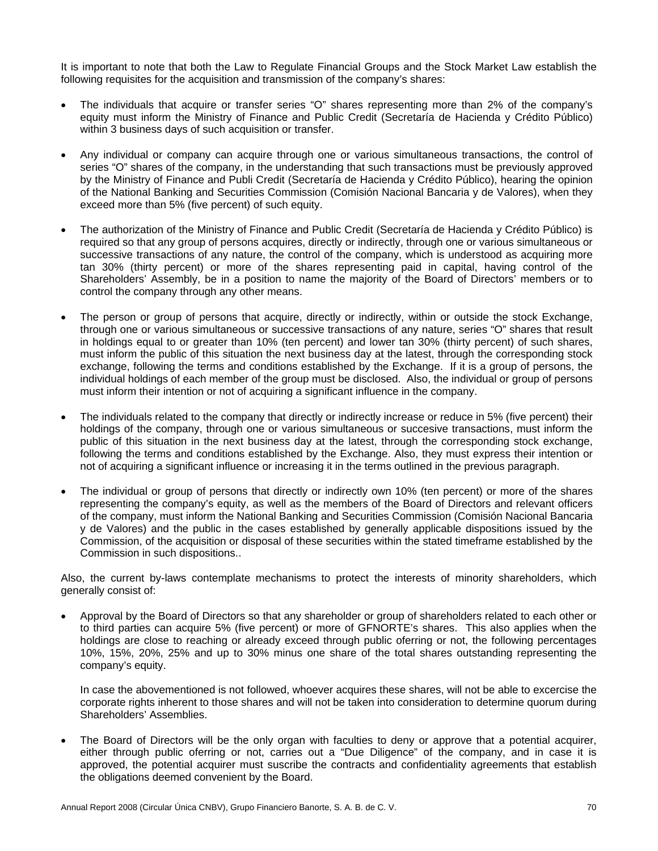It is important to note that both the Law to Regulate Financial Groups and the Stock Market Law establish the following requisites for the acquisition and transmission of the company's shares:

- The individuals that acquire or transfer series "O" shares representing more than 2% of the company's equity must inform the Ministry of Finance and Public Credit (Secretaría de Hacienda y Crédito Público) within 3 business days of such acquisition or transfer.
- Any individual or company can acquire through one or various simultaneous transactions, the control of series "O" shares of the company, in the understanding that such transactions must be previously approved by the Ministry of Finance and Publi Credit (Secretaría de Hacienda y Crédito Público), hearing the opinion of the National Banking and Securities Commission (Comisión Nacional Bancaria y de Valores), when they exceed more than 5% (five percent) of such equity.
- The authorization of the Ministry of Finance and Public Credit (Secretaría de Hacienda y Crédito Público) is required so that any group of persons acquires, directly or indirectly, through one or various simultaneous or successive transactions of any nature, the control of the company, which is understood as acquiring more tan 30% (thirty percent) or more of the shares representing paid in capital, having control of the Shareholders' Assembly, be in a position to name the majority of the Board of Directors' members or to control the company through any other means.
- The person or group of persons that acquire, directly or indirectly, within or outside the stock Exchange, through one or various simultaneous or successive transactions of any nature, series "O" shares that result in holdings equal to or greater than 10% (ten percent) and lower tan 30% (thirty percent) of such shares, must inform the public of this situation the next business day at the latest, through the corresponding stock exchange, following the terms and conditions established by the Exchange. If it is a group of persons, the individual holdings of each member of the group must be disclosed. Also, the individual or group of persons must inform their intention or not of acquiring a significant influence in the company.
- The individuals related to the company that directly or indirectly increase or reduce in 5% (five percent) their holdings of the company, through one or various simultaneous or succesive transactions, must inform the public of this situation in the next business day at the latest, through the corresponding stock exchange, following the terms and conditions established by the Exchange. Also, they must express their intention or not of acquiring a significant influence or increasing it in the terms outlined in the previous paragraph.
- The individual or group of persons that directly or indirectly own 10% (ten percent) or more of the shares representing the company's equity, as well as the members of the Board of Directors and relevant officers of the company, must inform the National Banking and Securities Commission (Comisión Nacional Bancaria y de Valores) and the public in the cases established by generally applicable dispositions issued by the Commission, of the acquisition or disposal of these securities within the stated timeframe established by the Commission in such dispositions..

Also, the current by-laws contemplate mechanisms to protect the interests of minority shareholders, which generally consist of:

• Approval by the Board of Directors so that any shareholder or group of shareholders related to each other or to third parties can acquire 5% (five percent) or more of GFNORTE's shares. This also applies when the holdings are close to reaching or already exceed through public oferring or not, the following percentages 10%, 15%, 20%, 25% and up to 30% minus one share of the total shares outstanding representing the company's equity.

In case the abovementioned is not followed, whoever acquires these shares, will not be able to excercise the corporate rights inherent to those shares and will not be taken into consideration to determine quorum during Shareholders' Assemblies.

The Board of Directors will be the only organ with faculties to deny or approve that a potential acquirer, either through public oferring or not, carries out a "Due Diligence" of the company, and in case it is approved, the potential acquirer must suscribe the contracts and confidentiality agreements that establish the obligations deemed convenient by the Board.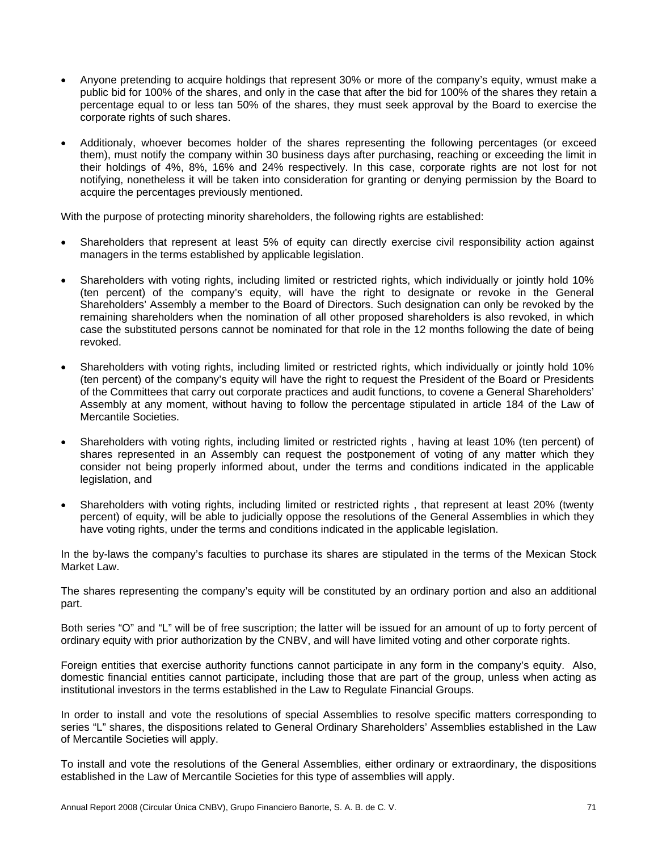- Anyone pretending to acquire holdings that represent 30% or more of the company's equity, wmust make a public bid for 100% of the shares, and only in the case that after the bid for 100% of the shares they retain a percentage equal to or less tan 50% of the shares, they must seek approval by the Board to exercise the corporate rights of such shares.
- Additionaly, whoever becomes holder of the shares representing the following percentages (or exceed them), must notify the company within 30 business days after purchasing, reaching or exceeding the limit in their holdings of 4%, 8%, 16% and 24% respectively. In this case, corporate rights are not lost for not notifying, nonetheless it will be taken into consideration for granting or denying permission by the Board to acquire the percentages previously mentioned.

With the purpose of protecting minority shareholders, the following rights are established:

- Shareholders that represent at least 5% of equity can directly exercise civil responsibility action against managers in the terms established by applicable legislation.
- Shareholders with voting rights, including limited or restricted rights, which individually or jointly hold 10% (ten percent) of the company's equity, will have the right to designate or revoke in the General Shareholders' Assembly a member to the Board of Directors. Such designation can only be revoked by the remaining shareholders when the nomination of all other proposed shareholders is also revoked, in which case the substituted persons cannot be nominated for that role in the 12 months following the date of being revoked.
- Shareholders with voting rights, including limited or restricted rights, which individually or jointly hold 10% (ten percent) of the company's equity will have the right to request the President of the Board or Presidents of the Committees that carry out corporate practices and audit functions, to covene a General Shareholders' Assembly at any moment, without having to follow the percentage stipulated in article 184 of the Law of Mercantile Societies.
- Shareholders with voting rights, including limited or restricted rights , having at least 10% (ten percent) of shares represented in an Assembly can request the postponement of voting of any matter which they consider not being properly informed about, under the terms and conditions indicated in the applicable legislation, and
- Shareholders with voting rights, including limited or restricted rights , that represent at least 20% (twenty percent) of equity, will be able to judicially oppose the resolutions of the General Assemblies in which they have voting rights, under the terms and conditions indicated in the applicable legislation.

In the by-laws the company's faculties to purchase its shares are stipulated in the terms of the Mexican Stock Market Law.

The shares representing the company's equity will be constituted by an ordinary portion and also an additional part.

Both series "O" and "L" will be of free suscription; the latter will be issued for an amount of up to forty percent of ordinary equity with prior authorization by the CNBV, and will have limited voting and other corporate rights.

Foreign entities that exercise authority functions cannot participate in any form in the company's equity. Also, domestic financial entities cannot participate, including those that are part of the group, unless when acting as institutional investors in the terms established in the Law to Regulate Financial Groups.

In order to install and vote the resolutions of special Assemblies to resolve specific matters corresponding to series "L" shares, the dispositions related to General Ordinary Shareholders' Assemblies established in the Law of Mercantile Societies will apply.

To install and vote the resolutions of the General Assemblies, either ordinary or extraordinary, the dispositions established in the Law of Mercantile Societies for this type of assemblies will apply.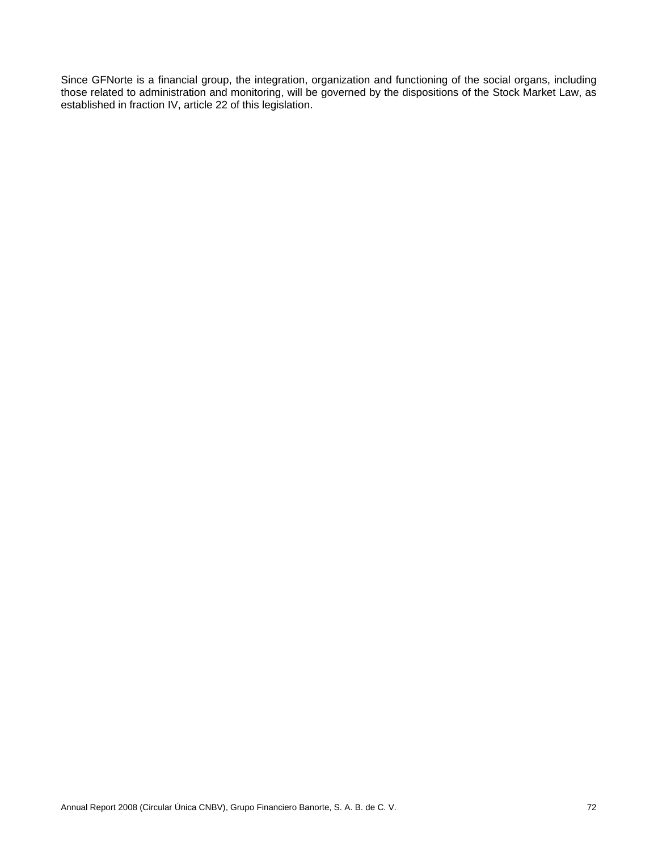Since GFNorte is a financial group, the integration, organization and functioning of the social organs, including those related to administration and monitoring, will be governed by the dispositions of the Stock Market Law, as established in fraction IV, article 22 of this legislation.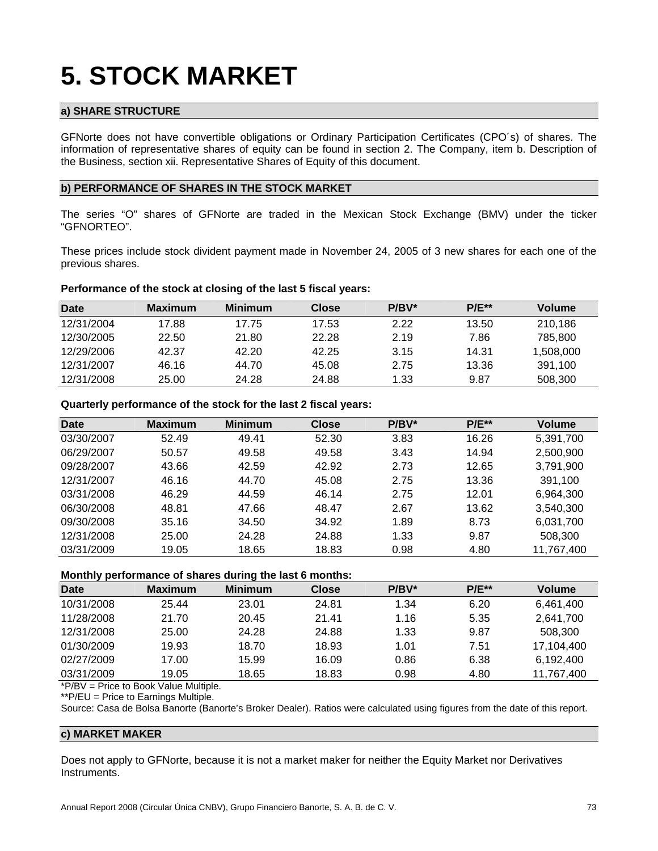# **5. STOCK MARKET**

# **a) SHARE STRUCTURE**

GFNorte does not have convertible obligations or Ordinary Participation Certificates (CPO´s) of shares. The information of representative shares of equity can be found in section 2. The Company, item b. Description of the Business, section xii. Representative Shares of Equity of this document.

## **b) PERFORMANCE OF SHARES IN THE STOCK MARKET**

The series "O" shares of GFNorte are traded in the Mexican Stock Exchange (BMV) under the ticker "GFNORTEO".

These prices include stock divident payment made in November 24, 2005 of 3 new shares for each one of the previous shares.

#### **Performance of the stock at closing of the last 5 fiscal years:**

| <b>Date</b> | <b>Maximum</b> | <b>Minimum</b> | <b>Close</b> | $P/BV^*$ | $P/E^{**}$ | <b>Volume</b> |
|-------------|----------------|----------------|--------------|----------|------------|---------------|
| 12/31/2004  | 17.88          | 17.75          | 17.53        | 2.22     | 13.50      | 210.186       |
| 12/30/2005  | 22.50          | 21.80          | 22.28        | 2.19     | 7.86       | 785,800       |
| 12/29/2006  | 42.37          | 42.20          | 42.25        | 3.15     | 14.31      | 1.508.000     |
| 12/31/2007  | 46.16          | 44.70          | 45.08        | 2.75     | 13.36      | 391.100       |
| 12/31/2008  | 25.00          | 24.28          | 24.88        | 1.33     | 9.87       | 508,300       |

**Quarterly performance of the stock for the last 2 fiscal years:** 

| Date       | <b>Maximum</b> | <b>Minimum</b> | <b>Close</b> | $P/BV^*$ | <b>P/E**</b> | Volume     |
|------------|----------------|----------------|--------------|----------|--------------|------------|
| 03/30/2007 | 52.49          | 49.41          | 52.30        | 3.83     | 16.26        | 5,391,700  |
| 06/29/2007 | 50.57          | 49.58          | 49.58        | 3.43     | 14.94        | 2,500,900  |
| 09/28/2007 | 43.66          | 42.59          | 42.92        | 2.73     | 12.65        | 3,791,900  |
| 12/31/2007 | 46.16          | 44.70          | 45.08        | 2.75     | 13.36        | 391.100    |
| 03/31/2008 | 46.29          | 44.59          | 46.14        | 2.75     | 12.01        | 6,964,300  |
| 06/30/2008 | 48.81          | 47.66          | 48.47        | 2.67     | 13.62        | 3,540,300  |
| 09/30/2008 | 35.16          | 34.50          | 34.92        | 1.89     | 8.73         | 6,031,700  |
| 12/31/2008 | 25.00          | 24.28          | 24.88        | 1.33     | 9.87         | 508,300    |
| 03/31/2009 | 19.05          | 18.65          | 18.83        | 0.98     | 4.80         | 11,767,400 |

# **Monthly performance of shares during the last 6 months:**

| - -        |                |                |              |          |            |               |
|------------|----------------|----------------|--------------|----------|------------|---------------|
| Date       | <b>Maximum</b> | <b>Minimum</b> | <b>Close</b> | $P/BV^*$ | $P/E^{**}$ | <b>Volume</b> |
| 10/31/2008 | 25.44          | 23.01          | 24.81        | 1.34     | 6.20       | 6,461,400     |
| 11/28/2008 | 21.70          | 20.45          | 21.41        | 1.16     | 5.35       | 2,641,700     |
| 12/31/2008 | 25.00          | 24.28          | 24.88        | 1.33     | 9.87       | 508,300       |
| 01/30/2009 | 19.93          | 18.70          | 18.93        | 1.01     | 7.51       | 17,104,400    |
| 02/27/2009 | 17.00          | 15.99          | 16.09        | 0.86     | 6.38       | 6,192,400     |
| 03/31/2009 | 19.05          | 18.65          | 18.83        | 0.98     | 4.80       | 11,767,400    |
|            |                |                |              |          |            |               |

\*P/BV = Price to Book Value Multiple.

\*\*P/EU = Price to Earnings Multiple.

Source: Casa de Bolsa Banorte (Banorte's Broker Dealer). Ratios were calculated using figures from the date of this report.

## **c) MARKET MAKER**

Does not apply to GFNorte, because it is not a market maker for neither the Equity Market nor Derivatives Instruments.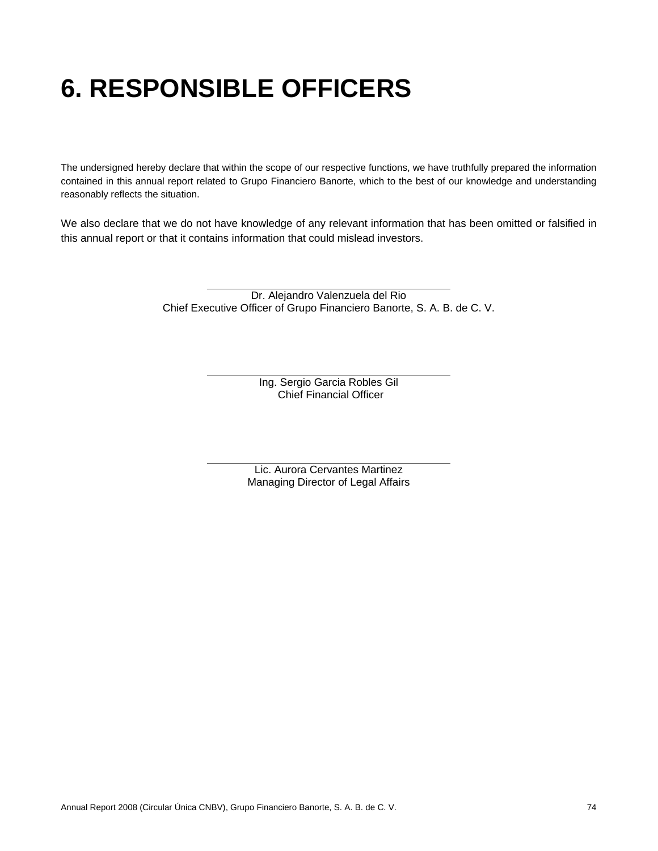# **6. RESPONSIBLE OFFICERS**

The undersigned hereby declare that within the scope of our respective functions, we have truthfully prepared the information contained in this annual report related to Grupo Financiero Banorte, which to the best of our knowledge and understanding reasonably reflects the situation.

We also declare that we do not have knowledge of any relevant information that has been omitted or falsified in this annual report or that it contains information that could mislead investors.

> Dr. Alejandro Valenzuela del Rio Chief Executive Officer of Grupo Financiero Banorte, S. A. B. de C. V.

> > Ing. Sergio Garcia Robles Gil Chief Financial Officer

Lic. Aurora Cervantes Martinez Managing Director of Legal Affairs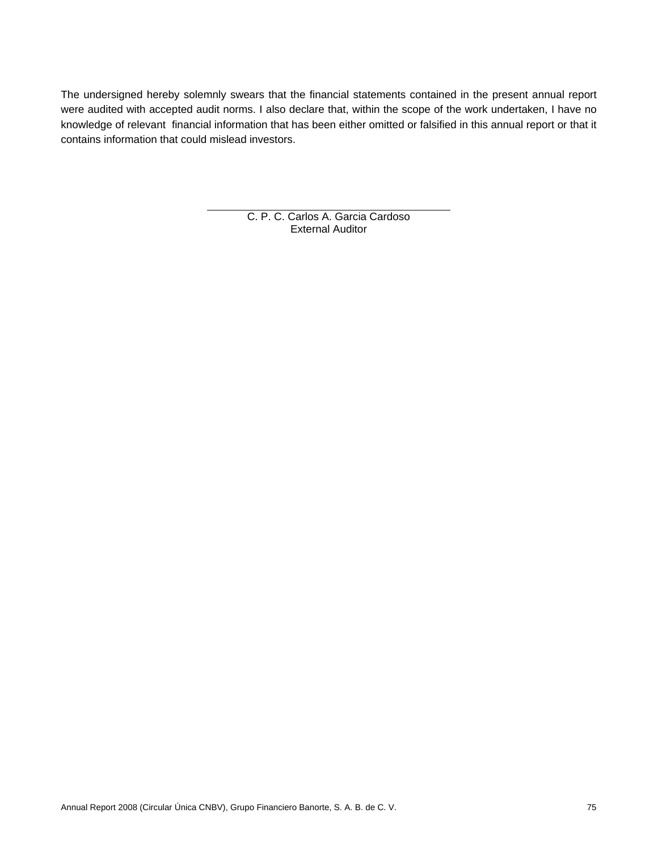The undersigned hereby solemnly swears that the financial statements contained in the present annual report were audited with accepted audit norms. I also declare that, within the scope of the work undertaken, I have no knowledge of relevant financial information that has been either omitted or falsified in this annual report or that it contains information that could mislead investors.

> C. P. C. Carlos A. Garcia Cardoso External Auditor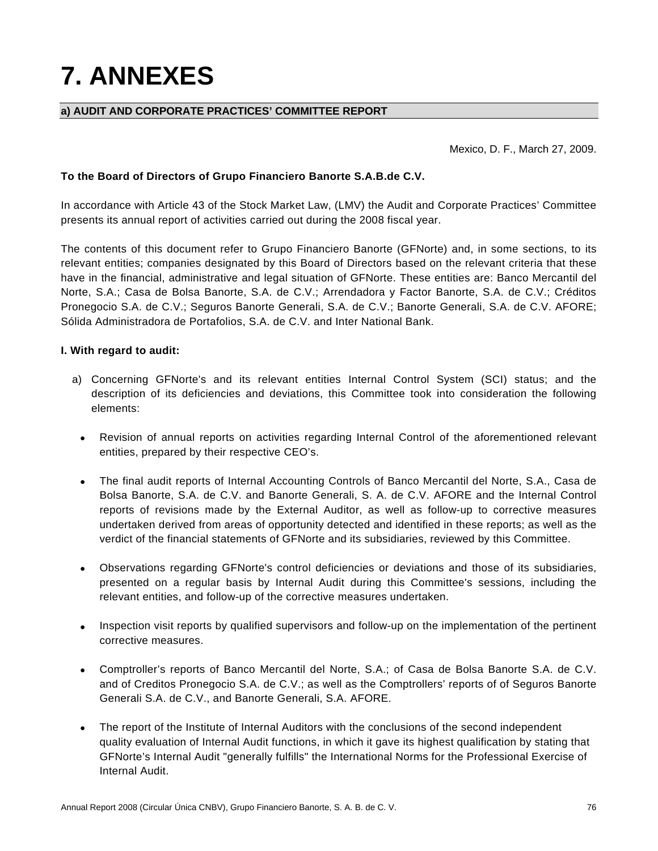# **7. ANNEXES**

# **a) AUDIT AND CORPORATE PRACTICES' COMMITTEE REPORT**

Mexico, D. F., March 27, 2009.

## **To the Board of Directors of Grupo Financiero Banorte S.A.B.de C.V.**

In accordance with Article 43 of the Stock Market Law, (LMV) the Audit and Corporate Practices' Committee presents its annual report of activities carried out during the 2008 fiscal year.

The contents of this document refer to Grupo Financiero Banorte (GFNorte) and, in some sections, to its relevant entities; companies designated by this Board of Directors based on the relevant criteria that these have in the financial, administrative and legal situation of GFNorte. These entities are: Banco Mercantil del Norte, S.A.; Casa de Bolsa Banorte, S.A. de C.V.; Arrendadora y Factor Banorte, S.A. de C.V.; Créditos Pronegocio S.A. de C.V.; Seguros Banorte Generali, S.A. de C.V.; Banorte Generali, S.A. de C.V. AFORE; Sólida Administradora de Portafolios, S.A. de C.V. and Inter National Bank.

## **I. With regard to audit:**

- a) Concerning GFNorte's and its relevant entities Internal Control System (SCI) status; and the description of its deficiencies and deviations, this Committee took into consideration the following elements:
	- Revision of annual reports on activities regarding Internal Control of the aforementioned relevant entities, prepared by their respective CEO's.
	- The final audit reports of Internal Accounting Controls of Banco Mercantil del Norte, S.A., Casa de Bolsa Banorte, S.A. de C.V. and Banorte Generali, S. A. de C.V. AFORE and the Internal Control reports of revisions made by the External Auditor, as well as follow-up to corrective measures undertaken derived from areas of opportunity detected and identified in these reports; as well as the verdict of the financial statements of GFNorte and its subsidiaries, reviewed by this Committee.
	- Observations regarding GFNorte's control deficiencies or deviations and those of its subsidiaries, presented on a regular basis by Internal Audit during this Committee's sessions, including the relevant entities, and follow-up of the corrective measures undertaken.
	- Inspection visit reports by qualified supervisors and follow-up on the implementation of the pertinent corrective measures.
	- Comptroller's reports of Banco Mercantil del Norte, S.A.; of Casa de Bolsa Banorte S.A. de C.V. and of Creditos Pronegocio S.A. de C.V.; as well as the Comptrollers' reports of of Seguros Banorte Generali S.A. de C.V., and Banorte Generali, S.A. AFORE.
	- The report of the Institute of Internal Auditors with the conclusions of the second independent quality evaluation of Internal Audit functions, in which it gave its highest qualification by stating that GFNorte's Internal Audit "generally fulfills" the International Norms for the Professional Exercise of Internal Audit.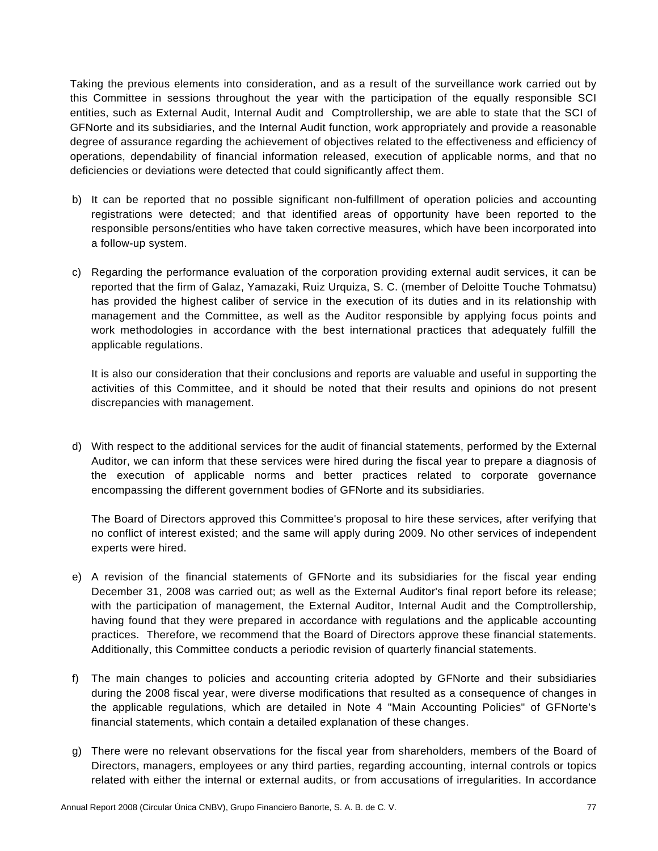Taking the previous elements into consideration, and as a result of the surveillance work carried out by this Committee in sessions throughout the year with the participation of the equally responsible SCI entities, such as External Audit, Internal Audit and Comptrollership, we are able to state that the SCI of GFNorte and its subsidiaries, and the Internal Audit function, work appropriately and provide a reasonable degree of assurance regarding the achievement of objectives related to the effectiveness and efficiency of operations, dependability of financial information released, execution of applicable norms, and that no deficiencies or deviations were detected that could significantly affect them.

- b) It can be reported that no possible significant non-fulfillment of operation policies and accounting registrations were detected; and that identified areas of opportunity have been reported to the responsible persons/entities who have taken corrective measures, which have been incorporated into a follow-up system.
- c) Regarding the performance evaluation of the corporation providing external audit services, it can be reported that the firm of Galaz, Yamazaki, Ruiz Urquiza, S. C. (member of Deloitte Touche Tohmatsu) has provided the highest caliber of service in the execution of its duties and in its relationship with management and the Committee, as well as the Auditor responsible by applying focus points and work methodologies in accordance with the best international practices that adequately fulfill the applicable regulations.

It is also our consideration that their conclusions and reports are valuable and useful in supporting the activities of this Committee, and it should be noted that their results and opinions do not present discrepancies with management.

d) With respect to the additional services for the audit of financial statements, performed by the External Auditor, we can inform that these services were hired during the fiscal year to prepare a diagnosis of the execution of applicable norms and better practices related to corporate governance encompassing the different government bodies of GFNorte and its subsidiaries.

 The Board of Directors approved this Committee's proposal to hire these services, after verifying that no conflict of interest existed; and the same will apply during 2009. No other services of independent experts were hired.

- e) A revision of the financial statements of GFNorte and its subsidiaries for the fiscal year ending December 31, 2008 was carried out; as well as the External Auditor's final report before its release; with the participation of management, the External Auditor, Internal Audit and the Comptrollership, having found that they were prepared in accordance with regulations and the applicable accounting practices. Therefore, we recommend that the Board of Directors approve these financial statements. Additionally, this Committee conducts a periodic revision of quarterly financial statements.
- f) The main changes to policies and accounting criteria adopted by GFNorte and their subsidiaries during the 2008 fiscal year, were diverse modifications that resulted as a consequence of changes in the applicable regulations, which are detailed in Note 4 "Main Accounting Policies" of GFNorte's financial statements, which contain a detailed explanation of these changes.
- g) There were no relevant observations for the fiscal year from shareholders, members of the Board of Directors, managers, employees or any third parties, regarding accounting, internal controls or topics related with either the internal or external audits, or from accusations of irregularities. In accordance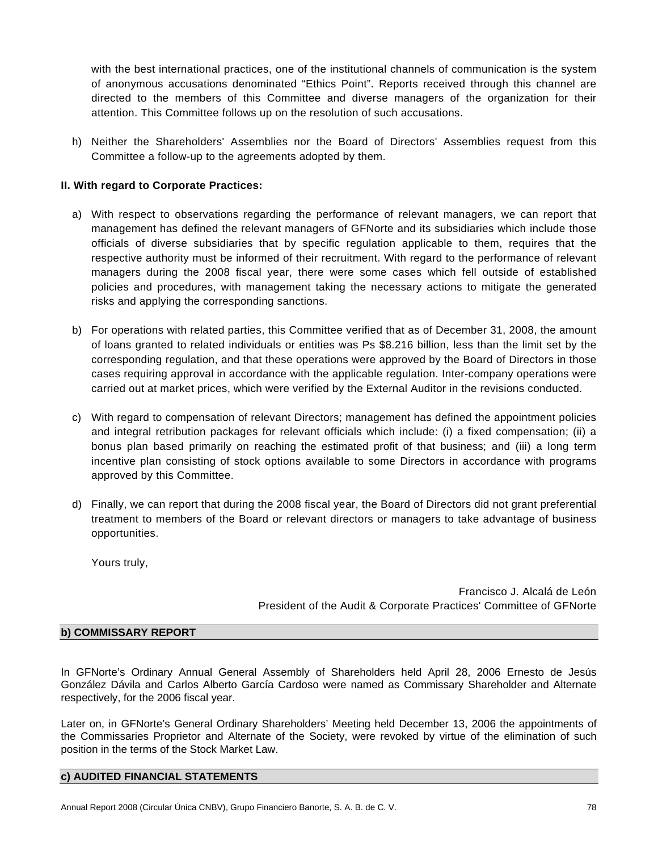with the best international practices, one of the institutional channels of communication is the system of anonymous accusations denominated "Ethics Point". Reports received through this channel are directed to the members of this Committee and diverse managers of the organization for their attention. This Committee follows up on the resolution of such accusations.

h) Neither the Shareholders' Assemblies nor the Board of Directors' Assemblies request from this Committee a follow-up to the agreements adopted by them.

# **II. With regard to Corporate Practices:**

- a) With respect to observations regarding the performance of relevant managers, we can report that management has defined the relevant managers of GFNorte and its subsidiaries which include those officials of diverse subsidiaries that by specific regulation applicable to them, requires that the respective authority must be informed of their recruitment. With regard to the performance of relevant managers during the 2008 fiscal year, there were some cases which fell outside of established policies and procedures, with management taking the necessary actions to mitigate the generated risks and applying the corresponding sanctions.
- b) For operations with related parties, this Committee verified that as of December 31, 2008, the amount of loans granted to related individuals or entities was Ps \$8.216 billion, less than the limit set by the corresponding regulation, and that these operations were approved by the Board of Directors in those cases requiring approval in accordance with the applicable regulation. Inter-company operations were carried out at market prices, which were verified by the External Auditor in the revisions conducted.
- c) With regard to compensation of relevant Directors; management has defined the appointment policies and integral retribution packages for relevant officials which include: (i) a fixed compensation; (ii) a bonus plan based primarily on reaching the estimated profit of that business; and (iii) a long term incentive plan consisting of stock options available to some Directors in accordance with programs approved by this Committee.
- d) Finally, we can report that during the 2008 fiscal year, the Board of Directors did not grant preferential treatment to members of the Board or relevant directors or managers to take advantage of business opportunities.

Yours truly,

Francisco J. Alcalá de León President of the Audit & Corporate Practices' Committee of GFNorte

# **b) COMMISSARY REPORT**

In GFNorte's Ordinary Annual General Assembly of Shareholders held April 28, 2006 Ernesto de Jesús González Dávila and Carlos Alberto García Cardoso were named as Commissary Shareholder and Alternate respectively, for the 2006 fiscal year.

Later on, in GFNorte's General Ordinary Shareholders' Meeting held December 13, 2006 the appointments of the Commissaries Proprietor and Alternate of the Society, were revoked by virtue of the elimination of such position in the terms of the Stock Market Law.

## **c) AUDITED FINANCIAL STATEMENTS**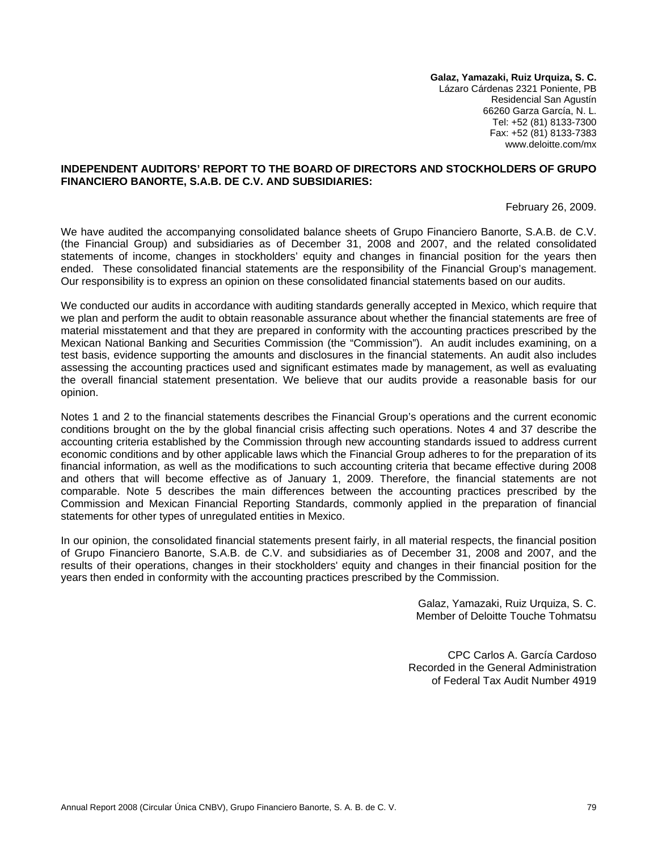**Galaz, Yamazaki, Ruiz Urquiza, S. C.**  Lázaro Cárdenas 2321 Poniente, PB Residencial San Agustín 66260 Garza García, N. L. Tel: +52 (81) 8133-7300 Fax: +52 (81) 8133-7383 www.deloitte.com/mx

## **INDEPENDENT AUDITORS' REPORT TO THE BOARD OF DIRECTORS AND STOCKHOLDERS OF GRUPO FINANCIERO BANORTE, S.A.B. DE C.V. AND SUBSIDIARIES:**

February 26, 2009.

We have audited the accompanying consolidated balance sheets of Grupo Financiero Banorte, S.A.B. de C.V. (the Financial Group) and subsidiaries as of December 31, 2008 and 2007, and the related consolidated statements of income, changes in stockholders' equity and changes in financial position for the years then ended. These consolidated financial statements are the responsibility of the Financial Group's management. Our responsibility is to express an opinion on these consolidated financial statements based on our audits.

We conducted our audits in accordance with auditing standards generally accepted in Mexico, which require that we plan and perform the audit to obtain reasonable assurance about whether the financial statements are free of material misstatement and that they are prepared in conformity with the accounting practices prescribed by the Mexican National Banking and Securities Commission (the "Commission"). An audit includes examining, on a test basis, evidence supporting the amounts and disclosures in the financial statements. An audit also includes assessing the accounting practices used and significant estimates made by management, as well as evaluating the overall financial statement presentation. We believe that our audits provide a reasonable basis for our opinion.

Notes 1 and 2 to the financial statements describes the Financial Group's operations and the current economic conditions brought on the by the global financial crisis affecting such operations. Notes 4 and 37 describe the accounting criteria established by the Commission through new accounting standards issued to address current economic conditions and by other applicable laws which the Financial Group adheres to for the preparation of its financial information, as well as the modifications to such accounting criteria that became effective during 2008 and others that will become effective as of January 1, 2009. Therefore, the financial statements are not comparable. Note 5 describes the main differences between the accounting practices prescribed by the Commission and Mexican Financial Reporting Standards, commonly applied in the preparation of financial statements for other types of unregulated entities in Mexico.

In our opinion, the consolidated financial statements present fairly, in all material respects, the financial position of Grupo Financiero Banorte, S.A.B. de C.V. and subsidiaries as of December 31, 2008 and 2007, and the results of their operations, changes in their stockholders' equity and changes in their financial position for the years then ended in conformity with the accounting practices prescribed by the Commission.

> Galaz, Yamazaki, Ruiz Urquiza, S. C. Member of Deloitte Touche Tohmatsu

CPC Carlos A. García Cardoso Recorded in the General Administration of Federal Tax Audit Number 4919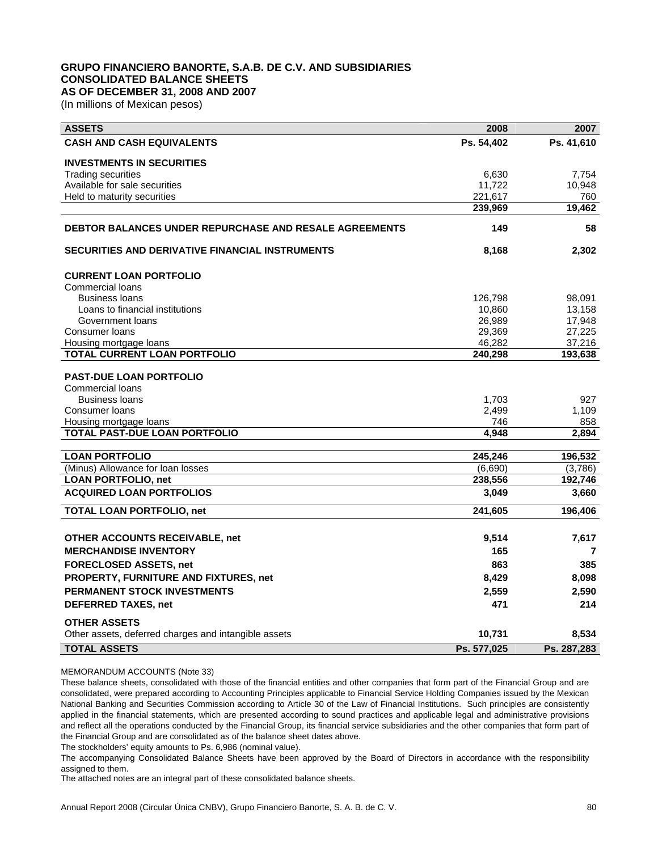### **GRUPO FINANCIERO BANORTE, S.A.B. DE C.V. AND SUBSIDIARIES CONSOLIDATED BALANCE SHEETS AS OF DECEMBER 31, 2008 AND 2007**

(In millions of Mexican pesos)

| <b>ASSETS</b>                                                 | 2008        | 2007        |
|---------------------------------------------------------------|-------------|-------------|
| <b>CASH AND CASH EQUIVALENTS</b>                              | Ps. 54,402  | Ps. 41,610  |
| <b>INVESTMENTS IN SECURITIES</b>                              |             |             |
| <b>Trading securities</b>                                     | 6,630       | 7,754       |
| Available for sale securities                                 | 11,722      | 10,948      |
| Held to maturity securities                                   | 221,617     | 760         |
|                                                               | 239,969     | 19,462      |
| <b>DEBTOR BALANCES UNDER REPURCHASE AND RESALE AGREEMENTS</b> | 149         | 58          |
| SECURITIES AND DERIVATIVE FINANCIAL INSTRUMENTS               | 8,168       | 2,302       |
| <b>CURRENT LOAN PORTFOLIO</b>                                 |             |             |
| <b>Commercial loans</b>                                       |             |             |
| <b>Business loans</b>                                         | 126,798     | 98,091      |
| Loans to financial institutions                               | 10,860      | 13,158      |
| Government loans                                              | 26,989      | 17,948      |
| Consumer loans                                                | 29,369      | 27,225      |
| Housing mortgage loans                                        | 46,282      | 37,216      |
| TOTAL CURRENT LOAN PORTFOLIO                                  | 240,298     | 193,638     |
| <b>PAST-DUE LOAN PORTFOLIO</b>                                |             |             |
| <b>Commercial loans</b>                                       |             |             |
| <b>Business loans</b>                                         | 1,703       | 927         |
| Consumer loans                                                | 2,499       | 1,109       |
| Housing mortgage loans                                        | 746         | 858         |
| TOTAL PAST-DUE LOAN PORTFOLIO                                 | 4,948       | 2,894       |
|                                                               |             |             |
| <b>LOAN PORTFOLIO</b>                                         | 245,246     | 196,532     |
| (Minus) Allowance for loan losses                             | (6,690)     | (3,786)     |
| <b>LOAN PORTFOLIO, net</b>                                    | 238,556     | 192,746     |
| <b>ACQUIRED LOAN PORTFOLIOS</b>                               | 3,049       | 3,660       |
| <b>TOTAL LOAN PORTFOLIO, net</b>                              | 241,605     | 196,406     |
|                                                               |             |             |
| OTHER ACCOUNTS RECEIVABLE, net                                | 9,514       | 7,617       |
| <b>MERCHANDISE INVENTORY</b>                                  | 165         | 7           |
| <b>FORECLOSED ASSETS, net</b>                                 | 863         | 385         |
| PROPERTY, FURNITURE AND FIXTURES, net                         | 8,429       | 8,098       |
| <b>PERMANENT STOCK INVESTMENTS</b>                            | 2,559       | 2,590       |
| <b>DEFERRED TAXES, net</b>                                    | 471         | 214         |
| <b>OTHER ASSETS</b>                                           |             |             |
| Other assets, deferred charges and intangible assets          | 10,731      | 8,534       |
| <b>TOTAL ASSETS</b>                                           | Ps. 577,025 | Ps. 287,283 |

MEMORANDUM ACCOUNTS (Note 33)

These balance sheets, consolidated with those of the financial entities and other companies that form part of the Financial Group and are consolidated, were prepared according to Accounting Principles applicable to Financial Service Holding Companies issued by the Mexican National Banking and Securities Commission according to Article 30 of the Law of Financial Institutions. Such principles are consistently applied in the financial statements, which are presented according to sound practices and applicable legal and administrative provisions and reflect all the operations conducted by the Financial Group, its financial service subsidiaries and the other companies that form part of the Financial Group and are consolidated as of the balance sheet dates above.

The stockholders' equity amounts to Ps. 6,986 (nominal value).

The accompanying Consolidated Balance Sheets have been approved by the Board of Directors in accordance with the responsibility assigned to them.

The attached notes are an integral part of these consolidated balance sheets.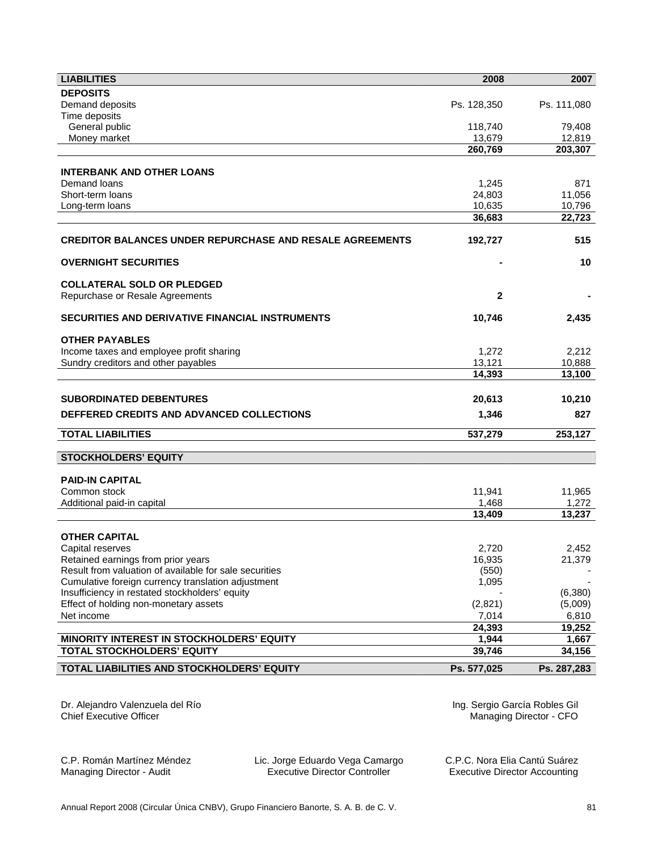| <b>LIABILITIES</b>                                              | 2008                          | 2007            |
|-----------------------------------------------------------------|-------------------------------|-----------------|
| <b>DEPOSITS</b>                                                 |                               |                 |
| Demand deposits                                                 | Ps. 128,350                   | Ps. 111,080     |
| Time deposits                                                   |                               |                 |
| General public                                                  | 118,740                       | 79,408          |
| Money market                                                    | 13,679                        | 12,819          |
|                                                                 | 260,769                       | 203,307         |
| <b>INTERBANK AND OTHER LOANS</b>                                |                               |                 |
| Demand loans                                                    | 1,245                         | 871             |
| Short-term loans                                                | 24,803                        | 11,056          |
| Long-term loans                                                 | 10,635                        | 10,796          |
|                                                                 | 36,683                        | 22,723          |
|                                                                 |                               |                 |
| <b>CREDITOR BALANCES UNDER REPURCHASE AND RESALE AGREEMENTS</b> | 192,727                       | 515             |
| <b>OVERNIGHT SECURITIES</b>                                     |                               | 10              |
| <b>COLLATERAL SOLD OR PLEDGED</b>                               |                               |                 |
| Repurchase or Resale Agreements                                 | 2                             |                 |
|                                                                 |                               |                 |
| SECURITIES AND DERIVATIVE FINANCIAL INSTRUMENTS                 | 10,746                        | 2,435           |
| <b>OTHER PAYABLES</b>                                           |                               |                 |
| Income taxes and employee profit sharing                        | 1,272                         | 2,212           |
| Sundry creditors and other payables                             | 13,121                        | 10,888          |
|                                                                 | 14,393                        | 13,100          |
|                                                                 |                               |                 |
| <b>SUBORDINATED DEBENTURES</b>                                  | 20,613                        | 10,210          |
| DEFFERED CREDITS AND ADVANCED COLLECTIONS                       | 1,346                         | 827             |
| <b>TOTAL LIABILITIES</b>                                        | 537,279                       | 253,127         |
|                                                                 |                               |                 |
| <b>STOCKHOLDERS' EQUITY</b>                                     |                               |                 |
| <b>PAID-IN CAPITAL</b>                                          |                               |                 |
| Common stock                                                    | 11,941                        | 11,965          |
| Additional paid-in capital                                      | 1,468                         | 1,272           |
|                                                                 | 13,409                        | 13,237          |
|                                                                 |                               |                 |
| <b>OTHER CAPITAL</b>                                            |                               |                 |
| Capital reserves                                                | 2,720                         | 2,452           |
| Retained earnings from prior years                              | 16,935                        | 21,379          |
| Result from valuation of available for sale securities          | (550)                         |                 |
| Cumulative foreign currency translation adjustment              | 1,095                         |                 |
| Insufficiency in restated stockholders' equity                  |                               | (6,380)         |
| Effect of holding non-monetary assets                           | (2,821)                       | (5,009)         |
| Net income                                                      | 7,014<br>24,393               | 6,810<br>19,252 |
| MINORITY INTEREST IN STOCKHOLDERS' EQUITY                       | 1,944                         | 1,667           |
| <b>TOTAL STOCKHOLDERS' EQUITY</b>                               | 39,746                        | 34,156          |
|                                                                 |                               |                 |
| TOTAL LIABILITIES AND STOCKHOLDERS' EQUITY                      | Ps. 577,025                   | Ps. 287,283     |
|                                                                 |                               |                 |
| Dr. Alejandro Valenzuela del Río                                | Ing. Sergio García Robles Gil |                 |

Chief Executive Officer

Ing. Sergio García Robles Gil Managing Director - CFO

C.P. Román Martínez Méndez Managing Director - Audit

Lic. Jorge Eduardo Vega Camargo Executive Director Controller

C.P.C. Nora Elia Cantú Suárez Executive Director Accounting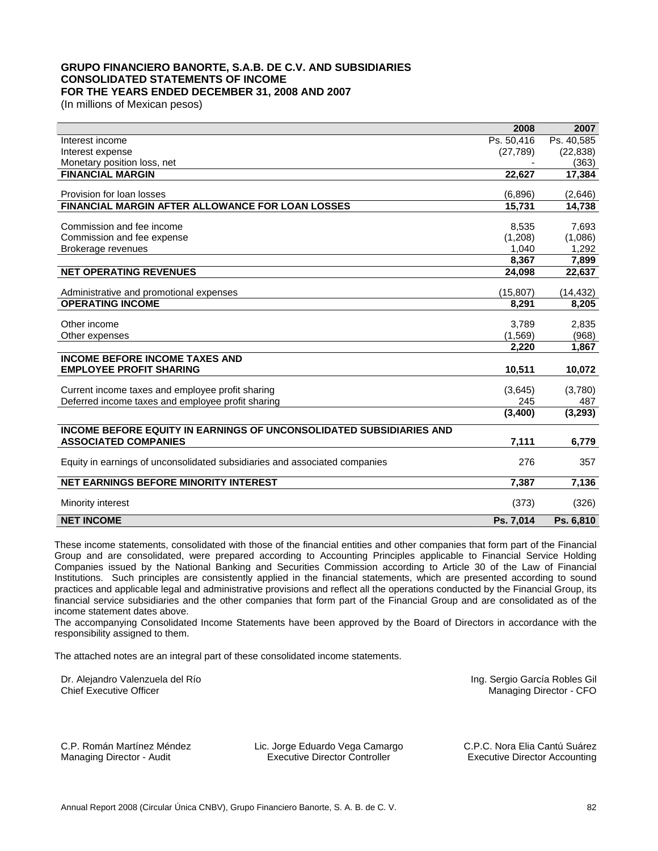# **GRUPO FINANCIERO BANORTE, S.A.B. DE C.V. AND SUBSIDIARIES CONSOLIDATED STATEMENTS OF INCOME FOR THE YEARS ENDED DECEMBER 31, 2008 AND 2007**

(In millions of Mexican pesos)

|                                                                            | 2008       | 2007       |
|----------------------------------------------------------------------------|------------|------------|
| Interest income                                                            | Ps. 50,416 | Ps. 40,585 |
| Interest expense                                                           | (27, 789)  | (22, 838)  |
| Monetary position loss, net                                                |            | (363)      |
| <b>FINANCIAL MARGIN</b>                                                    | 22,627     | 17,384     |
|                                                                            |            |            |
| Provision for loan losses                                                  | (6,896)    | (2,646)    |
| FINANCIAL MARGIN AFTER ALLOWANCE FOR LOAN LOSSES                           | 15,731     | 14,738     |
|                                                                            |            |            |
| Commission and fee income                                                  | 8,535      | 7,693      |
| Commission and fee expense                                                 | (1,208)    | (1,086)    |
| Brokerage revenues                                                         | 1.040      | 1.292      |
|                                                                            | 8,367      | 7,899      |
| <b>NET OPERATING REVENUES</b>                                              | 24,098     | 22,637     |
| Administrative and promotional expenses                                    | (15, 807)  | (14, 432)  |
| <b>OPERATING INCOME</b>                                                    | 8,291      | 8,205      |
|                                                                            |            |            |
| Other income                                                               | 3,789      | 2,835      |
| Other expenses                                                             | (1, 569)   | (968)      |
|                                                                            | 2,220      | 1,867      |
| <b>INCOME BEFORE INCOME TAXES AND</b>                                      |            |            |
| <b>EMPLOYEE PROFIT SHARING</b>                                             | 10,511     | 10,072     |
|                                                                            |            |            |
| Current income taxes and employee profit sharing                           | (3,645)    | (3,780)    |
| Deferred income taxes and employee profit sharing                          | 245        | 487        |
|                                                                            | (3,400)    | (3, 293)   |
| <b>INCOME BEFORE EQUITY IN EARNINGS OF UNCONSOLIDATED SUBSIDIARIES AND</b> |            |            |
| <b>ASSOCIATED COMPANIES</b>                                                | 7,111      | 6,779      |
|                                                                            |            |            |
| Equity in earnings of unconsolidated subsidiaries and associated companies | 276        | 357        |
| <b>NET EARNINGS BEFORE MINORITY INTEREST</b>                               | 7,387      | 7,136      |
|                                                                            |            |            |
| Minority interest                                                          | (373)      | (326)      |
| <b>NET INCOME</b>                                                          | Ps. 7,014  | Ps. 6,810  |

These income statements, consolidated with those of the financial entities and other companies that form part of the Financial Group and are consolidated, were prepared according to Accounting Principles applicable to Financial Service Holding Companies issued by the National Banking and Securities Commission according to Article 30 of the Law of Financial Institutions. Such principles are consistently applied in the financial statements, which are presented according to sound practices and applicable legal and administrative provisions and reflect all the operations conducted by the Financial Group, its financial service subsidiaries and the other companies that form part of the Financial Group and are consolidated as of the income statement dates above.

The accompanying Consolidated Income Statements have been approved by the Board of Directors in accordance with the responsibility assigned to them.

The attached notes are an integral part of these consolidated income statements.

Dr. Alejandro Valenzuela del Río Chief Executive Officer

Ing. Sergio García Robles Gil Managing Director - CFO

C.P. Román Martínez Méndez Managing Director - Audit

Lic. Jorge Eduardo Vega Camargo Executive Director Controller

C.P.C. Nora Elia Cantú Suárez Executive Director Accounting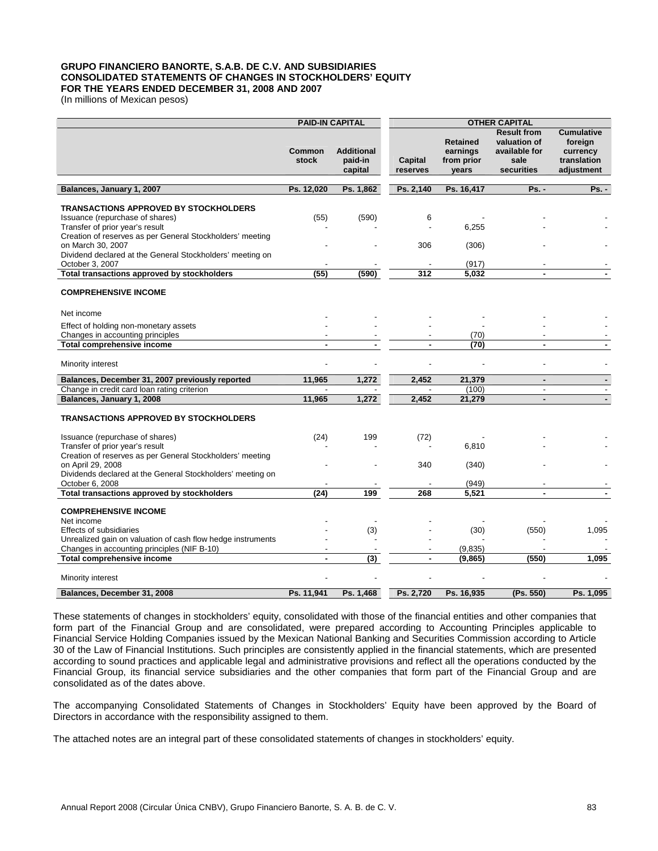## **GRUPO FINANCIERO BANORTE, S.A.B. DE C.V. AND SUBSIDIARIES CONSOLIDATED STATEMENTS OF CHANGES IN STOCKHOLDERS' EQUITY FOR THE YEARS ENDED DECEMBER 31, 2008 AND 2007**

(In millions of Mexican pesos)

|                                                                                                                                                                                                      | <b>PAID-IN CAPITAL</b> |                                         | <b>OTHER CAPITAL</b> |                                                    |                                                                           |                                                                       |
|------------------------------------------------------------------------------------------------------------------------------------------------------------------------------------------------------|------------------------|-----------------------------------------|----------------------|----------------------------------------------------|---------------------------------------------------------------------------|-----------------------------------------------------------------------|
|                                                                                                                                                                                                      | <b>Common</b><br>stock | <b>Additional</b><br>paid-in<br>capital | Capital<br>reserves  | <b>Retained</b><br>earnings<br>from prior<br>years | <b>Result from</b><br>valuation of<br>available for<br>sale<br>securities | <b>Cumulative</b><br>foreign<br>currency<br>translation<br>adjustment |
| Balances, January 1, 2007                                                                                                                                                                            | Ps. 12,020             | Ps. 1,862                               | Ps. 2,140            | Ps. 16,417                                         | Ps. -                                                                     | <b>Ps. -</b>                                                          |
| <b>TRANSACTIONS APPROVED BY STOCKHOLDERS</b><br>Issuance (repurchase of shares)<br>Transfer of prior year's result<br>Creation of reserves as per General Stockholders' meeting<br>on March 30, 2007 | (55)                   | (590)                                   | 6<br>306             | 6,255                                              |                                                                           |                                                                       |
| Dividend declared at the General Stockholders' meeting on<br>October 3, 2007                                                                                                                         |                        |                                         |                      | (306)<br>(917)                                     |                                                                           |                                                                       |
| Total transactions approved by stockholders                                                                                                                                                          | (55)                   | (590)                                   | 312                  | 5,032                                              |                                                                           |                                                                       |
| <b>COMPREHENSIVE INCOME</b>                                                                                                                                                                          |                        |                                         |                      |                                                    |                                                                           |                                                                       |
| Net income                                                                                                                                                                                           |                        |                                         |                      |                                                    |                                                                           |                                                                       |
| Effect of holding non-monetary assets                                                                                                                                                                |                        |                                         |                      |                                                    |                                                                           |                                                                       |
| Changes in accounting principles<br><b>Total comprehensive income</b>                                                                                                                                | $\blacksquare$         | $\blacksquare$                          | ٠                    | (70)<br>(70)                                       | ٠                                                                         |                                                                       |
|                                                                                                                                                                                                      |                        |                                         |                      |                                                    |                                                                           |                                                                       |
| Minority interest                                                                                                                                                                                    |                        |                                         |                      |                                                    |                                                                           |                                                                       |
| Balances, December 31, 2007 previously reported                                                                                                                                                      | 11.965                 | 1,272                                   | 2,452                | 21,379                                             | ٠                                                                         | $\blacksquare$                                                        |
| Change in credit card loan rating criterion                                                                                                                                                          |                        |                                         |                      | (100)                                              | $\overline{\phantom{a}}$                                                  |                                                                       |
| Balances, January 1, 2008                                                                                                                                                                            | 11,965                 | 1,272                                   | 2,452                | 21,279                                             | $\blacksquare$                                                            | $\blacksquare$                                                        |
| <b>TRANSACTIONS APPROVED BY STOCKHOLDERS</b>                                                                                                                                                         |                        |                                         |                      |                                                    |                                                                           |                                                                       |
| Issuance (repurchase of shares)<br>Transfer of prior year's result                                                                                                                                   | (24)                   | 199                                     | (72)                 | 6,810                                              |                                                                           |                                                                       |
| Creation of reserves as per General Stockholders' meeting<br>on April 29, 2008<br>Dividends declared at the General Stockholders' meeting on                                                         |                        |                                         | 340                  | (340)                                              |                                                                           |                                                                       |
| October 6, 2008                                                                                                                                                                                      | (24)                   | 199                                     | 268                  | (949)<br>5.521                                     | $\overline{a}$                                                            |                                                                       |
| Total transactions approved by stockholders                                                                                                                                                          |                        |                                         |                      |                                                    |                                                                           |                                                                       |
| <b>COMPREHENSIVE INCOME</b>                                                                                                                                                                          |                        |                                         |                      |                                                    |                                                                           |                                                                       |
| Net income                                                                                                                                                                                           |                        |                                         |                      |                                                    |                                                                           |                                                                       |
| <b>Effects of subsidiaries</b><br>Unrealized gain on valuation of cash flow hedge instruments                                                                                                        |                        | (3)                                     |                      | (30)                                               | (550)                                                                     | 1,095                                                                 |
| Changes in accounting principles (NIF B-10)                                                                                                                                                          |                        |                                         |                      | (9,835)                                            |                                                                           |                                                                       |
| <b>Total comprehensive income</b>                                                                                                                                                                    | $\blacksquare$         | $\overline{(3)}$                        | $\blacksquare$       | (9, 865)                                           | (550)                                                                     | 1,095                                                                 |
| Minority interest                                                                                                                                                                                    |                        |                                         |                      |                                                    |                                                                           |                                                                       |
| Balances, December 31, 2008                                                                                                                                                                          | Ps. 11.941             | Ps. 1,468                               | Ps. 2,720            | Ps. 16,935                                         | (Ps. 550)                                                                 | Ps. 1,095                                                             |

These statements of changes in stockholders' equity, consolidated with those of the financial entities and other companies that form part of the Financial Group and are consolidated, were prepared according to Accounting Principles applicable to Financial Service Holding Companies issued by the Mexican National Banking and Securities Commission according to Article 30 of the Law of Financial Institutions. Such principles are consistently applied in the financial statements, which are presented according to sound practices and applicable legal and administrative provisions and reflect all the operations conducted by the Financial Group, its financial service subsidiaries and the other companies that form part of the Financial Group and are consolidated as of the dates above.

The accompanying Consolidated Statements of Changes in Stockholders' Equity have been approved by the Board of Directors in accordance with the responsibility assigned to them.

The attached notes are an integral part of these consolidated statements of changes in stockholders' equity.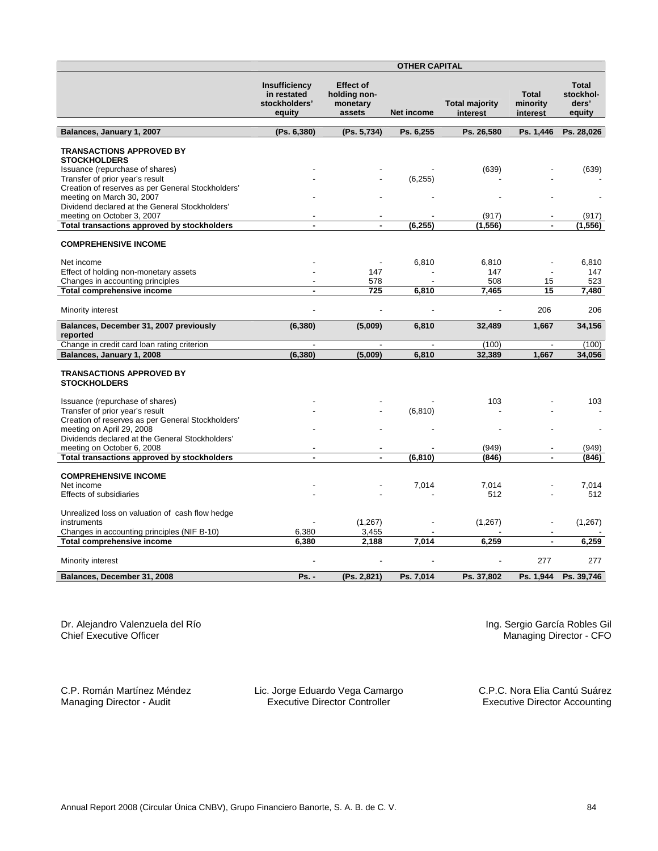|                                                                           | <b>OTHER CAPITAL</b>                                    |                                                        |            |                                   |                                      |                                              |
|---------------------------------------------------------------------------|---------------------------------------------------------|--------------------------------------------------------|------------|-----------------------------------|--------------------------------------|----------------------------------------------|
|                                                                           | Insufficiency<br>in restated<br>stockholders'<br>equity | <b>Effect of</b><br>holding non-<br>monetary<br>assets | Net income | <b>Total majority</b><br>interest | <b>Total</b><br>minority<br>interest | <b>Total</b><br>stockhol-<br>ders'<br>equity |
| Balances, January 1, 2007                                                 | (Ps. 6,380)                                             | (Ps. 5,734)                                            | Ps. 6,255  | Ps. 26,580                        | Ps. 1,446                            | Ps. 28,026                                   |
| <b>TRANSACTIONS APPROVED BY</b>                                           |                                                         |                                                        |            |                                   |                                      |                                              |
| <b>STOCKHOLDERS</b>                                                       |                                                         |                                                        |            |                                   |                                      |                                              |
| Issuance (repurchase of shares)                                           |                                                         |                                                        |            | (639)                             |                                      | (639)                                        |
| Transfer of prior year's result                                           |                                                         |                                                        | (6, 255)   |                                   |                                      |                                              |
| Creation of reserves as per General Stockholders'                         |                                                         |                                                        |            |                                   |                                      |                                              |
| meeting on March 30, 2007                                                 |                                                         |                                                        |            |                                   |                                      |                                              |
| Dividend declared at the General Stockholders'                            |                                                         |                                                        |            |                                   |                                      |                                              |
| meeting on October 3, 2007                                                |                                                         |                                                        |            | (917)                             |                                      | (917)                                        |
| Total transactions approved by stockholders                               | $\blacksquare$                                          | $\blacksquare$                                         | (6, 255)   | (1, 556)                          | $\blacksquare$                       | (1, 556)                                     |
| <b>COMPREHENSIVE INCOME</b>                                               |                                                         |                                                        |            |                                   |                                      |                                              |
|                                                                           |                                                         |                                                        |            |                                   |                                      |                                              |
| Net income                                                                |                                                         | $\blacksquare$<br>147                                  | 6,810      | 6,810<br>147                      | $\overline{a}$                       | 6,810                                        |
| Effect of holding non-monetary assets<br>Changes in accounting principles |                                                         | 578                                                    |            | 508                               | 15                                   | 147<br>523                                   |
| Total comprehensive income                                                |                                                         | 725                                                    | 6,810      | 7,465                             | 15                                   | 7,480                                        |
|                                                                           |                                                         |                                                        |            |                                   |                                      |                                              |
| Minority interest                                                         |                                                         |                                                        |            |                                   | 206                                  | 206                                          |
| Balances, December 31, 2007 previously<br>reported                        | (6, 380)                                                | (5,009)                                                | 6,810      | 32,489                            | 1,667                                | 34,156                                       |
| Change in credit card loan rating criterion                               |                                                         | $\overline{a}$                                         |            | (100)                             |                                      | (100)                                        |
| Balances, January 1, 2008                                                 | (6, 380)                                                | (5,009)                                                | 6,810      | 32,389                            | 1,667                                | 34,056                                       |
|                                                                           |                                                         |                                                        |            |                                   |                                      |                                              |
| <b>TRANSACTIONS APPROVED BY</b><br><b>STOCKHOLDERS</b>                    |                                                         |                                                        |            |                                   |                                      |                                              |
| Issuance (repurchase of shares)                                           |                                                         |                                                        |            | 103                               |                                      | 103                                          |
| Transfer of prior year's result                                           |                                                         |                                                        | (6, 810)   |                                   |                                      |                                              |
| Creation of reserves as per General Stockholders'                         |                                                         |                                                        |            |                                   |                                      |                                              |
| meeting on April 29, 2008                                                 |                                                         |                                                        |            |                                   |                                      |                                              |
| Dividends declared at the General Stockholders'                           |                                                         |                                                        |            |                                   |                                      |                                              |
| meeting on October 6, 2008                                                |                                                         |                                                        |            | (949)                             |                                      | (949)                                        |
| Total transactions approved by stockholders                               |                                                         |                                                        | (6, 810)   | (846)                             |                                      | (846)                                        |
|                                                                           |                                                         |                                                        |            |                                   |                                      |                                              |
| <b>COMPREHENSIVE INCOME</b><br>Net income                                 |                                                         |                                                        | 7,014      | 7,014                             |                                      | 7,014                                        |
| <b>Effects of subsidiaries</b>                                            |                                                         |                                                        |            | 512                               |                                      | 512                                          |
|                                                                           |                                                         |                                                        |            |                                   |                                      |                                              |
| Unrealized loss on valuation of cash flow hedge                           |                                                         |                                                        |            |                                   |                                      |                                              |
| instruments                                                               |                                                         | (1,267)                                                |            | (1,267)                           |                                      | (1,267)                                      |
| Changes in accounting principles (NIF B-10)                               | 6,380                                                   | 3,455                                                  |            |                                   |                                      |                                              |
| Total comprehensive income                                                | 6,380                                                   | 2,188                                                  | 7,014      | 6,259                             | $\blacksquare$                       | 6,259                                        |
| Minority interest                                                         |                                                         |                                                        |            |                                   | 277                                  | 277                                          |
| Balances, December 31, 2008                                               | $Ps. -$                                                 | (Ps. 2,821)                                            | Ps. 7,014  | Ps. 37,802                        | Ps. 1,944                            | Ps. 39.746                                   |

Dr. Alejandro Valenzuela del Río Chief Executive Officer

Ing. Sergio García Robles Gil Managing Director - CFO

C.P. Román Martínez Méndez Managing Director - Audit

Lic. Jorge Eduardo Vega Camargo Executive Director Controller

C.P.C. Nora Elia Cantú Suárez Executive Director Accounting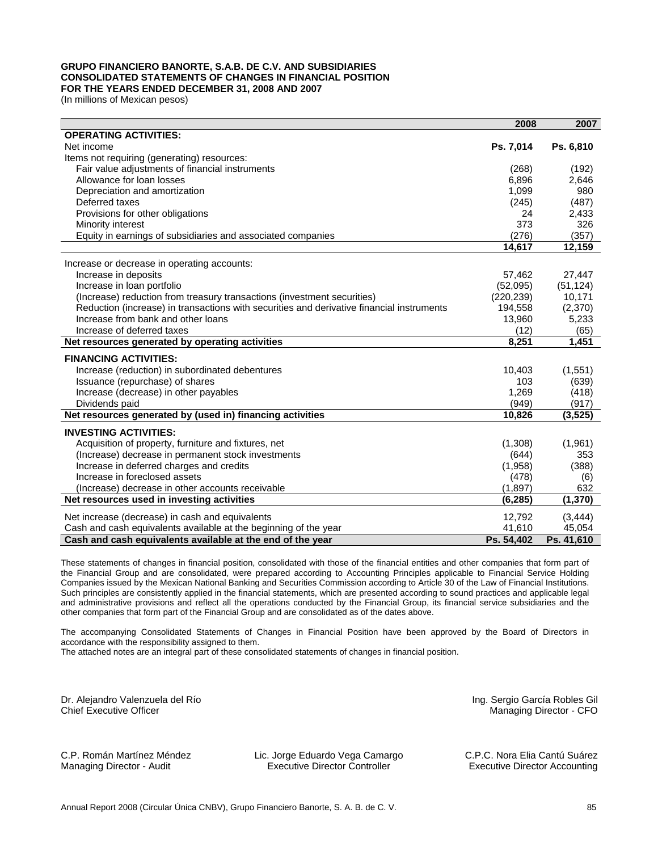## **GRUPO FINANCIERO BANORTE, S.A.B. DE C.V. AND SUBSIDIARIES CONSOLIDATED STATEMENTS OF CHANGES IN FINANCIAL POSITION FOR THE YEARS ENDED DECEMBER 31, 2008 AND 2007**

(In millions of Mexican pesos)

|                                                                                           | 2008       | 2007       |
|-------------------------------------------------------------------------------------------|------------|------------|
| <b>OPERATING ACTIVITIES:</b>                                                              |            |            |
| Net income                                                                                | Ps. 7,014  | Ps. 6,810  |
| Items not requiring (generating) resources:                                               |            |            |
| Fair value adjustments of financial instruments                                           | (268)      | (192)      |
| Allowance for loan losses                                                                 | 6,896      | 2,646      |
| Depreciation and amortization                                                             | 1,099      | 980        |
| Deferred taxes                                                                            | (245)      | (487)      |
| Provisions for other obligations                                                          | 24         | 2,433      |
| Minority interest                                                                         | 373        | 326        |
| Equity in earnings of subsidiaries and associated companies                               | (276)      | (357)      |
|                                                                                           | 14,617     | 12,159     |
| Increase or decrease in operating accounts:                                               |            |            |
| Increase in deposits                                                                      | 57,462     | 27,447     |
| Increase in loan portfolio                                                                | (52,095)   | (51, 124)  |
| (Increase) reduction from treasury transactions (investment securities)                   | (220, 239) | 10,171     |
| Reduction (increase) in transactions with securities and derivative financial instruments | 194,558    | (2,370)    |
| Increase from bank and other loans                                                        | 13,960     | 5,233      |
| Increase of deferred taxes                                                                | (12)       | (65)       |
| Net resources generated by operating activities                                           | 8,251      | 1,451      |
| <b>FINANCING ACTIVITIES:</b>                                                              |            |            |
| Increase (reduction) in subordinated debentures                                           | 10,403     | (1,551)    |
| Issuance (repurchase) of shares                                                           | 103        | (639)      |
| Increase (decrease) in other payables                                                     | 1,269      | (418)      |
| Dividends paid                                                                            | (949)      | (917)      |
| Net resources generated by (used in) financing activities                                 | 10,826     | (3, 525)   |
| <b>INVESTING ACTIVITIES:</b>                                                              |            |            |
| Acquisition of property, furniture and fixtures, net                                      | (1,308)    | (1,961)    |
| (Increase) decrease in permanent stock investments                                        | (644)      | 353        |
| Increase in deferred charges and credits                                                  | (1,958)    | (388)      |
| Increase in foreclosed assets                                                             | (478)      | (6)        |
| (Increase) decrease in other accounts receivable                                          | (1,897)    | 632        |
| Net resources used in investing activities                                                | (6, 285)   | (1, 370)   |
| Net increase (decrease) in cash and equivalents                                           | 12,792     | (3, 444)   |
| Cash and cash equivalents available at the beginning of the year                          | 41,610     | 45,054     |
| Cash and cash equivalents available at the end of the year                                | Ps. 54,402 | Ps. 41,610 |

These statements of changes in financial position, consolidated with those of the financial entities and other companies that form part of the Financial Group and are consolidated, were prepared according to Accounting Principles applicable to Financial Service Holding Companies issued by the Mexican National Banking and Securities Commission according to Article 30 of the Law of Financial Institutions. Such principles are consistently applied in the financial statements, which are presented according to sound practices and applicable legal and administrative provisions and reflect all the operations conducted by the Financial Group, its financial service subsidiaries and the other companies that form part of the Financial Group and are consolidated as of the dates above.

The accompanying Consolidated Statements of Changes in Financial Position have been approved by the Board of Directors in accordance with the responsibility assigned to them.

The attached notes are an integral part of these consolidated statements of changes in financial position.

Dr. Alejandro Valenzuela del Río Chief Executive Officer

Ing. Sergio García Robles Gil Managing Director - CFO

C.P. Román Martínez Méndez Managing Director - Audit

Lic. Jorge Eduardo Vega Camargo Executive Director Controller

C.P.C. Nora Elia Cantú Suárez Executive Director Accounting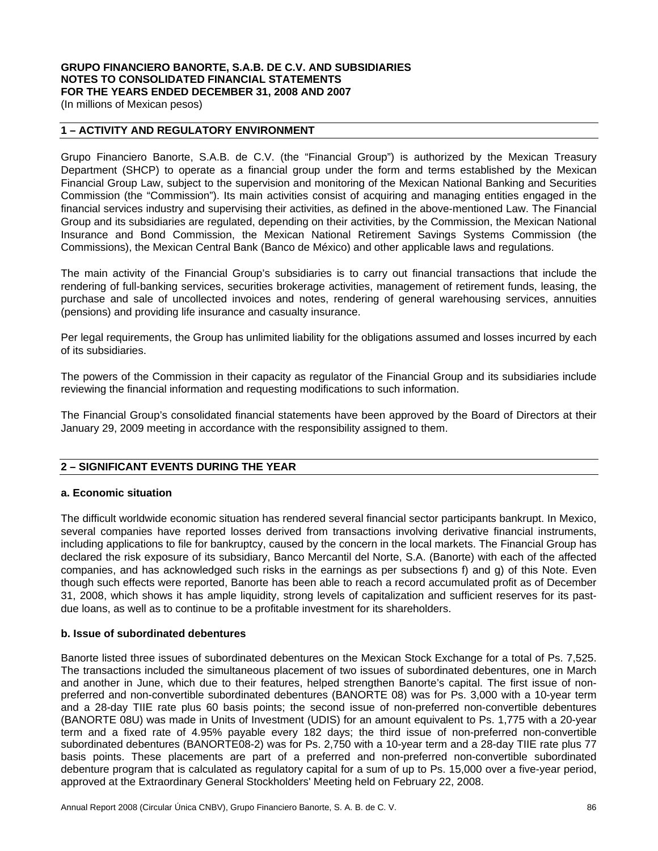# **GRUPO FINANCIERO BANORTE, S.A.B. DE C.V. AND SUBSIDIARIES NOTES TO CONSOLIDATED FINANCIAL STATEMENTS FOR THE YEARS ENDED DECEMBER 31, 2008 AND 2007**

(In millions of Mexican pesos)

## **1 – ACTIVITY AND REGULATORY ENVIRONMENT**

Grupo Financiero Banorte, S.A.B. de C.V. (the "Financial Group") is authorized by the Mexican Treasury Department (SHCP) to operate as a financial group under the form and terms established by the Mexican Financial Group Law, subject to the supervision and monitoring of the Mexican National Banking and Securities Commission (the "Commission"). Its main activities consist of acquiring and managing entities engaged in the financial services industry and supervising their activities, as defined in the above-mentioned Law. The Financial Group and its subsidiaries are regulated, depending on their activities, by the Commission, the Mexican National Insurance and Bond Commission, the Mexican National Retirement Savings Systems Commission (the Commissions), the Mexican Central Bank (Banco de México) and other applicable laws and regulations.

The main activity of the Financial Group's subsidiaries is to carry out financial transactions that include the rendering of full-banking services, securities brokerage activities, management of retirement funds, leasing, the purchase and sale of uncollected invoices and notes, rendering of general warehousing services, annuities (pensions) and providing life insurance and casualty insurance.

Per legal requirements, the Group has unlimited liability for the obligations assumed and losses incurred by each of its subsidiaries.

The powers of the Commission in their capacity as regulator of the Financial Group and its subsidiaries include reviewing the financial information and requesting modifications to such information.

The Financial Group's consolidated financial statements have been approved by the Board of Directors at their January 29, 2009 meeting in accordance with the responsibility assigned to them.

## **2 – SIGNIFICANT EVENTS DURING THE YEAR**

#### **a. Economic situation**

The difficult worldwide economic situation has rendered several financial sector participants bankrupt. In Mexico, several companies have reported losses derived from transactions involving derivative financial instruments, including applications to file for bankruptcy, caused by the concern in the local markets. The Financial Group has declared the risk exposure of its subsidiary, Banco Mercantil del Norte, S.A. (Banorte) with each of the affected companies, and has acknowledged such risks in the earnings as per subsections f) and g) of this Note. Even though such effects were reported, Banorte has been able to reach a record accumulated profit as of December 31, 2008, which shows it has ample liquidity, strong levels of capitalization and sufficient reserves for its pastdue loans, as well as to continue to be a profitable investment for its shareholders.

#### **b. Issue of subordinated debentures**

Banorte listed three issues of subordinated debentures on the Mexican Stock Exchange for a total of Ps. 7,525. The transactions included the simultaneous placement of two issues of subordinated debentures, one in March and another in June, which due to their features, helped strengthen Banorte's capital. The first issue of nonpreferred and non-convertible subordinated debentures (BANORTE 08) was for Ps. 3,000 with a 10-year term and a 28-day TIIE rate plus 60 basis points; the second issue of non-preferred non-convertible debentures (BANORTE 08U) was made in Units of Investment (UDIS) for an amount equivalent to Ps. 1,775 with a 20-year term and a fixed rate of 4.95% payable every 182 days; the third issue of non-preferred non-convertible subordinated debentures (BANORTE08-2) was for Ps. 2,750 with a 10-year term and a 28-day TIIE rate plus 77 basis points. These placements are part of a preferred and non-preferred non-convertible subordinated debenture program that is calculated as regulatory capital for a sum of up to Ps. 15,000 over a five-year period, approved at the Extraordinary General Stockholders' Meeting held on February 22, 2008.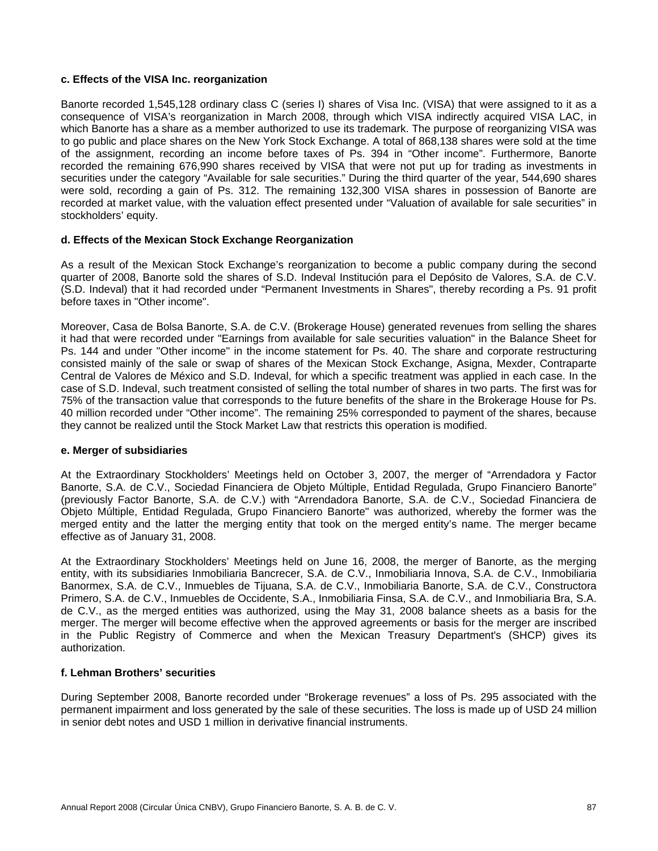## **c. Effects of the VISA Inc. reorganization**

Banorte recorded 1,545,128 ordinary class C (series I) shares of Visa Inc. (VISA) that were assigned to it as a consequence of VISA's reorganization in March 2008, through which VISA indirectly acquired VISA LAC, in which Banorte has a share as a member authorized to use its trademark. The purpose of reorganizing VISA was to go public and place shares on the New York Stock Exchange. A total of 868,138 shares were sold at the time of the assignment, recording an income before taxes of Ps. 394 in "Other income". Furthermore, Banorte recorded the remaining 676,990 shares received by VISA that were not put up for trading as investments in securities under the category "Available for sale securities." During the third quarter of the year, 544,690 shares were sold, recording a gain of Ps. 312. The remaining 132,300 VISA shares in possession of Banorte are recorded at market value, with the valuation effect presented under "Valuation of available for sale securities" in stockholders' equity.

# **d. Effects of the Mexican Stock Exchange Reorganization**

As a result of the Mexican Stock Exchange's reorganization to become a public company during the second quarter of 2008, Banorte sold the shares of S.D. Indeval Institución para el Depósito de Valores, S.A. de C.V. (S.D. Indeval) that it had recorded under "Permanent Investments in Shares", thereby recording a Ps. 91 profit before taxes in "Other income".

Moreover, Casa de Bolsa Banorte, S.A. de C.V. (Brokerage House) generated revenues from selling the shares it had that were recorded under "Earnings from available for sale securities valuation" in the Balance Sheet for Ps. 144 and under "Other income" in the income statement for Ps. 40. The share and corporate restructuring consisted mainly of the sale or swap of shares of the Mexican Stock Exchange, Asigna, Mexder, Contraparte Central de Valores de México and S.D. Indeval, for which a specific treatment was applied in each case. In the case of S.D. Indeval, such treatment consisted of selling the total number of shares in two parts. The first was for 75% of the transaction value that corresponds to the future benefits of the share in the Brokerage House for Ps. 40 million recorded under "Other income". The remaining 25% corresponded to payment of the shares, because they cannot be realized until the Stock Market Law that restricts this operation is modified.

## **e. Merger of subsidiaries**

At the Extraordinary Stockholders' Meetings held on October 3, 2007, the merger of "Arrendadora y Factor Banorte, S.A. de C.V., Sociedad Financiera de Objeto Múltiple, Entidad Regulada, Grupo Financiero Banorte" (previously Factor Banorte, S.A. de C.V.) with "Arrendadora Banorte, S.A. de C.V., Sociedad Financiera de Objeto Múltiple, Entidad Regulada, Grupo Financiero Banorte" was authorized, whereby the former was the merged entity and the latter the merging entity that took on the merged entity's name. The merger became effective as of January 31, 2008.

At the Extraordinary Stockholders' Meetings held on June 16, 2008, the merger of Banorte, as the merging entity, with its subsidiaries Inmobiliaria Bancrecer, S.A. de C.V., Inmobiliaria Innova, S.A. de C.V., Inmobiliaria Banormex, S.A. de C.V., Inmuebles de Tijuana, S.A. de C.V., Inmobiliaria Banorte, S.A. de C.V., Constructora Primero, S.A. de C.V., Inmuebles de Occidente, S.A., Inmobiliaria Finsa, S.A. de C.V., and Inmobiliaria Bra, S.A. de C.V., as the merged entities was authorized, using the May 31, 2008 balance sheets as a basis for the merger. The merger will become effective when the approved agreements or basis for the merger are inscribed in the Public Registry of Commerce and when the Mexican Treasury Department's (SHCP) gives its authorization.

## **f. Lehman Brothers' securities**

During September 2008, Banorte recorded under "Brokerage revenues" a loss of Ps. 295 associated with the permanent impairment and loss generated by the sale of these securities. The loss is made up of USD 24 million in senior debt notes and USD 1 million in derivative financial instruments.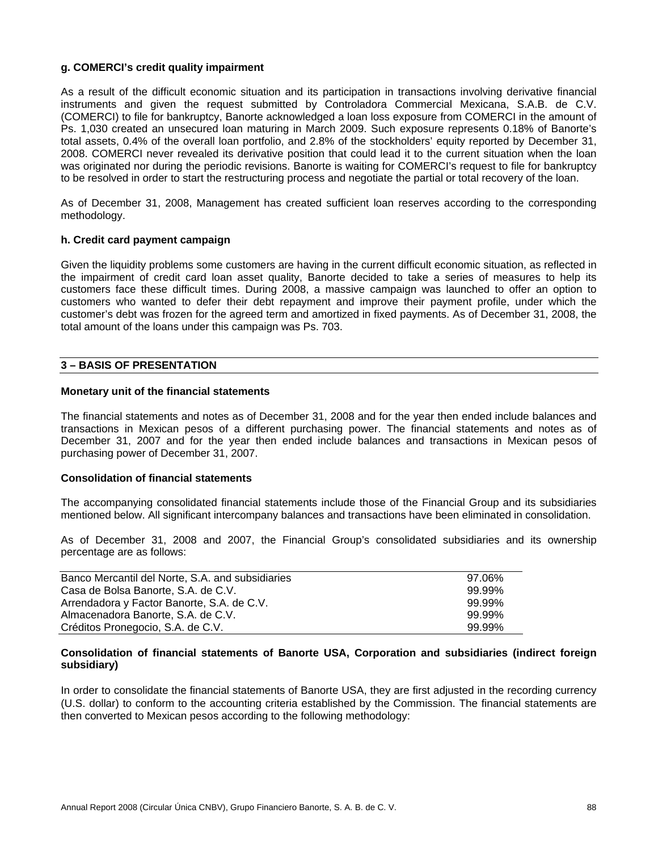## **g. COMERCI's credit quality impairment**

As a result of the difficult economic situation and its participation in transactions involving derivative financial instruments and given the request submitted by Controladora Commercial Mexicana, S.A.B. de C.V. (COMERCI) to file for bankruptcy, Banorte acknowledged a loan loss exposure from COMERCI in the amount of Ps. 1,030 created an unsecured loan maturing in March 2009. Such exposure represents 0.18% of Banorte's total assets, 0.4% of the overall loan portfolio, and 2.8% of the stockholders' equity reported by December 31, 2008. COMERCI never revealed its derivative position that could lead it to the current situation when the loan was originated nor during the periodic revisions. Banorte is waiting for COMERCI's request to file for bankruptcy to be resolved in order to start the restructuring process and negotiate the partial or total recovery of the loan.

As of December 31, 2008, Management has created sufficient loan reserves according to the corresponding methodology.

#### **h. Credit card payment campaign**

Given the liquidity problems some customers are having in the current difficult economic situation, as reflected in the impairment of credit card loan asset quality, Banorte decided to take a series of measures to help its customers face these difficult times. During 2008, a massive campaign was launched to offer an option to customers who wanted to defer their debt repayment and improve their payment profile, under which the customer's debt was frozen for the agreed term and amortized in fixed payments. As of December 31, 2008, the total amount of the loans under this campaign was Ps. 703.

#### **3 – BASIS OF PRESENTATION**

#### **Monetary unit of the financial statements**

The financial statements and notes as of December 31, 2008 and for the year then ended include balances and transactions in Mexican pesos of a different purchasing power. The financial statements and notes as of December 31, 2007 and for the year then ended include balances and transactions in Mexican pesos of purchasing power of December 31, 2007.

## **Consolidation of financial statements**

The accompanying consolidated financial statements include those of the Financial Group and its subsidiaries mentioned below. All significant intercompany balances and transactions have been eliminated in consolidation.

As of December 31, 2008 and 2007, the Financial Group's consolidated subsidiaries and its ownership percentage are as follows:

| Banco Mercantil del Norte, S.A. and subsidiaries | 97.06% |
|--------------------------------------------------|--------|
| Casa de Bolsa Banorte, S.A. de C.V.              | 99.99% |
| Arrendadora y Factor Banorte, S.A. de C.V.       | 99.99% |
| Almacenadora Banorte, S.A. de C.V.               | 99.99% |
| Créditos Pronegocio, S.A. de C.V.                | 99.99% |

## **Consolidation of financial statements of Banorte USA, Corporation and subsidiaries (indirect foreign subsidiary)**

In order to consolidate the financial statements of Banorte USA, they are first adjusted in the recording currency (U.S. dollar) to conform to the accounting criteria established by the Commission. The financial statements are then converted to Mexican pesos according to the following methodology: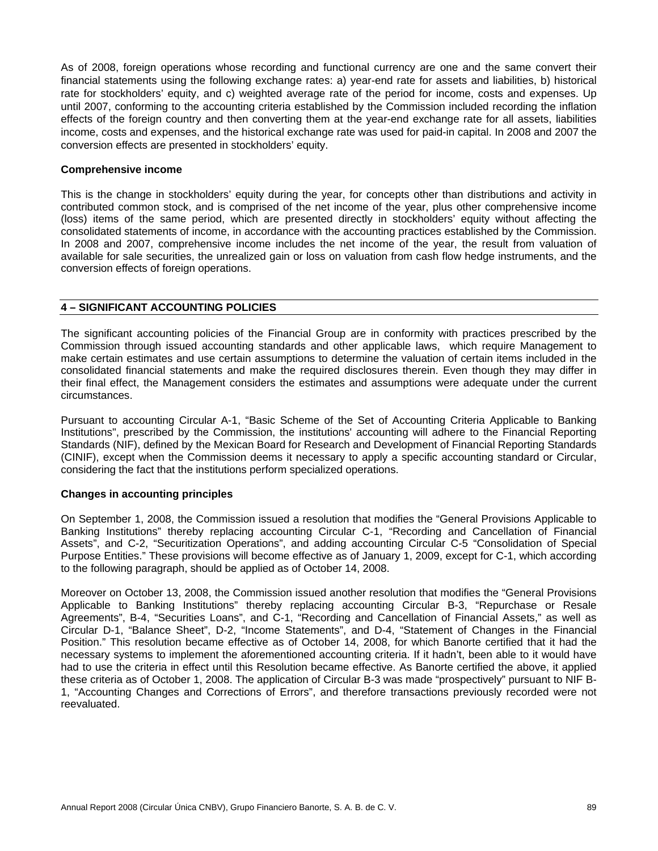As of 2008, foreign operations whose recording and functional currency are one and the same convert their financial statements using the following exchange rates: a) year-end rate for assets and liabilities, b) historical rate for stockholders' equity, and c) weighted average rate of the period for income, costs and expenses. Up until 2007, conforming to the accounting criteria established by the Commission included recording the inflation effects of the foreign country and then converting them at the year-end exchange rate for all assets, liabilities income, costs and expenses, and the historical exchange rate was used for paid-in capital. In 2008 and 2007 the conversion effects are presented in stockholders' equity.

## **Comprehensive income**

This is the change in stockholders' equity during the year, for concepts other than distributions and activity in contributed common stock, and is comprised of the net income of the year, plus other comprehensive income (loss) items of the same period, which are presented directly in stockholders' equity without affecting the consolidated statements of income, in accordance with the accounting practices established by the Commission. In 2008 and 2007, comprehensive income includes the net income of the year, the result from valuation of available for sale securities, the unrealized gain or loss on valuation from cash flow hedge instruments, and the conversion effects of foreign operations.

## **4 – SIGNIFICANT ACCOUNTING POLICIES**

The significant accounting policies of the Financial Group are in conformity with practices prescribed by the Commission through issued accounting standards and other applicable laws, which require Management to make certain estimates and use certain assumptions to determine the valuation of certain items included in the consolidated financial statements and make the required disclosures therein. Even though they may differ in their final effect, the Management considers the estimates and assumptions were adequate under the current circumstances.

Pursuant to accounting Circular A-1, "Basic Scheme of the Set of Accounting Criteria Applicable to Banking Institutions", prescribed by the Commission, the institutions' accounting will adhere to the Financial Reporting Standards (NIF), defined by the Mexican Board for Research and Development of Financial Reporting Standards (CINIF), except when the Commission deems it necessary to apply a specific accounting standard or Circular, considering the fact that the institutions perform specialized operations.

## **Changes in accounting principles**

On September 1, 2008, the Commission issued a resolution that modifies the "General Provisions Applicable to Banking Institutions" thereby replacing accounting Circular C-1, "Recording and Cancellation of Financial Assets", and C-2, "Securitization Operations", and adding accounting Circular C-5 "Consolidation of Special Purpose Entities." These provisions will become effective as of January 1, 2009, except for C-1, which according to the following paragraph, should be applied as of October 14, 2008.

Moreover on October 13, 2008, the Commission issued another resolution that modifies the "General Provisions Applicable to Banking Institutions" thereby replacing accounting Circular B-3, "Repurchase or Resale Agreements", B-4, "Securities Loans", and C-1, "Recording and Cancellation of Financial Assets," as well as Circular D-1, "Balance Sheet", D-2, "Income Statements", and D-4, "Statement of Changes in the Financial Position." This resolution became effective as of October 14, 2008, for which Banorte certified that it had the necessary systems to implement the aforementioned accounting criteria. If it hadn't, been able to it would have had to use the criteria in effect until this Resolution became effective. As Banorte certified the above, it applied these criteria as of October 1, 2008. The application of Circular B-3 was made "prospectively" pursuant to NIF B-1, "Accounting Changes and Corrections of Errors", and therefore transactions previously recorded were not reevaluated.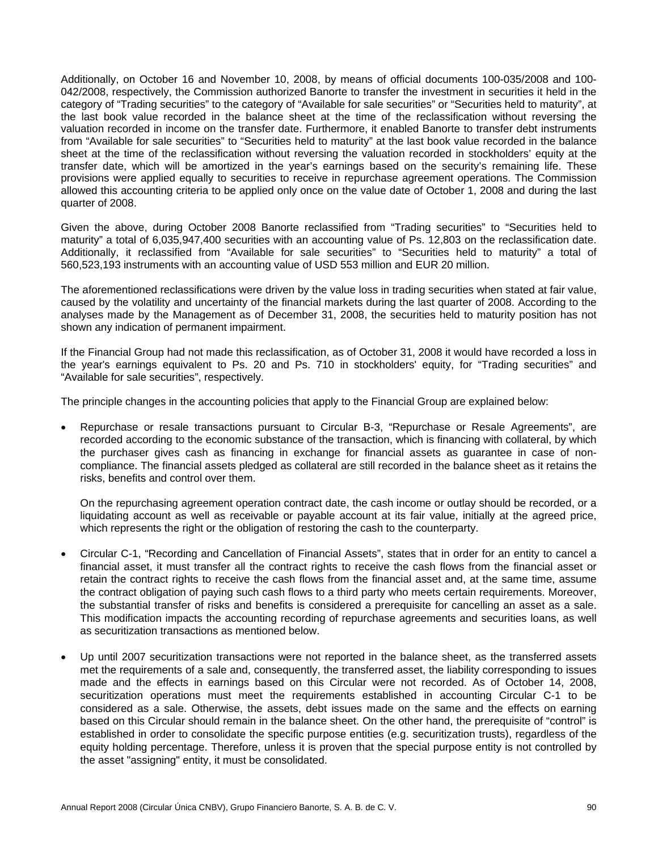Additionally, on October 16 and November 10, 2008, by means of official documents 100-035/2008 and 100- 042/2008, respectively, the Commission authorized Banorte to transfer the investment in securities it held in the category of "Trading securities" to the category of "Available for sale securities" or "Securities held to maturity", at the last book value recorded in the balance sheet at the time of the reclassification without reversing the valuation recorded in income on the transfer date. Furthermore, it enabled Banorte to transfer debt instruments from "Available for sale securities" to "Securities held to maturity" at the last book value recorded in the balance sheet at the time of the reclassification without reversing the valuation recorded in stockholders' equity at the transfer date, which will be amortized in the year's earnings based on the security's remaining life. These provisions were applied equally to securities to receive in repurchase agreement operations. The Commission allowed this accounting criteria to be applied only once on the value date of October 1, 2008 and during the last quarter of 2008.

Given the above, during October 2008 Banorte reclassified from "Trading securities" to "Securities held to maturity" a total of 6,035,947,400 securities with an accounting value of Ps. 12,803 on the reclassification date. Additionally, it reclassified from "Available for sale securities" to "Securities held to maturity" a total of 560,523,193 instruments with an accounting value of USD 553 million and EUR 20 million.

The aforementioned reclassifications were driven by the value loss in trading securities when stated at fair value, caused by the volatility and uncertainty of the financial markets during the last quarter of 2008. According to the analyses made by the Management as of December 31, 2008, the securities held to maturity position has not shown any indication of permanent impairment.

If the Financial Group had not made this reclassification, as of October 31, 2008 it would have recorded a loss in the year's earnings equivalent to Ps. 20 and Ps. 710 in stockholders' equity, for "Trading securities" and "Available for sale securities", respectively.

The principle changes in the accounting policies that apply to the Financial Group are explained below:

• Repurchase or resale transactions pursuant to Circular B-3, "Repurchase or Resale Agreements", are recorded according to the economic substance of the transaction, which is financing with collateral, by which the purchaser gives cash as financing in exchange for financial assets as guarantee in case of noncompliance. The financial assets pledged as collateral are still recorded in the balance sheet as it retains the risks, benefits and control over them.

On the repurchasing agreement operation contract date, the cash income or outlay should be recorded, or a liquidating account as well as receivable or payable account at its fair value, initially at the agreed price, which represents the right or the obligation of restoring the cash to the counterparty.

- Circular C-1, "Recording and Cancellation of Financial Assets", states that in order for an entity to cancel a financial asset, it must transfer all the contract rights to receive the cash flows from the financial asset or retain the contract rights to receive the cash flows from the financial asset and, at the same time, assume the contract obligation of paying such cash flows to a third party who meets certain requirements. Moreover, the substantial transfer of risks and benefits is considered a prerequisite for cancelling an asset as a sale. This modification impacts the accounting recording of repurchase agreements and securities loans, as well as securitization transactions as mentioned below.
- Up until 2007 securitization transactions were not reported in the balance sheet, as the transferred assets met the requirements of a sale and, consequently, the transferred asset, the liability corresponding to issues made and the effects in earnings based on this Circular were not recorded. As of October 14, 2008, securitization operations must meet the requirements established in accounting Circular C-1 to be considered as a sale. Otherwise, the assets, debt issues made on the same and the effects on earning based on this Circular should remain in the balance sheet. On the other hand, the prerequisite of "control" is established in order to consolidate the specific purpose entities (e.g. securitization trusts), regardless of the equity holding percentage. Therefore, unless it is proven that the special purpose entity is not controlled by the asset "assigning" entity, it must be consolidated.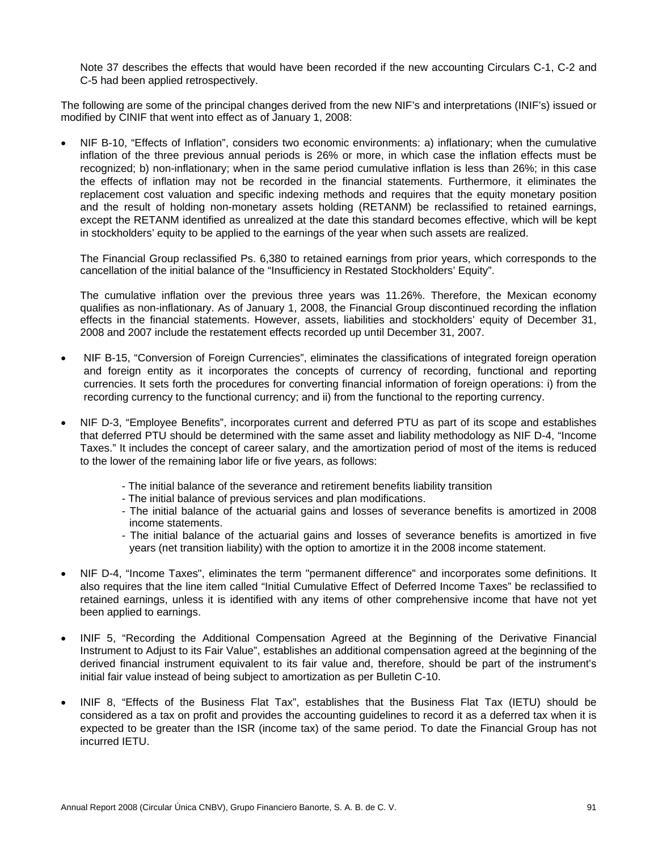Note 37 describes the effects that would have been recorded if the new accounting Circulars C-1, C-2 and C-5 had been applied retrospectively.

The following are some of the principal changes derived from the new NIF's and interpretations (INIF's) issued or modified by CINIF that went into effect as of January 1, 2008:

• NIF B-10, "Effects of Inflation", considers two economic environments: a) inflationary; when the cumulative inflation of the three previous annual periods is 26% or more, in which case the inflation effects must be recognized; b) non-inflationary; when in the same period cumulative inflation is less than 26%; in this case the effects of inflation may not be recorded in the financial statements. Furthermore, it eliminates the replacement cost valuation and specific indexing methods and requires that the equity monetary position and the result of holding non-monetary assets holding (RETANM) be reclassified to retained earnings, except the RETANM identified as unrealized at the date this standard becomes effective, which will be kept in stockholders' equity to be applied to the earnings of the year when such assets are realized.

The Financial Group reclassified Ps. 6,380 to retained earnings from prior years, which corresponds to the cancellation of the initial balance of the "Insufficiency in Restated Stockholders' Equity".

The cumulative inflation over the previous three years was 11.26%. Therefore, the Mexican economy qualifies as non-inflationary. As of January 1, 2008, the Financial Group discontinued recording the inflation effects in the financial statements. However, assets, liabilities and stockholders' equity of December 31, 2008 and 2007 include the restatement effects recorded up until December 31, 2007.

- NIF B-15, "Conversion of Foreign Currencies", eliminates the classifications of integrated foreign operation and foreign entity as it incorporates the concepts of currency of recording, functional and reporting currencies. It sets forth the procedures for converting financial information of foreign operations: i) from the recording currency to the functional currency; and ii) from the functional to the reporting currency.
- NIF D-3, "Employee Benefits", incorporates current and deferred PTU as part of its scope and establishes that deferred PTU should be determined with the same asset and liability methodology as NIF D-4, "Income Taxes." It includes the concept of career salary, and the amortization period of most of the items is reduced to the lower of the remaining labor life or five years, as follows:
	- The initial balance of the severance and retirement benefits liability transition
	- The initial balance of previous services and plan modifications.
	- The initial balance of the actuarial gains and losses of severance benefits is amortized in 2008 income statements.
	- The initial balance of the actuarial gains and losses of severance benefits is amortized in five years (net transition liability) with the option to amortize it in the 2008 income statement.
- NIF D-4, "Income Taxes", eliminates the term "permanent difference" and incorporates some definitions. It also requires that the line item called "Initial Cumulative Effect of Deferred Income Taxes" be reclassified to retained earnings, unless it is identified with any items of other comprehensive income that have not yet been applied to earnings.
- INIF 5, "Recording the Additional Compensation Agreed at the Beginning of the Derivative Financial Instrument to Adjust to its Fair Value", establishes an additional compensation agreed at the beginning of the derived financial instrument equivalent to its fair value and, therefore, should be part of the instrument's initial fair value instead of being subject to amortization as per Bulletin C-10.
- INIF 8, "Effects of the Business Flat Tax", establishes that the Business Flat Tax (IETU) should be considered as a tax on profit and provides the accounting guidelines to record it as a deferred tax when it is expected to be greater than the ISR (income tax) of the same period. To date the Financial Group has not incurred IETU.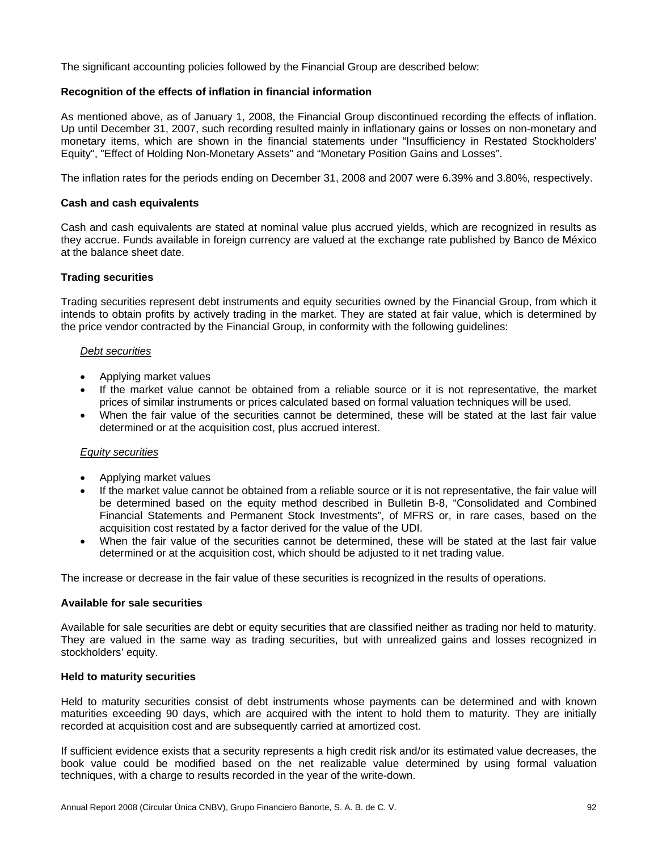The significant accounting policies followed by the Financial Group are described below:

## **Recognition of the effects of inflation in financial information**

As mentioned above, as of January 1, 2008, the Financial Group discontinued recording the effects of inflation. Up until December 31, 2007, such recording resulted mainly in inflationary gains or losses on non-monetary and monetary items, which are shown in the financial statements under "Insufficiency in Restated Stockholders' Equity", "Effect of Holding Non-Monetary Assets" and "Monetary Position Gains and Losses".

The inflation rates for the periods ending on December 31, 2008 and 2007 were 6.39% and 3.80%, respectively.

## **Cash and cash equivalents**

Cash and cash equivalents are stated at nominal value plus accrued yields, which are recognized in results as they accrue. Funds available in foreign currency are valued at the exchange rate published by Banco de México at the balance sheet date.

# **Trading securities**

Trading securities represent debt instruments and equity securities owned by the Financial Group, from which it intends to obtain profits by actively trading in the market. They are stated at fair value, which is determined by the price vendor contracted by the Financial Group, in conformity with the following guidelines:

## *Debt securities*

- Applying market values
- If the market value cannot be obtained from a reliable source or it is not representative, the market prices of similar instruments or prices calculated based on formal valuation techniques will be used.
- When the fair value of the securities cannot be determined, these will be stated at the last fair value determined or at the acquisition cost, plus accrued interest.

## *Equity securities*

- Applying market values
- If the market value cannot be obtained from a reliable source or it is not representative, the fair value will be determined based on the equity method described in Bulletin B-8, "Consolidated and Combined Financial Statements and Permanent Stock Investments", of MFRS or, in rare cases, based on the acquisition cost restated by a factor derived for the value of the UDI.
- When the fair value of the securities cannot be determined, these will be stated at the last fair value determined or at the acquisition cost, which should be adjusted to it net trading value.

The increase or decrease in the fair value of these securities is recognized in the results of operations.

# **Available for sale securities**

Available for sale securities are debt or equity securities that are classified neither as trading nor held to maturity. They are valued in the same way as trading securities, but with unrealized gains and losses recognized in stockholders' equity.

## **Held to maturity securities**

Held to maturity securities consist of debt instruments whose payments can be determined and with known maturities exceeding 90 days, which are acquired with the intent to hold them to maturity. They are initially recorded at acquisition cost and are subsequently carried at amortized cost.

If sufficient evidence exists that a security represents a high credit risk and/or its estimated value decreases, the book value could be modified based on the net realizable value determined by using formal valuation techniques, with a charge to results recorded in the year of the write-down.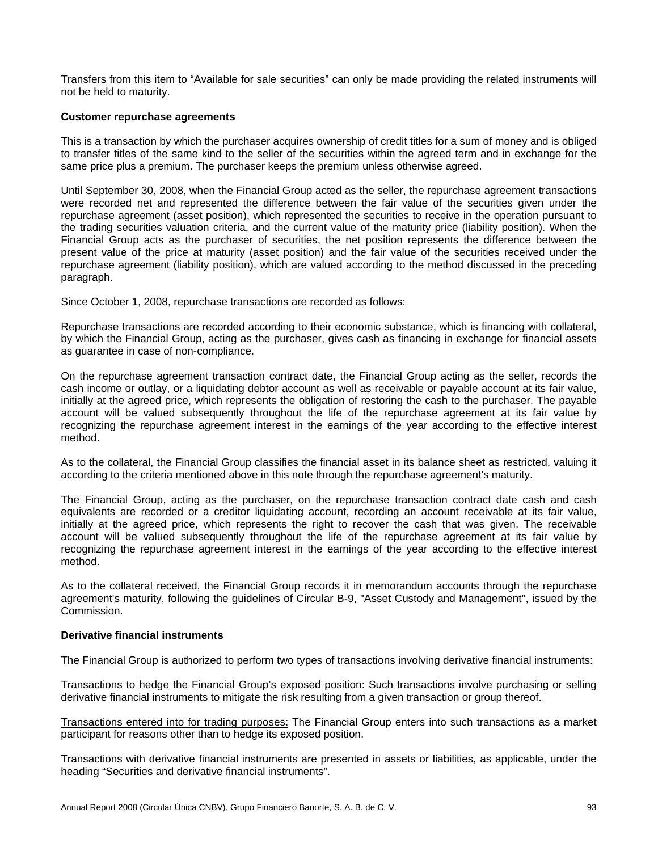Transfers from this item to "Available for sale securities" can only be made providing the related instruments will not be held to maturity.

## **Customer repurchase agreements**

This is a transaction by which the purchaser acquires ownership of credit titles for a sum of money and is obliged to transfer titles of the same kind to the seller of the securities within the agreed term and in exchange for the same price plus a premium. The purchaser keeps the premium unless otherwise agreed.

Until September 30, 2008, when the Financial Group acted as the seller, the repurchase agreement transactions were recorded net and represented the difference between the fair value of the securities given under the repurchase agreement (asset position), which represented the securities to receive in the operation pursuant to the trading securities valuation criteria, and the current value of the maturity price (liability position). When the Financial Group acts as the purchaser of securities, the net position represents the difference between the present value of the price at maturity (asset position) and the fair value of the securities received under the repurchase agreement (liability position), which are valued according to the method discussed in the preceding paragraph.

Since October 1, 2008, repurchase transactions are recorded as follows:

Repurchase transactions are recorded according to their economic substance, which is financing with collateral, by which the Financial Group, acting as the purchaser, gives cash as financing in exchange for financial assets as guarantee in case of non-compliance.

On the repurchase agreement transaction contract date, the Financial Group acting as the seller, records the cash income or outlay, or a liquidating debtor account as well as receivable or payable account at its fair value, initially at the agreed price, which represents the obligation of restoring the cash to the purchaser. The payable account will be valued subsequently throughout the life of the repurchase agreement at its fair value by recognizing the repurchase agreement interest in the earnings of the year according to the effective interest method.

As to the collateral, the Financial Group classifies the financial asset in its balance sheet as restricted, valuing it according to the criteria mentioned above in this note through the repurchase agreement's maturity.

The Financial Group, acting as the purchaser, on the repurchase transaction contract date cash and cash equivalents are recorded or a creditor liquidating account, recording an account receivable at its fair value, initially at the agreed price, which represents the right to recover the cash that was given. The receivable account will be valued subsequently throughout the life of the repurchase agreement at its fair value by recognizing the repurchase agreement interest in the earnings of the year according to the effective interest method.

As to the collateral received, the Financial Group records it in memorandum accounts through the repurchase agreement's maturity, following the guidelines of Circular B-9, "Asset Custody and Management", issued by the Commission.

## **Derivative financial instruments**

The Financial Group is authorized to perform two types of transactions involving derivative financial instruments:

Transactions to hedge the Financial Group's exposed position: Such transactions involve purchasing or selling derivative financial instruments to mitigate the risk resulting from a given transaction or group thereof.

Transactions entered into for trading purposes: The Financial Group enters into such transactions as a market participant for reasons other than to hedge its exposed position.

Transactions with derivative financial instruments are presented in assets or liabilities, as applicable, under the heading "Securities and derivative financial instruments".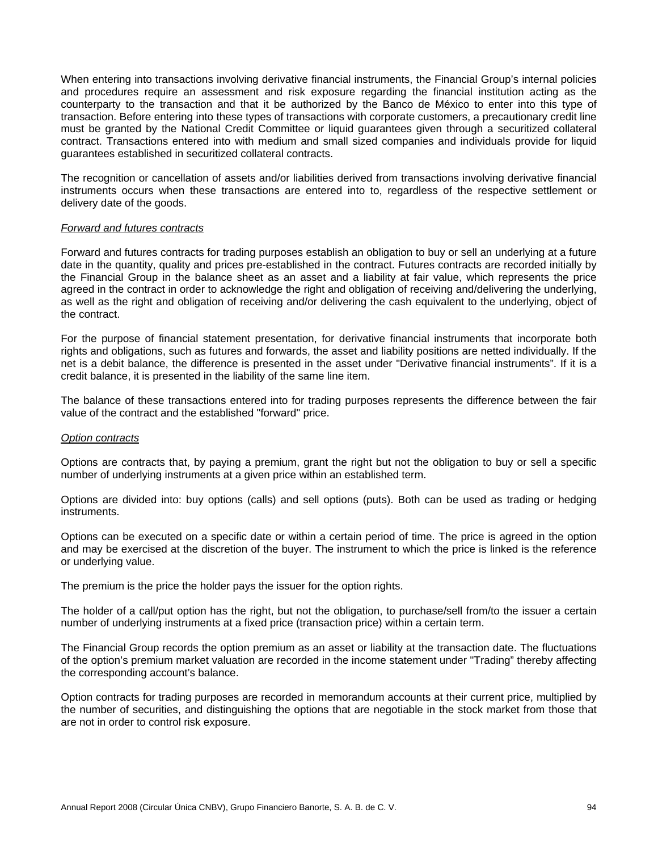When entering into transactions involving derivative financial instruments, the Financial Group's internal policies and procedures require an assessment and risk exposure regarding the financial institution acting as the counterparty to the transaction and that it be authorized by the Banco de México to enter into this type of transaction. Before entering into these types of transactions with corporate customers, a precautionary credit line must be granted by the National Credit Committee or liquid guarantees given through a securitized collateral contract. Transactions entered into with medium and small sized companies and individuals provide for liquid guarantees established in securitized collateral contracts.

The recognition or cancellation of assets and/or liabilities derived from transactions involving derivative financial instruments occurs when these transactions are entered into to, regardless of the respective settlement or delivery date of the goods.

#### *Forward and futures contracts*

Forward and futures contracts for trading purposes establish an obligation to buy or sell an underlying at a future date in the quantity, quality and prices pre-established in the contract. Futures contracts are recorded initially by the Financial Group in the balance sheet as an asset and a liability at fair value, which represents the price agreed in the contract in order to acknowledge the right and obligation of receiving and/delivering the underlying, as well as the right and obligation of receiving and/or delivering the cash equivalent to the underlying, object of the contract.

For the purpose of financial statement presentation, for derivative financial instruments that incorporate both rights and obligations, such as futures and forwards, the asset and liability positions are netted individually. If the net is a debit balance, the difference is presented in the asset under "Derivative financial instruments". If it is a credit balance, it is presented in the liability of the same line item.

The balance of these transactions entered into for trading purposes represents the difference between the fair value of the contract and the established "forward" price.

#### *Option contracts*

Options are contracts that, by paying a premium, grant the right but not the obligation to buy or sell a specific number of underlying instruments at a given price within an established term.

Options are divided into: buy options (calls) and sell options (puts). Both can be used as trading or hedging instruments.

Options can be executed on a specific date or within a certain period of time. The price is agreed in the option and may be exercised at the discretion of the buyer. The instrument to which the price is linked is the reference or underlying value.

The premium is the price the holder pays the issuer for the option rights.

The holder of a call/put option has the right, but not the obligation, to purchase/sell from/to the issuer a certain number of underlying instruments at a fixed price (transaction price) within a certain term.

The Financial Group records the option premium as an asset or liability at the transaction date. The fluctuations of the option's premium market valuation are recorded in the income statement under "Trading" thereby affecting the corresponding account's balance.

Option contracts for trading purposes are recorded in memorandum accounts at their current price, multiplied by the number of securities, and distinguishing the options that are negotiable in the stock market from those that are not in order to control risk exposure.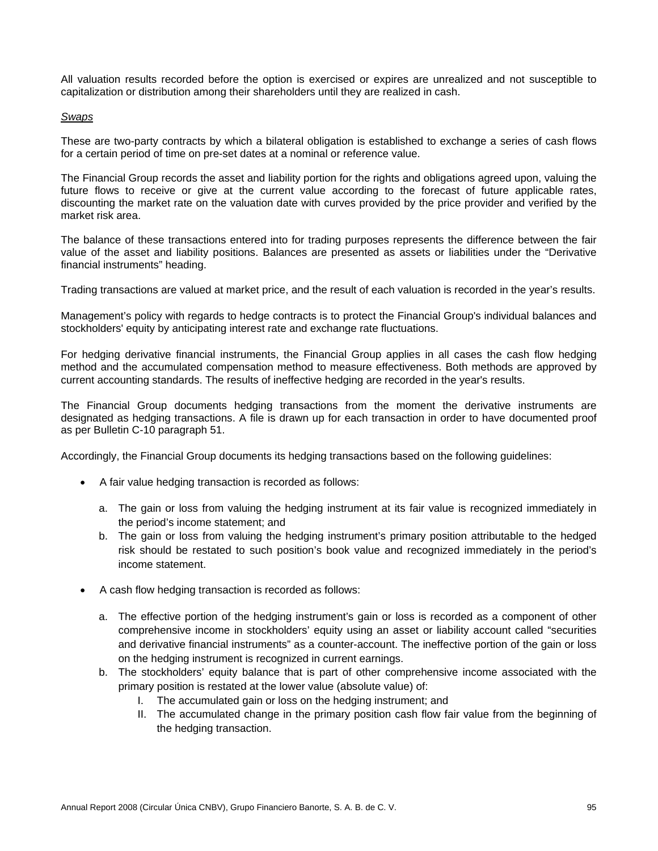All valuation results recorded before the option is exercised or expires are unrealized and not susceptible to capitalization or distribution among their shareholders until they are realized in cash.

## *Swaps*

These are two-party contracts by which a bilateral obligation is established to exchange a series of cash flows for a certain period of time on pre-set dates at a nominal or reference value.

The Financial Group records the asset and liability portion for the rights and obligations agreed upon, valuing the future flows to receive or give at the current value according to the forecast of future applicable rates, discounting the market rate on the valuation date with curves provided by the price provider and verified by the market risk area.

The balance of these transactions entered into for trading purposes represents the difference between the fair value of the asset and liability positions. Balances are presented as assets or liabilities under the "Derivative financial instruments" heading.

Trading transactions are valued at market price, and the result of each valuation is recorded in the year's results.

Management's policy with regards to hedge contracts is to protect the Financial Group's individual balances and stockholders' equity by anticipating interest rate and exchange rate fluctuations.

For hedging derivative financial instruments, the Financial Group applies in all cases the cash flow hedging method and the accumulated compensation method to measure effectiveness. Both methods are approved by current accounting standards. The results of ineffective hedging are recorded in the year's results.

The Financial Group documents hedging transactions from the moment the derivative instruments are designated as hedging transactions. A file is drawn up for each transaction in order to have documented proof as per Bulletin C-10 paragraph 51.

Accordingly, the Financial Group documents its hedging transactions based on the following guidelines:

- A fair value hedging transaction is recorded as follows:
	- a. The gain or loss from valuing the hedging instrument at its fair value is recognized immediately in the period's income statement; and
	- b. The gain or loss from valuing the hedging instrument's primary position attributable to the hedged risk should be restated to such position's book value and recognized immediately in the period's income statement.
- A cash flow hedging transaction is recorded as follows:
	- a. The effective portion of the hedging instrument's gain or loss is recorded as a component of other comprehensive income in stockholders' equity using an asset or liability account called "securities and derivative financial instruments" as a counter-account. The ineffective portion of the gain or loss on the hedging instrument is recognized in current earnings.
	- b. The stockholders' equity balance that is part of other comprehensive income associated with the primary position is restated at the lower value (absolute value) of:
		- I. The accumulated gain or loss on the hedging instrument; and
		- II. The accumulated change in the primary position cash flow fair value from the beginning of the hedging transaction.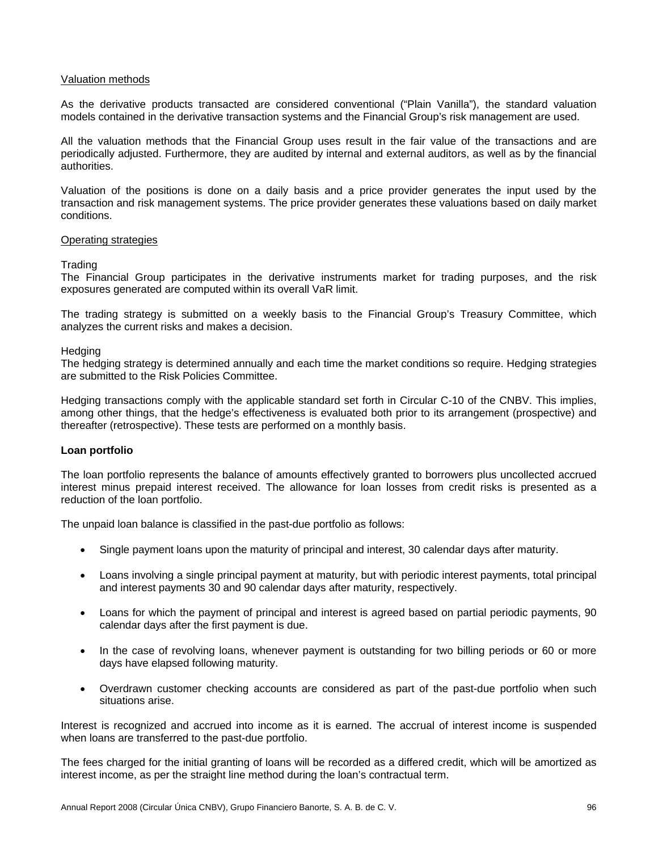## Valuation methods

As the derivative products transacted are considered conventional ("Plain Vanilla"), the standard valuation models contained in the derivative transaction systems and the Financial Group's risk management are used.

All the valuation methods that the Financial Group uses result in the fair value of the transactions and are periodically adjusted. Furthermore, they are audited by internal and external auditors, as well as by the financial authorities.

Valuation of the positions is done on a daily basis and a price provider generates the input used by the transaction and risk management systems. The price provider generates these valuations based on daily market conditions.

#### Operating strategies

#### **Trading**

The Financial Group participates in the derivative instruments market for trading purposes, and the risk exposures generated are computed within its overall VaR limit.

The trading strategy is submitted on a weekly basis to the Financial Group's Treasury Committee, which analyzes the current risks and makes a decision.

#### **Hedging**

The hedging strategy is determined annually and each time the market conditions so require. Hedging strategies are submitted to the Risk Policies Committee.

Hedging transactions comply with the applicable standard set forth in Circular C-10 of the CNBV. This implies, among other things, that the hedge's effectiveness is evaluated both prior to its arrangement (prospective) and thereafter (retrospective). These tests are performed on a monthly basis.

## **Loan portfolio**

The loan portfolio represents the balance of amounts effectively granted to borrowers plus uncollected accrued interest minus prepaid interest received. The allowance for loan losses from credit risks is presented as a reduction of the loan portfolio.

The unpaid loan balance is classified in the past-due portfolio as follows:

- Single payment loans upon the maturity of principal and interest, 30 calendar days after maturity.
- Loans involving a single principal payment at maturity, but with periodic interest payments, total principal and interest payments 30 and 90 calendar days after maturity, respectively.
- Loans for which the payment of principal and interest is agreed based on partial periodic payments, 90 calendar days after the first payment is due.
- In the case of revolving loans, whenever payment is outstanding for two billing periods or 60 or more days have elapsed following maturity.
- Overdrawn customer checking accounts are considered as part of the past-due portfolio when such situations arise.

Interest is recognized and accrued into income as it is earned. The accrual of interest income is suspended when loans are transferred to the past-due portfolio.

The fees charged for the initial granting of loans will be recorded as a differed credit, which will be amortized as interest income, as per the straight line method during the loan's contractual term.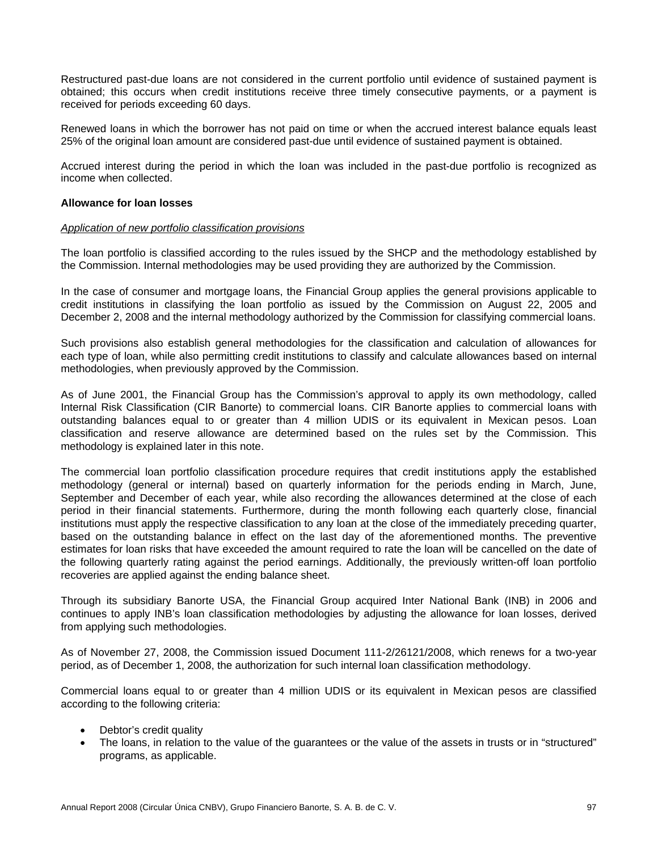Restructured past-due loans are not considered in the current portfolio until evidence of sustained payment is obtained; this occurs when credit institutions receive three timely consecutive payments, or a payment is received for periods exceeding 60 days.

Renewed loans in which the borrower has not paid on time or when the accrued interest balance equals least 25% of the original loan amount are considered past-due until evidence of sustained payment is obtained.

Accrued interest during the period in which the loan was included in the past-due portfolio is recognized as income when collected.

## **Allowance for loan losses**

#### *Application of new portfolio classification provisions*

The loan portfolio is classified according to the rules issued by the SHCP and the methodology established by the Commission. Internal methodologies may be used providing they are authorized by the Commission.

In the case of consumer and mortgage loans, the Financial Group applies the general provisions applicable to credit institutions in classifying the loan portfolio as issued by the Commission on August 22, 2005 and December 2, 2008 and the internal methodology authorized by the Commission for classifying commercial loans.

Such provisions also establish general methodologies for the classification and calculation of allowances for each type of loan, while also permitting credit institutions to classify and calculate allowances based on internal methodologies, when previously approved by the Commission.

As of June 2001, the Financial Group has the Commission's approval to apply its own methodology, called Internal Risk Classification (CIR Banorte) to commercial loans. CIR Banorte applies to commercial loans with outstanding balances equal to or greater than 4 million UDIS or its equivalent in Mexican pesos. Loan classification and reserve allowance are determined based on the rules set by the Commission. This methodology is explained later in this note.

The commercial loan portfolio classification procedure requires that credit institutions apply the established methodology (general or internal) based on quarterly information for the periods ending in March, June, September and December of each year, while also recording the allowances determined at the close of each period in their financial statements. Furthermore, during the month following each quarterly close, financial institutions must apply the respective classification to any loan at the close of the immediately preceding quarter, based on the outstanding balance in effect on the last day of the aforementioned months. The preventive estimates for loan risks that have exceeded the amount required to rate the loan will be cancelled on the date of the following quarterly rating against the period earnings. Additionally, the previously written-off loan portfolio recoveries are applied against the ending balance sheet.

Through its subsidiary Banorte USA, the Financial Group acquired Inter National Bank (INB) in 2006 and continues to apply INB's loan classification methodologies by adjusting the allowance for loan losses, derived from applying such methodologies.

As of November 27, 2008, the Commission issued Document 111-2/26121/2008, which renews for a two-year period, as of December 1, 2008, the authorization for such internal loan classification methodology.

Commercial loans equal to or greater than 4 million UDIS or its equivalent in Mexican pesos are classified according to the following criteria:

- Debtor's credit quality
- The loans, in relation to the value of the guarantees or the value of the assets in trusts or in "structured" programs, as applicable.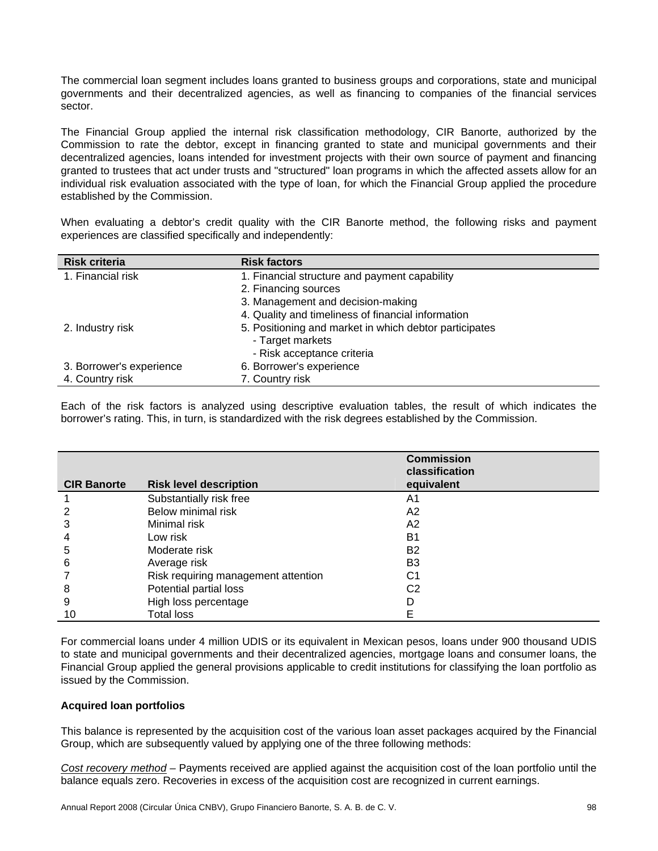The commercial loan segment includes loans granted to business groups and corporations, state and municipal governments and their decentralized agencies, as well as financing to companies of the financial services sector.

The Financial Group applied the internal risk classification methodology, CIR Banorte, authorized by the Commission to rate the debtor, except in financing granted to state and municipal governments and their decentralized agencies, loans intended for investment projects with their own source of payment and financing granted to trustees that act under trusts and "structured" loan programs in which the affected assets allow for an individual risk evaluation associated with the type of loan, for which the Financial Group applied the procedure established by the Commission.

When evaluating a debtor's credit quality with the CIR Banorte method, the following risks and payment experiences are classified specifically and independently:

| <b>Risk criteria</b>     | <b>Risk factors</b>                                                                                      |
|--------------------------|----------------------------------------------------------------------------------------------------------|
| 1. Financial risk        | 1. Financial structure and payment capability                                                            |
|                          | 2. Financing sources                                                                                     |
|                          | 3. Management and decision-making                                                                        |
|                          | 4. Quality and timeliness of financial information                                                       |
| 2. Industry risk         | 5. Positioning and market in which debtor participates<br>- Target markets<br>- Risk acceptance criteria |
| 3. Borrower's experience | 6. Borrower's experience                                                                                 |
| 4. Country risk          | 7. Country risk                                                                                          |

Each of the risk factors is analyzed using descriptive evaluation tables, the result of which indicates the borrower's rating. This, in turn, is standardized with the risk degrees established by the Commission.

| <b>CIR Banorte</b> | <b>Risk level description</b>       | <b>Commission</b><br>classification<br>equivalent |  |
|--------------------|-------------------------------------|---------------------------------------------------|--|
|                    | Substantially risk free             | A1                                                |  |
|                    | Below minimal risk                  | A <sub>2</sub>                                    |  |
| 3                  | Minimal risk                        | A2                                                |  |
| 4                  | Low risk                            | B1                                                |  |
| 5                  | Moderate risk                       | B <sub>2</sub>                                    |  |
| 6                  | Average risk                        | B <sub>3</sub>                                    |  |
|                    | Risk requiring management attention | C1                                                |  |
| 8                  | Potential partial loss              | C2                                                |  |
| 9                  | High loss percentage                |                                                   |  |
| 10                 | Total loss                          | E                                                 |  |

For commercial loans under 4 million UDIS or its equivalent in Mexican pesos, loans under 900 thousand UDIS to state and municipal governments and their decentralized agencies, mortgage loans and consumer loans, the Financial Group applied the general provisions applicable to credit institutions for classifying the loan portfolio as issued by the Commission.

## **Acquired loan portfolios**

This balance is represented by the acquisition cost of the various loan asset packages acquired by the Financial Group, which are subsequently valued by applying one of the three following methods:

*Cost recovery method –* Payments received are applied against the acquisition cost of the loan portfolio until the balance equals zero. Recoveries in excess of the acquisition cost are recognized in current earnings.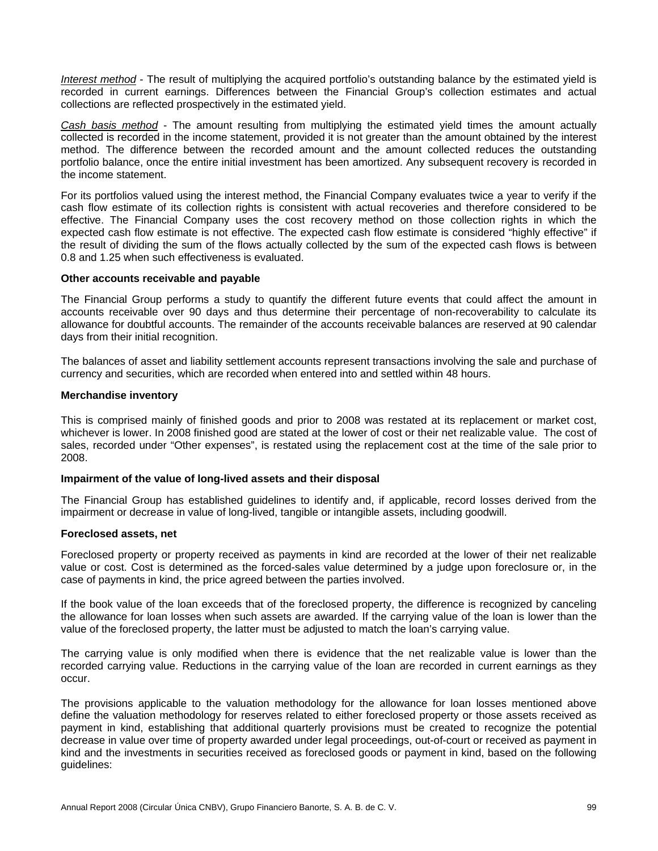*Interest method* - The result of multiplying the acquired portfolio's outstanding balance by the estimated yield is recorded in current earnings. Differences between the Financial Group's collection estimates and actual collections are reflected prospectively in the estimated yield.

*Cash basis method* - The amount resulting from multiplying the estimated yield times the amount actually collected is recorded in the income statement, provided it is not greater than the amount obtained by the interest method. The difference between the recorded amount and the amount collected reduces the outstanding portfolio balance, once the entire initial investment has been amortized. Any subsequent recovery is recorded in the income statement.

For its portfolios valued using the interest method, the Financial Company evaluates twice a year to verify if the cash flow estimate of its collection rights is consistent with actual recoveries and therefore considered to be effective. The Financial Company uses the cost recovery method on those collection rights in which the expected cash flow estimate is not effective. The expected cash flow estimate is considered "highly effective" if the result of dividing the sum of the flows actually collected by the sum of the expected cash flows is between 0.8 and 1.25 when such effectiveness is evaluated.

#### **Other accounts receivable and payable**

The Financial Group performs a study to quantify the different future events that could affect the amount in accounts receivable over 90 days and thus determine their percentage of non-recoverability to calculate its allowance for doubtful accounts. The remainder of the accounts receivable balances are reserved at 90 calendar days from their initial recognition.

The balances of asset and liability settlement accounts represent transactions involving the sale and purchase of currency and securities, which are recorded when entered into and settled within 48 hours.

#### **Merchandise inventory**

This is comprised mainly of finished goods and prior to 2008 was restated at its replacement or market cost, whichever is lower. In 2008 finished good are stated at the lower of cost or their net realizable value. The cost of sales, recorded under "Other expenses", is restated using the replacement cost at the time of the sale prior to 2008.

## **Impairment of the value of long-lived assets and their disposal**

The Financial Group has established guidelines to identify and, if applicable, record losses derived from the impairment or decrease in value of long-lived, tangible or intangible assets, including goodwill.

#### **Foreclosed assets, net**

Foreclosed property or property received as payments in kind are recorded at the lower of their net realizable value or cost. Cost is determined as the forced-sales value determined by a judge upon foreclosure or, in the case of payments in kind, the price agreed between the parties involved.

If the book value of the loan exceeds that of the foreclosed property, the difference is recognized by canceling the allowance for loan losses when such assets are awarded. If the carrying value of the loan is lower than the value of the foreclosed property, the latter must be adjusted to match the loan's carrying value.

The carrying value is only modified when there is evidence that the net realizable value is lower than the recorded carrying value. Reductions in the carrying value of the loan are recorded in current earnings as they occur.

The provisions applicable to the valuation methodology for the allowance for loan losses mentioned above define the valuation methodology for reserves related to either foreclosed property or those assets received as payment in kind, establishing that additional quarterly provisions must be created to recognize the potential decrease in value over time of property awarded under legal proceedings, out-of-court or received as payment in kind and the investments in securities received as foreclosed goods or payment in kind, based on the following guidelines: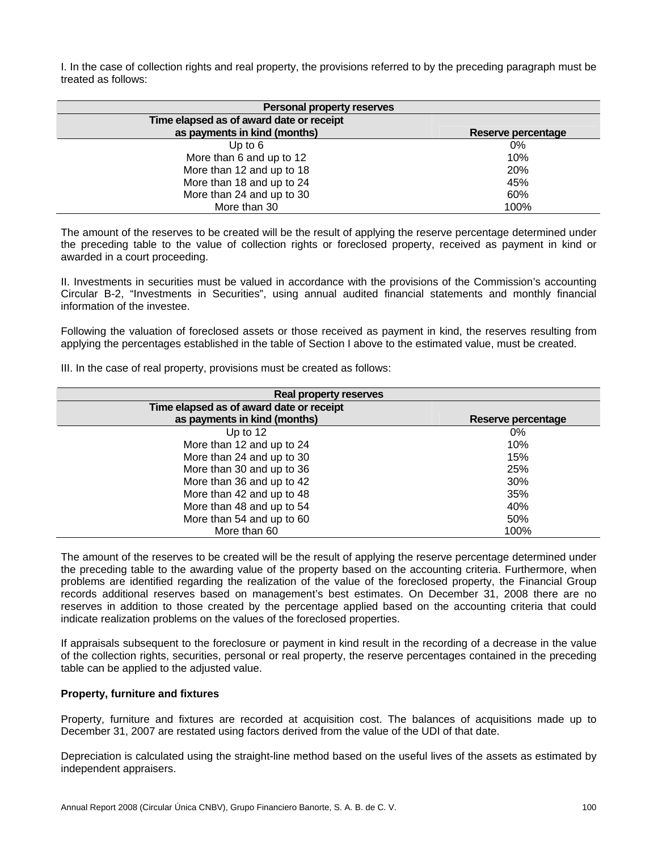I. In the case of collection rights and real property, the provisions referred to by the preceding paragraph must be treated as follows:

| Personal property reserves               |                    |  |  |  |  |
|------------------------------------------|--------------------|--|--|--|--|
| Time elapsed as of award date or receipt |                    |  |  |  |  |
| as payments in kind (months)             | Reserve percentage |  |  |  |  |
| Up to $6$                                | 0%                 |  |  |  |  |
| More than 6 and up to 12                 | 10%                |  |  |  |  |
| More than 12 and up to 18                | <b>20%</b>         |  |  |  |  |
| More than 18 and up to 24                | 45%                |  |  |  |  |
| More than 24 and up to 30                | 60%                |  |  |  |  |
| More than 30                             | 100%               |  |  |  |  |

The amount of the reserves to be created will be the result of applying the reserve percentage determined under the preceding table to the value of collection rights or foreclosed property, received as payment in kind or awarded in a court proceeding.

II. Investments in securities must be valued in accordance with the provisions of the Commission's accounting Circular B-2, "Investments in Securities", using annual audited financial statements and monthly financial information of the investee.

Following the valuation of foreclosed assets or those received as payment in kind, the reserves resulting from applying the percentages established in the table of Section I above to the estimated value, must be created.

III. In the case of real property, provisions must be created as follows:

| Real property reserves                   |                    |  |  |  |
|------------------------------------------|--------------------|--|--|--|
| Time elapsed as of award date or receipt |                    |  |  |  |
| as payments in kind (months)             | Reserve percentage |  |  |  |
| Up to 12                                 | 0%                 |  |  |  |
| More than 12 and up to 24                | 10%                |  |  |  |
| More than 24 and up to 30                | 15%                |  |  |  |
| More than 30 and up to 36                | 25%                |  |  |  |
| More than 36 and up to 42                | 30%                |  |  |  |
| More than 42 and up to 48                | 35%                |  |  |  |
| More than 48 and up to 54                | 40%                |  |  |  |
| More than 54 and up to 60                | 50%                |  |  |  |
| More than 60                             | 100%               |  |  |  |

The amount of the reserves to be created will be the result of applying the reserve percentage determined under the preceding table to the awarding value of the property based on the accounting criteria. Furthermore, when problems are identified regarding the realization of the value of the foreclosed property, the Financial Group records additional reserves based on management's best estimates. On December 31, 2008 there are no reserves in addition to those created by the percentage applied based on the accounting criteria that could indicate realization problems on the values of the foreclosed properties.

If appraisals subsequent to the foreclosure or payment in kind result in the recording of a decrease in the value of the collection rights, securities, personal or real property, the reserve percentages contained in the preceding table can be applied to the adjusted value.

## **Property, furniture and fixtures**

Property, furniture and fixtures are recorded at acquisition cost. The balances of acquisitions made up to December 31, 2007 are restated using factors derived from the value of the UDI of that date.

Depreciation is calculated using the straight-line method based on the useful lives of the assets as estimated by independent appraisers.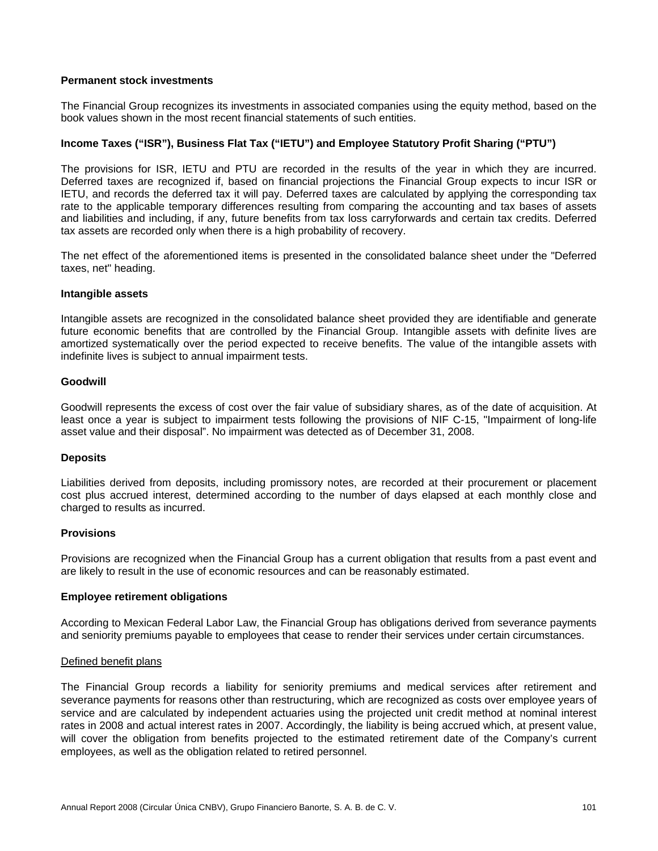## **Permanent stock investments**

The Financial Group recognizes its investments in associated companies using the equity method, based on the book values shown in the most recent financial statements of such entities.

## **Income Taxes ("ISR"), Business Flat Tax ("IETU") and Employee Statutory Profit Sharing ("PTU")**

The provisions for ISR, IETU and PTU are recorded in the results of the year in which they are incurred. Deferred taxes are recognized if, based on financial projections the Financial Group expects to incur ISR or IETU, and records the deferred tax it will pay. Deferred taxes are calculated by applying the corresponding tax rate to the applicable temporary differences resulting from comparing the accounting and tax bases of assets and liabilities and including, if any, future benefits from tax loss carryforwards and certain tax credits. Deferred tax assets are recorded only when there is a high probability of recovery.

The net effect of the aforementioned items is presented in the consolidated balance sheet under the "Deferred taxes, net" heading.

#### **Intangible assets**

Intangible assets are recognized in the consolidated balance sheet provided they are identifiable and generate future economic benefits that are controlled by the Financial Group. Intangible assets with definite lives are amortized systematically over the period expected to receive benefits. The value of the intangible assets with indefinite lives is subject to annual impairment tests.

#### **Goodwill**

Goodwill represents the excess of cost over the fair value of subsidiary shares, as of the date of acquisition. At least once a year is subject to impairment tests following the provisions of NIF C-15, "Impairment of long-life asset value and their disposal". No impairment was detected as of December 31, 2008.

#### **Deposits**

Liabilities derived from deposits, including promissory notes, are recorded at their procurement or placement cost plus accrued interest, determined according to the number of days elapsed at each monthly close and charged to results as incurred.

#### **Provisions**

Provisions are recognized when the Financial Group has a current obligation that results from a past event and are likely to result in the use of economic resources and can be reasonably estimated.

#### **Employee retirement obligations**

According to Mexican Federal Labor Law, the Financial Group has obligations derived from severance payments and seniority premiums payable to employees that cease to render their services under certain circumstances.

#### Defined benefit plans

The Financial Group records a liability for seniority premiums and medical services after retirement and severance payments for reasons other than restructuring, which are recognized as costs over employee years of service and are calculated by independent actuaries using the projected unit credit method at nominal interest rates in 2008 and actual interest rates in 2007. Accordingly, the liability is being accrued which, at present value, will cover the obligation from benefits projected to the estimated retirement date of the Company's current employees, as well as the obligation related to retired personnel.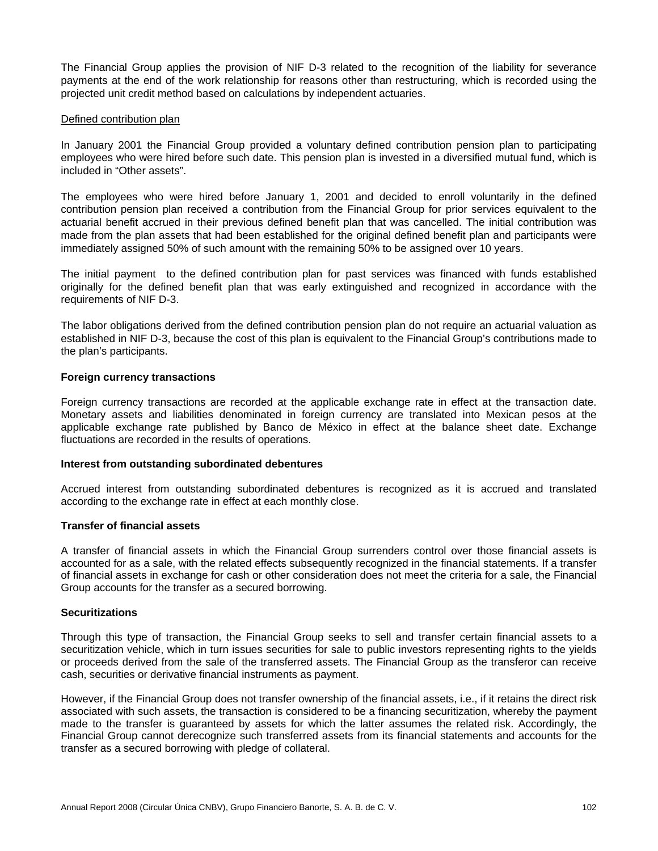The Financial Group applies the provision of NIF D-3 related to the recognition of the liability for severance payments at the end of the work relationship for reasons other than restructuring, which is recorded using the projected unit credit method based on calculations by independent actuaries.

## Defined contribution plan

In January 2001 the Financial Group provided a voluntary defined contribution pension plan to participating employees who were hired before such date. This pension plan is invested in a diversified mutual fund, which is included in "Other assets".

The employees who were hired before January 1, 2001 and decided to enroll voluntarily in the defined contribution pension plan received a contribution from the Financial Group for prior services equivalent to the actuarial benefit accrued in their previous defined benefit plan that was cancelled. The initial contribution was made from the plan assets that had been established for the original defined benefit plan and participants were immediately assigned 50% of such amount with the remaining 50% to be assigned over 10 years.

The initial payment to the defined contribution plan for past services was financed with funds established originally for the defined benefit plan that was early extinguished and recognized in accordance with the requirements of NIF D-3.

The labor obligations derived from the defined contribution pension plan do not require an actuarial valuation as established in NIF D-3, because the cost of this plan is equivalent to the Financial Group's contributions made to the plan's participants.

#### **Foreign currency transactions**

Foreign currency transactions are recorded at the applicable exchange rate in effect at the transaction date. Monetary assets and liabilities denominated in foreign currency are translated into Mexican pesos at the applicable exchange rate published by Banco de México in effect at the balance sheet date. Exchange fluctuations are recorded in the results of operations.

#### **Interest from outstanding subordinated debentures**

Accrued interest from outstanding subordinated debentures is recognized as it is accrued and translated according to the exchange rate in effect at each monthly close.

## **Transfer of financial assets**

A transfer of financial assets in which the Financial Group surrenders control over those financial assets is accounted for as a sale, with the related effects subsequently recognized in the financial statements. If a transfer of financial assets in exchange for cash or other consideration does not meet the criteria for a sale, the Financial Group accounts for the transfer as a secured borrowing.

#### **Securitizations**

Through this type of transaction, the Financial Group seeks to sell and transfer certain financial assets to a securitization vehicle, which in turn issues securities for sale to public investors representing rights to the yields or proceeds derived from the sale of the transferred assets. The Financial Group as the transferor can receive cash, securities or derivative financial instruments as payment.

However, if the Financial Group does not transfer ownership of the financial assets, i.e., if it retains the direct risk associated with such assets, the transaction is considered to be a financing securitization, whereby the payment made to the transfer is guaranteed by assets for which the latter assumes the related risk. Accordingly, the Financial Group cannot derecognize such transferred assets from its financial statements and accounts for the transfer as a secured borrowing with pledge of collateral.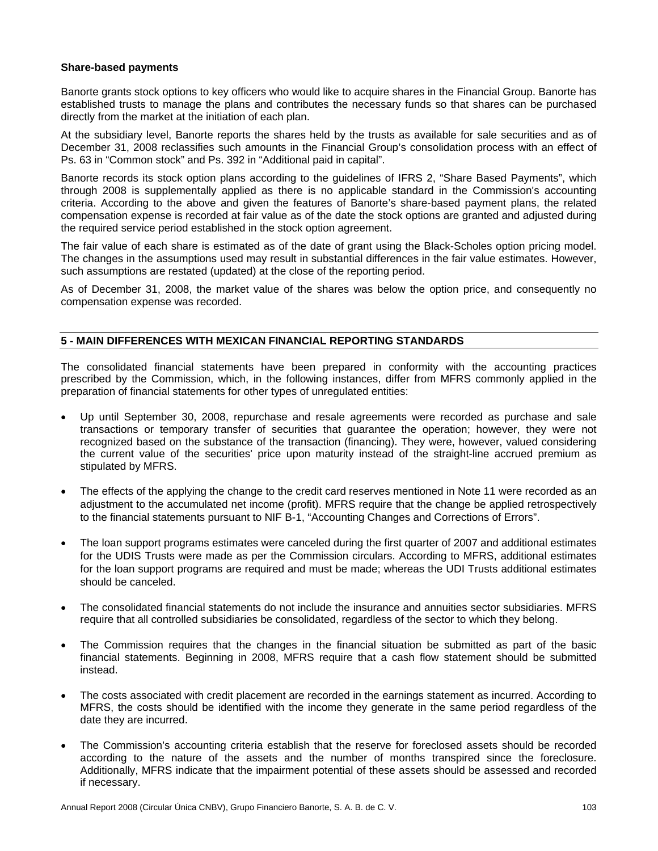## **Share-based payments**

Banorte grants stock options to key officers who would like to acquire shares in the Financial Group. Banorte has established trusts to manage the plans and contributes the necessary funds so that shares can be purchased directly from the market at the initiation of each plan.

At the subsidiary level, Banorte reports the shares held by the trusts as available for sale securities and as of December 31, 2008 reclassifies such amounts in the Financial Group's consolidation process with an effect of Ps. 63 in "Common stock" and Ps. 392 in "Additional paid in capital".

Banorte records its stock option plans according to the guidelines of IFRS 2, "Share Based Payments", which through 2008 is supplementally applied as there is no applicable standard in the Commission's accounting criteria. According to the above and given the features of Banorte's share-based payment plans, the related compensation expense is recorded at fair value as of the date the stock options are granted and adjusted during the required service period established in the stock option agreement.

The fair value of each share is estimated as of the date of grant using the Black-Scholes option pricing model. The changes in the assumptions used may result in substantial differences in the fair value estimates. However, such assumptions are restated (updated) at the close of the reporting period.

As of December 31, 2008, the market value of the shares was below the option price, and consequently no compensation expense was recorded.

# **5 - MAIN DIFFERENCES WITH MEXICAN FINANCIAL REPORTING STANDARDS**

The consolidated financial statements have been prepared in conformity with the accounting practices prescribed by the Commission, which, in the following instances, differ from MFRS commonly applied in the preparation of financial statements for other types of unregulated entities:

- Up until September 30, 2008, repurchase and resale agreements were recorded as purchase and sale transactions or temporary transfer of securities that guarantee the operation; however, they were not recognized based on the substance of the transaction (financing). They were, however, valued considering the current value of the securities' price upon maturity instead of the straight-line accrued premium as stipulated by MFRS.
- The effects of the applying the change to the credit card reserves mentioned in Note 11 were recorded as an adjustment to the accumulated net income (profit). MFRS require that the change be applied retrospectively to the financial statements pursuant to NIF B-1, "Accounting Changes and Corrections of Errors".
- The loan support programs estimates were canceled during the first quarter of 2007 and additional estimates for the UDIS Trusts were made as per the Commission circulars. According to MFRS, additional estimates for the loan support programs are required and must be made; whereas the UDI Trusts additional estimates should be canceled.
- The consolidated financial statements do not include the insurance and annuities sector subsidiaries. MFRS require that all controlled subsidiaries be consolidated, regardless of the sector to which they belong.
- The Commission requires that the changes in the financial situation be submitted as part of the basic financial statements. Beginning in 2008, MFRS require that a cash flow statement should be submitted instead.
- The costs associated with credit placement are recorded in the earnings statement as incurred. According to MFRS, the costs should be identified with the income they generate in the same period regardless of the date they are incurred.
- The Commission's accounting criteria establish that the reserve for foreclosed assets should be recorded according to the nature of the assets and the number of months transpired since the foreclosure. Additionally, MFRS indicate that the impairment potential of these assets should be assessed and recorded if necessary.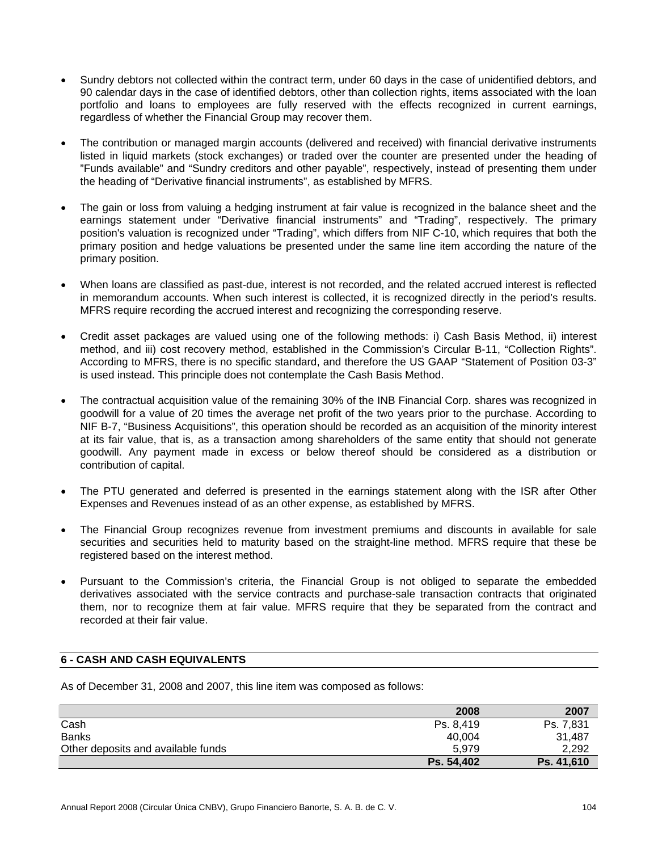- Sundry debtors not collected within the contract term, under 60 days in the case of unidentified debtors, and 90 calendar days in the case of identified debtors, other than collection rights, items associated with the loan portfolio and loans to employees are fully reserved with the effects recognized in current earnings, regardless of whether the Financial Group may recover them.
- The contribution or managed margin accounts (delivered and received) with financial derivative instruments listed in liquid markets (stock exchanges) or traded over the counter are presented under the heading of "Funds available" and "Sundry creditors and other payable", respectively, instead of presenting them under the heading of "Derivative financial instruments", as established by MFRS.
- The gain or loss from valuing a hedging instrument at fair value is recognized in the balance sheet and the earnings statement under "Derivative financial instruments" and "Trading", respectively. The primary position's valuation is recognized under "Trading", which differs from NIF C-10, which requires that both the primary position and hedge valuations be presented under the same line item according the nature of the primary position.
- When loans are classified as past-due, interest is not recorded, and the related accrued interest is reflected in memorandum accounts. When such interest is collected, it is recognized directly in the period's results. MFRS require recording the accrued interest and recognizing the corresponding reserve.
- Credit asset packages are valued using one of the following methods: i) Cash Basis Method, ii) interest method, and iii) cost recovery method, established in the Commission's Circular B-11, "Collection Rights". According to MFRS, there is no specific standard, and therefore the US GAAP "Statement of Position 03-3" is used instead. This principle does not contemplate the Cash Basis Method.
- The contractual acquisition value of the remaining 30% of the INB Financial Corp. shares was recognized in goodwill for a value of 20 times the average net profit of the two years prior to the purchase. According to NIF B-7, "Business Acquisitions", this operation should be recorded as an acquisition of the minority interest at its fair value, that is, as a transaction among shareholders of the same entity that should not generate goodwill. Any payment made in excess or below thereof should be considered as a distribution or contribution of capital.
- The PTU generated and deferred is presented in the earnings statement along with the ISR after Other Expenses and Revenues instead of as an other expense, as established by MFRS.
- The Financial Group recognizes revenue from investment premiums and discounts in available for sale securities and securities held to maturity based on the straight-line method. MFRS require that these be registered based on the interest method.
- Pursuant to the Commission's criteria, the Financial Group is not obliged to separate the embedded derivatives associated with the service contracts and purchase-sale transaction contracts that originated them, nor to recognize them at fair value. MFRS require that they be separated from the contract and recorded at their fair value.

# **6 - CASH AND CASH EQUIVALENTS**

As of December 31, 2008 and 2007, this line item was composed as follows:

|                                    | 2008       | 2007       |
|------------------------------------|------------|------------|
| Cash                               | Ps. 8.419  | Ps. 7,831  |
| <b>Banks</b>                       | 40,004     | 31,487     |
| Other deposits and available funds | 5.979      | 2,292      |
|                                    | Ps. 54,402 | Ps. 41,610 |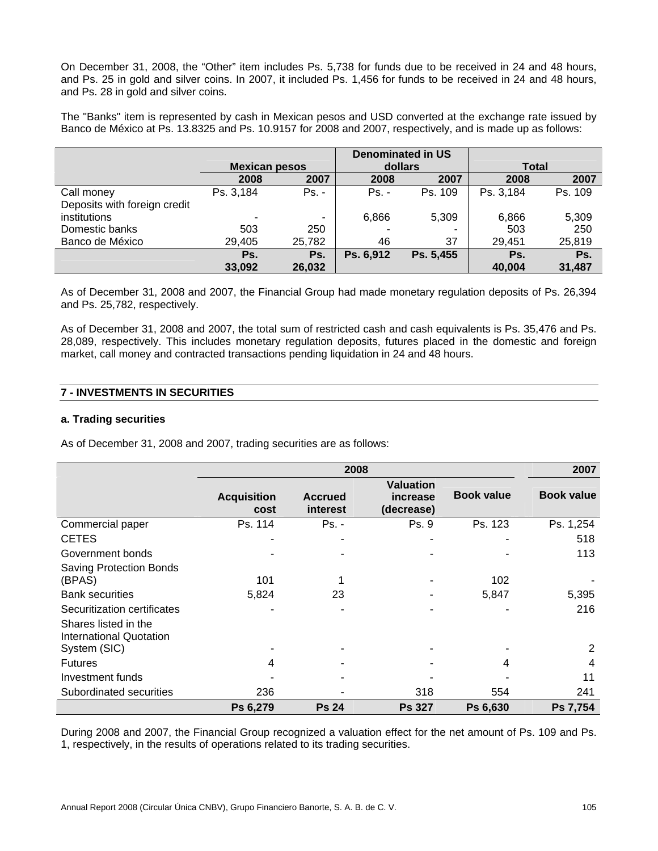On December 31, 2008, the "Other" item includes Ps. 5,738 for funds due to be received in 24 and 48 hours, and Ps. 25 in gold and silver coins. In 2007, it included Ps. 1,456 for funds to be received in 24 and 48 hours, and Ps. 28 in gold and silver coins.

The "Banks" item is represented by cash in Mexican pesos and USD converted at the exchange rate issued by Banco de México at Ps. 13.8325 and Ps. 10.9157 for 2008 and 2007, respectively, and is made up as follows:

|                              |                      |         | <b>Denominated in US</b> |           |              |         |
|------------------------------|----------------------|---------|--------------------------|-----------|--------------|---------|
|                              | <b>Mexican pesos</b> |         | dollars                  |           | <b>Total</b> |         |
|                              | 2008                 | 2007    | 2008                     | 2007      | 2008         | 2007    |
| Call money                   | Ps. 3,184            | $Ps. -$ | $Ps. -$                  | Ps. 109   | Ps. 3,184    | Ps. 109 |
| Deposits with foreign credit |                      |         |                          |           |              |         |
| institutions                 | -                    | ٠       | 6,866                    | 5,309     | 6,866        | 5,309   |
| Domestic banks               | 503                  | 250     |                          |           | 503          | 250     |
| Banco de México              | 29,405               | 25,782  | 46                       | 37        | 29.451       | 25,819  |
|                              | Ps.                  | Ps.     | Ps. 6,912                | Ps. 5,455 | Ps.          | Ps.     |
|                              | 33,092               | 26,032  |                          |           | 40,004       | 31,487  |

As of December 31, 2008 and 2007, the Financial Group had made monetary regulation deposits of Ps. 26,394 and Ps. 25,782, respectively.

As of December 31, 2008 and 2007, the total sum of restricted cash and cash equivalents is Ps. 35,476 and Ps. 28,089, respectively. This includes monetary regulation deposits, futures placed in the domestic and foreign market, call money and contracted transactions pending liquidation in 24 and 48 hours.

# **7 - INVESTMENTS IN SECURITIES**

#### **a. Trading securities**

As of December 31, 2008 and 2007, trading securities are as follows:

|                                                                 |                            | 2007                       |                                            |                   |                   |
|-----------------------------------------------------------------|----------------------------|----------------------------|--------------------------------------------|-------------------|-------------------|
|                                                                 | <b>Acquisition</b><br>cost | <b>Accrued</b><br>interest | <b>Valuation</b><br>increase<br>(decrease) | <b>Book value</b> | <b>Book value</b> |
| Commercial paper                                                | Ps. 114                    | $Ps. -$                    | Ps. 9                                      | Ps. 123           | Ps. 1,254         |
| <b>CETES</b>                                                    |                            |                            |                                            |                   | 518               |
| Government bonds                                                |                            |                            |                                            |                   | 113               |
| <b>Saving Protection Bonds</b><br>(BPAS)                        | 101                        |                            |                                            | 102               |                   |
| <b>Bank securities</b>                                          | 5,824                      | 23                         |                                            | 5,847             | 5,395             |
| Securitization certificates                                     |                            |                            |                                            |                   | 216               |
| Shares listed in the<br>International Quotation<br>System (SIC) |                            |                            |                                            |                   | 2                 |
| <b>Futures</b>                                                  | 4                          |                            |                                            |                   | 4                 |
| Investment funds                                                |                            |                            |                                            |                   | 11                |
| Subordinated securities                                         | 236                        |                            | 318                                        | 554               | 241               |
|                                                                 | Ps 6,279                   | <b>Ps 24</b>               | <b>Ps 327</b>                              | Ps 6,630          | Ps 7,754          |

During 2008 and 2007, the Financial Group recognized a valuation effect for the net amount of Ps. 109 and Ps. 1, respectively, in the results of operations related to its trading securities.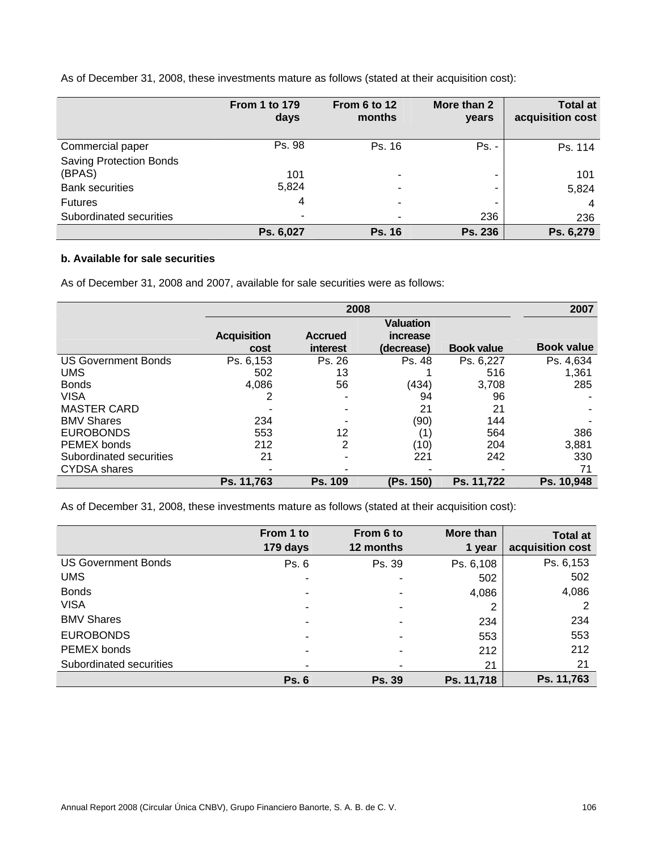As of December 31, 2008, these investments mature as follows (stated at their acquisition cost):

|                                | <b>From 1 to 179</b><br>days | From 6 to 12<br>months | More than 2<br>years | <b>Total at</b><br>acquisition cost |
|--------------------------------|------------------------------|------------------------|----------------------|-------------------------------------|
| Commercial paper               | Ps. 98                       | Ps. 16                 | $Ps. -$              | Ps. 114                             |
| <b>Saving Protection Bonds</b> |                              |                        |                      |                                     |
| (BPAS)                         | 101                          | $\blacksquare$         | -                    | 101                                 |
| <b>Bank securities</b>         | 5,824                        |                        | -                    | 5,824                               |
| <b>Futures</b>                 | 4                            |                        | ۰                    | 4                                   |
| Subordinated securities        |                              |                        | 236                  | 236                                 |
|                                | Ps. 6,027                    | <b>Ps. 16</b>          | Ps. 236              | Ps. 6,279                           |

# **b. Available for sale securities**

As of December 31, 2008 and 2007, available for sale securities were as follows:

|                            |                    | 2008           |            |                   |                   |  |  |
|----------------------------|--------------------|----------------|------------|-------------------|-------------------|--|--|
|                            |                    |                |            |                   |                   |  |  |
|                            | <b>Acquisition</b> | <b>Accrued</b> | increase   |                   |                   |  |  |
|                            | cost               | interest       | (decrease) | <b>Book value</b> | <b>Book value</b> |  |  |
| <b>US Government Bonds</b> | Ps. 6,153          | Ps. 26         | Ps. 48     | Ps. 6,227         | Ps. 4,634         |  |  |
| <b>UMS</b>                 | 502                | 13             |            | 516               | 1,361             |  |  |
| <b>Bonds</b>               | 4,086              | 56             | (434)      | 3,708             | 285               |  |  |
| <b>VISA</b>                | 2                  |                | 94         | 96                |                   |  |  |
| <b>MASTER CARD</b>         |                    |                | 21         | 21                |                   |  |  |
| <b>BMV Shares</b>          | 234                |                | (90)       | 144               |                   |  |  |
| <b>EUROBONDS</b>           | 553                | 12             | (1         | 564               | 386               |  |  |
| PEMEX bonds                | 212                | 2              | (10)       | 204               | 3,881             |  |  |
| Subordinated securities    | 21                 |                | 221        | 242               | 330               |  |  |
| <b>CYDSA</b> shares        |                    |                |            |                   | 71                |  |  |
|                            | Ps. 11,763         | <b>Ps. 109</b> | (Ps. 150)  | Ps. 11,722        | Ps. 10,948        |  |  |

As of December 31, 2008, these investments mature as follows (stated at their acquisition cost):

|                            | From 1 to<br>179 days | From 6 to<br>12 months | More than<br>1 year | <b>Total at</b><br>acquisition cost |
|----------------------------|-----------------------|------------------------|---------------------|-------------------------------------|
| <b>US Government Bonds</b> | Ps. 6                 | Ps. 39                 | Ps. 6,108           | Ps. 6,153                           |
| <b>UMS</b>                 | ٠                     |                        | 502                 | 502                                 |
| <b>Bonds</b>               | ٠                     |                        | 4,086               | 4,086                               |
| <b>VISA</b>                | ۰                     |                        | 2                   | 2                                   |
| <b>BMV Shares</b>          | ۰                     |                        | 234                 | 234                                 |
| <b>EUROBONDS</b>           | ٠                     |                        | 553                 | 553                                 |
| PEMEX bonds                |                       |                        | 212                 | 212                                 |
| Subordinated securities    | ٠                     |                        | 21                  | 21                                  |
|                            | <b>Ps. 6</b>          | <b>Ps. 39</b>          | Ps. 11,718          | Ps. 11,763                          |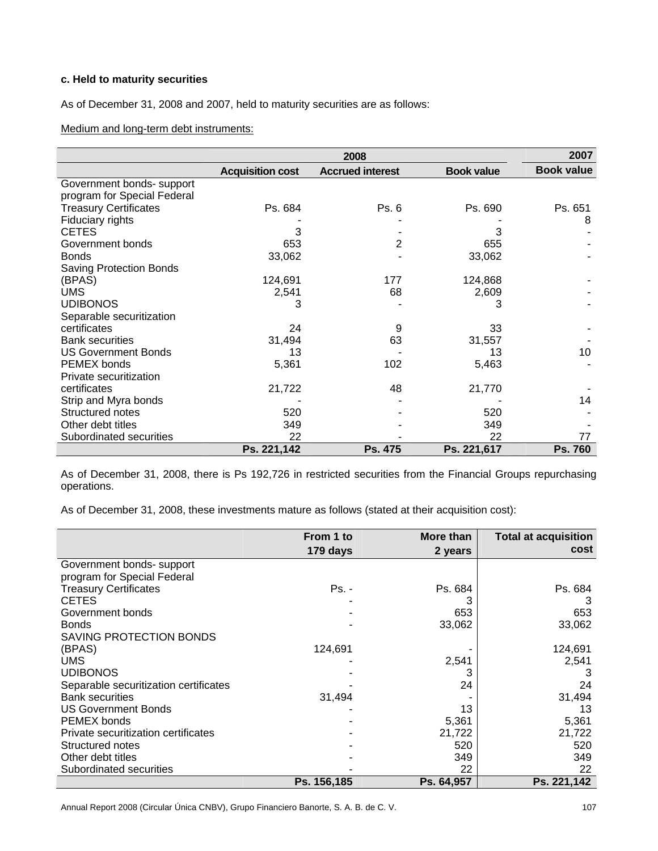# **c. Held to maturity securities**

As of December 31, 2008 and 2007, held to maturity securities are as follows:

Medium and long-term debt instruments:

|                                |                         |                         | 2007              |                   |
|--------------------------------|-------------------------|-------------------------|-------------------|-------------------|
|                                | <b>Acquisition cost</b> | <b>Accrued interest</b> | <b>Book value</b> | <b>Book value</b> |
| Government bonds- support      |                         |                         |                   |                   |
| program for Special Federal    |                         |                         |                   |                   |
| <b>Treasury Certificates</b>   | Ps. 684                 | Ps. 6                   | Ps. 690           | Ps. 651           |
| Fiduciary rights               |                         |                         |                   | 8                 |
| <b>CETES</b>                   | 3                       |                         | 3                 |                   |
| Government bonds               | 653                     | 2                       | 655               |                   |
| <b>Bonds</b>                   | 33,062                  |                         | 33,062            |                   |
| <b>Saving Protection Bonds</b> |                         |                         |                   |                   |
| (BPAS)                         | 124,691                 | 177                     | 124,868           |                   |
| <b>UMS</b>                     | 2,541                   | 68                      | 2,609             |                   |
| <b>UDIBONOS</b>                | 3                       |                         | 3                 |                   |
| Separable securitization       |                         |                         |                   |                   |
| certificates                   | 24                      | 9                       | 33                |                   |
| <b>Bank securities</b>         | 31,494                  | 63                      | 31,557            |                   |
| <b>US Government Bonds</b>     | 13                      |                         | 13                | 10                |
| PEMEX bonds                    | 5,361                   | 102                     | 5,463             |                   |
| Private securitization         |                         |                         |                   |                   |
| certificates                   | 21,722                  | 48                      | 21,770            |                   |
| Strip and Myra bonds           |                         |                         |                   | 14                |
| Structured notes               | 520                     |                         | 520               |                   |
| Other debt titles              | 349                     |                         | 349               |                   |
| Subordinated securities        | 22                      |                         | 22                | 77                |
|                                | Ps. 221,142             | Ps. 475                 | Ps. 221,617       | Ps. 760           |

As of December 31, 2008, there is Ps 192,726 in restricted securities from the Financial Groups repurchasing operations.

As of December 31, 2008, these investments mature as follows (stated at their acquisition cost):

|                                       | From 1 to   | More than  | <b>Total at acquisition</b> |
|---------------------------------------|-------------|------------|-----------------------------|
|                                       | 179 days    | 2 years    | cost                        |
| Government bonds- support             |             |            |                             |
| program for Special Federal           |             |            |                             |
| <b>Treasury Certificates</b>          | Ps. -       | Ps. 684    | Ps. 684                     |
| <b>CETES</b>                          |             |            | 3                           |
| Government bonds                      |             | 653        | 653                         |
| <b>Bonds</b>                          |             | 33,062     | 33,062                      |
| <b>SAVING PROTECTION BONDS</b>        |             |            |                             |
| (BPAS)                                | 124,691     |            | 124,691                     |
| <b>UMS</b>                            |             | 2,541      | 2,541                       |
| <b>UDIBONOS</b>                       |             |            | З                           |
| Separable securitization certificates |             | 24         | 24                          |
| <b>Bank securities</b>                | 31,494      |            | 31,494                      |
| <b>US Government Bonds</b>            |             | 13         | 13                          |
| PEMEX bonds                           |             | 5,361      | 5,361                       |
| Private securitization certificates   |             | 21,722     | 21,722                      |
| Structured notes                      |             | 520        | 520                         |
| Other debt titles                     |             | 349        | 349                         |
| Subordinated securities               |             | 22         | 22                          |
|                                       | Ps. 156,185 | Ps. 64.957 | Ps. 221,142                 |

Annual Report 2008 (Circular Única CNBV), Grupo Financiero Banorte, S. A. B. de C. V. 107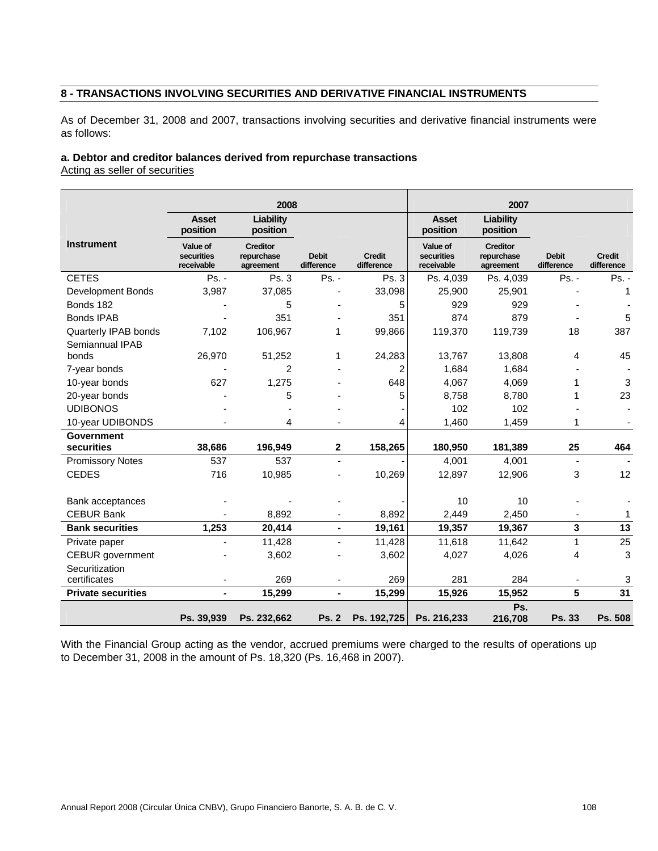## **8 - TRANSACTIONS INVOLVING SECURITIES AND DERIVATIVE FINANCIAL INSTRUMENTS**

As of December 31, 2008 and 2007, transactions involving securities and derivative financial instruments were as follows:

## **a. Debtor and creditor balances derived from repurchase transactions**

Acting as seller of securities

|                           |                                      | 2008                                       |                            |                             |                                      | 2007                                       |                            |                             |
|---------------------------|--------------------------------------|--------------------------------------------|----------------------------|-----------------------------|--------------------------------------|--------------------------------------------|----------------------------|-----------------------------|
|                           | <b>Asset</b><br>position             | Liability<br>position                      |                            |                             | <b>Asset</b><br>position             | Liability<br>position                      |                            |                             |
| <b>Instrument</b>         | Value of<br>securities<br>receivable | <b>Creditor</b><br>repurchase<br>agreement | <b>Debit</b><br>difference | <b>Credit</b><br>difference | Value of<br>securities<br>receivable | <b>Creditor</b><br>repurchase<br>agreement | <b>Debit</b><br>difference | <b>Credit</b><br>difference |
| <b>CETES</b>              | $Ps. -$                              | Ps. 3                                      | Ps. -                      | Ps. 3                       | Ps. 4,039                            | Ps. 4,039                                  | $Ps. -$                    | Ps. -                       |
| <b>Development Bonds</b>  | 3,987                                | 37,085                                     |                            | 33,098                      | 25,900                               | 25,901                                     |                            | 1                           |
| Bonds 182                 |                                      | 5                                          |                            | 5                           | 929                                  | 929                                        |                            |                             |
| <b>Bonds IPAB</b>         |                                      | 351                                        |                            | 351                         | 874                                  | 879                                        |                            | 5                           |
| Quarterly IPAB bonds      | 7,102                                | 106,967                                    | 1                          | 99,866                      | 119,370                              | 119,739                                    | 18                         | 387                         |
| Semiannual IPAB           |                                      |                                            |                            |                             |                                      |                                            |                            |                             |
| bonds                     | 26,970                               | 51,252                                     | 1                          | 24,283                      | 13,767                               | 13,808                                     | 4                          | 45                          |
| 7-year bonds              |                                      | $\overline{2}$                             |                            | 2                           | 1,684                                | 1,684                                      |                            |                             |
| 10-year bonds             | 627                                  | 1.275                                      |                            | 648                         | 4,067                                | 4,069                                      | 1                          | 3                           |
| 20-year bonds             |                                      | 5                                          |                            | 5                           | 8,758                                | 8,780                                      | 1                          | 23                          |
| <b>UDIBONOS</b>           |                                      |                                            |                            |                             | 102                                  | 102                                        |                            |                             |
| 10-year UDIBONDS          |                                      | 4                                          |                            | 4                           | 1,460                                | 1,459                                      | 1                          |                             |
| <b>Government</b>         |                                      |                                            |                            |                             |                                      |                                            |                            |                             |
| securities                | 38,686                               | 196,949                                    | $\mathbf{2}$               | 158,265                     | 180,950                              | 181,389                                    | 25                         | 464                         |
| <b>Promissory Notes</b>   | 537                                  | 537                                        |                            |                             | 4,001                                | 4,001                                      | $\blacksquare$             |                             |
| <b>CEDES</b>              | 716                                  | 10,985                                     |                            | 10,269                      | 12,897                               | 12,906                                     | 3                          | 12                          |
| Bank acceptances          |                                      |                                            |                            |                             | 10                                   | 10                                         |                            |                             |
| <b>CEBUR Bank</b>         |                                      | 8.892                                      |                            | 8,892                       | 2,449                                | 2,450                                      |                            | 1                           |
| <b>Bank securities</b>    | 1,253                                | 20,414                                     | $\blacksquare$             | 19,161                      | 19,357                               | 19,367                                     | 3                          | 13                          |
| Private paper             |                                      | 11,428                                     |                            | 11,428                      | 11,618                               | 11,642                                     | 1                          | 25                          |
| <b>CEBUR</b> government   |                                      | 3,602                                      |                            | 3,602                       | 4,027                                | 4,026                                      | 4                          | 3                           |
| Securitization            |                                      |                                            |                            |                             |                                      |                                            |                            |                             |
| certificates              |                                      | 269                                        |                            | 269                         | 281                                  | 284                                        |                            | 3                           |
| <b>Private securities</b> |                                      | 15,299                                     | $\blacksquare$             | 15,299                      | 15,926                               | 15,952                                     | 5                          | 31                          |
|                           | Ps. 39,939                           | Ps. 232,662                                | <b>Ps. 2</b>               | Ps. 192,725                 | Ps. 216,233                          | Ps.<br>216,708                             | Ps. 33                     | Ps. 508                     |

With the Financial Group acting as the vendor, accrued premiums were charged to the results of operations up to December 31, 2008 in the amount of Ps. 18,320 (Ps. 16,468 in 2007).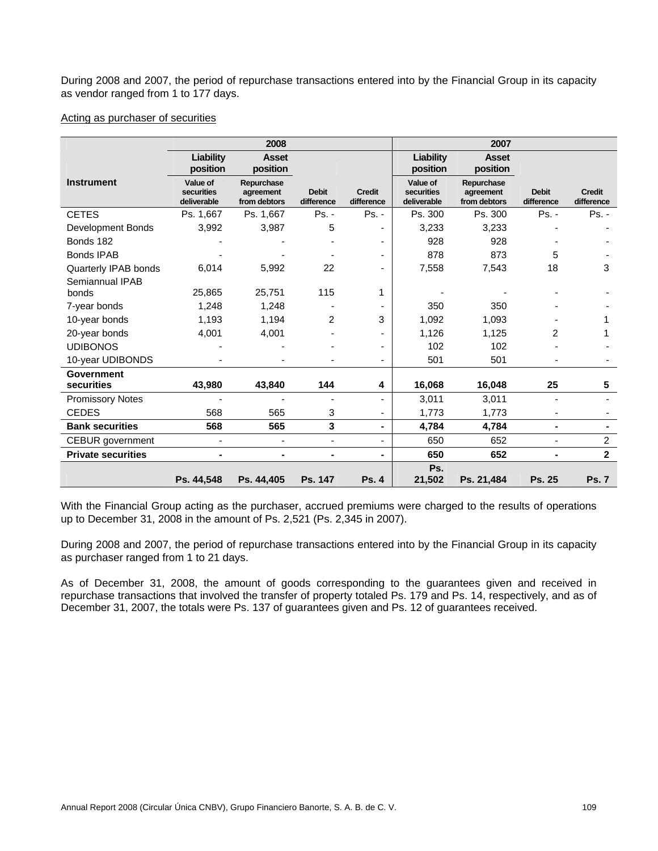During 2008 and 2007, the period of repurchase transactions entered into by the Financial Group in its capacity as vendor ranged from 1 to 177 days.

## Acting as purchaser of securities

|                           |                                       | 2008                                    |                            |                             |                                       | 2007                                    |                            |                             |
|---------------------------|---------------------------------------|-----------------------------------------|----------------------------|-----------------------------|---------------------------------------|-----------------------------------------|----------------------------|-----------------------------|
|                           | <b>Liability</b><br>position          | <b>Asset</b><br>position                |                            |                             | Liability<br>position                 | <b>Asset</b><br>position                |                            |                             |
| <b>Instrument</b>         | Value of<br>securities<br>deliverable | Repurchase<br>agreement<br>from debtors | <b>Debit</b><br>difference | <b>Credit</b><br>difference | Value of<br>securities<br>deliverable | Repurchase<br>agreement<br>from debtors | <b>Debit</b><br>difference | <b>Credit</b><br>difference |
| <b>CETES</b>              | Ps. 1,667                             | Ps. 1,667                               | $Ps. -$                    | Ps. -                       | Ps. 300                               | Ps. 300                                 | Ps. -                      | $Ps. -$                     |
| Development Bonds         | 3,992                                 | 3,987                                   | 5                          |                             | 3,233                                 | 3,233                                   |                            |                             |
| Bonds 182                 |                                       |                                         |                            |                             | 928                                   | 928                                     |                            |                             |
| <b>Bonds IPAB</b>         |                                       |                                         |                            |                             | 878                                   | 873                                     | 5                          |                             |
| Quarterly IPAB bonds      | 6,014                                 | 5,992                                   | 22                         |                             | 7,558                                 | 7,543                                   | 18                         | 3                           |
| Semiannual IPAB<br>bonds  | 25,865                                | 25,751                                  | 115                        |                             |                                       |                                         |                            |                             |
| 7-year bonds              | 1,248                                 | 1,248                                   |                            |                             | 350                                   | 350                                     |                            |                             |
| 10-year bonds             | 1,193                                 | 1,194                                   | 2                          | 3                           | 1,092                                 | 1,093                                   |                            |                             |
| 20-year bonds             | 4,001                                 | 4,001                                   |                            |                             | 1,126                                 | 1,125                                   | 2                          |                             |
| <b>UDIBONOS</b>           |                                       |                                         |                            |                             | 102                                   | 102                                     |                            |                             |
| 10-year UDIBONDS          |                                       |                                         |                            |                             | 501                                   | 501                                     |                            |                             |
| Government                |                                       |                                         |                            |                             |                                       |                                         |                            |                             |
| securities                | 43,980                                | 43,840                                  | 144                        | 4                           | 16,068                                | 16,048                                  | 25                         | 5                           |
| <b>Promissory Notes</b>   |                                       |                                         |                            |                             | 3,011                                 | 3,011                                   |                            |                             |
| <b>CEDES</b>              | 568                                   | 565                                     | 3                          |                             | 1,773                                 | 1,773                                   |                            |                             |
| <b>Bank securities</b>    | 568                                   | 565                                     | 3                          | $\blacksquare$              | 4,784                                 | 4,784                                   | $\blacksquare$             |                             |
| <b>CEBUR</b> government   | $\blacksquare$                        |                                         | $\overline{\phantom{0}}$   | ٠                           | 650                                   | 652                                     | ٠                          | $\overline{c}$              |
| <b>Private securities</b> | $\blacksquare$                        |                                         | ۰                          | $\blacksquare$              | 650                                   | 652                                     | $\blacksquare$             | $\overline{2}$              |
|                           | Ps. 44,548                            | Ps. 44,405                              | Ps. 147                    | <b>Ps. 4</b>                | Ps.<br>21,502                         | Ps. 21,484                              | Ps. 25                     | <b>Ps. 7</b>                |

With the Financial Group acting as the purchaser, accrued premiums were charged to the results of operations up to December 31, 2008 in the amount of Ps. 2,521 (Ps. 2,345 in 2007).

During 2008 and 2007, the period of repurchase transactions entered into by the Financial Group in its capacity as purchaser ranged from 1 to 21 days.

As of December 31, 2008, the amount of goods corresponding to the guarantees given and received in repurchase transactions that involved the transfer of property totaled Ps. 179 and Ps. 14, respectively, and as of December 31, 2007, the totals were Ps. 137 of guarantees given and Ps. 12 of guarantees received.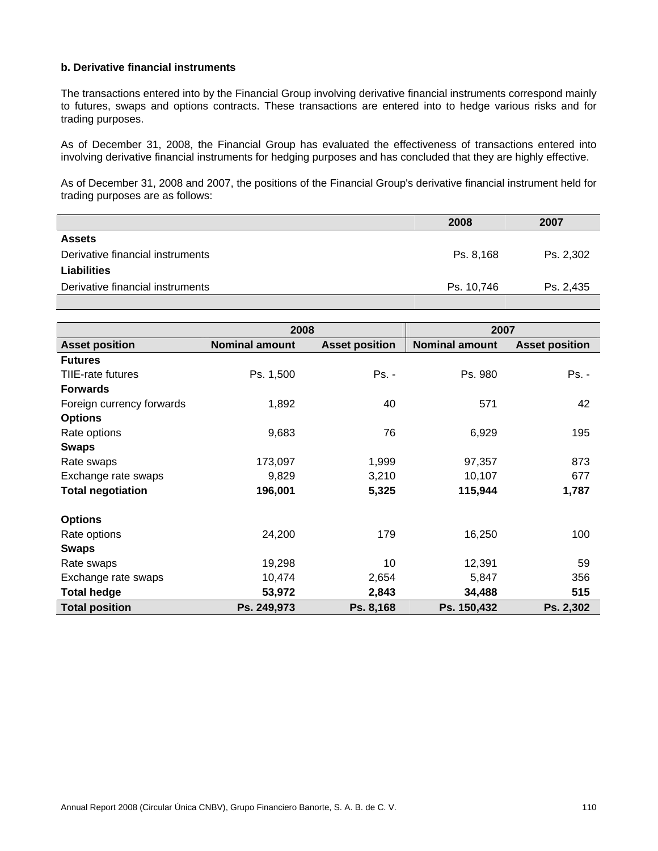## **b. Derivative financial instruments**

The transactions entered into by the Financial Group involving derivative financial instruments correspond mainly to futures, swaps and options contracts. These transactions are entered into to hedge various risks and for trading purposes.

As of December 31, 2008, the Financial Group has evaluated the effectiveness of transactions entered into involving derivative financial instruments for hedging purposes and has concluded that they are highly effective.

As of December 31, 2008 and 2007, the positions of the Financial Group's derivative financial instrument held for trading purposes are as follows:

|                                  | 2008       | 2007      |
|----------------------------------|------------|-----------|
| <b>Assets</b>                    |            |           |
| Derivative financial instruments | Ps. 8.168  | Ps. 2.302 |
| <b>Liabilities</b>               |            |           |
| Derivative financial instruments | Ps. 10,746 | Ps. 2,435 |
|                                  |            |           |

|                           | 2008                  |                       | 2007                  |                       |
|---------------------------|-----------------------|-----------------------|-----------------------|-----------------------|
| <b>Asset position</b>     | <b>Nominal amount</b> | <b>Asset position</b> | <b>Nominal amount</b> | <b>Asset position</b> |
| <b>Futures</b>            |                       |                       |                       |                       |
| TIIE-rate futures         | Ps. 1,500             | Ps. -                 | Ps. 980               | Ps. -                 |
| <b>Forwards</b>           |                       |                       |                       |                       |
| Foreign currency forwards | 1,892                 | 40                    | 571                   | 42                    |
| <b>Options</b>            |                       |                       |                       |                       |
| Rate options              | 9,683                 | 76                    | 6,929                 | 195                   |
| <b>Swaps</b>              |                       |                       |                       |                       |
| Rate swaps                | 173,097               | 1,999                 | 97,357                | 873                   |
| Exchange rate swaps       | 9,829                 | 3,210                 | 10,107                | 677                   |
| <b>Total negotiation</b>  | 196,001               | 5,325                 | 115,944               | 1,787                 |
| <b>Options</b>            |                       |                       |                       |                       |
| Rate options              | 24,200                | 179                   | 16,250                | 100                   |
| <b>Swaps</b>              |                       |                       |                       |                       |
| Rate swaps                | 19,298                | 10                    | 12,391                | 59                    |
| Exchange rate swaps       | 10,474                | 2,654                 | 5,847                 | 356                   |
| <b>Total hedge</b>        | 53,972                | 2,843                 | 34,488                | 515                   |
| <b>Total position</b>     | Ps. 249,973           | Ps. 8,168             | Ps. 150,432           | Ps. 2,302             |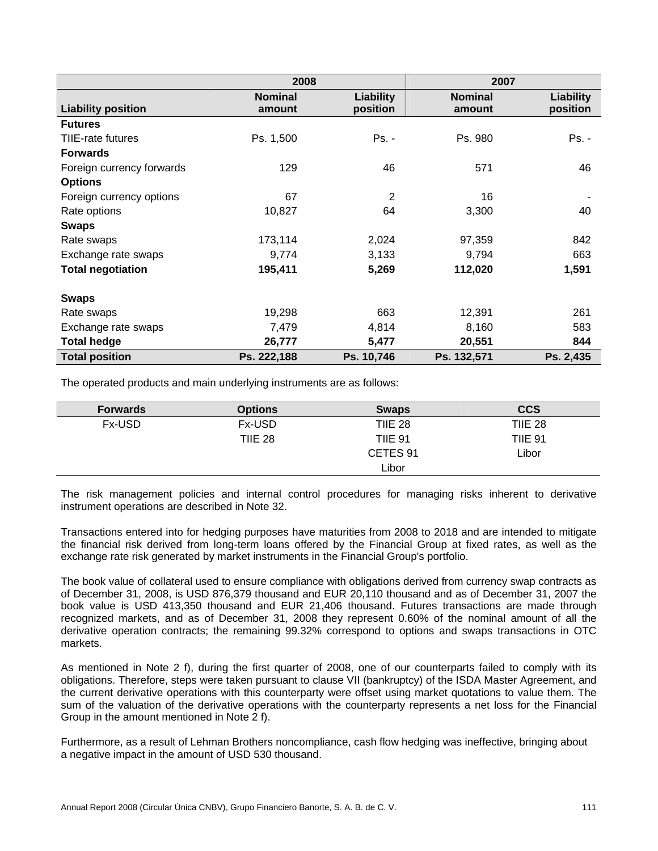|                           | 2008                     |                       |                          | 2007                  |
|---------------------------|--------------------------|-----------------------|--------------------------|-----------------------|
| <b>Liability position</b> | <b>Nominal</b><br>amount | Liability<br>position | <b>Nominal</b><br>amount | Liability<br>position |
| <b>Futures</b>            |                          |                       |                          |                       |
| TIIE-rate futures         | Ps. 1,500                | Ps. -                 | Ps. 980                  | Ps. -                 |
| <b>Forwards</b>           |                          |                       |                          |                       |
| Foreign currency forwards | 129                      | 46                    | 571                      | 46                    |
| <b>Options</b>            |                          |                       |                          |                       |
| Foreign currency options  | 67                       | $\overline{2}$        | 16                       |                       |
| Rate options              | 10,827                   | 64                    | 3,300                    | 40                    |
| <b>Swaps</b>              |                          |                       |                          |                       |
| Rate swaps                | 173,114                  | 2,024                 | 97,359                   | 842                   |
| Exchange rate swaps       | 9,774                    | 3,133                 | 9,794                    | 663                   |
| <b>Total negotiation</b>  | 195,411                  | 5,269                 | 112,020                  | 1,591                 |
| <b>Swaps</b>              |                          |                       |                          |                       |
| Rate swaps                | 19,298                   | 663                   | 12,391                   | 261                   |
| Exchange rate swaps       | 7,479                    | 4,814                 | 8,160                    | 583                   |
| <b>Total hedge</b>        | 26,777                   | 5,477                 | 20,551                   | 844                   |
| <b>Total position</b>     | Ps. 222,188              | Ps. 10,746            | Ps. 132,571              | Ps. 2,435             |

The operated products and main underlying instruments are as follows:

| <b>Forwards</b> | <b>Options</b> | <b>Swaps</b>   | <b>CCS</b>     |
|-----------------|----------------|----------------|----------------|
| Fx-USD          | Fx-USD         | <b>TIIE 28</b> | TIIE 28        |
|                 | <b>TIIE 28</b> | <b>TIIE 91</b> | <b>TIIE 91</b> |
|                 |                | CETES 91       | Libor          |
|                 |                | Libor          |                |

The risk management policies and internal control procedures for managing risks inherent to derivative instrument operations are described in Note 32.

Transactions entered into for hedging purposes have maturities from 2008 to 2018 and are intended to mitigate the financial risk derived from long-term loans offered by the Financial Group at fixed rates, as well as the exchange rate risk generated by market instruments in the Financial Group's portfolio.

The book value of collateral used to ensure compliance with obligations derived from currency swap contracts as of December 31, 2008, is USD 876,379 thousand and EUR 20,110 thousand and as of December 31, 2007 the book value is USD 413,350 thousand and EUR 21,406 thousand. Futures transactions are made through recognized markets, and as of December 31, 2008 they represent 0.60% of the nominal amount of all the derivative operation contracts; the remaining 99.32% correspond to options and swaps transactions in OTC markets.

As mentioned in Note 2 f), during the first quarter of 2008, one of our counterparts failed to comply with its obligations. Therefore, steps were taken pursuant to clause VII (bankruptcy) of the ISDA Master Agreement, and the current derivative operations with this counterparty were offset using market quotations to value them. The sum of the valuation of the derivative operations with the counterparty represents a net loss for the Financial Group in the amount mentioned in Note 2 f).

Furthermore, as a result of Lehman Brothers noncompliance, cash flow hedging was ineffective, bringing about a negative impact in the amount of USD 530 thousand.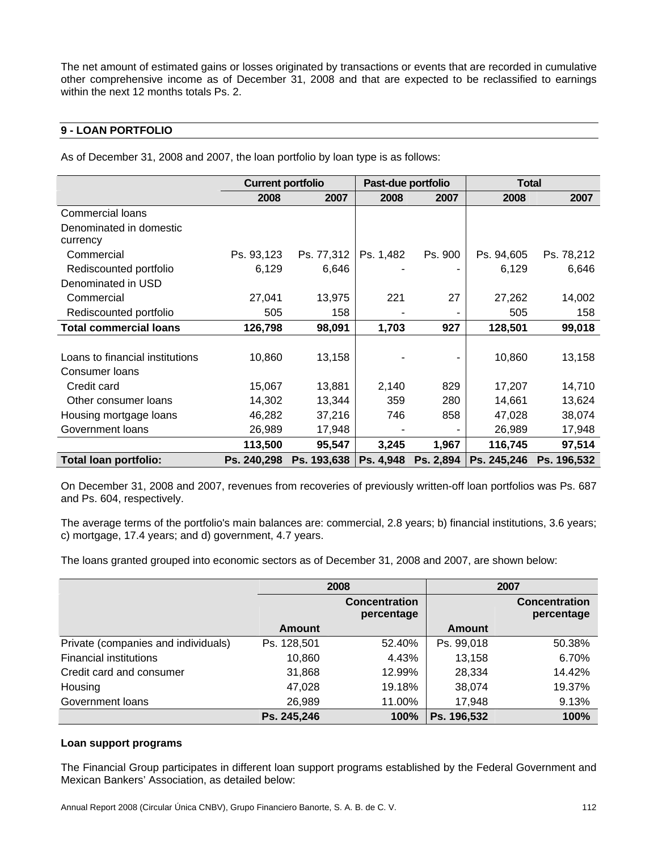The net amount of estimated gains or losses originated by transactions or events that are recorded in cumulative other comprehensive income as of December 31, 2008 and that are expected to be reclassified to earnings within the next 12 months totals Ps. 2.

# **9 - LOAN PORTFOLIO**

As of December 31, 2008 and 2007, the loan portfolio by loan type is as follows:

|                                 | <b>Current portfolio</b> |             | Past-due portfolio |           | <b>Total</b> |                         |
|---------------------------------|--------------------------|-------------|--------------------|-----------|--------------|-------------------------|
|                                 | 2008                     | 2007        | 2008               | 2007      | 2008         | 2007                    |
| <b>Commercial loans</b>         |                          |             |                    |           |              |                         |
| Denominated in domestic         |                          |             |                    |           |              |                         |
| currency                        |                          |             |                    |           |              |                         |
| Commercial                      | Ps. 93,123               | Ps. 77,312  | Ps. 1,482          | Ps. 900   | Ps. 94,605   | Ps. 78,212              |
| Rediscounted portfolio          | 6,129                    | 6,646       |                    |           | 6,129        | 6,646                   |
| Denominated in USD              |                          |             |                    |           |              |                         |
| Commercial                      | 27,041                   | 13,975      | 221                | 27        | 27,262       | 14,002                  |
| Rediscounted portfolio          | 505                      | 158         |                    |           | 505          | 158                     |
| <b>Total commercial loans</b>   | 126,798                  | 98,091      | 1,703              | 927       | 128,501      | 99,018                  |
|                                 |                          |             |                    |           |              |                         |
| Loans to financial institutions | 10,860                   | 13,158      |                    |           | 10,860       | 13,158                  |
| Consumer Ioans                  |                          |             |                    |           |              |                         |
| Credit card                     | 15,067                   | 13,881      | 2,140              | 829       | 17,207       | 14,710                  |
| Other consumer loans            | 14,302                   | 13,344      | 359                | 280       | 14,661       | 13,624                  |
| Housing mortgage loans          | 46,282                   | 37,216      | 746                | 858       | 47,028       | 38,074                  |
| Government loans                | 26,989                   | 17,948      |                    |           | 26,989       | 17,948                  |
|                                 | 113,500                  | 95,547      | 3,245              | 1,967     | 116,745      | 97,514                  |
| <b>Total loan portfolio:</b>    | Ps. 240,298              | Ps. 193,638 | Ps. 4,948          | Ps. 2,894 |              | Ps. 245,246 Ps. 196,532 |

On December 31, 2008 and 2007, revenues from recoveries of previously written-off loan portfolios was Ps. 687 and Ps. 604, respectively.

The average terms of the portfolio's main balances are: commercial, 2.8 years; b) financial institutions, 3.6 years; c) mortgage, 17.4 years; and d) government, 4.7 years.

The loans granted grouped into economic sectors as of December 31, 2008 and 2007, are shown below:

|                                     |               | 2008                               |             | 2007                               |
|-------------------------------------|---------------|------------------------------------|-------------|------------------------------------|
|                                     |               | <b>Concentration</b><br>percentage |             | <b>Concentration</b><br>percentage |
|                                     | <b>Amount</b> |                                    | Amount      |                                    |
| Private (companies and individuals) | Ps. 128,501   | 52.40%                             | Ps. 99,018  | 50.38%                             |
| <b>Financial institutions</b>       | 10,860        | 4.43%                              | 13,158      | 6.70%                              |
| Credit card and consumer            | 31,868        | 12.99%                             | 28,334      | 14.42%                             |
| Housing                             | 47,028        | 19.18%                             | 38,074      | 19.37%                             |
| Government loans                    | 26,989        | 11.00%                             | 17,948      | 9.13%                              |
|                                     | Ps. 245,246   | 100%                               | Ps. 196,532 | 100%                               |

#### **Loan support programs**

The Financial Group participates in different loan support programs established by the Federal Government and Mexican Bankers' Association, as detailed below: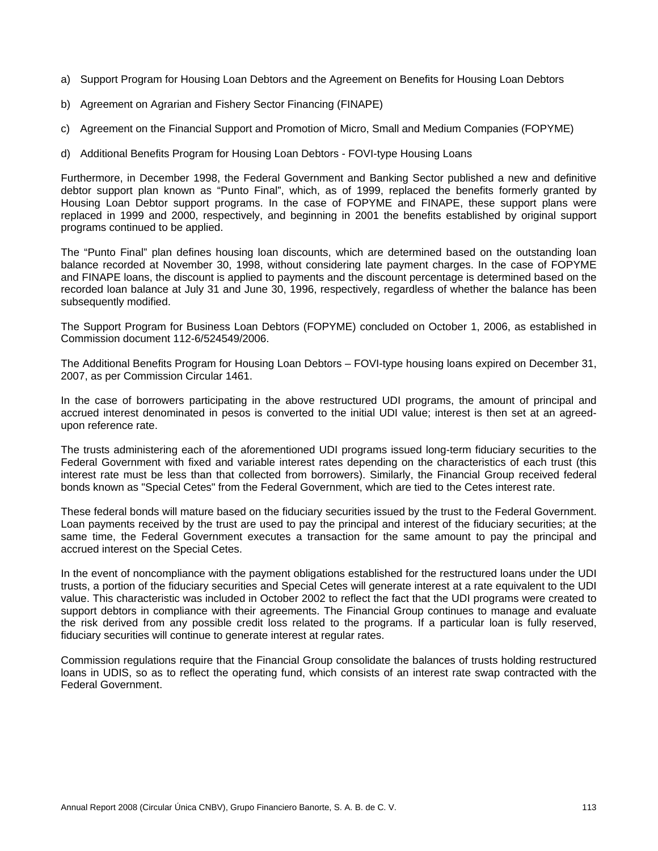- a) Support Program for Housing Loan Debtors and the Agreement on Benefits for Housing Loan Debtors
- b) Agreement on Agrarian and Fishery Sector Financing (FINAPE)
- c) Agreement on the Financial Support and Promotion of Micro, Small and Medium Companies (FOPYME)
- d) Additional Benefits Program for Housing Loan Debtors FOVI-type Housing Loans

Furthermore, in December 1998, the Federal Government and Banking Sector published a new and definitive debtor support plan known as "Punto Final", which, as of 1999, replaced the benefits formerly granted by Housing Loan Debtor support programs. In the case of FOPYME and FINAPE, these support plans were replaced in 1999 and 2000, respectively, and beginning in 2001 the benefits established by original support programs continued to be applied.

The "Punto Final" plan defines housing loan discounts, which are determined based on the outstanding loan balance recorded at November 30, 1998, without considering late payment charges. In the case of FOPYME and FINAPE loans, the discount is applied to payments and the discount percentage is determined based on the recorded loan balance at July 31 and June 30, 1996, respectively, regardless of whether the balance has been subsequently modified.

The Support Program for Business Loan Debtors (FOPYME) concluded on October 1, 2006, as established in Commission document 112-6/524549/2006.

The Additional Benefits Program for Housing Loan Debtors – FOVI-type housing loans expired on December 31, 2007, as per Commission Circular 1461.

In the case of borrowers participating in the above restructured UDI programs, the amount of principal and accrued interest denominated in pesos is converted to the initial UDI value; interest is then set at an agreedupon reference rate.

The trusts administering each of the aforementioned UDI programs issued long-term fiduciary securities to the Federal Government with fixed and variable interest rates depending on the characteristics of each trust (this interest rate must be less than that collected from borrowers). Similarly, the Financial Group received federal bonds known as "Special Cetes" from the Federal Government, which are tied to the Cetes interest rate.

These federal bonds will mature based on the fiduciary securities issued by the trust to the Federal Government. Loan payments received by the trust are used to pay the principal and interest of the fiduciary securities; at the same time, the Federal Government executes a transaction for the same amount to pay the principal and accrued interest on the Special Cetes.

In the event of noncompliance with the payment obligations established for the restructured loans under the UDI trusts, a portion of the fiduciary securities and Special Cetes will generate interest at a rate equivalent to the UDI value. This characteristic was included in October 2002 to reflect the fact that the UDI programs were created to support debtors in compliance with their agreements. The Financial Group continues to manage and evaluate the risk derived from any possible credit loss related to the programs. If a particular loan is fully reserved, fiduciary securities will continue to generate interest at regular rates.

Commission regulations require that the Financial Group consolidate the balances of trusts holding restructured loans in UDIS, so as to reflect the operating fund, which consists of an interest rate swap contracted with the Federal Government.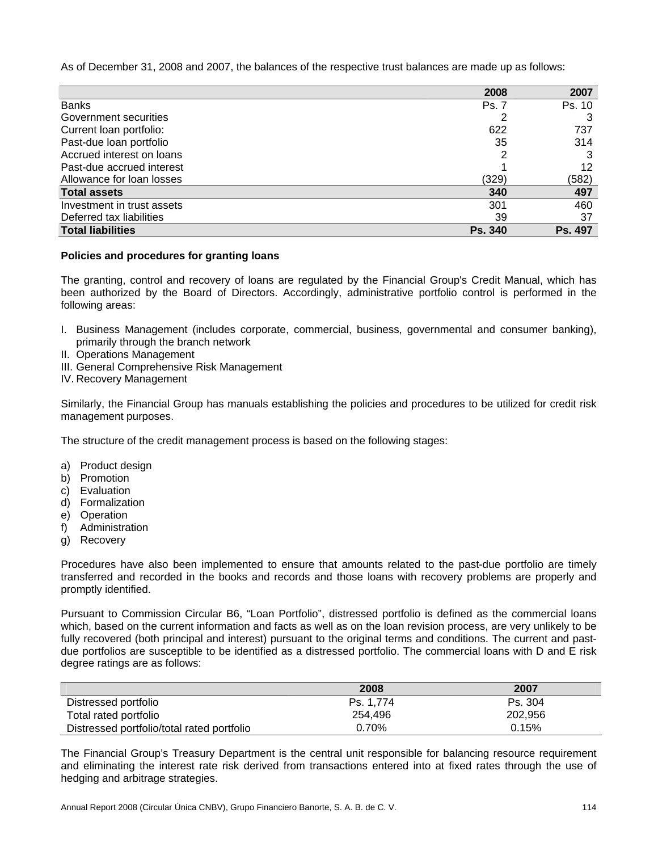As of December 31, 2008 and 2007, the balances of the respective trust balances are made up as follows:

|                            | 2008           | 2007    |
|----------------------------|----------------|---------|
| <b>Banks</b>               | Ps. 7          | Ps. 10  |
| Government securities      |                |         |
| Current loan portfolio:    | 622            | 737     |
| Past-due loan portfolio    | 35             | 314     |
| Accrued interest on loans  |                |         |
| Past-due accrued interest  |                | 12      |
| Allowance for loan losses  | (329)          | (582)   |
| <b>Total assets</b>        | 340            | 497     |
| Investment in trust assets | 301            | 460     |
| Deferred tax liabilities   | 39             | 37      |
| <b>Total liabilities</b>   | <b>Ps. 340</b> | Ps. 497 |

#### **Policies and procedures for granting loans**

The granting, control and recovery of loans are regulated by the Financial Group's Credit Manual, which has been authorized by the Board of Directors. Accordingly, administrative portfolio control is performed in the following areas:

- I. Business Management (includes corporate, commercial, business, governmental and consumer banking), primarily through the branch network
- II. Operations Management
- III. General Comprehensive Risk Management
- IV. Recovery Management

Similarly, the Financial Group has manuals establishing the policies and procedures to be utilized for credit risk management purposes.

The structure of the credit management process is based on the following stages:

- a) Product design
- b) Promotion
- c) Evaluation
- d) Formalization
- e) Operation
- f) Administration
- g) Recovery

Procedures have also been implemented to ensure that amounts related to the past-due portfolio are timely transferred and recorded in the books and records and those loans with recovery problems are properly and promptly identified.

Pursuant to Commission Circular B6, "Loan Portfolio", distressed portfolio is defined as the commercial loans which, based on the current information and facts as well as on the loan revision process, are very unlikely to be fully recovered (both principal and interest) pursuant to the original terms and conditions. The current and pastdue portfolios are susceptible to be identified as a distressed portfolio. The commercial loans with D and E risk degree ratings are as follows:

|                                            | 2008      | 2007    |
|--------------------------------------------|-----------|---------|
| Distressed portfolio                       | Ps. 1.774 | Ps. 304 |
| Total rated portfolio                      | 254.496   | 202,956 |
| Distressed portfolio/total rated portfolio | 0.70%     | 0.15%   |

The Financial Group's Treasury Department is the central unit responsible for balancing resource requirement and eliminating the interest rate risk derived from transactions entered into at fixed rates through the use of hedging and arbitrage strategies.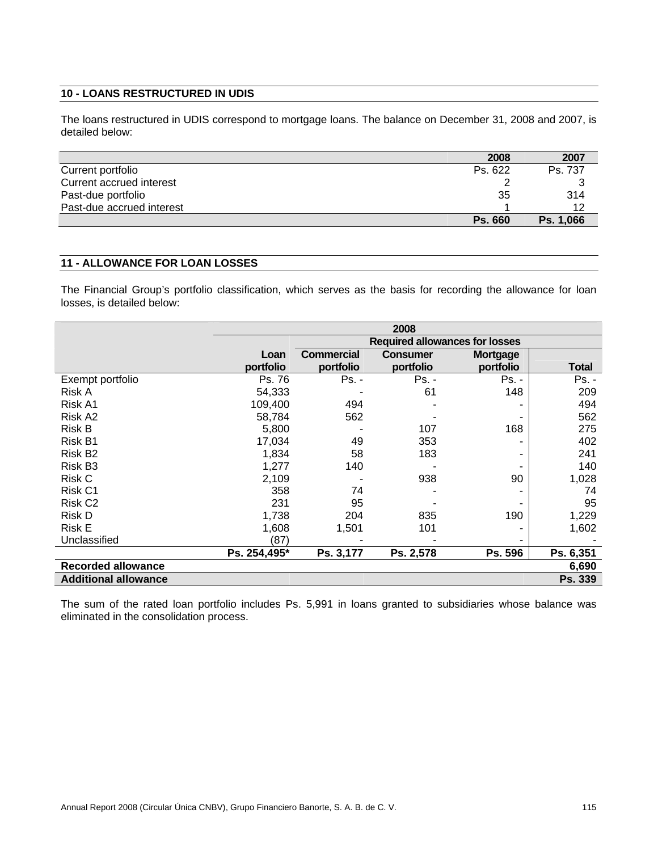#### **10 - LOANS RESTRUCTURED IN UDIS**

The loans restructured in UDIS correspond to mortgage loans. The balance on December 31, 2008 and 2007, is detailed below:

|                           | 2008           | 2007      |
|---------------------------|----------------|-----------|
| Current portfolio         | Ps. 622        | Ps. 737   |
| Current accrued interest  |                |           |
| Past-due portfolio        | 35             | 314       |
| Past-due accrued interest |                | 12        |
|                           | <b>Ps. 660</b> | Ps. 1,066 |

# **11 - ALLOWANCE FOR LOAN LOSSES**

The Financial Group's portfolio classification, which serves as the basis for recording the allowance for loan losses, is detailed below:

|                             | 2008                                  |                   |                 |                 |              |  |
|-----------------------------|---------------------------------------|-------------------|-----------------|-----------------|--------------|--|
|                             | <b>Required allowances for losses</b> |                   |                 |                 |              |  |
|                             | Loan                                  | <b>Commercial</b> | <b>Consumer</b> | <b>Mortgage</b> |              |  |
|                             | portfolio                             | portfolio         | portfolio       | portfolio       | <b>Total</b> |  |
| Exempt portfolio            | Ps. 76                                | Ps. -             | $Ps. -$         | Ps. -           | $Ps. -$      |  |
| Risk A                      | 54,333                                |                   | 61              | 148             | 209          |  |
| Risk A1                     | 109,400                               | 494               |                 |                 | 494          |  |
| Risk A2                     | 58,784                                | 562               |                 |                 | 562          |  |
| <b>Risk B</b>               | 5,800                                 |                   | 107             | 168             | 275          |  |
| Risk B1                     | 17,034                                | 49                | 353             |                 | 402          |  |
| Risk B <sub>2</sub>         | 1,834                                 | 58                | 183             |                 | 241          |  |
| Risk B <sub>3</sub>         | 1,277                                 | 140               |                 |                 | 140          |  |
| <b>Risk C</b>               | 2,109                                 |                   | 938             | 90              | 1,028        |  |
| Risk C1                     | 358                                   | 74                |                 |                 | 74           |  |
| Risk C <sub>2</sub>         | 231                                   | 95                |                 |                 | 95           |  |
| Risk D                      | 1,738                                 | 204               | 835             | 190             | 1,229        |  |
| <b>Risk E</b>               | 1,608                                 | 1,501             | 101             |                 | 1,602        |  |
| Unclassified                | (87)                                  |                   |                 |                 |              |  |
|                             | Ps. 254,495*                          | Ps. 3,177         | Ps. 2,578       | Ps. 596         | Ps. 6,351    |  |
| <b>Recorded allowance</b>   |                                       |                   |                 |                 | 6,690        |  |
| <b>Additional allowance</b> |                                       |                   |                 |                 | Ps. 339      |  |

The sum of the rated loan portfolio includes Ps. 5,991 in loans granted to subsidiaries whose balance was eliminated in the consolidation process.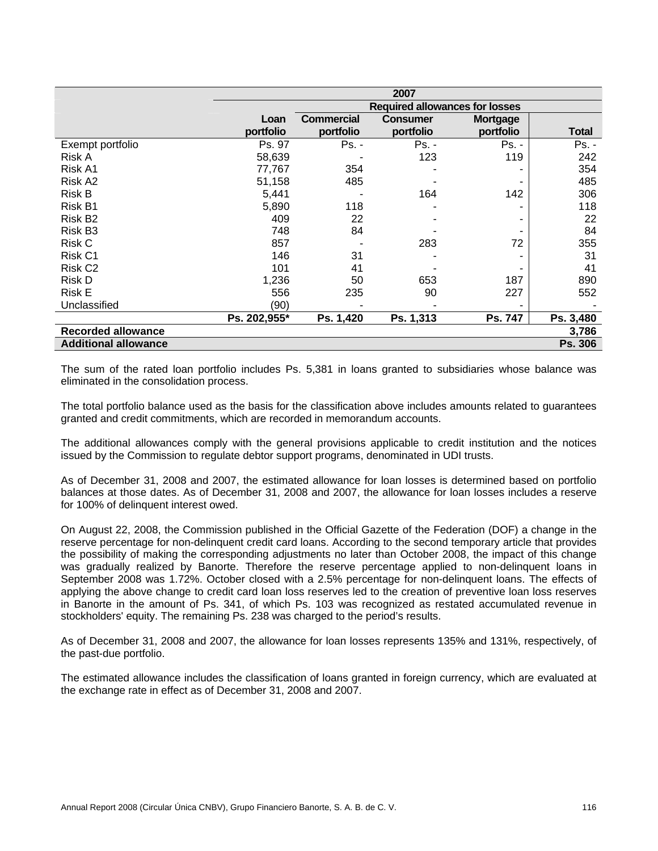|                             | 2007         |                   |                                       |                 |              |
|-----------------------------|--------------|-------------------|---------------------------------------|-----------------|--------------|
|                             |              |                   | <b>Required allowances for losses</b> |                 |              |
|                             | Loan         | <b>Commercial</b> | <b>Consumer</b>                       | <b>Mortgage</b> |              |
|                             | portfolio    | portfolio         | portfolio                             | portfolio       | <b>Total</b> |
| Exempt portfolio            | Ps. 97       | Ps. -             | $Ps. -$                               | $Ps. -$         | $Ps. -$      |
| Risk A                      | 58,639       |                   | 123                                   | 119             | 242          |
| Risk A1                     | 77,767       | 354               |                                       |                 | 354          |
| Risk A2                     | 51,158       | 485               |                                       |                 | 485          |
| Risk B                      | 5,441        |                   | 164                                   | 142             | 306          |
| Risk B1                     | 5,890        | 118               |                                       |                 | 118          |
| Risk B <sub>2</sub>         | 409          | 22                |                                       |                 | 22           |
| Risk B <sub>3</sub>         | 748          | 84                |                                       |                 | 84           |
| Risk C                      | 857          |                   | 283                                   | 72              | 355          |
| Risk C1                     | 146          | 31                |                                       |                 | 31           |
| Risk C <sub>2</sub>         | 101          | 41                |                                       |                 | 41           |
| Risk D                      | 1,236        | 50                | 653                                   | 187             | 890          |
| <b>Risk E</b>               | 556          | 235               | 90                                    | 227             | 552          |
| Unclassified                | (90)         |                   |                                       |                 |              |
|                             | Ps. 202,955* | Ps. 1,420         | Ps. 1,313                             | Ps. 747         | Ps. 3,480    |
| <b>Recorded allowance</b>   |              |                   |                                       |                 | 3,786        |
| <b>Additional allowance</b> |              |                   |                                       |                 | Ps. 306      |

The sum of the rated loan portfolio includes Ps. 5,381 in loans granted to subsidiaries whose balance was eliminated in the consolidation process.

The total portfolio balance used as the basis for the classification above includes amounts related to guarantees granted and credit commitments, which are recorded in memorandum accounts.

The additional allowances comply with the general provisions applicable to credit institution and the notices issued by the Commission to regulate debtor support programs, denominated in UDI trusts.

As of December 31, 2008 and 2007, the estimated allowance for loan losses is determined based on portfolio balances at those dates. As of December 31, 2008 and 2007, the allowance for loan losses includes a reserve for 100% of delinquent interest owed.

On August 22, 2008, the Commission published in the Official Gazette of the Federation (DOF) a change in the reserve percentage for non-delinquent credit card loans. According to the second temporary article that provides the possibility of making the corresponding adjustments no later than October 2008, the impact of this change was gradually realized by Banorte. Therefore the reserve percentage applied to non-delinquent loans in September 2008 was 1.72%. October closed with a 2.5% percentage for non-delinquent loans. The effects of applying the above change to credit card loan loss reserves led to the creation of preventive loan loss reserves in Banorte in the amount of Ps. 341, of which Ps. 103 was recognized as restated accumulated revenue in stockholders' equity. The remaining Ps. 238 was charged to the period's results.

As of December 31, 2008 and 2007, the allowance for loan losses represents 135% and 131%, respectively, of the past-due portfolio.

The estimated allowance includes the classification of loans granted in foreign currency, which are evaluated at the exchange rate in effect as of December 31, 2008 and 2007.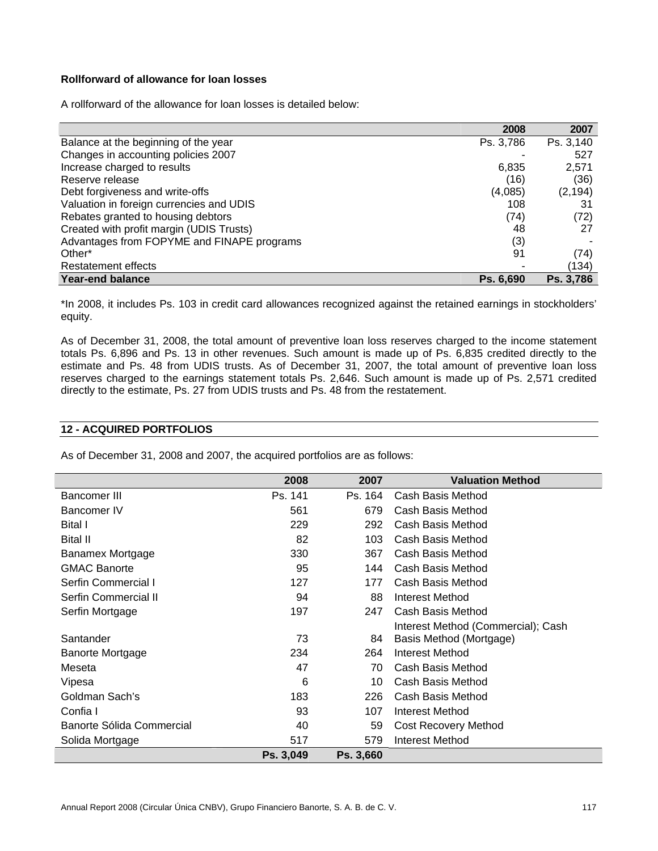# **Rollforward of allowance for loan losses**

A rollforward of the allowance for loan losses is detailed below:

|                                            | 2008      | 2007      |
|--------------------------------------------|-----------|-----------|
| Balance at the beginning of the year       | Ps. 3,786 | Ps. 3,140 |
| Changes in accounting policies 2007        |           | 527       |
| Increase charged to results                | 6,835     | 2,571     |
| Reserve release                            | (16)      | (36)      |
| Debt forgiveness and write-offs            | (4,085)   | (2, 194)  |
| Valuation in foreign currencies and UDIS   | 108       | 31        |
| Rebates granted to housing debtors         | (74)      | (72)      |
| Created with profit margin (UDIS Trusts)   | 48        | 27        |
| Advantages from FOPYME and FINAPE programs | (3)       |           |
| Other*                                     | 91        | (74)      |
| Restatement effects                        |           | (134)     |
| <b>Year-end balance</b>                    | Ps. 6,690 | Ps. 3,786 |

\*In 2008, it includes Ps. 103 in credit card allowances recognized against the retained earnings in stockholders' equity.

As of December 31, 2008, the total amount of preventive loan loss reserves charged to the income statement totals Ps. 6,896 and Ps. 13 in other revenues. Such amount is made up of Ps. 6,835 credited directly to the estimate and Ps. 48 from UDIS trusts. As of December 31, 2007, the total amount of preventive loan loss reserves charged to the earnings statement totals Ps. 2,646. Such amount is made up of Ps. 2,571 credited directly to the estimate, Ps. 27 from UDIS trusts and Ps. 48 from the restatement.

#### **12 - ACQUIRED PORTFOLIOS**

As of December 31, 2008 and 2007, the acquired portfolios are as follows:

|                           | 2008      | 2007      | <b>Valuation Method</b>            |
|---------------------------|-----------|-----------|------------------------------------|
| Bancomer III              | Ps. 141   | Ps. 164   | Cash Basis Method                  |
| Bancomer IV               | 561       | 679       | Cash Basis Method                  |
| Bital I                   | 229       | 292       | Cash Basis Method                  |
| <b>Bital II</b>           | 82        | 103       | Cash Basis Method                  |
| Banamex Mortgage          | 330       | 367       | Cash Basis Method                  |
| <b>GMAC Banorte</b>       | 95        | 144       | Cash Basis Method                  |
| Serfin Commercial I       | 127       | 177       | Cash Basis Method                  |
| Serfin Commercial II      | 94        | 88        | Interest Method                    |
| Serfin Mortgage           | 197       | 247       | Cash Basis Method                  |
|                           |           |           | Interest Method (Commercial); Cash |
| Santander                 | 73        | 84        | Basis Method (Mortgage)            |
| Banorte Mortgage          | 234       | 264       | Interest Method                    |
| Meseta                    | 47        | 70        | Cash Basis Method                  |
| Vipesa                    | 6         | 10        | Cash Basis Method                  |
| Goldman Sach's            | 183       | 226       | Cash Basis Method                  |
| Confia I                  | 93        | 107       | Interest Method                    |
| Banorte Sólida Commercial | 40        | 59        | Cost Recovery Method               |
| Solida Mortgage           | 517       | 579       | <b>Interest Method</b>             |
|                           | Ps. 3,049 | Ps. 3,660 |                                    |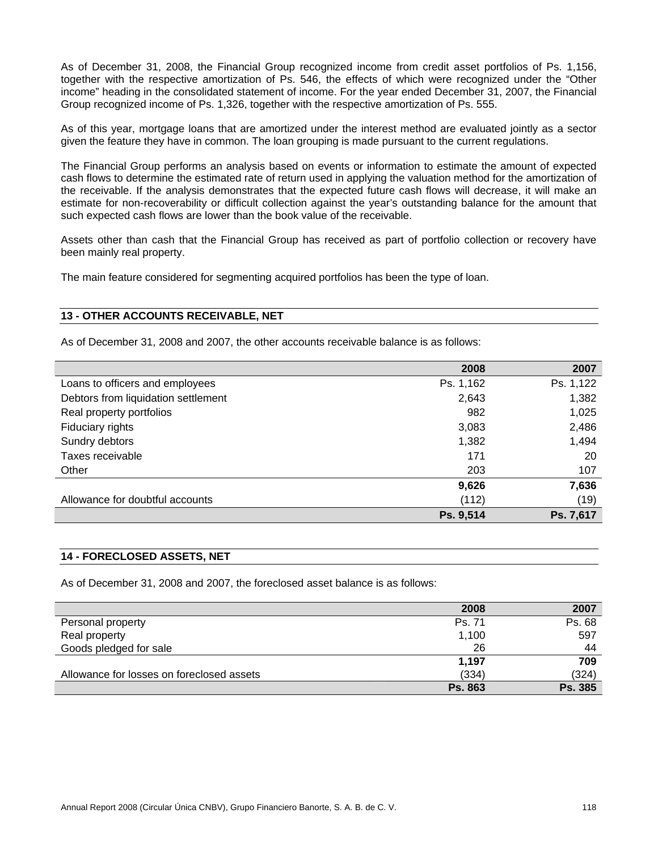As of December 31, 2008, the Financial Group recognized income from credit asset portfolios of Ps. 1,156, together with the respective amortization of Ps. 546, the effects of which were recognized under the "Other income" heading in the consolidated statement of income. For the year ended December 31, 2007, the Financial Group recognized income of Ps. 1,326, together with the respective amortization of Ps. 555.

As of this year, mortgage loans that are amortized under the interest method are evaluated jointly as a sector given the feature they have in common. The loan grouping is made pursuant to the current regulations.

The Financial Group performs an analysis based on events or information to estimate the amount of expected cash flows to determine the estimated rate of return used in applying the valuation method for the amortization of the receivable. If the analysis demonstrates that the expected future cash flows will decrease, it will make an estimate for non-recoverability or difficult collection against the year's outstanding balance for the amount that such expected cash flows are lower than the book value of the receivable.

Assets other than cash that the Financial Group has received as part of portfolio collection or recovery have been mainly real property.

The main feature considered for segmenting acquired portfolios has been the type of loan.

#### **13 - OTHER ACCOUNTS RECEIVABLE, NET**

As of December 31, 2008 and 2007, the other accounts receivable balance is as follows:

|                                     | 2008      | 2007      |
|-------------------------------------|-----------|-----------|
| Loans to officers and employees     | Ps. 1,162 | Ps. 1,122 |
| Debtors from liquidation settlement | 2,643     | 1,382     |
| Real property portfolios            | 982       | 1,025     |
| Fiduciary rights                    | 3,083     | 2,486     |
| Sundry debtors                      | 1,382     | 1,494     |
| Taxes receivable                    | 171       | 20        |
| Other                               | 203       | 107       |
|                                     | 9,626     | 7,636     |
| Allowance for doubtful accounts     | (112)     | (19)      |
|                                     | Ps. 9,514 | Ps. 7,617 |

#### **14 - FORECLOSED ASSETS, NET**

As of December 31, 2008 and 2007, the foreclosed asset balance is as follows:

|                                           | 2008           | 2007    |
|-------------------------------------------|----------------|---------|
| Personal property                         | Ps. 71         | Ps. 68  |
| Real property                             | 1,100          | 597     |
| Goods pledged for sale                    | 26             | 44      |
|                                           | 1.197          | 709     |
| Allowance for losses on foreclosed assets | (334)          | (324)   |
|                                           | <b>Ps. 863</b> | Ps. 385 |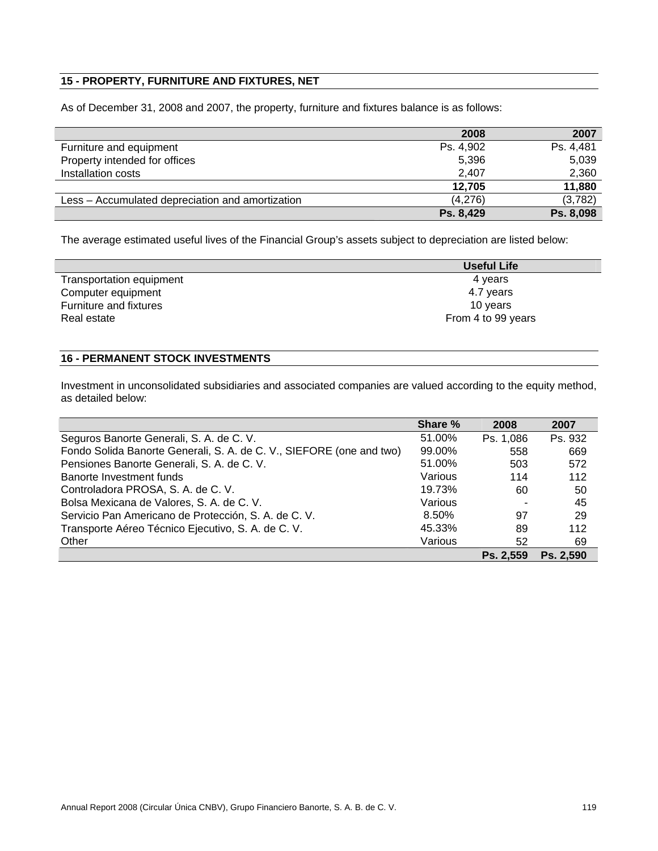# **15 - PROPERTY, FURNITURE AND FIXTURES, NET**

As of December 31, 2008 and 2007, the property, furniture and fixtures balance is as follows:

|                                                  | 2008      | 2007      |
|--------------------------------------------------|-----------|-----------|
| Furniture and equipment                          | Ps. 4,902 | Ps. 4,481 |
| Property intended for offices                    | 5,396     | 5,039     |
| Installation costs                               | 2,407     | 2,360     |
|                                                  | 12.705    | 11,880    |
| Less – Accumulated depreciation and amortization | (4,276)   | (3,782)   |
|                                                  | Ps. 8,429 | Ps. 8,098 |

The average estimated useful lives of the Financial Group's assets subject to depreciation are listed below:

|                          | Useful Life        |
|--------------------------|--------------------|
| Transportation equipment | 4 years            |
| Computer equipment       | 4.7 years          |
| Furniture and fixtures   | 10 years           |
| Real estate              | From 4 to 99 years |

# **16 - PERMANENT STOCK INVESTMENTS**

Investment in unconsolidated subsidiaries and associated companies are valued according to the equity method, as detailed below:

|                                                                      | Share % | 2008      | 2007      |
|----------------------------------------------------------------------|---------|-----------|-----------|
| Seguros Banorte Generali, S. A. de C. V.                             | 51.00%  | Ps. 1,086 | Ps. 932   |
| Fondo Solida Banorte Generali, S. A. de C. V., SIEFORE (one and two) | 99.00%  | 558       | 669       |
| Pensiones Banorte Generali, S. A. de C. V.                           | 51.00%  | 503       | 572       |
| Banorte Investment funds                                             | Various | 114       | 112       |
| Controladora PROSA, S. A. de C. V.                                   | 19.73%  | 60        | 50        |
| Bolsa Mexicana de Valores, S. A. de C. V.                            | Various |           | 45        |
| Servicio Pan Americano de Protección, S. A. de C. V.                 | 8.50%   | 97        | 29        |
| Transporte Aéreo Técnico Ejecutivo, S. A. de C. V.                   | 45.33%  | 89        | 112       |
| Other                                                                | Various | 52        | 69        |
|                                                                      |         | Ps. 2.559 | Ps. 2.590 |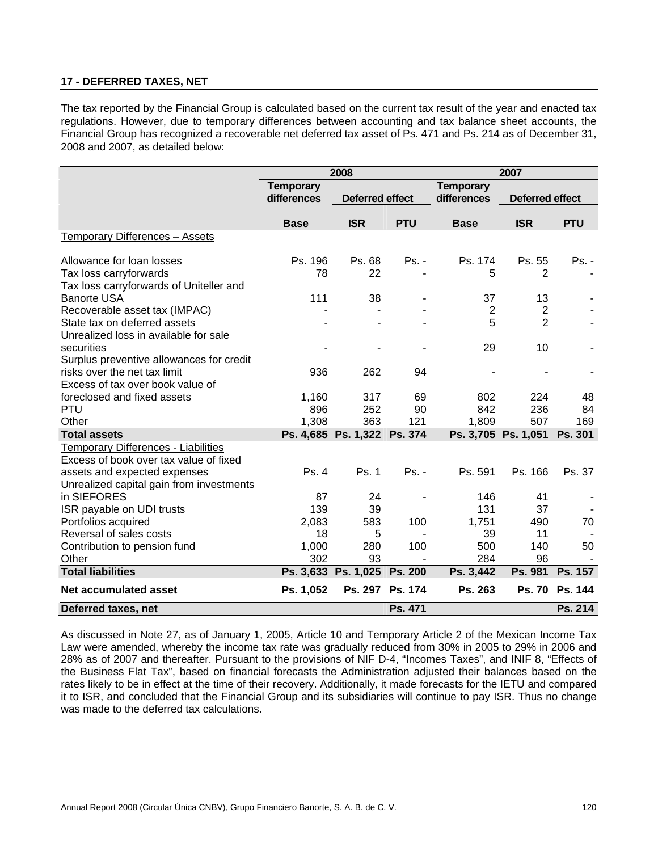## **17 - DEFERRED TAXES, NET**

The tax reported by the Financial Group is calculated based on the current tax result of the year and enacted tax regulations. However, due to temporary differences between accounting and tax balance sheet accounts, the Financial Group has recognized a recoverable net deferred tax asset of Ps. 471 and Ps. 214 as of December 31, 2008 and 2007, as detailed below:

|                                                         | 2008             |                        |                 |                  | 2007                   |                |  |  |
|---------------------------------------------------------|------------------|------------------------|-----------------|------------------|------------------------|----------------|--|--|
|                                                         | <b>Temporary</b> |                        |                 | <b>Temporary</b> |                        |                |  |  |
|                                                         | differences      | <b>Deferred effect</b> |                 | differences      | <b>Deferred effect</b> |                |  |  |
|                                                         | <b>Base</b>      | <b>ISR</b>             | <b>PTU</b>      | <b>Base</b>      | <b>ISR</b>             | <b>PTU</b>     |  |  |
| Temporary Differences - Assets                          |                  |                        |                 |                  |                        |                |  |  |
| Allowance for loan losses                               | Ps. 196          | Ps. 68                 | $Ps. -$         | Ps. 174          | Ps. 55                 | Ps. -          |  |  |
| Tax loss carryforwards                                  | 78               | 22                     |                 | 5                | 2                      |                |  |  |
| Tax loss carryforwards of Uniteller and                 |                  |                        |                 |                  |                        |                |  |  |
| <b>Banorte USA</b>                                      | 111              | 38                     |                 | 37               | 13                     |                |  |  |
| Recoverable asset tax (IMPAC)                           |                  |                        |                 | $\overline{2}$   | $\overline{2}$         |                |  |  |
| State tax on deferred assets                            |                  |                        |                 | 5                | $\overline{2}$         |                |  |  |
| Unrealized loss in available for sale                   |                  |                        |                 |                  |                        |                |  |  |
| securities                                              |                  |                        |                 | 29               | 10                     |                |  |  |
| Surplus preventive allowances for credit                |                  |                        |                 |                  |                        |                |  |  |
| risks over the net tax limit                            | 936              | 262                    | 94              |                  |                        |                |  |  |
| Excess of tax over book value of                        |                  |                        |                 |                  |                        |                |  |  |
| foreclosed and fixed assets                             | 1,160            | 317                    | 69              | 802              | 224                    | 48             |  |  |
| <b>PTU</b>                                              | 896              | 252                    | 90              | 842              | 236                    | 84             |  |  |
| Other                                                   | 1,308            | 363                    | 121             | 1,809            | 507                    | 169            |  |  |
| <b>Total assets</b>                                     |                  | Ps. 4,685 Ps. 1,322    | Ps. 374         |                  | Ps. 3,705 Ps. 1,051    | Ps. 301        |  |  |
| <b>Temporary Differences - Liabilities</b>              |                  |                        |                 |                  |                        |                |  |  |
| Excess of book over tax value of fixed                  |                  |                        |                 |                  |                        |                |  |  |
| assets and expected expenses                            | Ps.4             | Ps. 1                  | Ps. -           | Ps. 591          | Ps. 166                | Ps. 37         |  |  |
| Unrealized capital gain from investments<br>in SIEFORES | 87               | 24                     |                 | 146              | 41                     |                |  |  |
| ISR payable on UDI trusts                               | 139              | 39                     |                 | 131              | 37                     |                |  |  |
| Portfolios acquired                                     | 2,083            | 583                    | 100             | 1,751            | 490                    | 70             |  |  |
| Reversal of sales costs                                 | 18               | 5                      |                 | 39               | 11                     |                |  |  |
| Contribution to pension fund                            | 1,000            | 280                    | 100             | 500              | 140                    | 50             |  |  |
| Other                                                   | 302              | 93                     |                 | 284              | 96                     |                |  |  |
| <b>Total liabilities</b>                                |                  | Ps. 3,633 Ps. 1,025    | Ps. 200         | Ps. 3,442        | Ps. 981                | Ps. 157        |  |  |
| Net accumulated asset                                   | Ps. 1,052        |                        | Ps. 297 Ps. 174 | Ps. 263          | <b>Ps. 70</b>          | <b>Ps. 144</b> |  |  |
| Deferred taxes, net                                     |                  |                        | Ps. 471         |                  |                        | Ps. 214        |  |  |

As discussed in Note 27, as of January 1, 2005, Article 10 and Temporary Article 2 of the Mexican Income Tax Law were amended, whereby the income tax rate was gradually reduced from 30% in 2005 to 29% in 2006 and 28% as of 2007 and thereafter. Pursuant to the provisions of NIF D-4, "Incomes Taxes", and INIF 8, "Effects of the Business Flat Tax", based on financial forecasts the Administration adjusted their balances based on the rates likely to be in effect at the time of their recovery. Additionally, it made forecasts for the IETU and compared it to ISR, and concluded that the Financial Group and its subsidiaries will continue to pay ISR. Thus no change was made to the deferred tax calculations.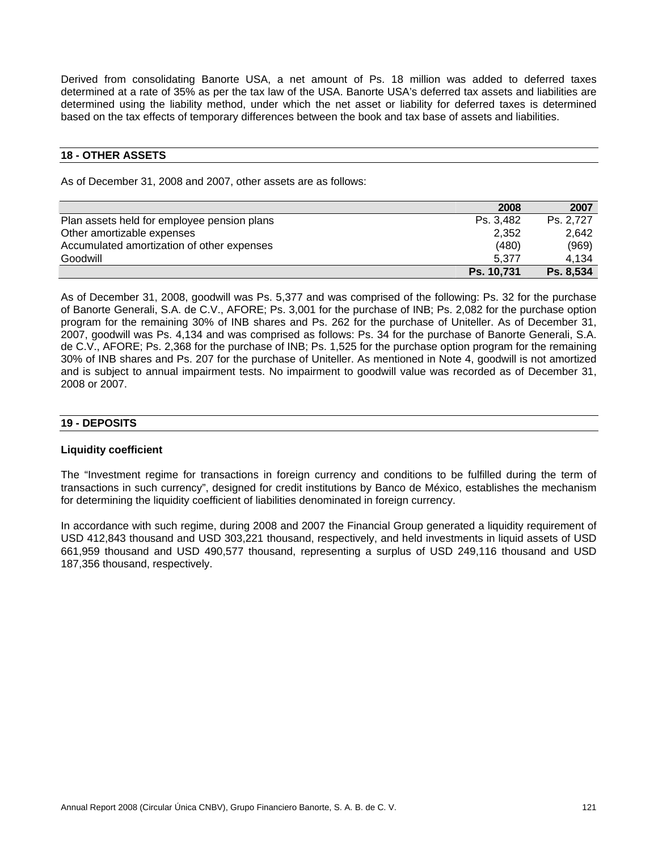Derived from consolidating Banorte USA, a net amount of Ps. 18 million was added to deferred taxes determined at a rate of 35% as per the tax law of the USA. Banorte USA's deferred tax assets and liabilities are determined using the liability method, under which the net asset or liability for deferred taxes is determined based on the tax effects of temporary differences between the book and tax base of assets and liabilities.

#### **18 - OTHER ASSETS**

As of December 31, 2008 and 2007, other assets are as follows:

|                                             | 2008       | 2007             |
|---------------------------------------------|------------|------------------|
| Plan assets held for employee pension plans | Ps. 3.482  | Ps. 2.727        |
| Other amortizable expenses                  | 2.352      | 2.642            |
| Accumulated amortization of other expenses  | (480)      | (969)            |
| Goodwill                                    | 5.377      | 4.134            |
|                                             | Ps. 10,731 | <b>Ps. 8,534</b> |

As of December 31, 2008, goodwill was Ps. 5,377 and was comprised of the following: Ps. 32 for the purchase of Banorte Generali, S.A. de C.V., AFORE; Ps. 3,001 for the purchase of INB; Ps. 2,082 for the purchase option program for the remaining 30% of INB shares and Ps. 262 for the purchase of Uniteller. As of December 31, 2007, goodwill was Ps. 4,134 and was comprised as follows: Ps. 34 for the purchase of Banorte Generali, S.A. de C.V., AFORE; Ps. 2,368 for the purchase of INB; Ps. 1,525 for the purchase option program for the remaining 30% of INB shares and Ps. 207 for the purchase of Uniteller. As mentioned in Note 4, goodwill is not amortized and is subject to annual impairment tests. No impairment to goodwill value was recorded as of December 31, 2008 or 2007.

#### **19 - DEPOSITS**

#### **Liquidity coefficient**

The "Investment regime for transactions in foreign currency and conditions to be fulfilled during the term of transactions in such currency", designed for credit institutions by Banco de México, establishes the mechanism for determining the liquidity coefficient of liabilities denominated in foreign currency.

In accordance with such regime, during 2008 and 2007 the Financial Group generated a liquidity requirement of USD 412,843 thousand and USD 303,221 thousand, respectively, and held investments in liquid assets of USD 661,959 thousand and USD 490,577 thousand, representing a surplus of USD 249,116 thousand and USD 187,356 thousand, respectively.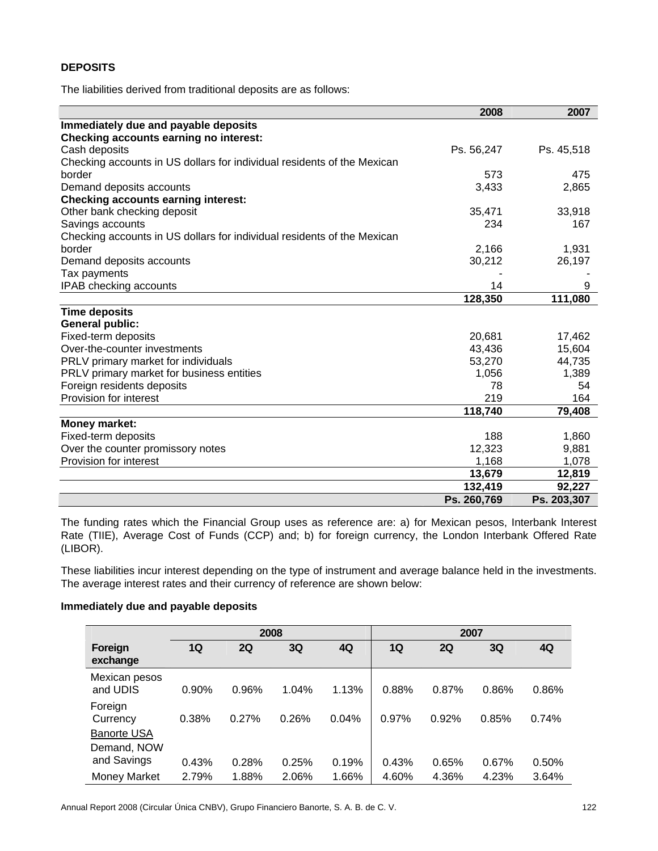# **DEPOSITS**

The liabilities derived from traditional deposits are as follows:

|                                                                         | 2008        | 2007        |
|-------------------------------------------------------------------------|-------------|-------------|
| Immediately due and payable deposits                                    |             |             |
| <b>Checking accounts earning no interest:</b>                           |             |             |
| Cash deposits                                                           | Ps. 56,247  | Ps. 45,518  |
| Checking accounts in US dollars for individual residents of the Mexican |             |             |
| border                                                                  | 573         | 475         |
| Demand deposits accounts                                                | 3,433       | 2,865       |
| <b>Checking accounts earning interest:</b>                              |             |             |
| Other bank checking deposit                                             | 35,471      | 33,918      |
| Savings accounts                                                        | 234         | 167         |
| Checking accounts in US dollars for individual residents of the Mexican |             |             |
| border                                                                  | 2,166       | 1,931       |
| Demand deposits accounts                                                | 30,212      | 26,197      |
| Tax payments                                                            |             |             |
| IPAB checking accounts                                                  | 14          | 9           |
|                                                                         | 128,350     | 111,080     |
| <b>Time deposits</b>                                                    |             |             |
| <b>General public:</b>                                                  |             |             |
| Fixed-term deposits                                                     | 20,681      | 17,462      |
| Over-the-counter investments                                            | 43,436      | 15,604      |
| PRLV primary market for individuals                                     | 53,270      | 44,735      |
| PRLV primary market for business entities                               | 1,056       | 1,389       |
| Foreign residents deposits                                              | 78          | 54          |
| Provision for interest                                                  | 219         | 164         |
|                                                                         | 118,740     | 79,408      |
| <b>Money market:</b>                                                    |             |             |
| Fixed-term deposits                                                     | 188         | 1,860       |
| Over the counter promissory notes                                       | 12,323      | 9,881       |
| Provision for interest                                                  | 1,168       | 1,078       |
|                                                                         | 13,679      | 12,819      |
|                                                                         | 132,419     | 92,227      |
|                                                                         | Ps. 260,769 | Ps. 203,307 |

The funding rates which the Financial Group uses as reference are: a) for Mexican pesos, Interbank Interest Rate (TIIE), Average Cost of Funds (CCP) and; b) for foreign currency, the London Interbank Offered Rate (LIBOR).

These liabilities incur interest depending on the type of instrument and average balance held in the investments. The average interest rates and their currency of reference are shown below:

## **Immediately due and payable deposits**

|                                           | 2008  |       |       |       | 2007  |       |       |       |
|-------------------------------------------|-------|-------|-------|-------|-------|-------|-------|-------|
| Foreign<br>exchange                       | 1Q    | 2Q    | 3Q    | 4Q    | 1Q    | 2Q    | 3Q    | 4Q    |
| Mexican pesos<br>and UDIS                 | 0.90% | 0.96% | 1.04% | 1.13% | 0.88% | 0.87% | 0.86% | 0.86% |
| Foreign<br>Currency<br><b>Banorte USA</b> | 0.38% | 0.27% | 0.26% | 0.04% | 0.97% | 0.92% | 0.85% | 0.74% |
| Demand, NOW<br>and Savings                | 0.43% | 0.28% | 0.25% | 0.19% | 0.43% | 0.65% | 0.67% | 0.50% |
| Money Market                              | 2.79% | 1.88% | 2.06% | 1.66% | 4.60% | 4.36% | 4.23% | 3.64% |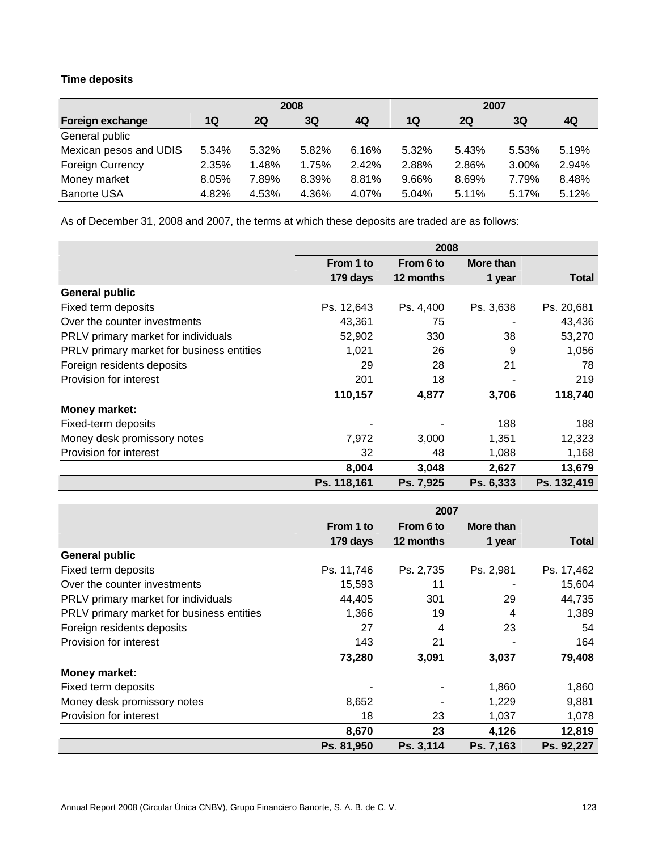# **Time deposits**

|                         | 2008  |       |       |       |       | 2007      |       |       |
|-------------------------|-------|-------|-------|-------|-------|-----------|-------|-------|
| Foreign exchange        | 1Q    | 2Q    | 3Q    | 4Q    | 1Q    | <b>2Q</b> | 3Q    | 4Q    |
| General public          |       |       |       |       |       |           |       |       |
| Mexican pesos and UDIS  | 5.34% | 5.32% | 5.82% | 6.16% | 5.32% | 5.43%     | 5.53% | 5.19% |
| <b>Foreign Currency</b> | 2.35% | 1.48% | 1.75% | 2.42% | 2.88% | 2.86%     | 3.00% | 2.94% |
| Money market            | 8.05% | 7.89% | 8.39% | 8.81% | 9.66% | 8.69%     | 7.79% | 8.48% |
| <b>Banorte USA</b>      | 4.82% | 4.53% | 4.36% | 4.07% | 5.04% | 5.11%     | 5.17% | 5.12% |

As of December 31, 2008 and 2007, the terms at which these deposits are traded are as follows:

|                                           | 2008        |           |           |              |  |
|-------------------------------------------|-------------|-----------|-----------|--------------|--|
|                                           | From 1 to   | From 6 to | More than |              |  |
|                                           | 179 days    | 12 months | 1 year    | <b>Total</b> |  |
| <b>General public</b>                     |             |           |           |              |  |
| Fixed term deposits                       | Ps. 12,643  | Ps. 4,400 | Ps. 3,638 | Ps. 20,681   |  |
| Over the counter investments              | 43,361      | 75        |           | 43,436       |  |
| PRLV primary market for individuals       | 52,902      | 330       | 38        | 53,270       |  |
| PRLV primary market for business entities | 1,021       | 26        | 9         | 1,056        |  |
| Foreign residents deposits                | 29          | 28        | 21        | 78           |  |
| Provision for interest                    | 201         | 18        |           | 219          |  |
|                                           | 110,157     | 4,877     | 3,706     | 118,740      |  |
| <b>Money market:</b>                      |             |           |           |              |  |
| Fixed-term deposits                       |             |           | 188       | 188          |  |
| Money desk promissory notes               | 7,972       | 3,000     | 1,351     | 12,323       |  |
| Provision for interest                    | 32          | 48        | 1,088     | 1,168        |  |
|                                           | 8,004       | 3,048     | 2,627     | 13,679       |  |
|                                           | Ps. 118,161 | Ps. 7,925 | Ps. 6,333 | Ps. 132,419  |  |

|                                           | 2007       |           |           |              |
|-------------------------------------------|------------|-----------|-----------|--------------|
|                                           | From 1 to  | From 6 to | More than |              |
|                                           | 179 days   | 12 months | 1 year    | <b>Total</b> |
| <b>General public</b>                     |            |           |           |              |
| Fixed term deposits                       | Ps. 11,746 | Ps. 2,735 | Ps. 2,981 | Ps. 17,462   |
| Over the counter investments              | 15,593     | 11        |           | 15,604       |
| PRLV primary market for individuals       | 44,405     | 301       | 29        | 44,735       |
| PRLV primary market for business entities | 1,366      | 19        | 4         | 1,389        |
| Foreign residents deposits                | 27         | 4         | 23        | 54           |
| Provision for interest                    | 143        | 21        |           | 164          |
|                                           | 73,280     | 3,091     | 3,037     | 79,408       |
| <b>Money market:</b>                      |            |           |           |              |
| Fixed term deposits                       |            |           | 1,860     | 1,860        |
| Money desk promissory notes               | 8,652      |           | 1,229     | 9,881        |
| Provision for interest                    | 18         | 23        | 1,037     | 1,078        |
|                                           | 8,670      | 23        | 4,126     | 12,819       |
|                                           | Ps. 81,950 | Ps. 3,114 | Ps. 7,163 | Ps. 92,227   |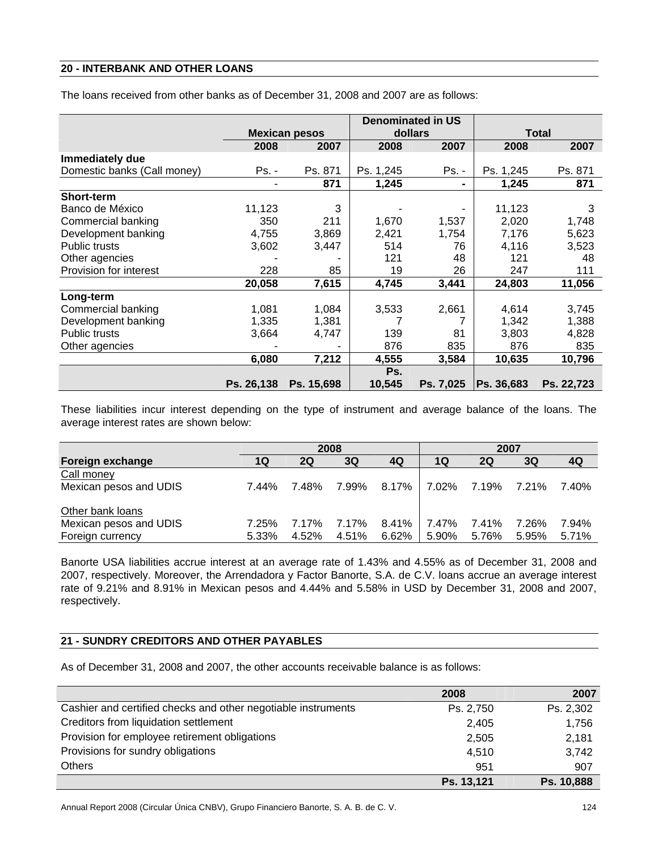## **20 - INTERBANK AND OTHER LOANS**

| The loans received from other banks as of December 31, 2008 and 2007 are as follows: |  |
|--------------------------------------------------------------------------------------|--|
|--------------------------------------------------------------------------------------|--|

|                             |            |                      |           | <b>Denominated in US</b> |            |              |
|-----------------------------|------------|----------------------|-----------|--------------------------|------------|--------------|
|                             |            | <b>Mexican pesos</b> |           | dollars                  |            | <b>Total</b> |
|                             | 2008       | 2007                 | 2008      | 2007                     | 2008       | 2007         |
| Immediately due             |            |                      |           |                          |            |              |
| Domestic banks (Call money) | Ps. -      | Ps. 871              | Ps. 1,245 | Ps. -                    | Ps. 1,245  | Ps. 871      |
|                             |            | 871                  | 1,245     | ۰                        | 1,245      | 871          |
| <b>Short-term</b>           |            |                      |           |                          |            |              |
| Banco de México             | 11,123     | 3                    |           |                          | 11,123     | 3            |
| Commercial banking          | 350        | 211                  | 1,670     | 1,537                    | 2,020      | 1,748        |
| Development banking         | 4,755      | 3,869                | 2,421     | 1,754                    | 7,176      | 5,623        |
| <b>Public trusts</b>        | 3,602      | 3,447                | 514       | 76                       | 4,116      | 3,523        |
| Other agencies              |            |                      | 121       | 48                       | 121        | 48           |
| Provision for interest      | 228        | 85                   | 19        | 26                       | 247        | 111          |
|                             | 20,058     | 7,615                | 4,745     | 3,441                    | 24,803     | 11,056       |
| Long-term                   |            |                      |           |                          |            |              |
| Commercial banking          | 1,081      | 1,084                | 3,533     | 2,661                    | 4,614      | 3,745        |
| Development banking         | 1,335      | 1,381                |           |                          | 1,342      | 1,388        |
| <b>Public trusts</b>        | 3,664      | 4,747                | 139       | 81                       | 3,803      | 4,828        |
| Other agencies              |            |                      | 876       | 835                      | 876        | 835          |
|                             | 6,080      | 7,212                | 4,555     | 3,584                    | 10,635     | 10,796       |
|                             |            |                      | Ps.       |                          |            |              |
|                             | Ps. 26.138 | Ps. 15,698           | 10,545    | Ps. 7,025                | Ps. 36,683 | Ps. 22,723   |

These liabilities incur interest depending on the type of instrument and average balance of the loans. The average interest rates are shown below:

|                                            | 2008  |           |       |                   | 2007  |       |       |       |
|--------------------------------------------|-------|-----------|-------|-------------------|-------|-------|-------|-------|
| Foreign exchange                           | 1Ο    | <b>2Q</b> | 3Q    | 4Q                | 1Q    | 2Q    | 3Q    | 4Q    |
| Call money                                 |       |           |       |                   |       |       |       |       |
| Mexican pesos and UDIS                     | 7.44% | 7.48%     | 7.99% | 8.17% 7.02% 7.19% |       |       | 7.21% | 7.40% |
| Other bank loans<br>Mexican pesos and UDIS | 7.25% | 7.17%     | 7.17% | $8.41\%$          | 7.47% | 7.41% | 7.26% | 7.94% |
| Foreign currency                           | 5.33% | 4.52%     | 4.51% | 6.62%             | 5.90% | 5.76% | 5.95% | 5.71% |

Banorte USA liabilities accrue interest at an average rate of 1.43% and 4.55% as of December 31, 2008 and 2007, respectively. Moreover, the Arrendadora y Factor Banorte, S.A. de C.V. loans accrue an average interest rate of 9.21% and 8.91% in Mexican pesos and 4.44% and 5.58% in USD by December 31, 2008 and 2007, respectively.

# **21 - SUNDRY CREDITORS AND OTHER PAYABLES**

As of December 31, 2008 and 2007, the other accounts receivable balance is as follows:

|                                                               | 2008       | 2007       |
|---------------------------------------------------------------|------------|------------|
| Cashier and certified checks and other negotiable instruments | Ps. 2,750  | Ps. 2,302  |
| Creditors from liquidation settlement                         | 2,405      | 1,756      |
| Provision for employee retirement obligations                 | 2,505      | 2,181      |
| Provisions for sundry obligations                             | 4,510      | 3,742      |
| <b>Others</b>                                                 | 951        | 907        |
|                                                               | Ps. 13,121 | Ps. 10,888 |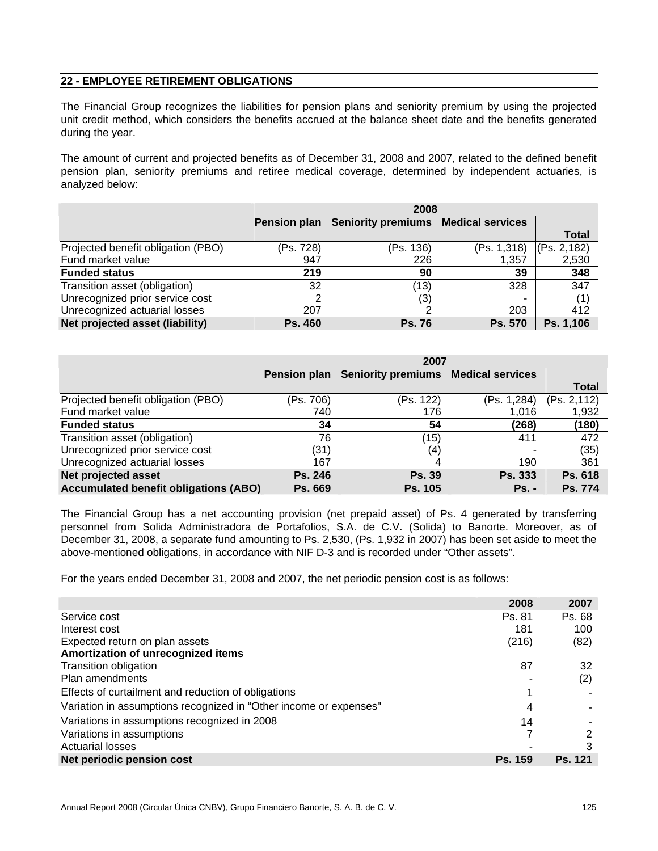# **22 - EMPLOYEE RETIREMENT OBLIGATIONS**

The Financial Group recognizes the liabilities for pension plans and seniority premium by using the projected unit credit method, which considers the benefits accrued at the balance sheet date and the benefits generated during the year.

The amount of current and projected benefits as of December 31, 2008 and 2007, related to the defined benefit pension plan, seniority premiums and retiree medical coverage, determined by independent actuaries, is analyzed below:

|                                    |           | 2008                                             |                          |              |  |  |
|------------------------------------|-----------|--------------------------------------------------|--------------------------|--------------|--|--|
|                                    |           | Pension plan Seniority premiums Medical services |                          |              |  |  |
|                                    |           |                                                  |                          | <b>Total</b> |  |  |
| Projected benefit obligation (PBO) | (Ps. 728) | (Ps. 136)                                        | (Ps. 1,318)              | (Ps. 2, 182) |  |  |
| Fund market value                  | 947       | 226                                              | 1,357                    | 2,530        |  |  |
| <b>Funded status</b>               | 219       | 90                                               | 39                       | 348          |  |  |
| Transition asset (obligation)      | 32        | (13)                                             | 328                      | 347          |  |  |
| Unrecognized prior service cost    |           | (3)                                              | $\overline{\phantom{0}}$ | (1)          |  |  |
| Unrecognized actuarial losses      | 207       |                                                  | 203                      | 412          |  |  |
| Net projected asset (liability)    | Ps. 460   | <b>Ps. 76</b>                                    | <b>Ps. 570</b>           | Ps. 1,106    |  |  |

|                                              | 2007           |                                                  |                |              |  |
|----------------------------------------------|----------------|--------------------------------------------------|----------------|--------------|--|
|                                              |                | Pension plan Seniority premiums Medical services |                |              |  |
|                                              |                |                                                  |                | <b>Total</b> |  |
| Projected benefit obligation (PBO)           | (Ps. 706)      | (Ps. 122)                                        | (Ps. 1,284)    | (Ps. 2, 112) |  |
| Fund market value                            | 740            | 176                                              | 1,016          | 1,932        |  |
| <b>Funded status</b>                         | 34             | 54                                               | (268)          | (180)        |  |
| Transition asset (obligation)                | 76             | (15)                                             | 411            | 472          |  |
| Unrecognized prior service cost              | (31)           | (4)                                              |                | (35)         |  |
| Unrecognized actuarial losses                | 167            |                                                  | 190            | 361          |  |
| <b>Net projected asset</b>                   | <b>Ps. 246</b> | <b>Ps. 39</b>                                    | <b>Ps. 333</b> | Ps. 618      |  |
| <b>Accumulated benefit obligations (ABO)</b> | <b>Ps. 669</b> | <b>Ps. 105</b>                                   | $Ps. -$        | Ps. 774      |  |

The Financial Group has a net accounting provision (net prepaid asset) of Ps. 4 generated by transferring personnel from Solida Administradora de Portafolios, S.A. de C.V. (Solida) to Banorte. Moreover, as of December 31, 2008, a separate fund amounting to Ps. 2,530, (Ps. 1,932 in 2007) has been set aside to meet the above-mentioned obligations, in accordance with NIF D-3 and is recorded under "Other assets".

For the years ended December 31, 2008 and 2007, the net periodic pension cost is as follows:

|                                                                   | 2008           | 2007           |
|-------------------------------------------------------------------|----------------|----------------|
| Service cost                                                      | Ps. 81         | Ps. 68         |
| Interest cost                                                     | 181            | 100            |
| Expected return on plan assets                                    | (216)          | (82)           |
| Amortization of unrecognized items                                |                |                |
| Transition obligation                                             | 87             | 32             |
| Plan amendments                                                   |                | (2)            |
| Effects of curtailment and reduction of obligations               |                |                |
| Variation in assumptions recognized in "Other income or expenses" | 4              |                |
| Variations in assumptions recognized in 2008                      | 14             |                |
| Variations in assumptions                                         |                |                |
| <b>Actuarial losses</b>                                           |                |                |
| Net periodic pension cost                                         | <b>Ps. 159</b> | <b>Ps. 121</b> |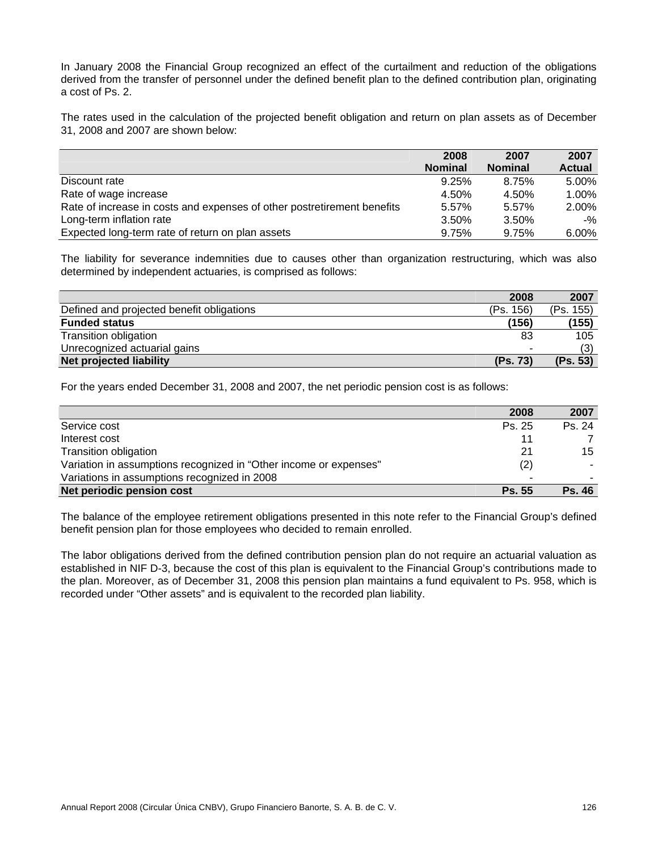In January 2008 the Financial Group recognized an effect of the curtailment and reduction of the obligations derived from the transfer of personnel under the defined benefit plan to the defined contribution plan, originating a cost of Ps. 2.

The rates used in the calculation of the projected benefit obligation and return on plan assets as of December 31, 2008 and 2007 are shown below:

|                                                                         | 2008           | 2007           | 2007          |
|-------------------------------------------------------------------------|----------------|----------------|---------------|
|                                                                         | <b>Nominal</b> | <b>Nominal</b> | <b>Actual</b> |
| Discount rate                                                           | 9.25%          | 8.75%          | 5.00%         |
| Rate of wage increase                                                   | 4.50%          | 4.50%          | 1.00%         |
| Rate of increase in costs and expenses of other postretirement benefits | 5.57%          | 5.57%          | 2.00%         |
| Long-term inflation rate                                                | $3.50\%$       | 3.50%          | -%            |
| Expected long-term rate of return on plan assets                        | 9.75%          | 9.75%          | $6.00\%$      |

The liability for severance indemnities due to causes other than organization restructuring, which was also determined by independent actuaries, is comprised as follows:

|                                           | 2008      | 2007      |
|-------------------------------------------|-----------|-----------|
| Defined and projected benefit obligations | (Ps. 156) | (Ps. 155) |
| <b>Funded status</b>                      | (156)     | (155)     |
| Transition obligation                     | -83       | 105       |
| Unrecognized actuarial gains              | -         |           |
| <b>Net projected liability</b>            | (Ps. 73)  | (Ps. 53)  |

For the years ended December 31, 2008 and 2007, the net periodic pension cost is as follows:

|                                                                   | 2008          | 2007          |
|-------------------------------------------------------------------|---------------|---------------|
| Service cost                                                      | Ps. 25        | Ps. 24        |
| Interest cost                                                     |               |               |
| Transition obligation                                             | 21            | 15            |
| Variation in assumptions recognized in "Other income or expenses" | (2)           |               |
| Variations in assumptions recognized in 2008                      |               |               |
| Net periodic pension cost                                         | <b>Ps. 55</b> | <b>Ps. 46</b> |

The balance of the employee retirement obligations presented in this note refer to the Financial Group's defined benefit pension plan for those employees who decided to remain enrolled.

The labor obligations derived from the defined contribution pension plan do not require an actuarial valuation as established in NIF D-3, because the cost of this plan is equivalent to the Financial Group's contributions made to the plan. Moreover, as of December 31, 2008 this pension plan maintains a fund equivalent to Ps. 958, which is recorded under "Other assets" and is equivalent to the recorded plan liability.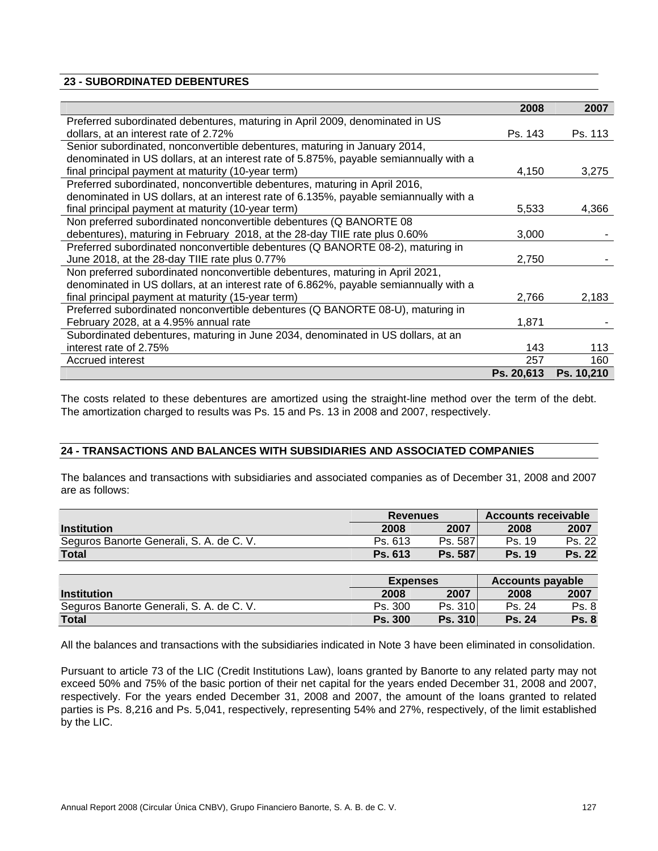## **23 - SUBORDINATED DEBENTURES**

|                                                                                       | 2008       | 2007       |
|---------------------------------------------------------------------------------------|------------|------------|
| Preferred subordinated debentures, maturing in April 2009, denominated in US          |            |            |
| dollars, at an interest rate of 2.72%                                                 | Ps. 143    | Ps. 113    |
| Senior subordinated, nonconvertible debentures, maturing in January 2014,             |            |            |
| denominated in US dollars, at an interest rate of 5.875%, payable semiannually with a |            |            |
| final principal payment at maturity (10-year term)                                    | 4,150      | 3,275      |
| Preferred subordinated, nonconvertible debentures, maturing in April 2016,            |            |            |
| denominated in US dollars, at an interest rate of 6.135%, payable semiannually with a |            |            |
| final principal payment at maturity (10-year term)                                    | 5,533      | 4,366      |
| Non preferred subordinated nonconvertible debentures (Q BANORTE 08                    |            |            |
| debentures), maturing in February 2018, at the 28-day TIIE rate plus 0.60%            | 3,000      |            |
| Preferred subordinated nonconvertible debentures (Q BANORTE 08-2), maturing in        |            |            |
| June 2018, at the 28-day TIIE rate plus 0.77%                                         | 2,750      |            |
| Non preferred subordinated nonconvertible debentures, maturing in April 2021,         |            |            |
| denominated in US dollars, at an interest rate of 6.862%, payable semiannually with a |            |            |
| final principal payment at maturity (15-year term)                                    | 2,766      | 2,183      |
| Preferred subordinated nonconvertible debentures (Q BANORTE 08-U), maturing in        |            |            |
| February 2028, at a 4.95% annual rate                                                 | 1,871      |            |
| Subordinated debentures, maturing in June 2034, denominated in US dollars, at an      |            |            |
| interest rate of 2.75%                                                                | 143        | 113        |
| Accrued interest                                                                      | 257        | 160        |
|                                                                                       | Ps. 20,613 | Ps. 10,210 |

The costs related to these debentures are amortized using the straight-line method over the term of the debt. The amortization charged to results was Ps. 15 and Ps. 13 in 2008 and 2007, respectively.

## **24 - TRANSACTIONS AND BALANCES WITH SUBSIDIARIES AND ASSOCIATED COMPANIES**

The balances and transactions with subsidiaries and associated companies as of December 31, 2008 and 2007 are as follows:

|                                          | <b>Revenues</b> |                | <b>Accounts receivable</b> |               |  |
|------------------------------------------|-----------------|----------------|----------------------------|---------------|--|
| <b>Institution</b>                       | 2008            | 2007           | 2008                       | 2007          |  |
| Seguros Banorte Generali, S. A. de C. V. | Ps. 613         | Ps. 587        | Ps. 19                     | Ps. 22        |  |
| <b>Total</b>                             | Ps. 613         | <b>Ps. 587</b> | <b>Ps. 19</b>              | <b>Ps. 22</b> |  |
|                                          |                 |                |                            |               |  |
|                                          | $E$ waanaan     |                | Aggainte noughla           |               |  |

|                                          | <b>Expenses</b> |                | Accounts payable |              |  |
|------------------------------------------|-----------------|----------------|------------------|--------------|--|
| <b>Institution</b>                       | 2008            | 2007           | 2008             | 2007         |  |
| Seguros Banorte Generali, S. A. de C. V. | Ps. 300         | Ps. 310        | Ps. 24           | Ps. 8        |  |
| <b>Total</b>                             | <b>Ps. 300</b>  | <b>Ps. 310</b> | <b>Ps. 24</b>    | <b>Ps. 8</b> |  |

All the balances and transactions with the subsidiaries indicated in Note 3 have been eliminated in consolidation.

Pursuant to article 73 of the LIC (Credit Institutions Law), loans granted by Banorte to any related party may not exceed 50% and 75% of the basic portion of their net capital for the years ended December 31, 2008 and 2007, respectively. For the years ended December 31, 2008 and 2007, the amount of the loans granted to related parties is Ps. 8,216 and Ps. 5,041, respectively, representing 54% and 27%, respectively, of the limit established by the LIC.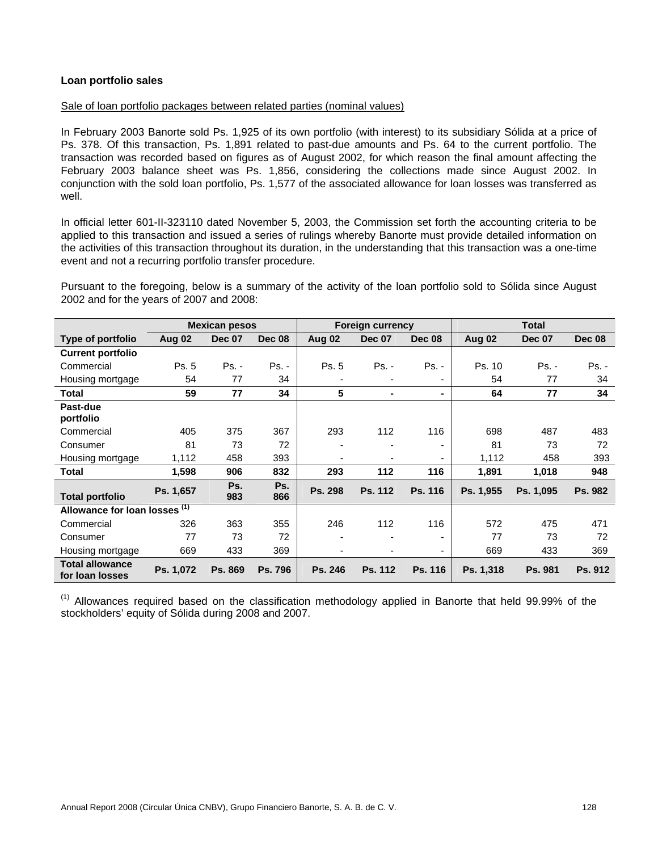## **Loan portfolio sales**

#### Sale of loan portfolio packages between related parties (nominal values)

In February 2003 Banorte sold Ps. 1,925 of its own portfolio (with interest) to its subsidiary Sólida at a price of Ps. 378. Of this transaction, Ps. 1,891 related to past-due amounts and Ps. 64 to the current portfolio. The transaction was recorded based on figures as of August 2002, for which reason the final amount affecting the February 2003 balance sheet was Ps. 1,856, considering the collections made since August 2002. In conjunction with the sold loan portfolio, Ps. 1,577 of the associated allowance for loan losses was transferred as well.

In official letter 601-II-323110 dated November 5, 2003, the Commission set forth the accounting criteria to be applied to this transaction and issued a series of rulings whereby Banorte must provide detailed information on the activities of this transaction throughout its duration, in the understanding that this transaction was a one-time event and not a recurring portfolio transfer procedure.

Pursuant to the foregoing, below is a summary of the activity of the loan portfolio sold to Sólida since August 2002 and for the years of 2007 and 2008:

|                                           |           | <b>Mexican pesos</b> | <b>Total</b><br><b>Foreign currency</b> |                          |                          |         |               |               |               |
|-------------------------------------------|-----------|----------------------|-----------------------------------------|--------------------------|--------------------------|---------|---------------|---------------|---------------|
| Type of portfolio                         | Aug 02    | <b>Dec 07</b>        | Dec 08                                  | Aug 02                   | <b>Dec 07</b>            | Dec 08  | <b>Aug 02</b> | <b>Dec 07</b> | <b>Dec 08</b> |
| <b>Current portfolio</b>                  |           |                      |                                         |                          |                          |         |               |               |               |
| Commercial                                | Ps. 5     | Ps. -                | Ps. -                                   | Ps. 5                    | $Ps. -$                  | $Ps. -$ | Ps. 10        | $Ps. -$       | $Ps. -$       |
| Housing mortgage                          | 54        | 77                   | 34                                      | ٠                        | $\blacksquare$           |         | 54            | 77            | 34            |
| Total                                     | 59        | 77                   | 34                                      | 5                        | $\blacksquare$           | ۰.      | 64            | 77            | 34            |
| Past-due<br>portfolio                     |           |                      |                                         |                          |                          |         |               |               |               |
| Commercial                                | 405       | 375                  | 367                                     | 293                      | 112                      | 116     | 698           | 487           | 483           |
| Consumer                                  | 81        | 73                   | 72                                      | ٠                        |                          |         | 81            | 73            | 72            |
| Housing mortgage                          | 1,112     | 458                  | 393                                     | $\overline{\phantom{0}}$ |                          | ۰       | 1,112         | 458           | 393           |
| <b>Total</b>                              | 1,598     | 906                  | 832                                     | 293                      | 112                      | 116     | 1,891         | 1,018         | 948           |
| <b>Total portfolio</b>                    | Ps. 1,657 | Ps.<br>983           | Ps.<br>866                              | Ps. 298                  | Ps. 112                  | Ps. 116 | Ps. 1,955     | Ps. 1,095     | Ps. 982       |
| Allowance for loan losses (1)             |           |                      |                                         |                          |                          |         |               |               |               |
| Commercial                                | 326       | 363                  | 355                                     | 246                      | 112                      | 116     | 572           | 475           | 471           |
| Consumer                                  | 77        | 73                   | 72                                      | $\overline{\phantom{0}}$ |                          |         | 77            | 73            | 72            |
| Housing mortgage                          | 669       | 433                  | 369                                     | $\blacksquare$           | $\overline{\phantom{0}}$ | ۰       | 669           | 433           | 369           |
| <b>Total allowance</b><br>for loan losses | Ps. 1,072 | Ps. 869              | Ps. 796                                 | Ps. 246                  | Ps. 112                  | Ps. 116 | Ps. 1,318     | Ps. 981       | Ps. 912       |

 $<sup>(1)</sup>$  Allowances required based on the classification methodology applied in Banorte that held 99.99% of the</sup> stockholders' equity of Sólida during 2008 and 2007.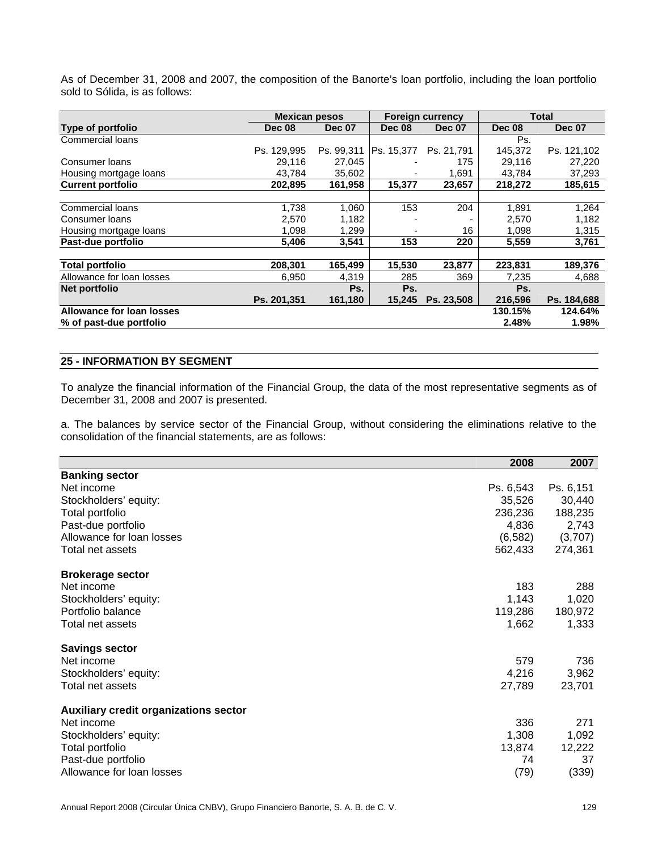As of December 31, 2008 and 2007, the composition of the Banorte's loan portfolio, including the loan portfolio sold to Sólida, is as follows:

|                           | <b>Mexican pesos</b> |               | <b>Foreign currency</b> |               |               | Total         |
|---------------------------|----------------------|---------------|-------------------------|---------------|---------------|---------------|
| Type of portfolio         | <b>Dec 08</b>        | <b>Dec 07</b> | <b>Dec 08</b>           | <b>Dec 07</b> | <b>Dec 08</b> | <b>Dec 07</b> |
| Commercial loans          |                      |               |                         |               | Ps.           |               |
|                           | Ps. 129,995          | Ps. 99.311    | Ps. 15,377              | Ps. 21.791    | 145.372       | Ps. 121,102   |
| Consumer loans            | 29.116               | 27.045        |                         | 175           | 29.116        | 27,220        |
| Housing mortgage loans    | 43,784               | 35,602        |                         | 1,691         | 43,784        | 37,293        |
| <b>Current portfolio</b>  | 202,895              | 161,958       | 15,377                  | 23,657        | 218,272       | 185,615       |
|                           |                      |               |                         |               |               |               |
| Commercial loans          | 1.738                | 1,060         | 153                     | 204           | 1,891         | 1,264         |
| Consumer Ioans            | 2,570                | 1,182         |                         |               | 2,570         | 1,182         |
| Housing mortgage loans    | 1,098                | 1,299         |                         | 16            | 1,098         | 1,315         |
| Past-due portfolio        | 5,406                | 3,541         | 153                     | 220           | 5,559         | 3,761         |
| <b>Total portfolio</b>    | 208,301              | 165,499       | 15,530                  | 23,877        | 223,831       | 189,376       |
| Allowance for loan losses | 6,950                | 4,319         | 285                     | 369           | 7,235         | 4,688         |
| Net portfolio             |                      | Ps.           | Ps.                     |               | Ps.           |               |
|                           | Ps. 201.351          | 161,180       | 15,245                  | Ps. 23.508    | 216,596       | Ps. 184.688   |
| Allowance for loan losses |                      |               |                         |               | 130.15%       | 124.64%       |
| % of past-due portfolio   |                      |               |                         |               | 2.48%         | 1.98%         |

# **25 - INFORMATION BY SEGMENT**

To analyze the financial information of the Financial Group, the data of the most representative segments as of December 31, 2008 and 2007 is presented.

a. The balances by service sector of the Financial Group, without considering the eliminations relative to the consolidation of the financial statements, are as follows:

|                                              | 2008      | 2007      |
|----------------------------------------------|-----------|-----------|
| <b>Banking sector</b>                        |           |           |
| Net income                                   | Ps. 6,543 | Ps. 6,151 |
| Stockholders' equity:                        | 35,526    | 30,440    |
| Total portfolio                              | 236,236   | 188,235   |
| Past-due portfolio                           | 4,836     | 2,743     |
| Allowance for loan losses                    | (6, 582)  | (3,707)   |
| Total net assets                             | 562,433   | 274,361   |
| <b>Brokerage sector</b>                      |           |           |
| Net income                                   | 183       | 288       |
| Stockholders' equity:                        | 1,143     | 1,020     |
| Portfolio balance                            | 119,286   | 180,972   |
| Total net assets                             | 1,662     | 1,333     |
| <b>Savings sector</b>                        |           |           |
| Net income                                   | 579       | 736       |
| Stockholders' equity:                        | 4,216     | 3,962     |
| Total net assets                             | 27,789    | 23,701    |
| <b>Auxiliary credit organizations sector</b> |           |           |
| Net income                                   | 336       | 271       |
| Stockholders' equity:                        | 1,308     | 1,092     |
| Total portfolio                              | 13,874    | 12,222    |
| Past-due portfolio                           | 74        | 37        |
| Allowance for loan losses                    | (79)      | (339)     |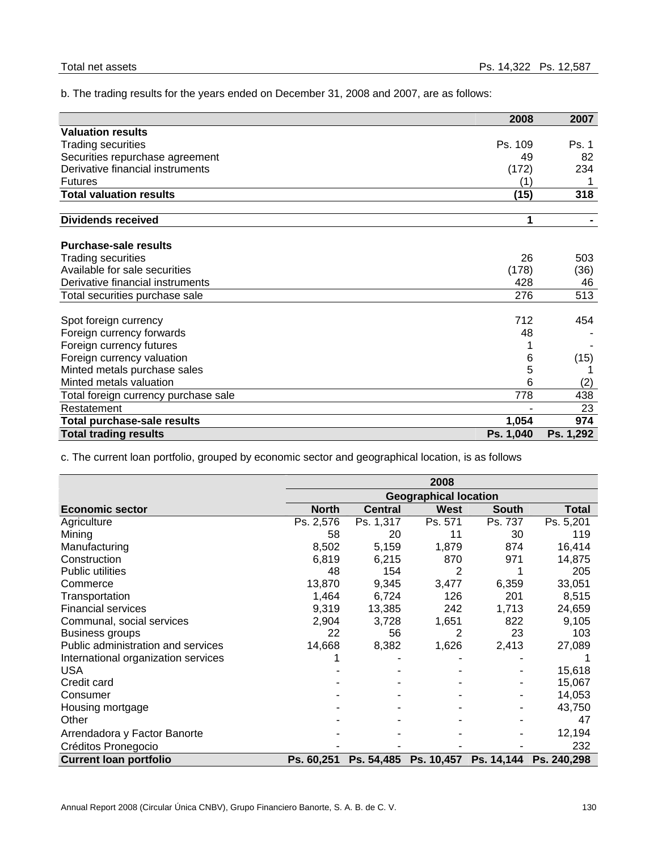b. The trading results for the years ended on December 31, 2008 and 2007, are as follows:

|                                      | 2008      | 2007      |
|--------------------------------------|-----------|-----------|
| <b>Valuation results</b>             |           |           |
| <b>Trading securities</b>            | Ps. 109   | Ps. 1     |
| Securities repurchase agreement      | 49        | 82        |
| Derivative financial instruments     | (172)     | 234       |
| <b>Futures</b>                       | (1)       |           |
| <b>Total valuation results</b>       | (15)      | 318       |
| <b>Dividends received</b>            | 1         |           |
| <b>Purchase-sale results</b>         |           |           |
| <b>Trading securities</b>            | 26        | 503       |
| Available for sale securities        | (178)     | (36)      |
| Derivative financial instruments     | 428       | 46        |
| Total securities purchase sale       | 276       | 513       |
| Spot foreign currency                | 712       | 454       |
| Foreign currency forwards            | 48        |           |
| Foreign currency futures             |           |           |
| Foreign currency valuation           | 6         | (15)      |
| Minted metals purchase sales         | 5         |           |
| Minted metals valuation              | 6         | (2)       |
| Total foreign currency purchase sale | 778       | 438       |
| Restatement                          |           | 23        |
| Total purchase-sale results          | 1,054     | 974       |
| <b>Total trading results</b>         | Ps. 1,040 | Ps. 1,292 |

c. The current loan portfolio, grouped by economic sector and geographical location, is as follows

|                                     |              | 2008                         |             |              |              |  |  |  |  |
|-------------------------------------|--------------|------------------------------|-------------|--------------|--------------|--|--|--|--|
|                                     |              | <b>Geographical location</b> |             |              |              |  |  |  |  |
| <b>Economic sector</b>              | <b>North</b> | <b>Central</b>               | <b>West</b> | <b>South</b> | <b>Total</b> |  |  |  |  |
| Agriculture                         | Ps. 2,576    | Ps. 1,317                    | Ps. 571     | Ps. 737      | Ps. 5,201    |  |  |  |  |
| Mining                              | 58           | 20                           | 11          | 30           | 119          |  |  |  |  |
| Manufacturing                       | 8,502        | 5,159                        | 1,879       | 874          | 16,414       |  |  |  |  |
| Construction                        | 6,819        | 6,215                        | 870         | 971          | 14,875       |  |  |  |  |
| <b>Public utilities</b>             | 48           | 154                          | 2           |              | 205          |  |  |  |  |
| Commerce                            | 13,870       | 9,345                        | 3,477       | 6,359        | 33,051       |  |  |  |  |
| Transportation                      | 1,464        | 6,724                        | 126         | 201          | 8,515        |  |  |  |  |
| <b>Financial services</b>           | 9,319        | 13,385                       | 242         | 1,713        | 24,659       |  |  |  |  |
| Communal, social services           | 2,904        | 3,728                        | 1,651       | 822          | 9,105        |  |  |  |  |
| Business groups                     | 22           | 56                           | 2           | 23           | 103          |  |  |  |  |
| Public administration and services  | 14,668       | 8,382                        | 1,626       | 2,413        | 27,089       |  |  |  |  |
| International organization services |              |                              |             |              |              |  |  |  |  |
| <b>USA</b>                          |              |                              |             |              | 15,618       |  |  |  |  |
| Credit card                         |              |                              |             |              | 15,067       |  |  |  |  |
| Consumer                            |              |                              |             |              | 14,053       |  |  |  |  |
| Housing mortgage                    |              |                              |             |              | 43,750       |  |  |  |  |
| Other                               |              |                              |             |              | 47           |  |  |  |  |
| Arrendadora y Factor Banorte        |              |                              |             |              | 12,194       |  |  |  |  |
| Créditos Pronegocio                 |              |                              |             |              | 232          |  |  |  |  |
| <b>Current loan portfolio</b>       | Ps. 60,251   | Ps. 54,485                   | Ps. 10,457  | Ps. 14,144   | Ps. 240,298  |  |  |  |  |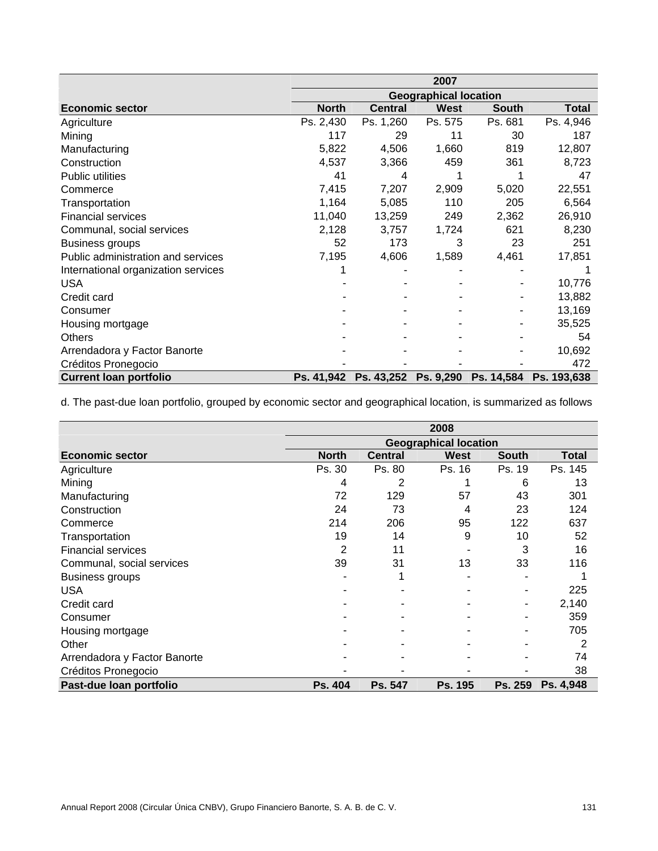|                                     | 2007                         |                |             |              |              |  |  |
|-------------------------------------|------------------------------|----------------|-------------|--------------|--------------|--|--|
|                                     | <b>Geographical location</b> |                |             |              |              |  |  |
| <b>Economic sector</b>              | <b>North</b>                 | <b>Central</b> | <b>West</b> | <b>South</b> | <b>Total</b> |  |  |
| Agriculture                         | Ps. 2,430                    | Ps. 1,260      | Ps. 575     | Ps. 681      | Ps. 4,946    |  |  |
| Mining                              | 117                          | 29             | 11          | 30           | 187          |  |  |
| Manufacturing                       | 5,822                        | 4,506          | 1,660       | 819          | 12,807       |  |  |
| Construction                        | 4,537                        | 3,366          | 459         | 361          | 8,723        |  |  |
| <b>Public utilities</b>             | 41                           | 4              |             |              | 47           |  |  |
| Commerce                            | 7,415                        | 7,207          | 2,909       | 5,020        | 22,551       |  |  |
| Transportation                      | 1,164                        | 5,085          | 110         | 205          | 6,564        |  |  |
| <b>Financial services</b>           | 11,040                       | 13,259         | 249         | 2,362        | 26,910       |  |  |
| Communal, social services           | 2,128                        | 3,757          | 1,724       | 621          | 8,230        |  |  |
| <b>Business groups</b>              | 52                           | 173            | 3           | 23           | 251          |  |  |
| Public administration and services  | 7,195                        | 4,606          | 1,589       | 4,461        | 17,851       |  |  |
| International organization services |                              |                |             |              |              |  |  |
| <b>USA</b>                          |                              |                |             |              | 10,776       |  |  |
| Credit card                         |                              |                |             |              | 13,882       |  |  |
| Consumer                            |                              |                |             |              | 13,169       |  |  |
| Housing mortgage                    |                              |                |             |              | 35,525       |  |  |
| <b>Others</b>                       |                              |                |             |              | 54           |  |  |
| Arrendadora y Factor Banorte        |                              |                |             |              | 10,692       |  |  |
| Créditos Pronegocio                 |                              |                |             |              | 472          |  |  |
| <b>Current loan portfolio</b>       | Ps. 41,942                   | Ps. 43,252     | Ps. 9,290   | Ps. 14,584   | Ps. 193,638  |  |  |

d. The past-due loan portfolio, grouped by economic sector and geographical location, is summarized as follows

|                              | 2008                         |                |             |              |           |  |  |
|------------------------------|------------------------------|----------------|-------------|--------------|-----------|--|--|
|                              | <b>Geographical location</b> |                |             |              |           |  |  |
| <b>Economic sector</b>       | <b>North</b>                 | <b>Central</b> | <b>West</b> | <b>South</b> | Total     |  |  |
| Agriculture                  | Ps. 30                       | Ps. 80         | Ps. 16      | Ps. 19       | Ps. 145   |  |  |
| Mining                       | 4                            | 2              |             | 6            | 13        |  |  |
| Manufacturing                | 72                           | 129            | 57          | 43           | 301       |  |  |
| Construction                 | 24                           | 73             | 4           | 23           | 124       |  |  |
| Commerce                     | 214                          | 206            | 95          | 122          | 637       |  |  |
| Transportation               | 19                           | 14             | 9           | 10           | 52        |  |  |
| <b>Financial services</b>    | 2                            | 11             |             | 3            | 16        |  |  |
| Communal, social services    | 39                           | 31             | 13          | 33           | 116       |  |  |
| <b>Business groups</b>       |                              |                |             |              |           |  |  |
| <b>USA</b>                   |                              |                |             |              | 225       |  |  |
| Credit card                  |                              |                |             | -            | 2,140     |  |  |
| Consumer                     |                              |                |             |              | 359       |  |  |
| Housing mortgage             |                              |                |             |              | 705       |  |  |
| Other                        |                              |                |             |              | 2         |  |  |
| Arrendadora y Factor Banorte |                              |                |             |              | 74        |  |  |
| Créditos Pronegocio          |                              |                |             |              | 38        |  |  |
| Past-due loan portfolio      | Ps. 404                      | Ps. 547        | Ps. 195     | Ps. 259      | Ps. 4,948 |  |  |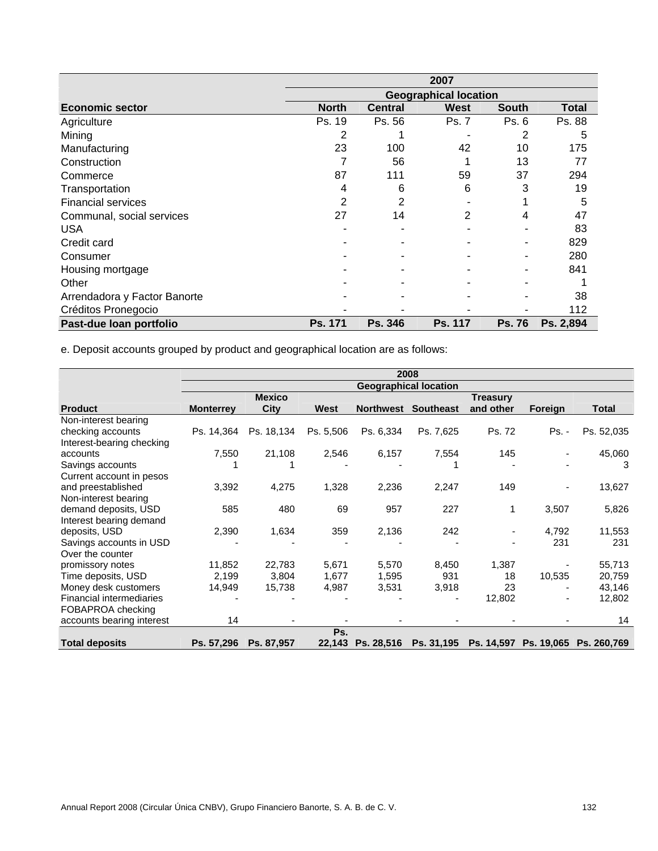|                              | 2007                         |                |                |               |              |  |  |
|------------------------------|------------------------------|----------------|----------------|---------------|--------------|--|--|
|                              | <b>Geographical location</b> |                |                |               |              |  |  |
| <b>Economic sector</b>       | <b>North</b>                 | <b>Central</b> | <b>West</b>    | <b>South</b>  | <b>Total</b> |  |  |
| Agriculture                  | Ps. 19                       | Ps. 56         | Ps. 7          | Ps. 6         | Ps. 88       |  |  |
| Mining                       | 2                            |                |                | 2             | 5            |  |  |
| Manufacturing                | 23                           | 100            | 42             | 10            | 175          |  |  |
| Construction                 |                              | 56             |                | 13            | 77           |  |  |
| Commerce                     | 87                           | 111            | 59             | 37            | 294          |  |  |
| Transportation               | 4                            | 6              | 6              | 3             | 19           |  |  |
| <b>Financial services</b>    | 2                            | 2              |                |               | 5            |  |  |
| Communal, social services    | 27                           | 14             | 2              | 4             | 47           |  |  |
| <b>USA</b>                   |                              |                |                |               | 83           |  |  |
| Credit card                  |                              |                |                |               | 829          |  |  |
| Consumer                     |                              |                |                |               | 280          |  |  |
| Housing mortgage             |                              |                |                |               | 841          |  |  |
| Other                        |                              |                |                |               |              |  |  |
| Arrendadora y Factor Banorte |                              |                |                |               | 38           |  |  |
| Créditos Pronegocio          |                              |                |                |               | 112          |  |  |
| Past-due loan portfolio      | Ps. 171                      | <b>Ps. 346</b> | <b>Ps. 117</b> | <b>Ps. 76</b> | Ps. 2,894    |  |  |

e. Deposit accounts grouped by product and geographical location are as follows:

|                           | 2008                         |               |           |                   |                  |                 |         |                                   |
|---------------------------|------------------------------|---------------|-----------|-------------------|------------------|-----------------|---------|-----------------------------------|
|                           | <b>Geographical location</b> |               |           |                   |                  |                 |         |                                   |
|                           |                              | <b>Mexico</b> |           |                   |                  | <b>Treasury</b> |         |                                   |
| <b>Product</b>            | <b>Monterrey</b>             | City          | West      | <b>Northwest</b>  | <b>Southeast</b> | and other       | Foreign | <b>Total</b>                      |
| Non-interest bearing      |                              |               |           |                   |                  |                 |         |                                   |
| checking accounts         | Ps. 14,364                   | Ps. 18,134    | Ps. 5,506 | Ps. 6,334         | Ps. 7,625        | Ps. 72          | Ps. -   | Ps. 52,035                        |
| Interest-bearing checking |                              |               |           |                   |                  |                 |         |                                   |
| accounts                  | 7,550                        | 21,108        | 2,546     | 6,157             | 7,554            | 145             |         | 45,060                            |
| Savings accounts          |                              |               |           |                   |                  |                 |         | 3                                 |
| Current account in pesos  |                              |               |           |                   |                  |                 |         |                                   |
| and preestablished        | 3,392                        | 4,275         | 1,328     | 2,236             | 2,247            | 149             |         | 13,627                            |
| Non-interest bearing      |                              |               |           |                   |                  |                 |         |                                   |
| demand deposits, USD      | 585                          | 480           | 69        | 957               | 227              |                 | 3,507   | 5,826                             |
| Interest bearing demand   |                              |               |           |                   |                  |                 |         |                                   |
| deposits, USD             | 2,390                        | 1,634         | 359       | 2,136             | 242              |                 | 4,792   | 11,553                            |
| Savings accounts in USD   |                              |               |           |                   |                  |                 | 231     | 231                               |
| Over the counter          |                              |               |           |                   |                  |                 |         |                                   |
| promissory notes          | 11,852                       | 22,783        | 5,671     | 5,570             | 8,450            | 1,387           |         | 55,713                            |
| Time deposits, USD        | 2,199                        | 3,804         | 1,677     | 1,595             | 931              | 18              | 10,535  | 20,759                            |
| Money desk customers      | 14,949                       | 15,738        | 4,987     | 3,531             | 3,918            | 23              |         | 43,146                            |
| Financial intermediaries  |                              |               |           |                   |                  | 12,802          |         | 12,802                            |
| FOBAPROA checking         |                              |               |           |                   |                  |                 |         |                                   |
| accounts bearing interest | 14                           |               |           |                   |                  |                 |         | 14                                |
|                           |                              |               | Ps.       |                   |                  |                 |         |                                   |
| <b>Total deposits</b>     | Ps. 57,296                   | Ps. 87,957    |           | 22,143 Ps. 28,516 | Ps. 31,195       |                 |         | Ps. 14,597 Ps. 19,065 Ps. 260,769 |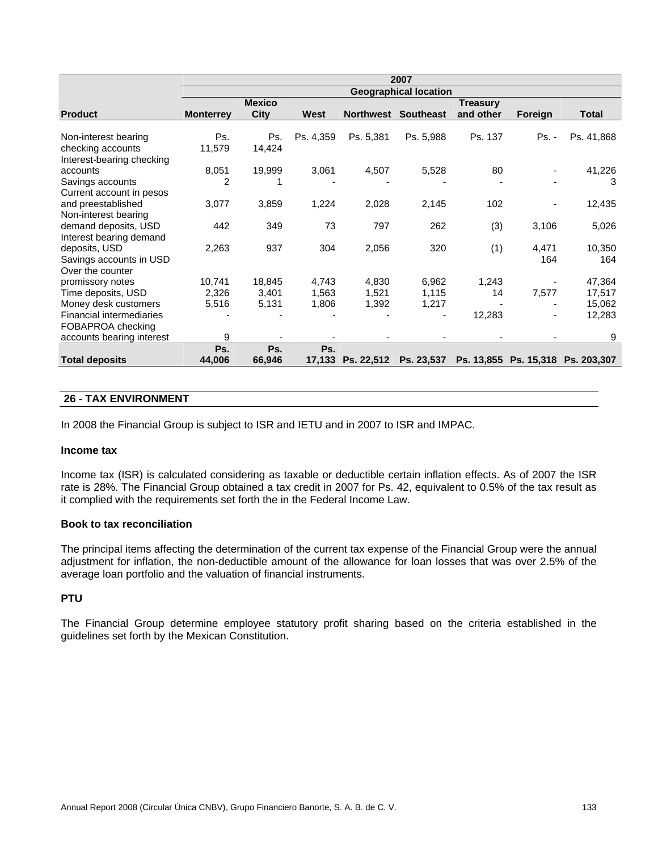|                                             |                  |               |           |                  | 2007                         |                 |              |                                   |
|---------------------------------------------|------------------|---------------|-----------|------------------|------------------------------|-----------------|--------------|-----------------------------------|
|                                             |                  |               |           |                  | <b>Geographical location</b> |                 |              |                                   |
|                                             |                  | <b>Mexico</b> |           |                  |                              | <b>Treasury</b> |              |                                   |
| <b>Product</b>                              | <b>Monterrey</b> | <b>City</b>   | West      | <b>Northwest</b> | <b>Southeast</b>             | and other       | Foreign      | <b>Total</b>                      |
| Non-interest bearing                        | Ps.              | Ps.           | Ps. 4,359 | Ps. 5,381        | Ps. 5,988                    | Ps. 137         | <b>Ps. -</b> | Ps. 41,868                        |
| checking accounts                           | 11,579           | 14,424        |           |                  |                              |                 |              |                                   |
| Interest-bearing checking                   |                  |               |           |                  |                              |                 |              |                                   |
| accounts                                    | 8,051            | 19,999        | 3,061     | 4,507            | 5,528                        | 80              |              | 41,226                            |
| Savings accounts                            | 2                |               |           |                  |                              |                 |              | 3                                 |
| Current account in pesos                    |                  |               |           |                  |                              |                 |              |                                   |
| and preestablished                          | 3,077            | 3,859         | 1,224     | 2,028            | 2,145                        | 102             |              | 12,435                            |
| Non-interest bearing                        |                  |               |           |                  |                              |                 |              |                                   |
| demand deposits, USD                        | 442              | 349           | 73        | 797              | 262                          | (3)             | 3,106        | 5,026                             |
| Interest bearing demand                     |                  |               |           |                  |                              |                 |              |                                   |
| deposits, USD                               | 2,263            | 937           | 304       | 2,056            | 320                          | (1)             | 4,471<br>164 | 10,350<br>164                     |
| Savings accounts in USD<br>Over the counter |                  |               |           |                  |                              |                 |              |                                   |
| promissory notes                            | 10,741           | 18,845        | 4,743     | 4,830            | 6,962                        | 1,243           |              | 47,364                            |
| Time deposits, USD                          | 2,326            | 3,401         | 1,563     | 1,521            | 1,115                        | 14              | 7,577        | 17,517                            |
| Money desk customers                        | 5,516            | 5,131         | 1,806     | 1,392            | 1,217                        |                 |              | 15,062                            |
| <b>Financial intermediaries</b>             |                  |               |           |                  |                              | 12,283          |              | 12,283                            |
| FOBAPROA checking                           |                  |               |           |                  |                              |                 |              |                                   |
| accounts bearing interest                   | 9                |               |           |                  |                              |                 |              | 9                                 |
|                                             | Ps.              | Ps.           | Ps.       |                  |                              |                 |              |                                   |
| <b>Total deposits</b>                       | 44,006           | 66,946        | 17,133    | Ps. 22,512       | Ps. 23,537                   |                 |              | Ps. 13,855 Ps. 15,318 Ps. 203,307 |

## **26 - TAX ENVIRONMENT**

In 2008 the Financial Group is subject to ISR and IETU and in 2007 to ISR and IMPAC.

#### **Income tax**

Income tax (ISR) is calculated considering as taxable or deductible certain inflation effects. As of 2007 the ISR rate is 28%. The Financial Group obtained a tax credit in 2007 for Ps. 42, equivalent to 0.5% of the tax result as it complied with the requirements set forth the in the Federal Income Law.

#### **Book to tax reconciliation**

The principal items affecting the determination of the current tax expense of the Financial Group were the annual adjustment for inflation, the non-deductible amount of the allowance for loan losses that was over 2.5% of the average loan portfolio and the valuation of financial instruments.

## **PTU**

The Financial Group determine employee statutory profit sharing based on the criteria established in the guidelines set forth by the Mexican Constitution.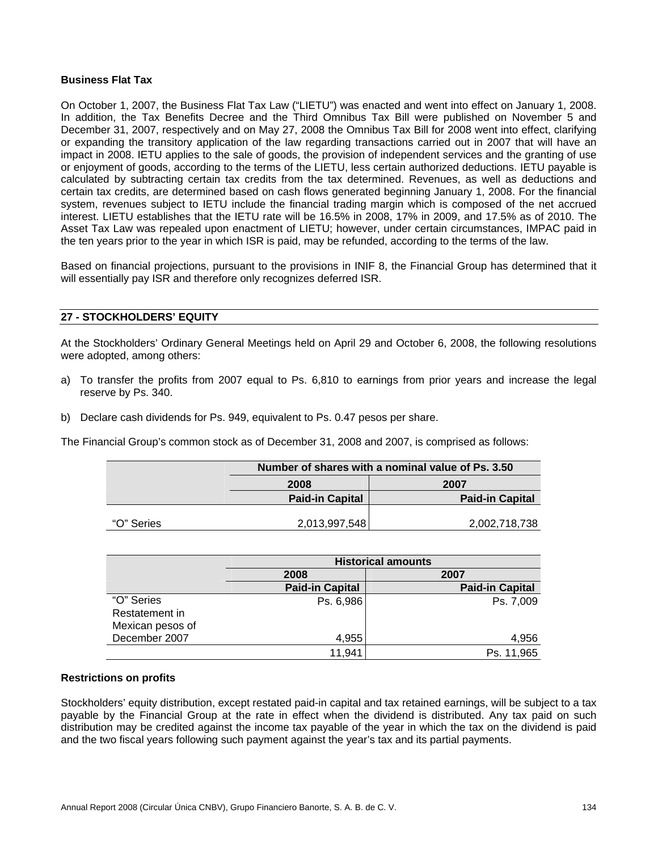#### **Business Flat Tax**

On October 1, 2007, the Business Flat Tax Law ("LIETU") was enacted and went into effect on January 1, 2008. In addition, the Tax Benefits Decree and the Third Omnibus Tax Bill were published on November 5 and December 31, 2007, respectively and on May 27, 2008 the Omnibus Tax Bill for 2008 went into effect, clarifying or expanding the transitory application of the law regarding transactions carried out in 2007 that will have an impact in 2008. IETU applies to the sale of goods, the provision of independent services and the granting of use or enjoyment of goods, according to the terms of the LIETU, less certain authorized deductions. IETU payable is calculated by subtracting certain tax credits from the tax determined. Revenues, as well as deductions and certain tax credits, are determined based on cash flows generated beginning January 1, 2008. For the financial system, revenues subject to IETU include the financial trading margin which is composed of the net accrued interest. LIETU establishes that the IETU rate will be 16.5% in 2008, 17% in 2009, and 17.5% as of 2010. The Asset Tax Law was repealed upon enactment of LIETU; however, under certain circumstances, IMPAC paid in the ten years prior to the year in which ISR is paid, may be refunded, according to the terms of the law.

Based on financial projections, pursuant to the provisions in INIF 8, the Financial Group has determined that it will essentially pay ISR and therefore only recognizes deferred ISR.

#### **27 - STOCKHOLDERS' EQUITY**

At the Stockholders' Ordinary General Meetings held on April 29 and October 6, 2008, the following resolutions were adopted, among others:

- a) To transfer the profits from 2007 equal to Ps. 6,810 to earnings from prior years and increase the legal reserve by Ps. 340.
- b) Declare cash dividends for Ps. 949, equivalent to Ps. 0.47 pesos per share.

The Financial Group's common stock as of December 31, 2008 and 2007, is comprised as follows:

|            | Number of shares with a nominal value of Ps. 3.50 |                        |  |
|------------|---------------------------------------------------|------------------------|--|
|            | 2008                                              | 2007                   |  |
|            | <b>Paid-in Capital</b>                            | <b>Paid-in Capital</b> |  |
| "O" Series | 2,013,997,548                                     | 2,002,718,738          |  |

|                  | <b>Historical amounts</b> |                        |
|------------------|---------------------------|------------------------|
|                  | 2008                      | 2007                   |
|                  | <b>Paid-in Capital</b>    | <b>Paid-in Capital</b> |
| "O" Series       | Ps. 6,986                 | Ps. 7,009              |
| Restatement in   |                           |                        |
| Mexican pesos of |                           |                        |
| December 2007    | 4,955                     | 4,956                  |
|                  | 11,941                    | Ps. 11,965             |

#### **Restrictions on profits**

Stockholders' equity distribution, except restated paid-in capital and tax retained earnings, will be subject to a tax payable by the Financial Group at the rate in effect when the dividend is distributed. Any tax paid on such distribution may be credited against the income tax payable of the year in which the tax on the dividend is paid and the two fiscal years following such payment against the year's tax and its partial payments.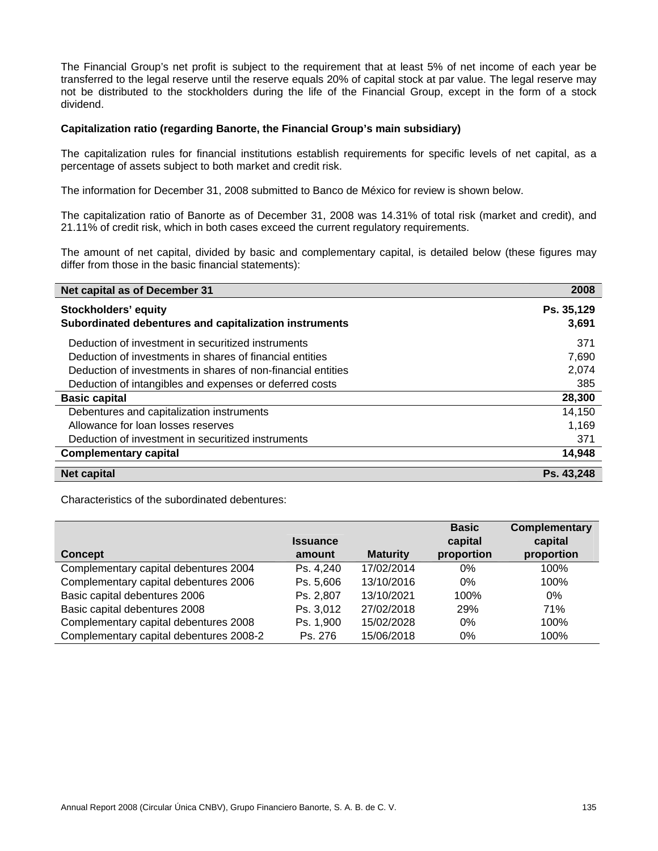The Financial Group's net profit is subject to the requirement that at least 5% of net income of each year be transferred to the legal reserve until the reserve equals 20% of capital stock at par value. The legal reserve may not be distributed to the stockholders during the life of the Financial Group, except in the form of a stock dividend.

#### **Capitalization ratio (regarding Banorte, the Financial Group's main subsidiary)**

The capitalization rules for financial institutions establish requirements for specific levels of net capital, as a percentage of assets subject to both market and credit risk.

The information for December 31, 2008 submitted to Banco de México for review is shown below.

The capitalization ratio of Banorte as of December 31, 2008 was 14.31% of total risk (market and credit), and 21.11% of credit risk, which in both cases exceed the current regulatory requirements.

The amount of net capital, divided by basic and complementary capital, is detailed below (these figures may differ from those in the basic financial statements):

| Net capital as of December 31                                | 2008       |
|--------------------------------------------------------------|------------|
| <b>Stockholders' equity</b>                                  | Ps. 35,129 |
| Subordinated debentures and capitalization instruments       | 3,691      |
| Deduction of investment in securitized instruments           | 371        |
| Deduction of investments in shares of financial entities     | 7,690      |
| Deduction of investments in shares of non-financial entities | 2,074      |
| Deduction of intangibles and expenses or deferred costs      | 385        |
| <b>Basic capital</b>                                         | 28,300     |
| Debentures and capitalization instruments                    | 14,150     |
| Allowance for loan losses reserves                           | 1,169      |
| Deduction of investment in securitized instruments           | 371        |
| <b>Complementary capital</b>                                 | 14,948     |
| <b>Net capital</b>                                           | Ps. 43,248 |

Characteristics of the subordinated debentures:

|                                         | <b>Issuance</b> |                 | <b>Basic</b>          | <b>Complementary</b>  |
|-----------------------------------------|-----------------|-----------------|-----------------------|-----------------------|
| <b>Concept</b>                          | amount          | <b>Maturity</b> | capital<br>proportion | capital<br>proportion |
| Complementary capital debentures 2004   | Ps. 4,240       | 17/02/2014      | $0\%$                 | 100%                  |
| Complementary capital debentures 2006   | Ps. 5,606       | 13/10/2016      | $0\%$                 | 100%                  |
| Basic capital debentures 2006           | Ps. 2,807       | 13/10/2021      | 100%                  | $0\%$                 |
| Basic capital debentures 2008           | Ps. 3,012       | 27/02/2018      | 29%                   | 71%                   |
| Complementary capital debentures 2008   | Ps. 1,900       | 15/02/2028      | 0%                    | 100%                  |
| Complementary capital debentures 2008-2 | Ps. 276         | 15/06/2018      | $0\%$                 | 100%                  |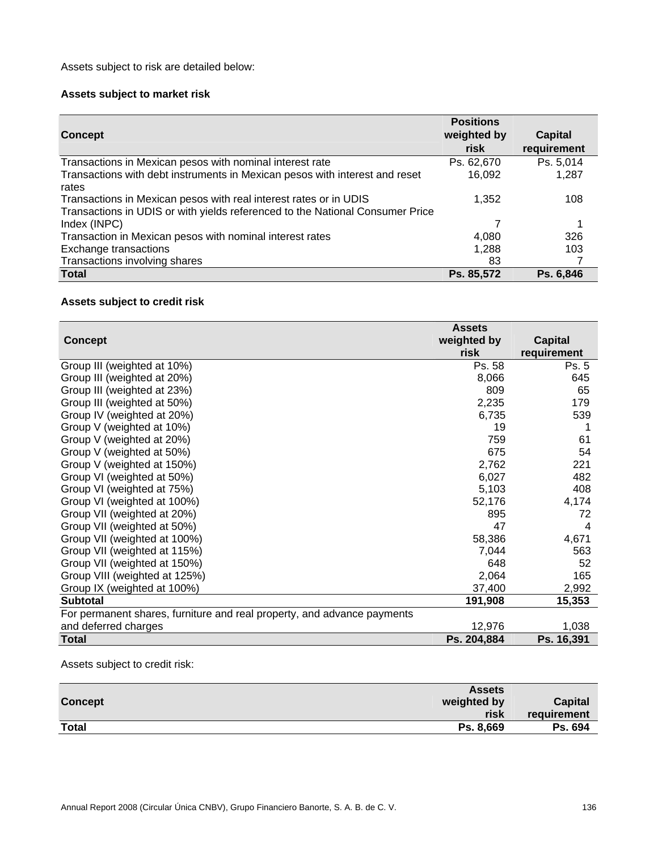Assets subject to risk are detailed below:

# **Assets subject to market risk**

| <b>Concept</b>                                                                                                                                     | <b>Positions</b><br>weighted by<br>risk | <b>Capital</b><br>requirement |
|----------------------------------------------------------------------------------------------------------------------------------------------------|-----------------------------------------|-------------------------------|
| Transactions in Mexican pesos with nominal interest rate                                                                                           | Ps. 62,670                              | Ps. 5,014                     |
| Transactions with debt instruments in Mexican pesos with interest and reset<br>rates                                                               | 16,092                                  | 1,287                         |
| Transactions in Mexican pesos with real interest rates or in UDIS<br>Transactions in UDIS or with yields referenced to the National Consumer Price | 1.352                                   | 108                           |
| Index (INPC)                                                                                                                                       | 7                                       |                               |
| Transaction in Mexican pesos with nominal interest rates                                                                                           | 4.080                                   | 326                           |
| Exchange transactions                                                                                                                              | 1,288                                   | 103                           |
| Transactions involving shares                                                                                                                      | 83                                      |                               |
| <b>Total</b>                                                                                                                                       | Ps. 85,572                              | Ps. 6,846                     |

# **Assets subject to credit risk**

|                                                                         | <b>Assets</b> |                |
|-------------------------------------------------------------------------|---------------|----------------|
| <b>Concept</b>                                                          | weighted by   | <b>Capital</b> |
|                                                                         | risk          | requirement    |
| Group III (weighted at 10%)                                             | Ps. 58        | Ps. 5          |
| Group III (weighted at 20%)                                             | 8,066         | 645            |
| Group III (weighted at 23%)                                             | 809           | 65             |
| Group III (weighted at 50%)                                             | 2,235         | 179            |
| Group IV (weighted at 20%)                                              | 6,735         | 539            |
| Group V (weighted at 10%)                                               | 19            |                |
| Group V (weighted at 20%)                                               | 759           | 61             |
| Group V (weighted at 50%)                                               | 675           | 54             |
| Group V (weighted at 150%)                                              | 2,762         | 221            |
| Group VI (weighted at 50%)                                              | 6,027         | 482            |
| Group VI (weighted at 75%)                                              | 5,103         | 408            |
| Group VI (weighted at 100%)                                             | 52,176        | 4,174          |
| Group VII (weighted at 20%)                                             | 895           | 72             |
| Group VII (weighted at 50%)                                             | 47            | 4              |
| Group VII (weighted at 100%)                                            | 58,386        | 4,671          |
| Group VII (weighted at 115%)                                            | 7,044         | 563            |
| Group VII (weighted at 150%)                                            | 648           | 52             |
| Group VIII (weighted at 125%)                                           | 2,064         | 165            |
| Group IX (weighted at 100%)                                             | 37,400        | 2,992          |
| <b>Subtotal</b>                                                         | 191,908       | 15,353         |
| For permanent shares, furniture and real property, and advance payments |               |                |
| and deferred charges                                                    | 12,976        | 1,038          |
| <b>Total</b>                                                            | Ps. 204,884   | Ps. 16,391     |

Assets subject to credit risk:

|                | <b>Assets</b>       |                        |
|----------------|---------------------|------------------------|
| <b>Concept</b> | weighted by<br>risk | Capital<br>requirement |
| <b>Total</b>   | Ps. 8.669           | Ps. 694                |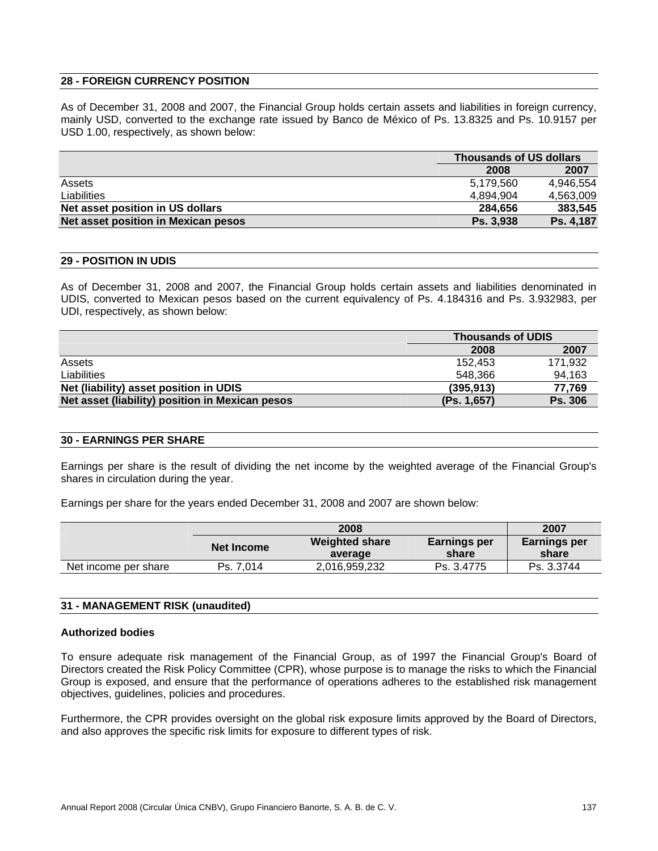## **28 - FOREIGN CURRENCY POSITION**

As of December 31, 2008 and 2007, the Financial Group holds certain assets and liabilities in foreign currency, mainly USD, converted to the exchange rate issued by Banco de México of Ps. 13.8325 and Ps. 10.9157 per USD 1.00, respectively, as shown below:

|                                     |           | <b>Thousands of US dollars</b> |  |
|-------------------------------------|-----------|--------------------------------|--|
|                                     | 2008      | 2007                           |  |
| Assets                              | 5.179.560 | 4.946.554                      |  |
| Liabilities                         | 4.894.904 | 4.563.009                      |  |
| Net asset position in US dollars    | 284.656   | 383,545                        |  |
| Net asset position in Mexican pesos | Ps. 3.938 | Ps. 4,187                      |  |

#### **29 - POSITION IN UDIS**

As of December 31, 2008 and 2007, the Financial Group holds certain assets and liabilities denominated in UDIS, converted to Mexican pesos based on the current equivalency of Ps. 4.184316 and Ps. 3.932983, per UDI, respectively, as shown below:

|                                                 |             | <b>Thousands of UDIS</b> |  |
|-------------------------------------------------|-------------|--------------------------|--|
|                                                 | 2008        | 2007                     |  |
| Assets                                          | 152.453     | 171,932                  |  |
| <b>Liabilities</b>                              | 548.366     | 94,163                   |  |
| Net (liability) asset position in UDIS          | (395, 913)  | 77.769                   |  |
| Net asset (liability) position in Mexican pesos | (Ps. 1,657) | <b>Ps. 306</b>           |  |

#### **30 - EARNINGS PER SHARE**

Earnings per share is the result of dividing the net income by the weighted average of the Financial Group's shares in circulation during the year.

Earnings per share for the years ended December 31, 2008 and 2007 are shown below:

|                      |            | 2008                             |                              | 2007                         |
|----------------------|------------|----------------------------------|------------------------------|------------------------------|
|                      | Net Income | <b>Weighted share</b><br>average | <b>Earnings per</b><br>share | <b>Earnings per</b><br>share |
| Net income per share | Ps. 7.014  | 2,016,959,232                    | Ps. 3.4775                   | Ps. 3.3744                   |

| 31 - MANAGEMENT RISK (unaudited) |  |
|----------------------------------|--|
|----------------------------------|--|

#### **Authorized bodies**

To ensure adequate risk management of the Financial Group, as of 1997 the Financial Group's Board of Directors created the Risk Policy Committee (CPR), whose purpose is to manage the risks to which the Financial Group is exposed, and ensure that the performance of operations adheres to the established risk management objectives, guidelines, policies and procedures.

Furthermore, the CPR provides oversight on the global risk exposure limits approved by the Board of Directors, and also approves the specific risk limits for exposure to different types of risk.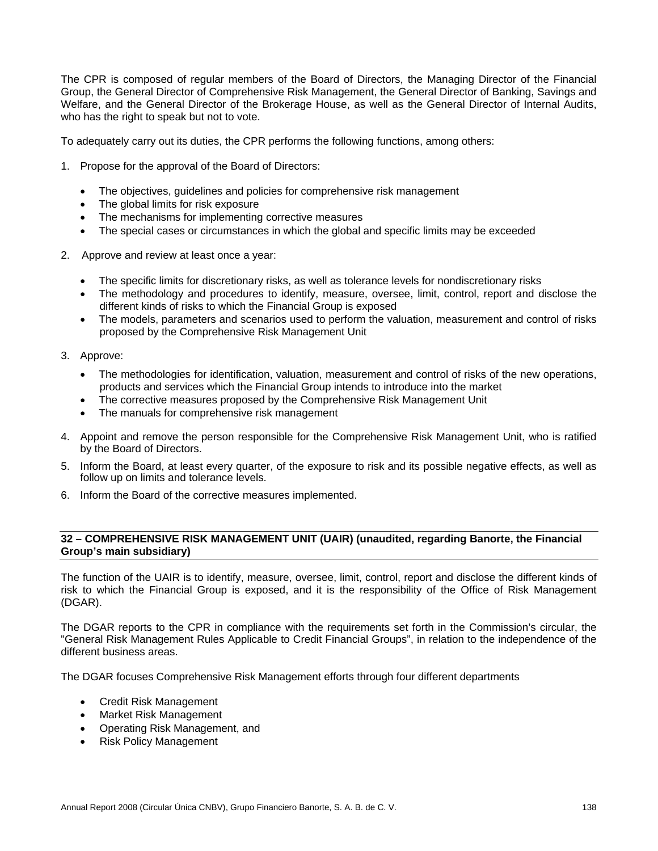The CPR is composed of regular members of the Board of Directors, the Managing Director of the Financial Group, the General Director of Comprehensive Risk Management, the General Director of Banking, Savings and Welfare, and the General Director of the Brokerage House, as well as the General Director of Internal Audits, who has the right to speak but not to vote.

To adequately carry out its duties, the CPR performs the following functions, among others:

- 1. Propose for the approval of the Board of Directors:
	- The objectives, guidelines and policies for comprehensive risk management
	- The global limits for risk exposure
	- The mechanisms for implementing corrective measures
	- The special cases or circumstances in which the global and specific limits may be exceeded
- 2. Approve and review at least once a year:
	- The specific limits for discretionary risks, as well as tolerance levels for nondiscretionary risks
	- The methodology and procedures to identify, measure, oversee, limit, control, report and disclose the different kinds of risks to which the Financial Group is exposed
	- The models, parameters and scenarios used to perform the valuation, measurement and control of risks proposed by the Comprehensive Risk Management Unit
- 3. Approve:
	- The methodologies for identification, valuation, measurement and control of risks of the new operations, products and services which the Financial Group intends to introduce into the market
	- The corrective measures proposed by the Comprehensive Risk Management Unit
	- The manuals for comprehensive risk management
- 4. Appoint and remove the person responsible for the Comprehensive Risk Management Unit, who is ratified by the Board of Directors.
- 5. Inform the Board, at least every quarter, of the exposure to risk and its possible negative effects, as well as follow up on limits and tolerance levels.
- 6. Inform the Board of the corrective measures implemented.

## **32 – COMPREHENSIVE RISK MANAGEMENT UNIT (UAIR) (unaudited, regarding Banorte, the Financial Group's main subsidiary)**

The function of the UAIR is to identify, measure, oversee, limit, control, report and disclose the different kinds of risk to which the Financial Group is exposed, and it is the responsibility of the Office of Risk Management (DGAR).

The DGAR reports to the CPR in compliance with the requirements set forth in the Commission's circular, the "General Risk Management Rules Applicable to Credit Financial Groups", in relation to the independence of the different business areas.

The DGAR focuses Comprehensive Risk Management efforts through four different departments

- Credit Risk Management
- Market Risk Management
- Operating Risk Management, and
- Risk Policy Management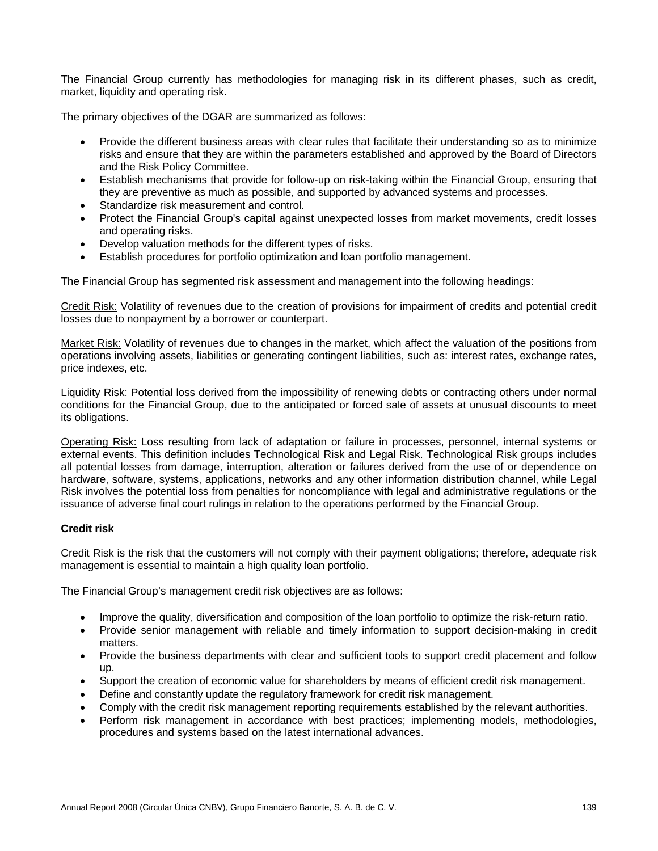The Financial Group currently has methodologies for managing risk in its different phases, such as credit, market, liquidity and operating risk.

The primary objectives of the DGAR are summarized as follows:

- Provide the different business areas with clear rules that facilitate their understanding so as to minimize risks and ensure that they are within the parameters established and approved by the Board of Directors and the Risk Policy Committee.
- Establish mechanisms that provide for follow-up on risk-taking within the Financial Group, ensuring that they are preventive as much as possible, and supported by advanced systems and processes.
- Standardize risk measurement and control.
- Protect the Financial Group's capital against unexpected losses from market movements, credit losses and operating risks.
- Develop valuation methods for the different types of risks.
- Establish procedures for portfolio optimization and loan portfolio management.

The Financial Group has segmented risk assessment and management into the following headings:

Credit Risk: Volatility of revenues due to the creation of provisions for impairment of credits and potential credit losses due to nonpayment by a borrower or counterpart.

Market Risk: Volatility of revenues due to changes in the market, which affect the valuation of the positions from operations involving assets, liabilities or generating contingent liabilities, such as: interest rates, exchange rates, price indexes, etc.

Liquidity Risk: Potential loss derived from the impossibility of renewing debts or contracting others under normal conditions for the Financial Group, due to the anticipated or forced sale of assets at unusual discounts to meet its obligations.

Operating Risk: Loss resulting from lack of adaptation or failure in processes, personnel, internal systems or external events. This definition includes Technological Risk and Legal Risk. Technological Risk groups includes all potential losses from damage, interruption, alteration or failures derived from the use of or dependence on hardware, software, systems, applications, networks and any other information distribution channel, while Legal Risk involves the potential loss from penalties for noncompliance with legal and administrative regulations or the issuance of adverse final court rulings in relation to the operations performed by the Financial Group.

# **Credit risk**

Credit Risk is the risk that the customers will not comply with their payment obligations; therefore, adequate risk management is essential to maintain a high quality loan portfolio.

The Financial Group's management credit risk objectives are as follows:

- Improve the quality, diversification and composition of the loan portfolio to optimize the risk-return ratio.
- Provide senior management with reliable and timely information to support decision-making in credit matters.
- Provide the business departments with clear and sufficient tools to support credit placement and follow up.
- Support the creation of economic value for shareholders by means of efficient credit risk management.
- Define and constantly update the regulatory framework for credit risk management.
- Comply with the credit risk management reporting requirements established by the relevant authorities.
- Perform risk management in accordance with best practices; implementing models, methodologies, procedures and systems based on the latest international advances.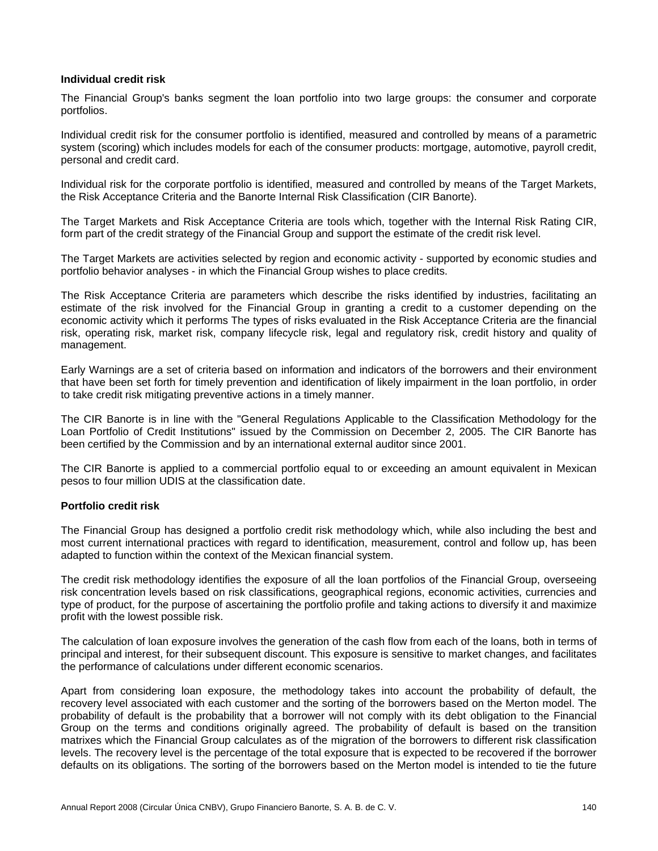#### **Individual credit risk**

The Financial Group's banks segment the loan portfolio into two large groups: the consumer and corporate portfolios.

Individual credit risk for the consumer portfolio is identified, measured and controlled by means of a parametric system (scoring) which includes models for each of the consumer products: mortgage, automotive, payroll credit, personal and credit card.

Individual risk for the corporate portfolio is identified, measured and controlled by means of the Target Markets, the Risk Acceptance Criteria and the Banorte Internal Risk Classification (CIR Banorte).

The Target Markets and Risk Acceptance Criteria are tools which, together with the Internal Risk Rating CIR, form part of the credit strategy of the Financial Group and support the estimate of the credit risk level.

The Target Markets are activities selected by region and economic activity - supported by economic studies and portfolio behavior analyses - in which the Financial Group wishes to place credits.

The Risk Acceptance Criteria are parameters which describe the risks identified by industries, facilitating an estimate of the risk involved for the Financial Group in granting a credit to a customer depending on the economic activity which it performs The types of risks evaluated in the Risk Acceptance Criteria are the financial risk, operating risk, market risk, company lifecycle risk, legal and regulatory risk, credit history and quality of management.

Early Warnings are a set of criteria based on information and indicators of the borrowers and their environment that have been set forth for timely prevention and identification of likely impairment in the loan portfolio, in order to take credit risk mitigating preventive actions in a timely manner.

The CIR Banorte is in line with the "General Regulations Applicable to the Classification Methodology for the Loan Portfolio of Credit Institutions" issued by the Commission on December 2, 2005. The CIR Banorte has been certified by the Commission and by an international external auditor since 2001.

The CIR Banorte is applied to a commercial portfolio equal to or exceeding an amount equivalent in Mexican pesos to four million UDIS at the classification date.

#### **Portfolio credit risk**

The Financial Group has designed a portfolio credit risk methodology which, while also including the best and most current international practices with regard to identification, measurement, control and follow up, has been adapted to function within the context of the Mexican financial system.

The credit risk methodology identifies the exposure of all the loan portfolios of the Financial Group, overseeing risk concentration levels based on risk classifications, geographical regions, economic activities, currencies and type of product, for the purpose of ascertaining the portfolio profile and taking actions to diversify it and maximize profit with the lowest possible risk.

The calculation of loan exposure involves the generation of the cash flow from each of the loans, both in terms of principal and interest, for their subsequent discount. This exposure is sensitive to market changes, and facilitates the performance of calculations under different economic scenarios.

Apart from considering loan exposure, the methodology takes into account the probability of default, the recovery level associated with each customer and the sorting of the borrowers based on the Merton model. The probability of default is the probability that a borrower will not comply with its debt obligation to the Financial Group on the terms and conditions originally agreed. The probability of default is based on the transition matrixes which the Financial Group calculates as of the migration of the borrowers to different risk classification levels. The recovery level is the percentage of the total exposure that is expected to be recovered if the borrower defaults on its obligations. The sorting of the borrowers based on the Merton model is intended to tie the future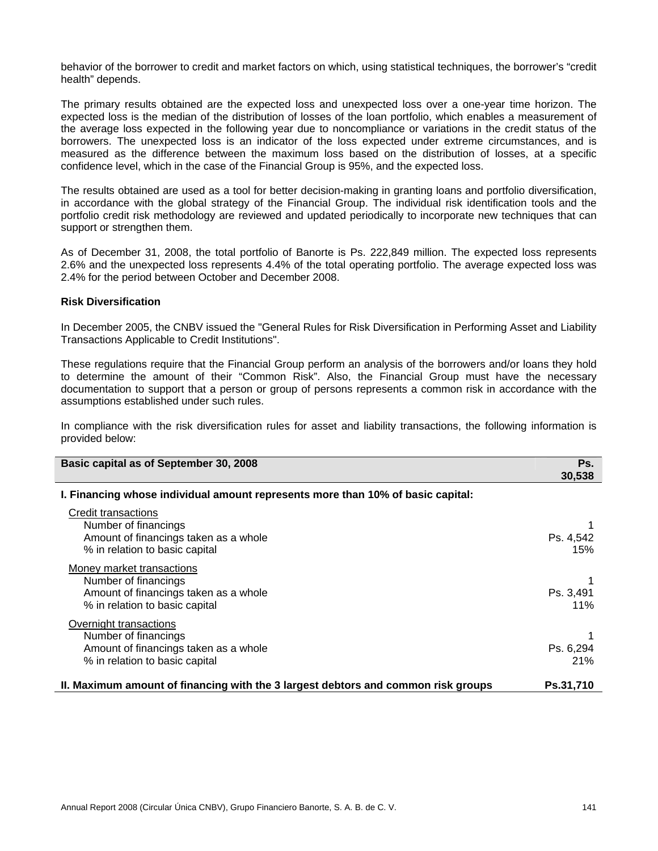behavior of the borrower to credit and market factors on which, using statistical techniques, the borrower's "credit health" depends.

The primary results obtained are the expected loss and unexpected loss over a one-year time horizon. The expected loss is the median of the distribution of losses of the loan portfolio, which enables a measurement of the average loss expected in the following year due to noncompliance or variations in the credit status of the borrowers. The unexpected loss is an indicator of the loss expected under extreme circumstances, and is measured as the difference between the maximum loss based on the distribution of losses, at a specific confidence level, which in the case of the Financial Group is 95%, and the expected loss.

The results obtained are used as a tool for better decision-making in granting loans and portfolio diversification, in accordance with the global strategy of the Financial Group. The individual risk identification tools and the portfolio credit risk methodology are reviewed and updated periodically to incorporate new techniques that can support or strengthen them.

As of December 31, 2008, the total portfolio of Banorte is Ps. 222,849 million. The expected loss represents 2.6% and the unexpected loss represents 4.4% of the total operating portfolio. The average expected loss was 2.4% for the period between October and December 2008.

#### **Risk Diversification**

In December 2005, the CNBV issued the "General Rules for Risk Diversification in Performing Asset and Liability Transactions Applicable to Credit Institutions".

These regulations require that the Financial Group perform an analysis of the borrowers and/or loans they hold to determine the amount of their "Common Risk". Also, the Financial Group must have the necessary documentation to support that a person or group of persons represents a common risk in accordance with the assumptions established under such rules.

In compliance with the risk diversification rules for asset and liability transactions, the following information is provided below:

| Basic capital as of September 30, 2008                                                                                       | Ps.              |
|------------------------------------------------------------------------------------------------------------------------------|------------------|
|                                                                                                                              | 30,538           |
| I. Financing whose individual amount represents more than 10% of basic capital:                                              |                  |
| Credit transactions<br>Number of financings<br>Amount of financings taken as a whole<br>% in relation to basic capital       | Ps. 4,542<br>15% |
| Money market transactions<br>Number of financings<br>Amount of financings taken as a whole<br>% in relation to basic capital | Ps. 3.491<br>11% |
| Overnight transactions<br>Number of financings<br>Amount of financings taken as a whole<br>% in relation to basic capital    | Ps. 6,294<br>21% |
| II. Maximum amount of financing with the 3 largest debtors and common risk groups                                            | Ps.31,710        |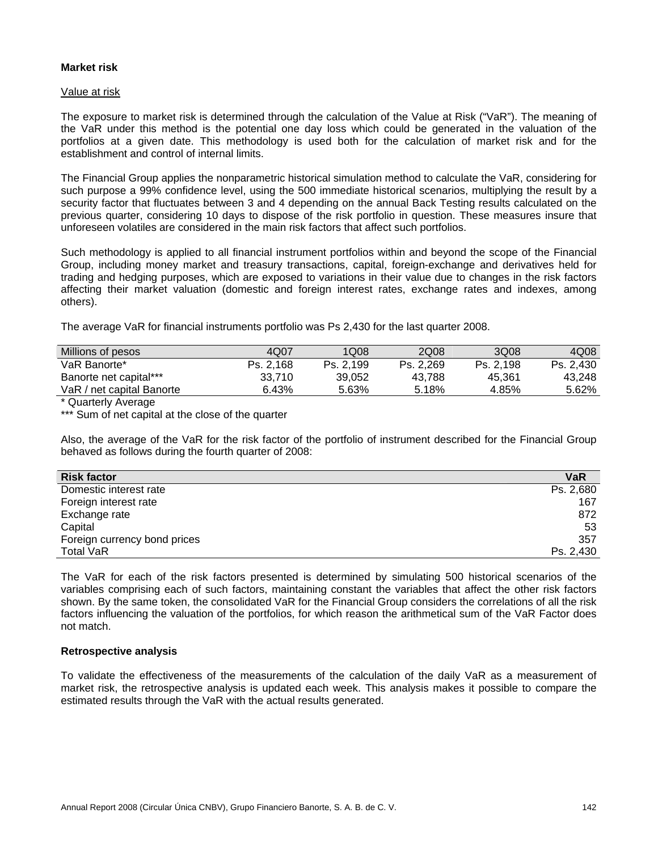## **Market risk**

#### Value at risk

The exposure to market risk is determined through the calculation of the Value at Risk ("VaR"). The meaning of the VaR under this method is the potential one day loss which could be generated in the valuation of the portfolios at a given date. This methodology is used both for the calculation of market risk and for the establishment and control of internal limits.

The Financial Group applies the nonparametric historical simulation method to calculate the VaR, considering for such purpose a 99% confidence level, using the 500 immediate historical scenarios, multiplying the result by a security factor that fluctuates between 3 and 4 depending on the annual Back Testing results calculated on the previous quarter, considering 10 days to dispose of the risk portfolio in question. These measures insure that unforeseen volatiles are considered in the main risk factors that affect such portfolios.

Such methodology is applied to all financial instrument portfolios within and beyond the scope of the Financial Group, including money market and treasury transactions, capital, foreign-exchange and derivatives held for trading and hedging purposes, which are exposed to variations in their value due to changes in the risk factors affecting their market valuation (domestic and foreign interest rates, exchange rates and indexes, among others).

The average VaR for financial instruments portfolio was Ps 2,430 for the last quarter 2008.

| Millions of pesos         | 4Q07      | 1Q08      | 2Q08      | 3Q08      | 4Q08      |
|---------------------------|-----------|-----------|-----------|-----------|-----------|
| VaR Banorte*              | Ps. 2.168 | Ps. 2.199 | Ps. 2.269 | Ps. 2.198 | Ps. 2.430 |
| Banorte net capital***    | 33.710    | 39.052    | 43.788    | 45.361    | 43.248    |
| VaR / net capital Banorte | 6.43%     | 5.63%     | 5.18%     | 4.85%     | 5.62%     |

\* Quarterly Average

\*\*\* Sum of net capital at the close of the quarter

Also, the average of the VaR for the risk factor of the portfolio of instrument described for the Financial Group behaved as follows during the fourth quarter of 2008:

| <b>Risk factor</b>           | <b>VaR</b> |
|------------------------------|------------|
| Domestic interest rate       | Ps. 2,680  |
| Foreign interest rate        | 167        |
| Exchange rate                | 872        |
| Capital                      | 53         |
| Foreign currency bond prices | 357        |
| <b>Total VaR</b>             | Ps. 2,430  |

The VaR for each of the risk factors presented is determined by simulating 500 historical scenarios of the variables comprising each of such factors, maintaining constant the variables that affect the other risk factors shown. By the same token, the consolidated VaR for the Financial Group considers the correlations of all the risk factors influencing the valuation of the portfolios, for which reason the arithmetical sum of the VaR Factor does not match.

#### **Retrospective analysis**

To validate the effectiveness of the measurements of the calculation of the daily VaR as a measurement of market risk, the retrospective analysis is updated each week. This analysis makes it possible to compare the estimated results through the VaR with the actual results generated.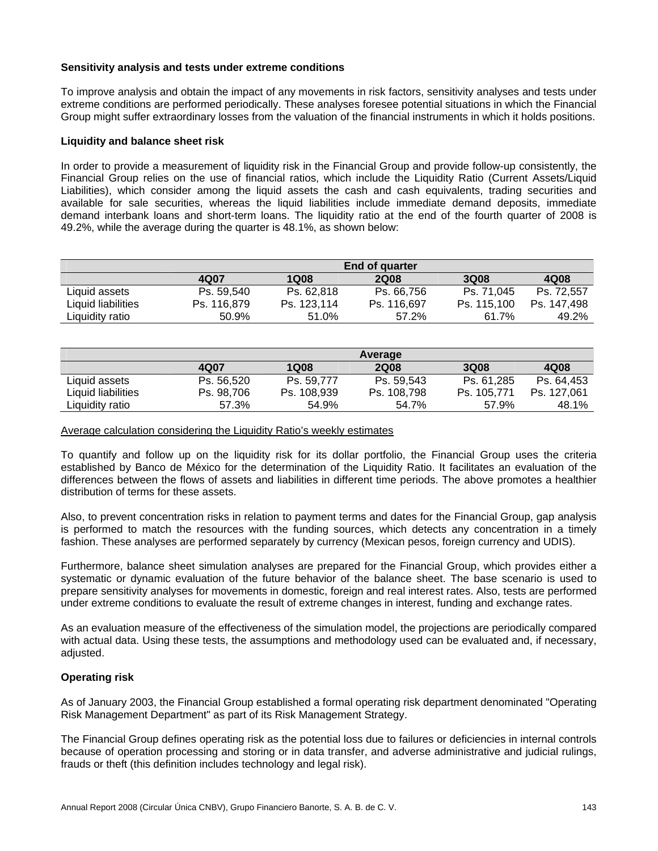#### **Sensitivity analysis and tests under extreme conditions**

To improve analysis and obtain the impact of any movements in risk factors, sensitivity analyses and tests under extreme conditions are performed periodically. These analyses foresee potential situations in which the Financial Group might suffer extraordinary losses from the valuation of the financial instruments in which it holds positions.

## **Liquidity and balance sheet risk**

In order to provide a measurement of liquidity risk in the Financial Group and provide follow-up consistently, the Financial Group relies on the use of financial ratios, which include the Liquidity Ratio (Current Assets/Liquid Liabilities), which consider among the liquid assets the cash and cash equivalents, trading securities and available for sale securities, whereas the liquid liabilities include immediate demand deposits, immediate demand interbank loans and short-term loans. The liquidity ratio at the end of the fourth quarter of 2008 is 49.2%, while the average during the quarter is 48.1%, as shown below:

|                    |             |             | End of quarter |             |             |
|--------------------|-------------|-------------|----------------|-------------|-------------|
|                    | 4Q07        | 1Q08        | <b>2Q08</b>    | <b>3Q08</b> | 4Q08        |
| Liquid assets      | Ps. 59,540  | Ps. 62,818  | Ps. 66,756     | Ps. 71.045  | Ps. 72.557  |
| Liquid liabilities | Ps. 116,879 | Ps. 123,114 | Ps. 116,697    | Ps. 115.100 | Ps. 147.498 |
| Liquidity ratio    | 50.9%       | 51.0%       | 57.2%          | 61.7%       | 49.2%       |

|                    |            |             | Average     |             |             |
|--------------------|------------|-------------|-------------|-------------|-------------|
|                    | 4Q07       | <b>1Q08</b> | <b>2Q08</b> | 3Q08        | 4Q08        |
| Liquid assets      | Ps. 56.520 | Ps. 59.777  | Ps. 59.543  | Ps. 61.285  | Ps. 64.453  |
| Liquid liabilities | Ps. 98,706 | Ps. 108,939 | Ps. 108,798 | Ps. 105.771 | Ps. 127,061 |
| Liquidity ratio    | 57.3%      | 54.9%       | 54.7%       | 57.9%       | 48.1%       |

#### Average calculation considering the Liquidity Ratio's weekly estimates

To quantify and follow up on the liquidity risk for its dollar portfolio, the Financial Group uses the criteria established by Banco de México for the determination of the Liquidity Ratio. It facilitates an evaluation of the differences between the flows of assets and liabilities in different time periods. The above promotes a healthier distribution of terms for these assets.

Also, to prevent concentration risks in relation to payment terms and dates for the Financial Group, gap analysis is performed to match the resources with the funding sources, which detects any concentration in a timely fashion. These analyses are performed separately by currency (Mexican pesos, foreign currency and UDIS).

Furthermore, balance sheet simulation analyses are prepared for the Financial Group, which provides either a systematic or dynamic evaluation of the future behavior of the balance sheet. The base scenario is used to prepare sensitivity analyses for movements in domestic, foreign and real interest rates. Also, tests are performed under extreme conditions to evaluate the result of extreme changes in interest, funding and exchange rates.

As an evaluation measure of the effectiveness of the simulation model, the projections are periodically compared with actual data. Using these tests, the assumptions and methodology used can be evaluated and, if necessary, adjusted.

# **Operating risk**

As of January 2003, the Financial Group established a formal operating risk department denominated "Operating Risk Management Department" as part of its Risk Management Strategy.

The Financial Group defines operating risk as the potential loss due to failures or deficiencies in internal controls because of operation processing and storing or in data transfer, and adverse administrative and judicial rulings, frauds or theft (this definition includes technology and legal risk).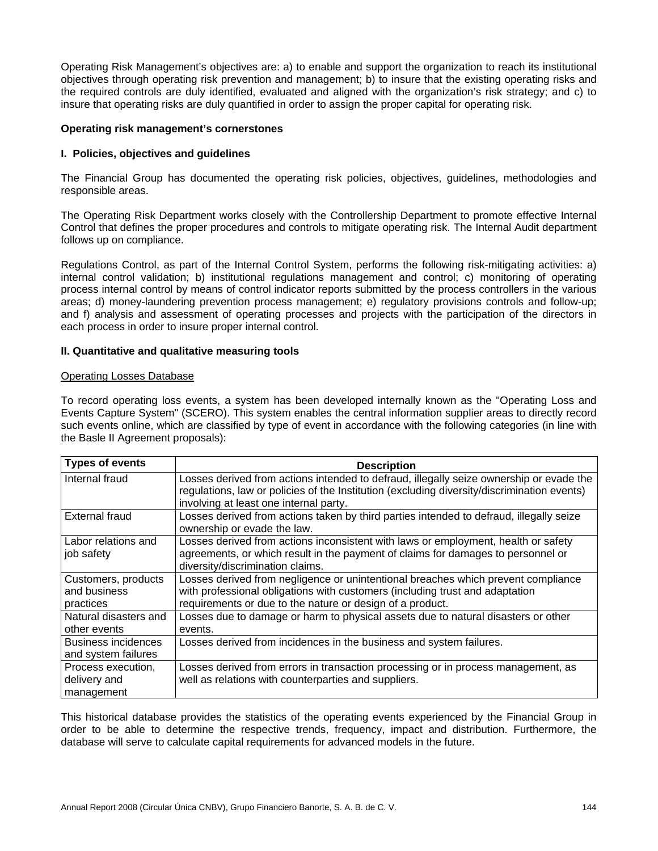Operating Risk Management's objectives are: a) to enable and support the organization to reach its institutional objectives through operating risk prevention and management; b) to insure that the existing operating risks and the required controls are duly identified, evaluated and aligned with the organization's risk strategy; and c) to insure that operating risks are duly quantified in order to assign the proper capital for operating risk.

#### **Operating risk management's cornerstones**

#### **I. Policies, objectives and guidelines**

The Financial Group has documented the operating risk policies, objectives, guidelines, methodologies and responsible areas.

The Operating Risk Department works closely with the Controllership Department to promote effective Internal Control that defines the proper procedures and controls to mitigate operating risk. The Internal Audit department follows up on compliance.

Regulations Control, as part of the Internal Control System, performs the following risk-mitigating activities: a) internal control validation; b) institutional regulations management and control; c) monitoring of operating process internal control by means of control indicator reports submitted by the process controllers in the various areas; d) money-laundering prevention process management; e) regulatory provisions controls and follow-up; and f) analysis and assessment of operating processes and projects with the participation of the directors in each process in order to insure proper internal control.

#### **II. Quantitative and qualitative measuring tools**

#### Operating Losses Database

To record operating loss events, a system has been developed internally known as the "Operating Loss and Events Capture System" (SCERO). This system enables the central information supplier areas to directly record such events online, which are classified by type of event in accordance with the following categories (in line with the Basle II Agreement proposals):

| <b>Types of events</b>     | <b>Description</b>                                                                          |
|----------------------------|---------------------------------------------------------------------------------------------|
| Internal fraud             | Losses derived from actions intended to defraud, illegally seize ownership or evade the     |
|                            | regulations, law or policies of the Institution (excluding diversity/discrimination events) |
|                            | involving at least one internal party.                                                      |
| <b>External fraud</b>      | Losses derived from actions taken by third parties intended to defraud, illegally seize     |
|                            | ownership or evade the law.                                                                 |
| Labor relations and        | Losses derived from actions inconsistent with laws or employment, health or safety          |
| job safety                 | agreements, or which result in the payment of claims for damages to personnel or            |
|                            | diversity/discrimination claims.                                                            |
| Customers, products        | Losses derived from negligence or unintentional breaches which prevent compliance           |
| and business               | with professional obligations with customers (including trust and adaptation                |
| practices                  | requirements or due to the nature or design of a product.                                   |
| Natural disasters and      | Losses due to damage or harm to physical assets due to natural disasters or other           |
| other events               | events.                                                                                     |
| <b>Business incidences</b> | Losses derived from incidences in the business and system failures.                         |
| and system failures        |                                                                                             |
| Process execution,         | Losses derived from errors in transaction processing or in process management, as           |
| delivery and               | well as relations with counterparties and suppliers.                                        |
| management                 |                                                                                             |

This historical database provides the statistics of the operating events experienced by the Financial Group in order to be able to determine the respective trends, frequency, impact and distribution. Furthermore, the database will serve to calculate capital requirements for advanced models in the future.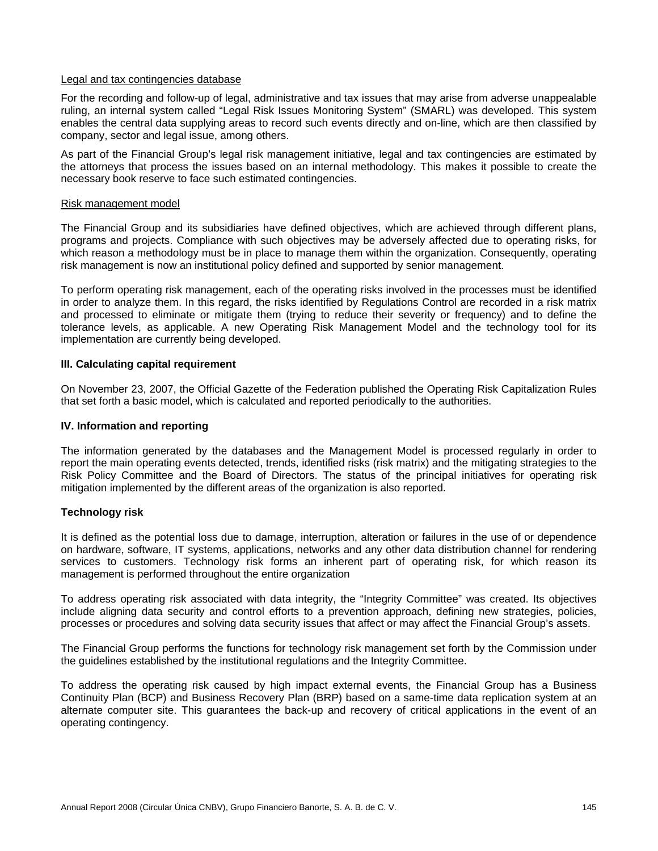### Legal and tax contingencies database

For the recording and follow-up of legal, administrative and tax issues that may arise from adverse unappealable ruling, an internal system called "Legal Risk Issues Monitoring System" (SMARL) was developed. This system enables the central data supplying areas to record such events directly and on-line, which are then classified by company, sector and legal issue, among others.

As part of the Financial Group's legal risk management initiative, legal and tax contingencies are estimated by the attorneys that process the issues based on an internal methodology. This makes it possible to create the necessary book reserve to face such estimated contingencies.

### Risk management model

The Financial Group and its subsidiaries have defined objectives, which are achieved through different plans, programs and projects. Compliance with such objectives may be adversely affected due to operating risks, for which reason a methodology must be in place to manage them within the organization. Consequently, operating risk management is now an institutional policy defined and supported by senior management.

To perform operating risk management, each of the operating risks involved in the processes must be identified in order to analyze them. In this regard, the risks identified by Regulations Control are recorded in a risk matrix and processed to eliminate or mitigate them (trying to reduce their severity or frequency) and to define the tolerance levels, as applicable. A new Operating Risk Management Model and the technology tool for its implementation are currently being developed.

### **III. Calculating capital requirement**

On November 23, 2007, the Official Gazette of the Federation published the Operating Risk Capitalization Rules that set forth a basic model, which is calculated and reported periodically to the authorities.

## **IV. Information and reporting**

The information generated by the databases and the Management Model is processed regularly in order to report the main operating events detected, trends, identified risks (risk matrix) and the mitigating strategies to the Risk Policy Committee and the Board of Directors. The status of the principal initiatives for operating risk mitigation implemented by the different areas of the organization is also reported.

# **Technology risk**

It is defined as the potential loss due to damage, interruption, alteration or failures in the use of or dependence on hardware, software, IT systems, applications, networks and any other data distribution channel for rendering services to customers. Technology risk forms an inherent part of operating risk, for which reason its management is performed throughout the entire organization

To address operating risk associated with data integrity, the "Integrity Committee" was created. Its objectives include aligning data security and control efforts to a prevention approach, defining new strategies, policies, processes or procedures and solving data security issues that affect or may affect the Financial Group's assets.

The Financial Group performs the functions for technology risk management set forth by the Commission under the guidelines established by the institutional regulations and the Integrity Committee.

To address the operating risk caused by high impact external events, the Financial Group has a Business Continuity Plan (BCP) and Business Recovery Plan (BRP) based on a same-time data replication system at an alternate computer site. This guarantees the back-up and recovery of critical applications in the event of an operating contingency.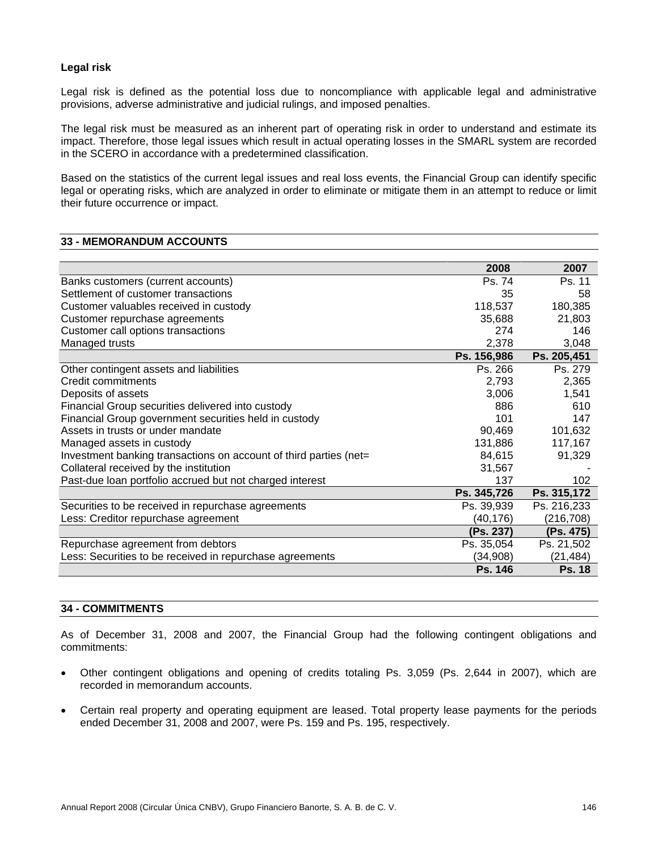# **Legal risk**

Legal risk is defined as the potential loss due to noncompliance with applicable legal and administrative provisions, adverse administrative and judicial rulings, and imposed penalties.

The legal risk must be measured as an inherent part of operating risk in order to understand and estimate its impact. Therefore, those legal issues which result in actual operating losses in the SMARL system are recorded in the SCERO in accordance with a predetermined classification.

Based on the statistics of the current legal issues and real loss events, the Financial Group can identify specific legal or operating risks, which are analyzed in order to eliminate or mitigate them in an attempt to reduce or limit their future occurrence or impact.

## **33 - MEMORANDUM ACCOUNTS**

|                                                                   | 2008           | 2007          |
|-------------------------------------------------------------------|----------------|---------------|
| Banks customers (current accounts)                                | Ps. 74         | Ps. 11        |
| Settlement of customer transactions                               | 35             | 58            |
| Customer valuables received in custody                            | 118,537        | 180,385       |
| Customer repurchase agreements                                    | 35,688         | 21,803        |
| Customer call options transactions                                | 274            | 146           |
| Managed trusts                                                    | 2,378          | 3,048         |
|                                                                   | Ps. 156,986    | Ps. 205,451   |
| Other contingent assets and liabilities                           | Ps. 266        | Ps. 279       |
| Credit commitments                                                | 2,793          | 2,365         |
| Deposits of assets                                                | 3,006          | 1,541         |
| Financial Group securities delivered into custody                 | 886            | 610           |
| Financial Group government securities held in custody             | 101            | 147           |
| Assets in trusts or under mandate                                 | 90,469         | 101,632       |
| Managed assets in custody                                         | 131,886        | 117,167       |
| Investment banking transactions on account of third parties (net= | 84,615         | 91,329        |
| Collateral received by the institution                            | 31,567         |               |
| Past-due loan portfolio accrued but not charged interest          | 137            | 102           |
|                                                                   | Ps. 345,726    | Ps. 315,172   |
| Securities to be received in repurchase agreements                | Ps. 39,939     | Ps. 216,233   |
| Less: Creditor repurchase agreement                               | (40,176)       | (216, 708)    |
|                                                                   | (Ps. 237)      | (Ps. 475)     |
| Repurchase agreement from debtors                                 | Ps. 35,054     | Ps. 21,502    |
| Less: Securities to be received in repurchase agreements          | (34,908)       | (21, 484)     |
|                                                                   | <b>Ps. 146</b> | <b>Ps. 18</b> |

# **34 - COMMITMENTS**

As of December 31, 2008 and 2007, the Financial Group had the following contingent obligations and commitments:

- Other contingent obligations and opening of credits totaling Ps. 3,059 (Ps. 2,644 in 2007), which are recorded in memorandum accounts.
- Certain real property and operating equipment are leased. Total property lease payments for the periods ended December 31, 2008 and 2007, were Ps. 159 and Ps. 195, respectively.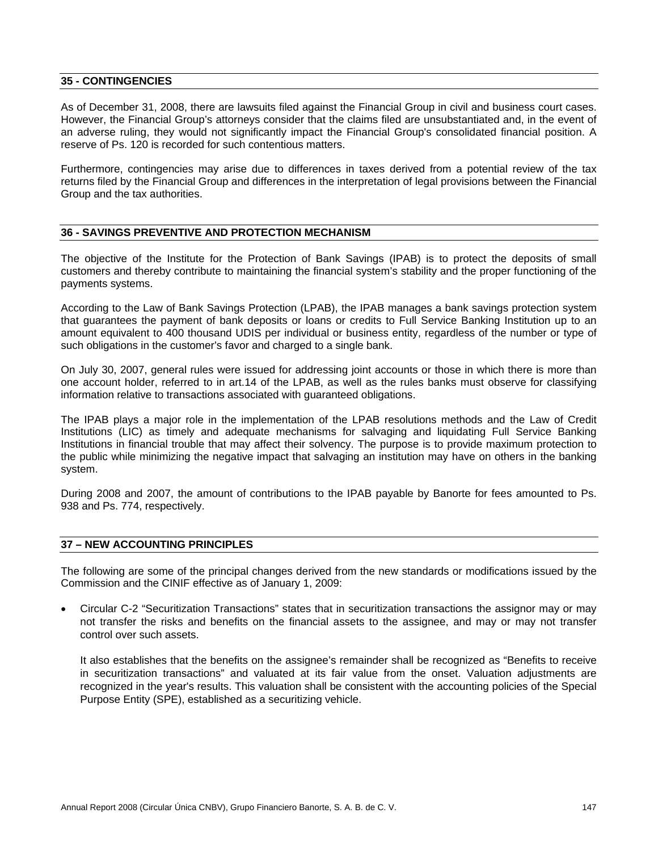### **35 - CONTINGENCIES**

As of December 31, 2008, there are lawsuits filed against the Financial Group in civil and business court cases. However, the Financial Group's attorneys consider that the claims filed are unsubstantiated and, in the event of an adverse ruling, they would not significantly impact the Financial Group's consolidated financial position. A reserve of Ps. 120 is recorded for such contentious matters.

Furthermore, contingencies may arise due to differences in taxes derived from a potential review of the tax returns filed by the Financial Group and differences in the interpretation of legal provisions between the Financial Group and the tax authorities.

# **36 - SAVINGS PREVENTIVE AND PROTECTION MECHANISM**

The objective of the Institute for the Protection of Bank Savings (IPAB) is to protect the deposits of small customers and thereby contribute to maintaining the financial system's stability and the proper functioning of the payments systems.

According to the Law of Bank Savings Protection (LPAB), the IPAB manages a bank savings protection system that guarantees the payment of bank deposits or loans or credits to Full Service Banking Institution up to an amount equivalent to 400 thousand UDIS per individual or business entity, regardless of the number or type of such obligations in the customer's favor and charged to a single bank.

On July 30, 2007, general rules were issued for addressing joint accounts or those in which there is more than one account holder, referred to in art.14 of the LPAB, as well as the rules banks must observe for classifying information relative to transactions associated with guaranteed obligations.

The IPAB plays a major role in the implementation of the LPAB resolutions methods and the Law of Credit Institutions (LIC) as timely and adequate mechanisms for salvaging and liquidating Full Service Banking Institutions in financial trouble that may affect their solvency. The purpose is to provide maximum protection to the public while minimizing the negative impact that salvaging an institution may have on others in the banking system.

During 2008 and 2007, the amount of contributions to the IPAB payable by Banorte for fees amounted to Ps. 938 and Ps. 774, respectively.

# **37 – NEW ACCOUNTING PRINCIPLES**

The following are some of the principal changes derived from the new standards or modifications issued by the Commission and the CINIF effective as of January 1, 2009:

• Circular C-2 "Securitization Transactions" states that in securitization transactions the assignor may or may not transfer the risks and benefits on the financial assets to the assignee, and may or may not transfer control over such assets.

It also establishes that the benefits on the assignee's remainder shall be recognized as "Benefits to receive in securitization transactions" and valuated at its fair value from the onset. Valuation adjustments are recognized in the year's results. This valuation shall be consistent with the accounting policies of the Special Purpose Entity (SPE), established as a securitizing vehicle.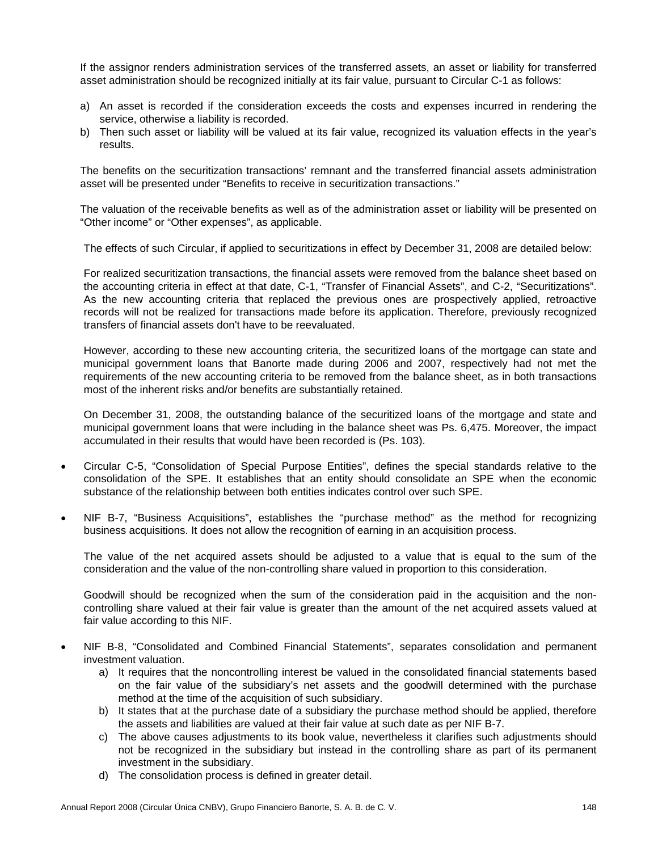If the assignor renders administration services of the transferred assets, an asset or liability for transferred asset administration should be recognized initially at its fair value, pursuant to Circular C-1 as follows:

- a) An asset is recorded if the consideration exceeds the costs and expenses incurred in rendering the service, otherwise a liability is recorded.
- b) Then such asset or liability will be valued at its fair value, recognized its valuation effects in the year's results.

The benefits on the securitization transactions' remnant and the transferred financial assets administration asset will be presented under "Benefits to receive in securitization transactions."

The valuation of the receivable benefits as well as of the administration asset or liability will be presented on "Other income" or "Other expenses", as applicable.

The effects of such Circular, if applied to securitizations in effect by December 31, 2008 are detailed below:

For realized securitization transactions, the financial assets were removed from the balance sheet based on the accounting criteria in effect at that date, C-1, "Transfer of Financial Assets", and C-2, "Securitizations". As the new accounting criteria that replaced the previous ones are prospectively applied, retroactive records will not be realized for transactions made before its application. Therefore, previously recognized transfers of financial assets don't have to be reevaluated.

However, according to these new accounting criteria, the securitized loans of the mortgage can state and municipal government loans that Banorte made during 2006 and 2007, respectively had not met the requirements of the new accounting criteria to be removed from the balance sheet, as in both transactions most of the inherent risks and/or benefits are substantially retained.

On December 31, 2008, the outstanding balance of the securitized loans of the mortgage and state and municipal government loans that were including in the balance sheet was Ps. 6,475. Moreover, the impact accumulated in their results that would have been recorded is (Ps. 103).

- Circular C-5, "Consolidation of Special Purpose Entities", defines the special standards relative to the consolidation of the SPE. It establishes that an entity should consolidate an SPE when the economic substance of the relationship between both entities indicates control over such SPE.
- NIF B-7, "Business Acquisitions", establishes the "purchase method" as the method for recognizing business acquisitions. It does not allow the recognition of earning in an acquisition process.

The value of the net acquired assets should be adjusted to a value that is equal to the sum of the consideration and the value of the non-controlling share valued in proportion to this consideration.

Goodwill should be recognized when the sum of the consideration paid in the acquisition and the noncontrolling share valued at their fair value is greater than the amount of the net acquired assets valued at fair value according to this NIF.

- NIF B-8, "Consolidated and Combined Financial Statements", separates consolidation and permanent investment valuation.
	- a) It requires that the noncontrolling interest be valued in the consolidated financial statements based on the fair value of the subsidiary's net assets and the goodwill determined with the purchase method at the time of the acquisition of such subsidiary.
	- b) It states that at the purchase date of a subsidiary the purchase method should be applied, therefore the assets and liabilities are valued at their fair value at such date as per NIF B-7.
	- c) The above causes adjustments to its book value, nevertheless it clarifies such adjustments should not be recognized in the subsidiary but instead in the controlling share as part of its permanent investment in the subsidiary.
	- d) The consolidation process is defined in greater detail.